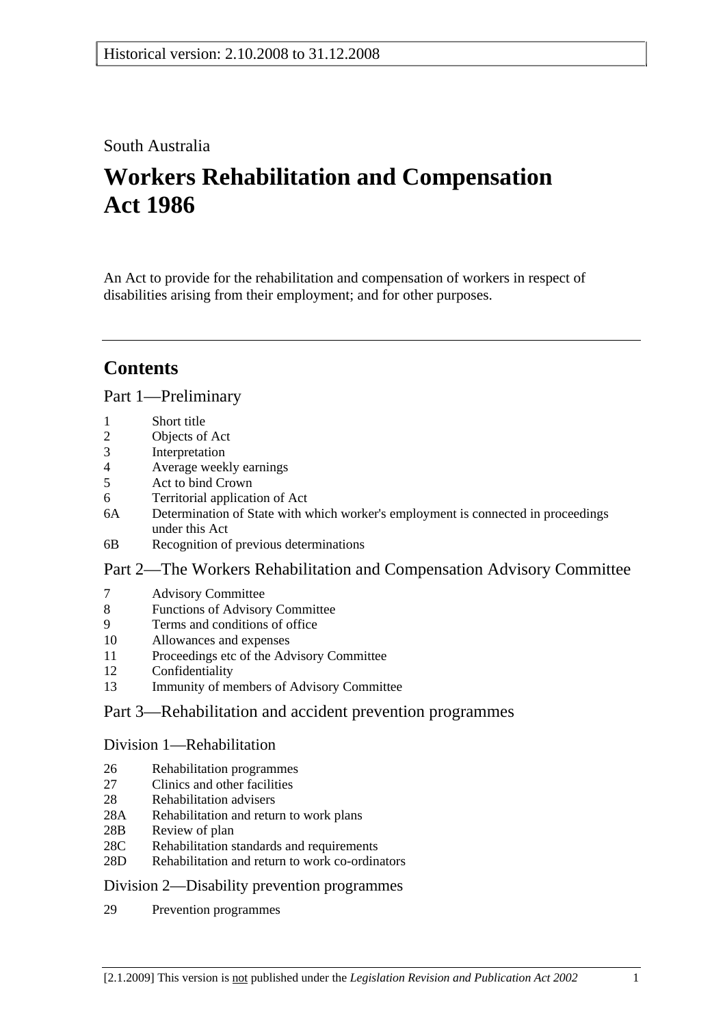# South Australia

# **Workers Rehabilitation and Compensation Act 1986**

An Act to provide for the rehabilitation and compensation of workers in respect of disabilities arising from their employment; and for other purposes.

# **Contents**

## Part 1—Preliminary

- 1 Short title
- 2 Objects of Act
- 3 Interpretation
- 4 Average weekly earnings
- 5 Act to bind Crown
- 6 Territorial application of Act
- 6A Determination of State with which worker's employment is connected in proceedings under this Act
- 6B Recognition of previous determinations

## Part 2—The Workers Rehabilitation and Compensation Advisory Committee

- 7 Advisory Committee
- 8 Functions of Advisory Committee
- 9 Terms and conditions of office
- 10 Allowances and expenses
- 11 Proceedings etc of the Advisory Committee
- 12 Confidentiality
- 13 Immunity of members of Advisory Committee

# Part 3—Rehabilitation and accident prevention programmes

## Division 1—Rehabilitation

- 26 Rehabilitation programmes
- 27 Clinics and other facilities
- 28 Rehabilitation advisers
- 28A Rehabilitation and return to work plans
- 28B Review of plan
- 28C Rehabilitation standards and requirements
- 28D Rehabilitation and return to work co-ordinators

## Division 2—Disability prevention programmes

29 Prevention programmes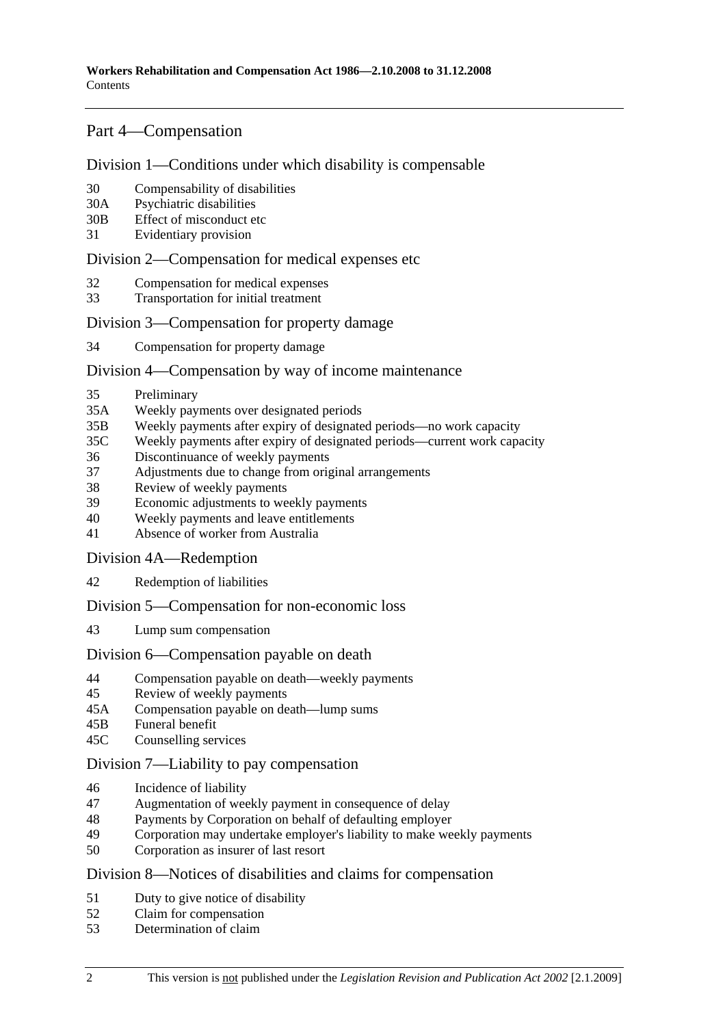## Part 4—Compensation

#### Division 1—Conditions under which disability is compensable

- 30 Compensability of disabilities
- 30A Psychiatric disabilities
- 30B Effect of misconduct etc
- 31 Evidentiary provision

#### Division 2—Compensation for medical expenses etc

- 32 Compensation for medical expenses
- 33 Transportation for initial treatment

### Division 3—Compensation for property damage

34 Compensation for property damage

### Division 4—Compensation by way of income maintenance

- 35 Preliminary
- 35A Weekly payments over designated periods
- 35B Weekly payments after expiry of designated periods—no work capacity
- 35C Weekly payments after expiry of designated periods—current work capacity
- 36 Discontinuance of weekly payments
- 37 Adjustments due to change from original arrangements
- 38 Review of weekly payments
- 39 Economic adjustments to weekly payments
- 40 Weekly payments and leave entitlements
- 41 Absence of worker from Australia

Division 4A—Redemption

42 Redemption of liabilities

Division 5—Compensation for non-economic loss

43 Lump sum compensation

#### Division 6—Compensation payable on death

- 44 Compensation payable on death—weekly payments
- 45 Review of weekly payments
- 45A Compensation payable on death—lump sums
- 45B Funeral benefit
- 45C Counselling services

#### Division 7—Liability to pay compensation

- 46 Incidence of liability
- 47 Augmentation of weekly payment in consequence of delay
- 48 Payments by Corporation on behalf of defaulting employer
- 49 Corporation may undertake employer's liability to make weekly payments
- 50 Corporation as insurer of last resort

#### Division 8—Notices of disabilities and claims for compensation

- 51 Duty to give notice of disability
- 52 Claim for compensation
- 53 Determination of claim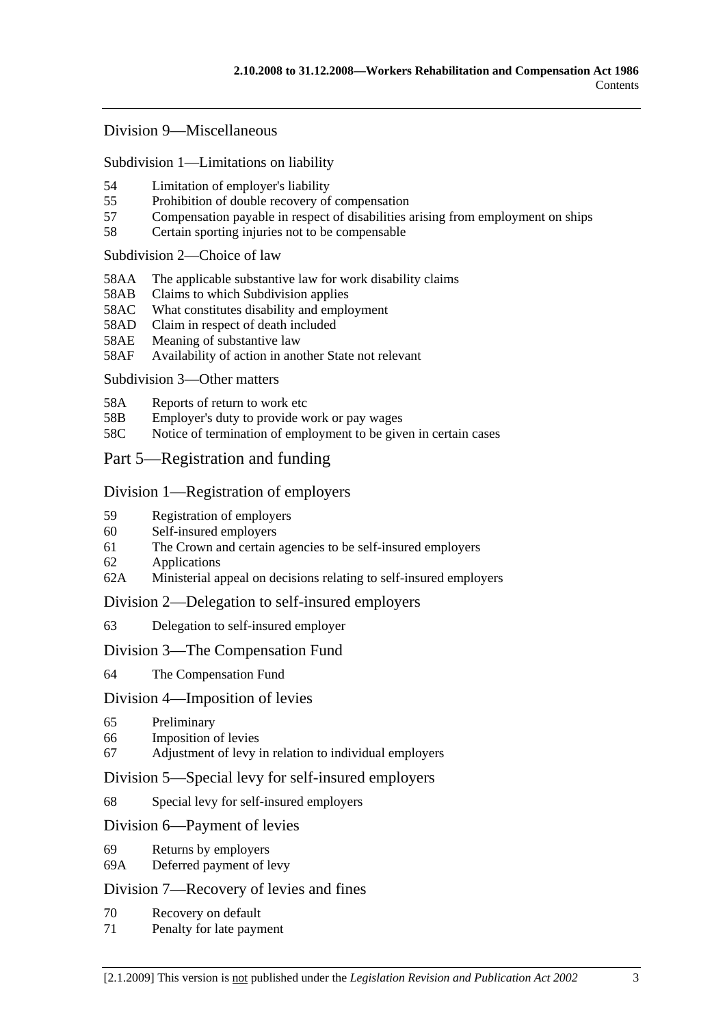### Division 9—Miscellaneous

Subdivision 1—Limitations on liability

- 54 Limitation of employer's liability
- 55 Prohibition of double recovery of compensation
- 57 Compensation payable in respect of disabilities arising from employment on ships
- 58 Certain sporting injuries not to be compensable

#### Subdivision 2—Choice of law

- 58AA The applicable substantive law for work disability claims
- 58AB Claims to which Subdivision applies
- 58AC What constitutes disability and employment
- 58AD Claim in respect of death included
- 58AE Meaning of substantive law
- 58AF Availability of action in another State not relevant

#### Subdivision 3—Other matters

- 58A Reports of return to work etc
- 58B Employer's duty to provide work or pay wages
- 58C Notice of termination of employment to be given in certain cases

## Part 5—Registration and funding

#### Division 1—Registration of employers

- 59 Registration of employers
- 60 Self-insured employers
- 61 The Crown and certain agencies to be self-insured employers
- 62 Applications
- 62A Ministerial appeal on decisions relating to self-insured employers

#### Division 2—Delegation to self-insured employers

63 Delegation to self-insured employer

#### Division 3—The Compensation Fund

64 The Compensation Fund

#### Division 4—Imposition of levies

- 65 Preliminary
- 66 Imposition of levies
- 67 Adjustment of levy in relation to individual employers

#### Division 5—Special levy for self-insured employers

68 Special levy for self-insured employers

#### Division 6—Payment of levies

- 69 Returns by employers
- 69A Deferred payment of levy

## Division 7—Recovery of levies and fines

- 70 Recovery on default
- 71 Penalty for late payment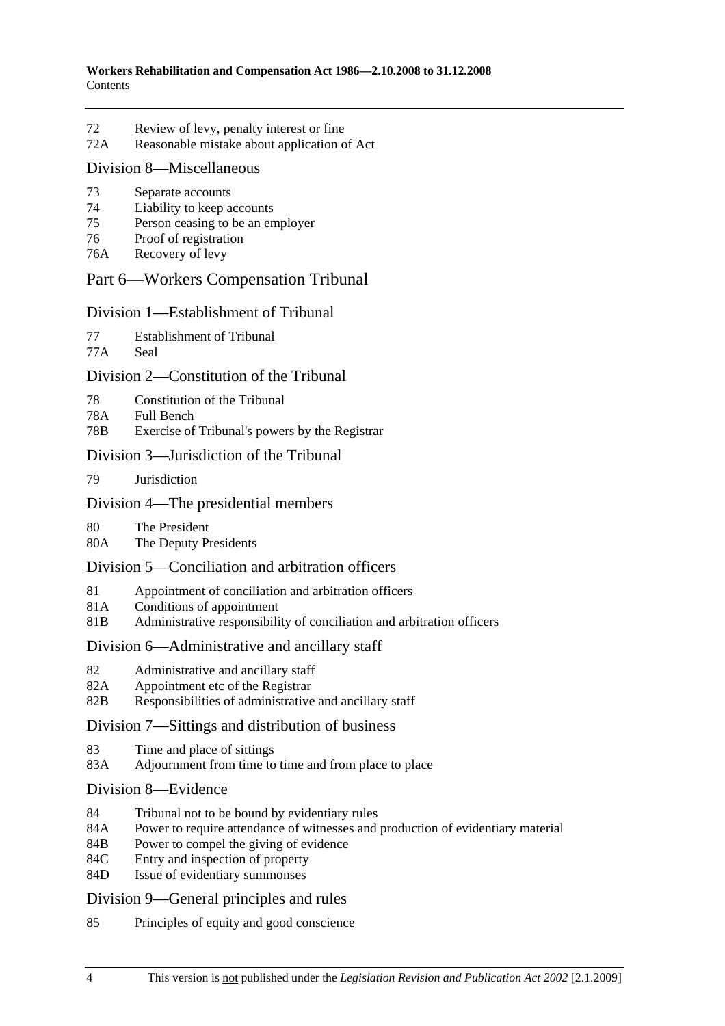- 72 Review of levy, penalty interest or fine
- 72A Reasonable mistake about application of Act

### Division 8—Miscellaneous

- 73 Separate accounts
- 74 Liability to keep accounts
- 75 Person ceasing to be an employer
- 76 Proof of registration
- 76A Recovery of levy

## Part 6—Workers Compensation Tribunal

### Division 1—Establishment of Tribunal

77 Establishment of Tribunal

77A Seal

## Division 2—Constitution of the Tribunal

- 78 Constitution of the Tribunal
- 78A Full Bench
- 78B Exercise of Tribunal's powers by the Registrar

## Division 3—Jurisdiction of the Tribunal

79 Jurisdiction

## Division 4—The presidential members

- 80 The President<br>80A The Deputy P.
- The Deputy Presidents

## Division 5—Conciliation and arbitration officers

- 81 Appointment of conciliation and arbitration officers
- 81A Conditions of appointment
- 81B Administrative responsibility of conciliation and arbitration officers

## Division 6—Administrative and ancillary staff

- 82 Administrative and ancillary staff
- 82A Appointment etc of the Registrar
- 82B Responsibilities of administrative and ancillary staff

## Division 7—Sittings and distribution of business

- 83 Time and place of sittings
- 83A Adjournment from time to time and from place to place
- Division 8—Evidence
- 84 Tribunal not to be bound by evidentiary rules
- 84A Power to require attendance of witnesses and production of evidentiary material
- 84B Power to compel the giving of evidence
- 84C Entry and inspection of property
- 84D Issue of evidentiary summonses

## Division 9—General principles and rules

85 Principles of equity and good conscience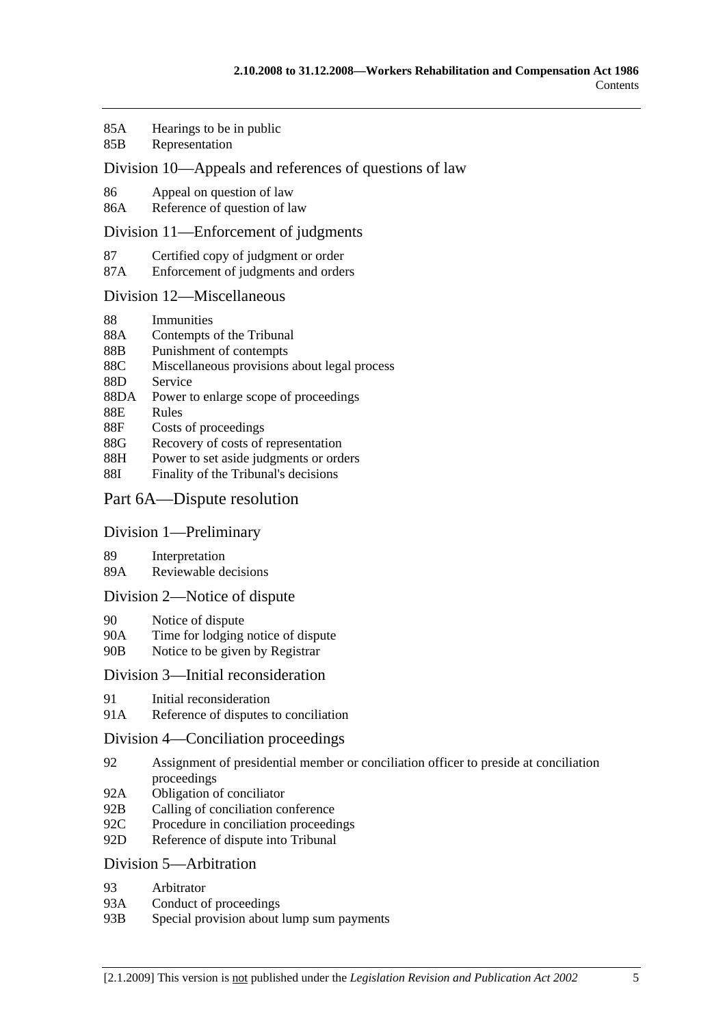- 85A Hearings to be in public
- 85B Representation

### Division 10—Appeals and references of questions of law

- 86 Appeal on question of law
- 86A Reference of question of law

#### Division 11—Enforcement of judgments

- 87 Certified copy of judgment or order
- 87A Enforcement of judgments and orders

#### Division 12—Miscellaneous

- 88 Immunities
- 88A Contempts of the Tribunal
- 88B Punishment of contempts
- 88C Miscellaneous provisions about legal process
- 88D Service
- 88DA Power to enlarge scope of proceedings
- 88E Rules
- 88F Costs of proceedings
- 88G Recovery of costs of representation
- 88H Power to set aside judgments or orders
- 88I Finality of the Tribunal's decisions

### Part 6A—Dispute resolution

#### Division 1—Preliminary

- 89 Interpretation
- 89A Reviewable decisions

#### Division 2—Notice of dispute

- 90 Notice of dispute
- 90A Time for lodging notice of dispute
- 90B Notice to be given by Registrar

### Division 3—Initial reconsideration

- 91 Initial reconsideration
- 91A Reference of disputes to conciliation

#### Division 4—Conciliation proceedings

- 92 Assignment of presidential member or conciliation officer to preside at conciliation proceedings
- 92A Obligation of conciliator
- 92B Calling of conciliation conference
- 92C Procedure in conciliation proceedings
- 92D Reference of dispute into Tribunal

#### Division 5—Arbitration

- 93 Arbitrator
- 93A Conduct of proceedings
- 93B Special provision about lump sum payments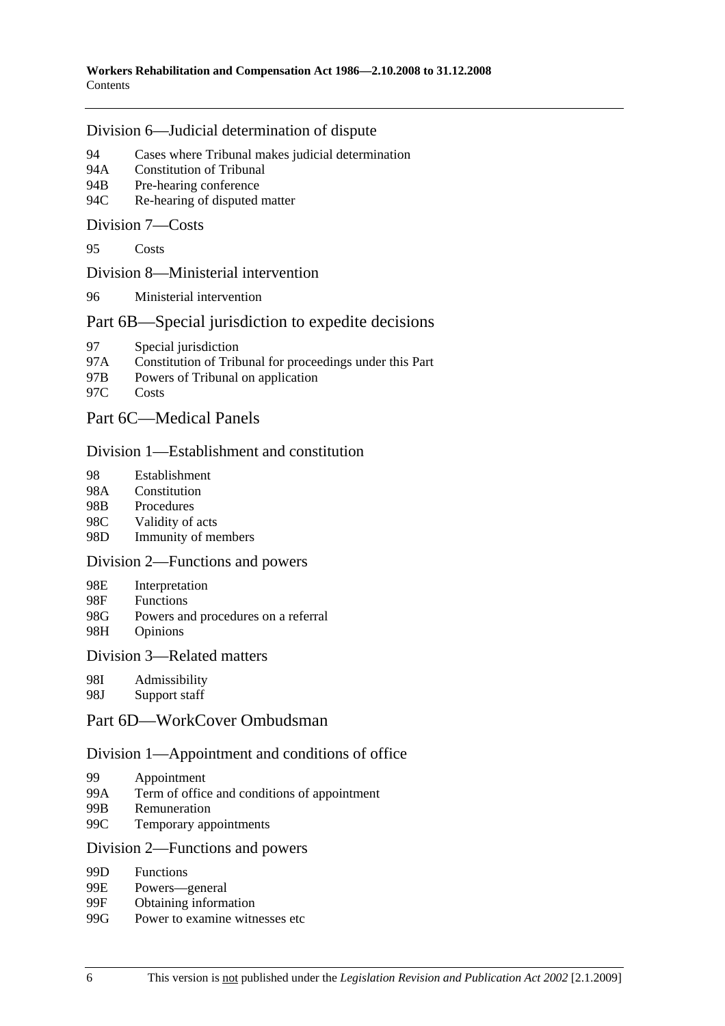#### Division 6—Judicial determination of dispute

- 94 Cases where Tribunal makes judicial determination
- 94A Constitution of Tribunal
- 94B Pre-hearing conference
- 94C Re-hearing of disputed matter

#### Division 7—Costs

95 Costs

#### Division 8—Ministerial intervention

96 Ministerial intervention

## Part 6B—Special jurisdiction to expedite decisions

- 97 Special jurisdiction
- 97A Constitution of Tribunal for proceedings under this Part
- 97B Powers of Tribunal on application
- 97C Costs

## Part 6C—Medical Panels

#### Division 1—Establishment and constitution

- 98 Establishment
- 98A Constitution
- 98B Procedures
- 98C Validity of acts
- 98D Immunity of members

#### Division 2—Functions and powers

- 98E Interpretation
- 98F Functions
- 98G Powers and procedures on a referral
- 98H Opinions

#### Division 3—Related matters

- 98I Admissibility
- 98J Support staff

## Part 6D—WorkCover Ombudsman

#### Division 1—Appointment and conditions of office

- 99 Appointment
- 99A Term of office and conditions of appointment
- 99B Remuneration
- 99C Temporary appointments

#### Division 2—Functions and powers

- 99D Functions
- 99E Powers—general
- 99F Obtaining information
- 99G Power to examine witnesses etc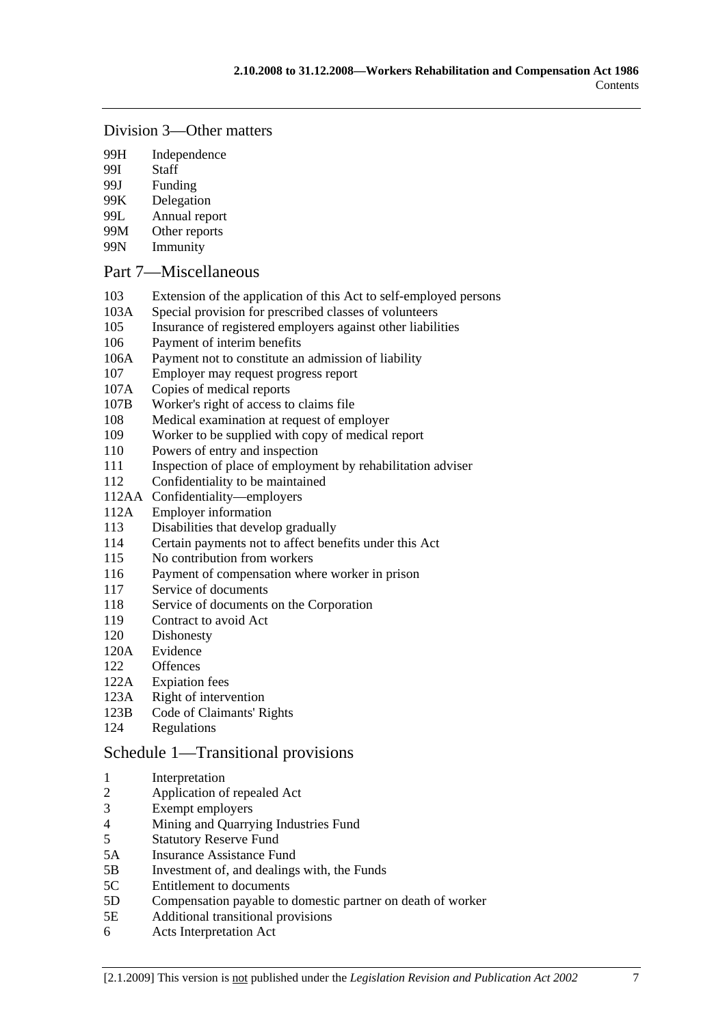#### Division 3—Other matters

- 99H Independence
- 99I Staff
- 99J Funding
- 99K Delegation
- 99L Annual report
- 99M Other reports
- 99N Immunity

### Part 7—Miscellaneous

- 103 Extension of the application of this Act to self-employed persons
- 103A Special provision for prescribed classes of volunteers
- 105 Insurance of registered employers against other liabilities
- 106 Payment of interim benefits
- 106A Payment not to constitute an admission of liability
- 107 Employer may request progress report
- 107A Copies of medical reports
- 107B Worker's right of access to claims file
- 108 Medical examination at request of employer
- 109 Worker to be supplied with copy of medical report
- 110 Powers of entry and inspection
- 111 Inspection of place of employment by rehabilitation adviser
- 112 Confidentiality to be maintained
- 112AA Confidentiality—employers
- 112A Employer information
- 113 Disabilities that develop gradually
- 114 Certain payments not to affect benefits under this Act
- 115 No contribution from workers
- 116 Payment of compensation where worker in prison
- 117 Service of documents
- 118 Service of documents on the Corporation
- 119 Contract to avoid Act
- 120 Dishonesty
- 120A Evidence
- 122 Offences
- 122A Expiation fees
- 123A Right of intervention
- 123B Code of Claimants' Rights
- 124 Regulations

## Schedule 1—Transitional provisions

- 1 Interpretation
- 2 Application of repealed Act
- 3 Exempt employers
- 4 Mining and Quarrying Industries Fund
- 5 Statutory Reserve Fund
- 5A Insurance Assistance Fund
- 5B Investment of, and dealings with, the Funds
- 5C Entitlement to documents
- 5D Compensation payable to domestic partner on death of worker
- 5E Additional transitional provisions
- 6 Acts Interpretation Act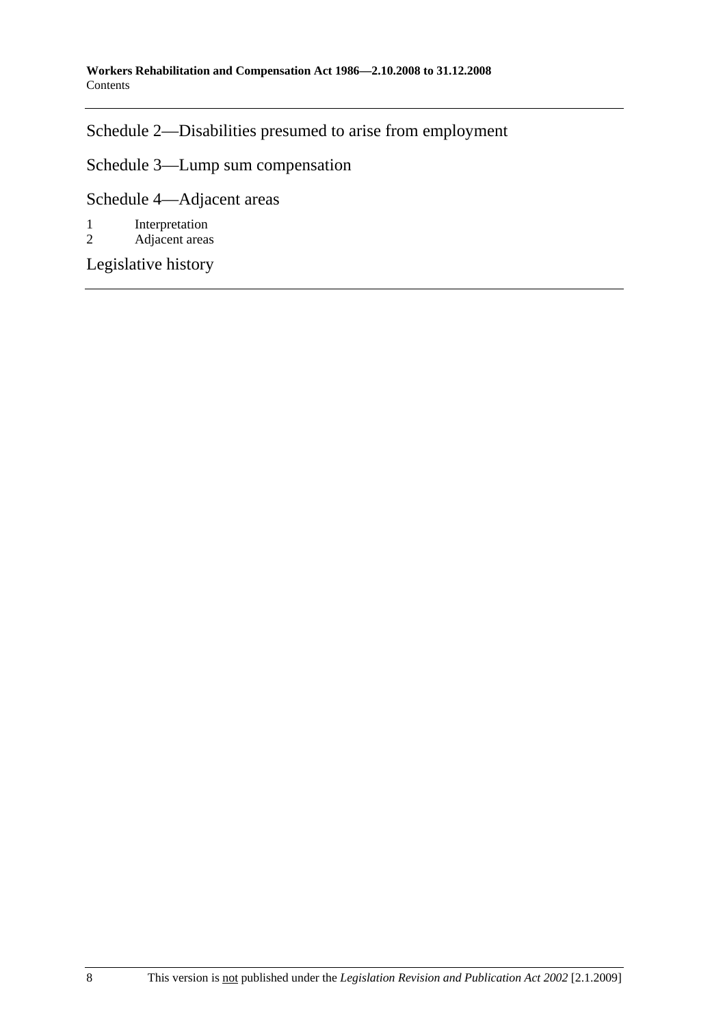Schedule 2—Disabilities presumed to arise from employment

Schedule 3—Lump sum compensation

Schedule 4—Adjacent areas

1 Interpretation<br>2 Adjacent areas

Adjacent areas

Legislative history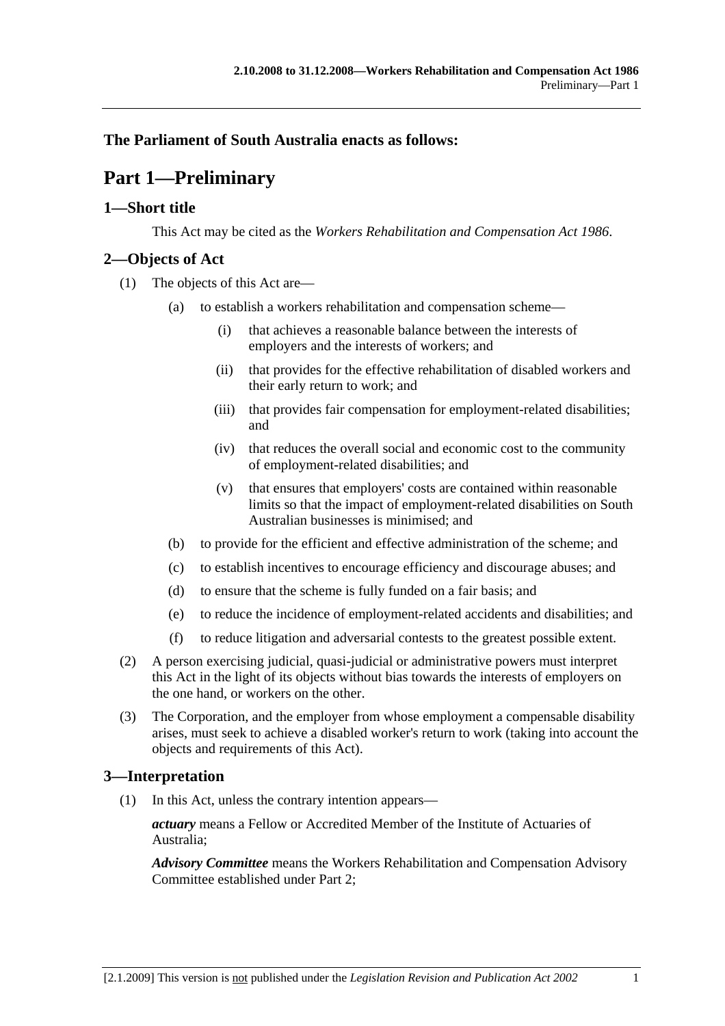## **The Parliament of South Australia enacts as follows:**

# **Part 1—Preliminary**

## **1—Short title**

This Act may be cited as the *Workers Rehabilitation and Compensation Act 1986*.

## **2—Objects of Act**

- (1) The objects of this Act are—
	- (a) to establish a workers rehabilitation and compensation scheme—
		- (i) that achieves a reasonable balance between the interests of employers and the interests of workers; and
		- (ii) that provides for the effective rehabilitation of disabled workers and their early return to work; and
		- (iii) that provides fair compensation for employment-related disabilities; and
		- (iv) that reduces the overall social and economic cost to the community of employment-related disabilities; and
		- (v) that ensures that employers' costs are contained within reasonable limits so that the impact of employment-related disabilities on South Australian businesses is minimised; and
	- (b) to provide for the efficient and effective administration of the scheme; and
	- (c) to establish incentives to encourage efficiency and discourage abuses; and
	- (d) to ensure that the scheme is fully funded on a fair basis; and
	- (e) to reduce the incidence of employment-related accidents and disabilities; and
	- (f) to reduce litigation and adversarial contests to the greatest possible extent.
- (2) A person exercising judicial, quasi-judicial or administrative powers must interpret this Act in the light of its objects without bias towards the interests of employers on the one hand, or workers on the other.
- (3) The Corporation, and the employer from whose employment a compensable disability arises, must seek to achieve a disabled worker's return to work (taking into account the objects and requirements of this Act).

## **3—Interpretation**

(1) In this Act, unless the contrary intention appears—

*actuary* means a Fellow or Accredited Member of the Institute of Actuaries of Australia;

*Advisory Committee* means the Workers Rehabilitation and Compensation Advisory Committee established under Part 2;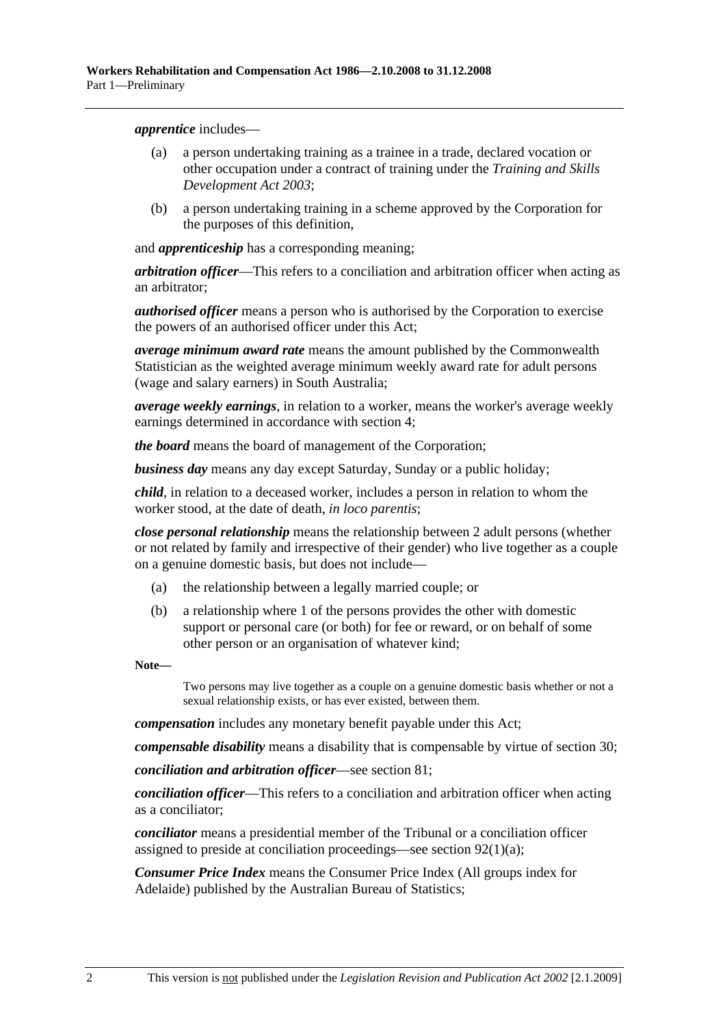*apprentice* includes—

- (a) a person undertaking training as a trainee in a trade, declared vocation or other occupation under a contract of training under the *Training and Skills Development Act 2003*;
- (b) a person undertaking training in a scheme approved by the Corporation for the purposes of this definition,

and *apprenticeship* has a corresponding meaning;

*arbitration officer*—This refers to a conciliation and arbitration officer when acting as an arbitrator;

*authorised officer* means a person who is authorised by the Corporation to exercise the powers of an authorised officer under this Act;

*average minimum award rate* means the amount published by the Commonwealth Statistician as the weighted average minimum weekly award rate for adult persons (wage and salary earners) in South Australia;

*average weekly earnings*, in relation to a worker, means the worker's average weekly earnings determined in accordance with section 4;

*the board* means the board of management of the Corporation;

*business day* means any day except Saturday, Sunday or a public holiday;

*child*, in relation to a deceased worker, includes a person in relation to whom the worker stood, at the date of death, *in loco parentis*;

*close personal relationship* means the relationship between 2 adult persons (whether or not related by family and irrespective of their gender) who live together as a couple on a genuine domestic basis, but does not include—

- (a) the relationship between a legally married couple; or
- (b) a relationship where 1 of the persons provides the other with domestic support or personal care (or both) for fee or reward, or on behalf of some other person or an organisation of whatever kind;

**Note—** 

Two persons may live together as a couple on a genuine domestic basis whether or not a sexual relationship exists, or has ever existed, between them.

*compensation* includes any monetary benefit payable under this Act;

*compensable disability* means a disability that is compensable by virtue of section 30;

*conciliation and arbitration officer*—see section 81;

*conciliation officer*—This refers to a conciliation and arbitration officer when acting as a conciliator;

*conciliator* means a presidential member of the Tribunal or a conciliation officer assigned to preside at conciliation proceedings—see section 92(1)(a);

*Consumer Price Index* means the Consumer Price Index (All groups index for Adelaide) published by the Australian Bureau of Statistics;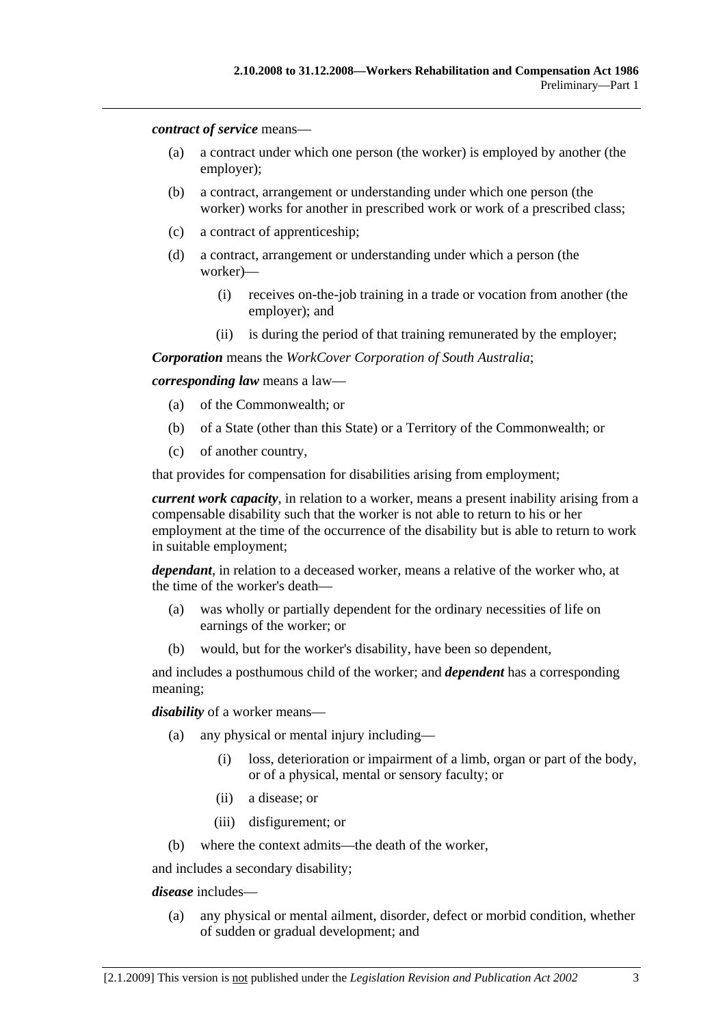*contract of service* means—

- (a) a contract under which one person (the worker) is employed by another (the employer);
- (b) a contract, arrangement or understanding under which one person (the worker) works for another in prescribed work or work of a prescribed class;
- (c) a contract of apprenticeship;
- (d) a contract, arrangement or understanding under which a person (the worker)—
	- (i) receives on-the-job training in a trade or vocation from another (the employer); and
	- (ii) is during the period of that training remunerated by the employer;

*Corporation* means the *WorkCover Corporation of South Australia*;

*corresponding law* means a law—

- (a) of the Commonwealth; or
- (b) of a State (other than this State) or a Territory of the Commonwealth; or
- (c) of another country,

that provides for compensation for disabilities arising from employment;

*current work capacity*, in relation to a worker, means a present inability arising from a compensable disability such that the worker is not able to return to his or her employment at the time of the occurrence of the disability but is able to return to work in suitable employment;

*dependant*, in relation to a deceased worker, means a relative of the worker who, at the time of the worker's death—

- (a) was wholly or partially dependent for the ordinary necessities of life on earnings of the worker; or
- (b) would, but for the worker's disability, have been so dependent,

and includes a posthumous child of the worker; and *dependent* has a corresponding meaning;

*disability* of a worker means—

- (a) any physical or mental injury including—
	- (i) loss, deterioration or impairment of a limb, organ or part of the body, or of a physical, mental or sensory faculty; or
	- (ii) a disease; or
	- (iii) disfigurement; or
- (b) where the context admits—the death of the worker,

and includes a secondary disability;

#### *disease* includes—

 (a) any physical or mental ailment, disorder, defect or morbid condition, whether of sudden or gradual development; and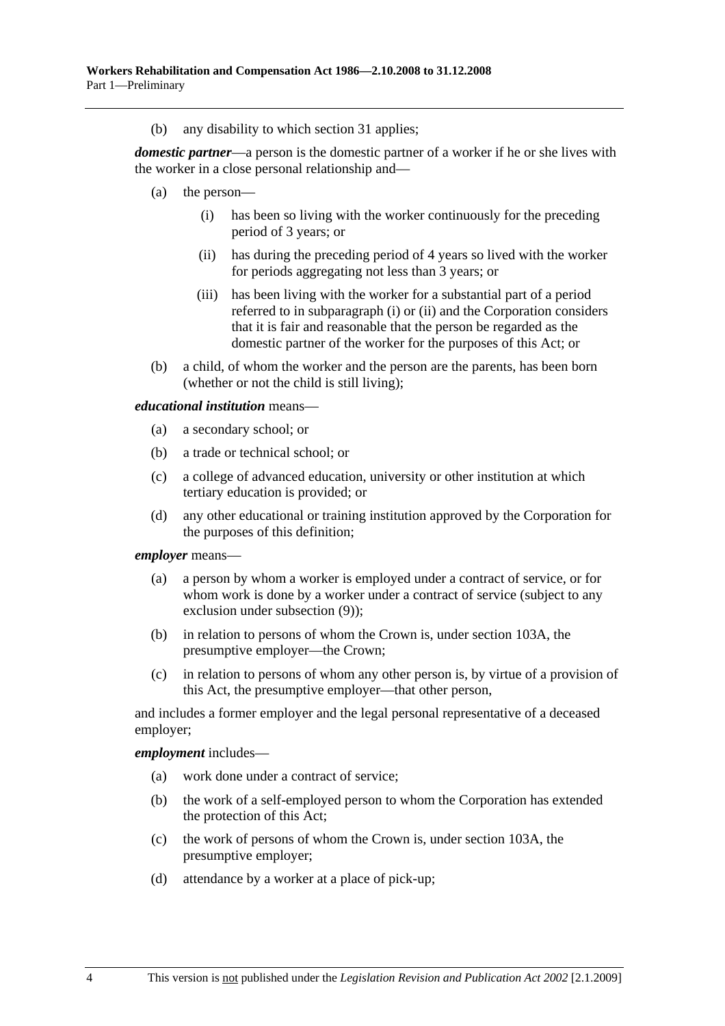(b) any disability to which section 31 applies;

*domestic partner*—a person is the domestic partner of a worker if he or she lives with the worker in a close personal relationship and—

- (a) the person—
	- (i) has been so living with the worker continuously for the preceding period of 3 years; or
	- (ii) has during the preceding period of 4 years so lived with the worker for periods aggregating not less than 3 years; or
	- (iii) has been living with the worker for a substantial part of a period referred to in subparagraph (i) or (ii) and the Corporation considers that it is fair and reasonable that the person be regarded as the domestic partner of the worker for the purposes of this Act; or
- (b) a child, of whom the worker and the person are the parents, has been born (whether or not the child is still living);

*educational institution* means—

- (a) a secondary school; or
- (b) a trade or technical school; or
- (c) a college of advanced education, university or other institution at which tertiary education is provided; or
- (d) any other educational or training institution approved by the Corporation for the purposes of this definition;

#### *employer* means—

- (a) a person by whom a worker is employed under a contract of service, or for whom work is done by a worker under a contract of service (subject to any exclusion under subsection (9));
- (b) in relation to persons of whom the Crown is, under section 103A, the presumptive employer—the Crown;
- (c) in relation to persons of whom any other person is, by virtue of a provision of this Act, the presumptive employer—that other person,

and includes a former employer and the legal personal representative of a deceased employer;

#### *employment* includes—

- (a) work done under a contract of service;
- (b) the work of a self-employed person to whom the Corporation has extended the protection of this Act;
- (c) the work of persons of whom the Crown is, under section 103A, the presumptive employer;
- (d) attendance by a worker at a place of pick-up;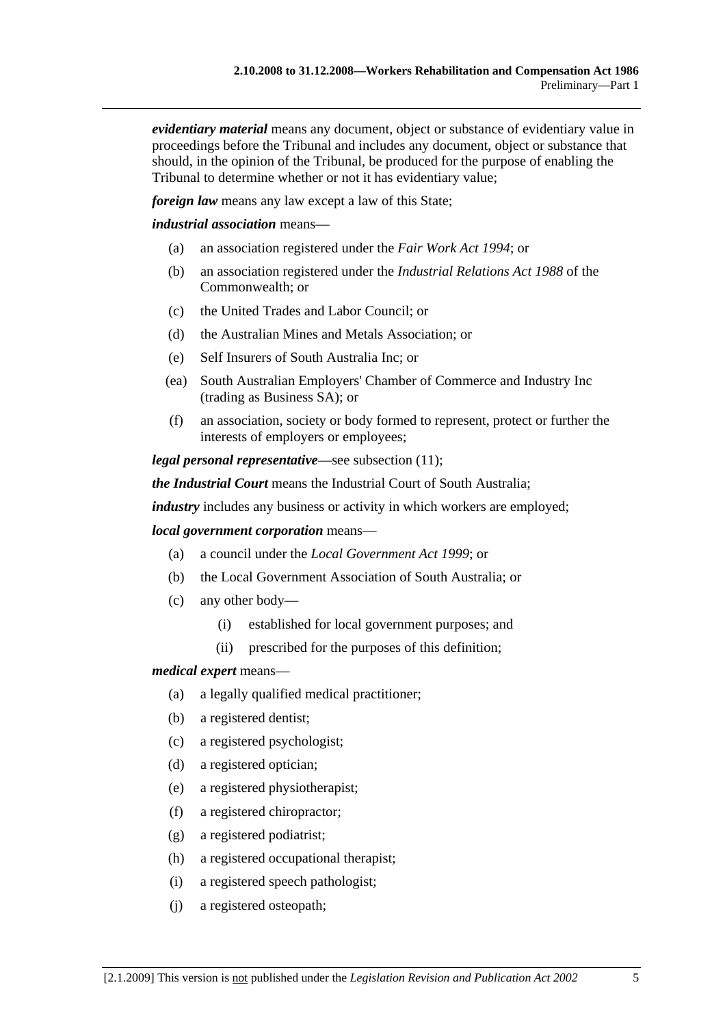*evidentiary material* means any document, object or substance of evidentiary value in proceedings before the Tribunal and includes any document, object or substance that should, in the opinion of the Tribunal, be produced for the purpose of enabling the Tribunal to determine whether or not it has evidentiary value;

*foreign law* means any law except a law of this State;

*industrial association* means—

- (a) an association registered under the *Fair Work Act 1994*; or
- (b) an association registered under the *Industrial Relations Act 1988* of the Commonwealth; or
- (c) the United Trades and Labor Council; or
- (d) the Australian Mines and Metals Association; or
- (e) Self Insurers of South Australia Inc; or
- (ea) South Australian Employers' Chamber of Commerce and Industry Inc (trading as Business SA); or
- (f) an association, society or body formed to represent, protect or further the interests of employers or employees;

*legal personal representative*—see subsection (11);

*the Industrial Court* means the Industrial Court of South Australia;

*industry* includes any business or activity in which workers are employed;

#### *local government corporation* means—

- (a) a council under the *Local Government Act 1999*; or
- (b) the Local Government Association of South Australia; or
- (c) any other body—
	- (i) established for local government purposes; and
	- (ii) prescribed for the purposes of this definition;

#### *medical expert* means—

- (a) a legally qualified medical practitioner;
- (b) a registered dentist;
- (c) a registered psychologist;
- (d) a registered optician;
- (e) a registered physiotherapist;
- (f) a registered chiropractor;
- (g) a registered podiatrist;
- (h) a registered occupational therapist;
- (i) a registered speech pathologist;
- (j) a registered osteopath;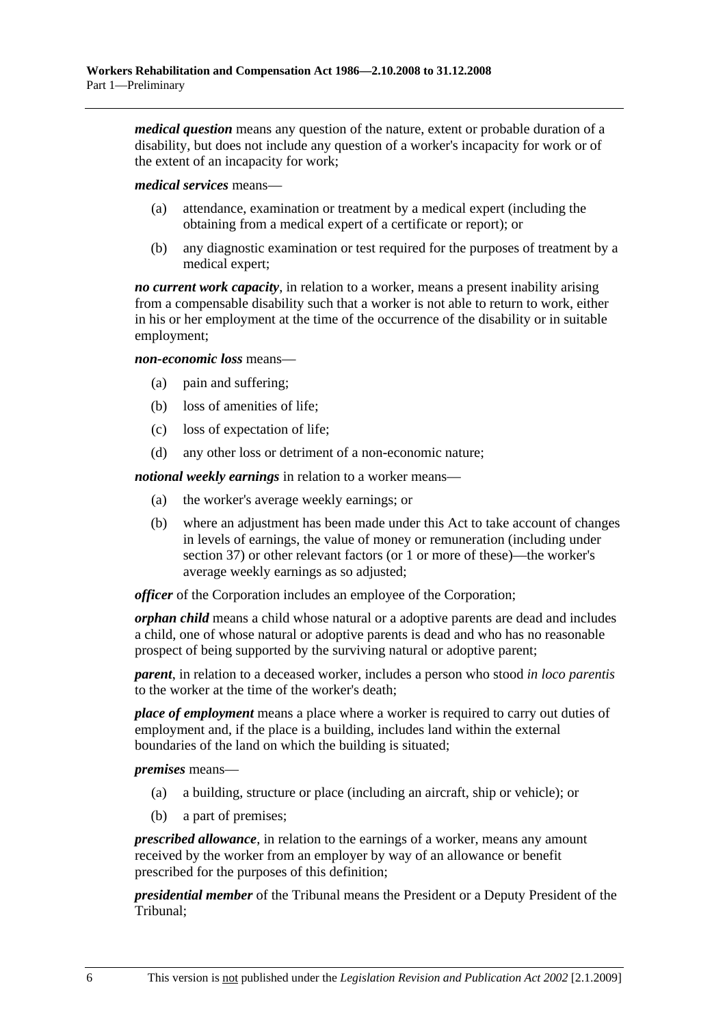*medical question* means any question of the nature, extent or probable duration of a disability, but does not include any question of a worker's incapacity for work or of the extent of an incapacity for work;

*medical services* means—

- (a) attendance, examination or treatment by a medical expert (including the obtaining from a medical expert of a certificate or report); or
- (b) any diagnostic examination or test required for the purposes of treatment by a medical expert;

*no current work capacity*, in relation to a worker, means a present inability arising from a compensable disability such that a worker is not able to return to work, either in his or her employment at the time of the occurrence of the disability or in suitable employment;

*non-economic loss* means—

- (a) pain and suffering;
- (b) loss of amenities of life;
- (c) loss of expectation of life;
- (d) any other loss or detriment of a non-economic nature;

*notional weekly earnings* in relation to a worker means—

- (a) the worker's average weekly earnings; or
- (b) where an adjustment has been made under this Act to take account of changes in levels of earnings, the value of money or remuneration (including under section 37) or other relevant factors (or 1 or more of these)—the worker's average weekly earnings as so adjusted;

*officer* of the Corporation includes an employee of the Corporation;

*orphan child* means a child whose natural or a adoptive parents are dead and includes a child, one of whose natural or adoptive parents is dead and who has no reasonable prospect of being supported by the surviving natural or adoptive parent;

*parent*, in relation to a deceased worker, includes a person who stood *in loco parentis* to the worker at the time of the worker's death;

*place of employment* means a place where a worker is required to carry out duties of employment and, if the place is a building, includes land within the external boundaries of the land on which the building is situated;

*premises* means—

- (a) a building, structure or place (including an aircraft, ship or vehicle); or
- (b) a part of premises;

*prescribed allowance*, in relation to the earnings of a worker, means any amount received by the worker from an employer by way of an allowance or benefit prescribed for the purposes of this definition;

*presidential member* of the Tribunal means the President or a Deputy President of the Tribunal;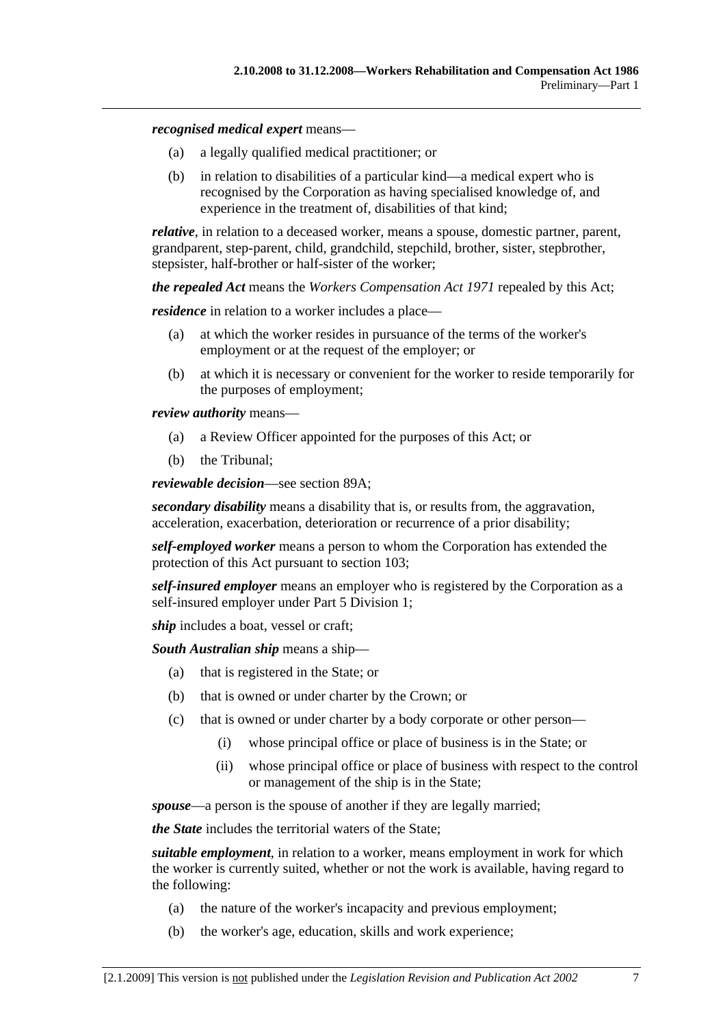#### *recognised medical expert* means—

- (a) a legally qualified medical practitioner; or
- (b) in relation to disabilities of a particular kind—a medical expert who is recognised by the Corporation as having specialised knowledge of, and experience in the treatment of, disabilities of that kind;

*relative*, in relation to a deceased worker, means a spouse, domestic partner, parent, grandparent, step-parent, child, grandchild, stepchild, brother, sister, stepbrother, stepsister, half-brother or half-sister of the worker;

*the repealed Act* means the *Workers Compensation Act 1971* repealed by this Act;

*residence* in relation to a worker includes a place—

- (a) at which the worker resides in pursuance of the terms of the worker's employment or at the request of the employer; or
- (b) at which it is necessary or convenient for the worker to reside temporarily for the purposes of employment;

*review authority* means—

- (a) a Review Officer appointed for the purposes of this Act; or
- (b) the Tribunal;

*reviewable decision*—see section 89A;

*secondary disability* means a disability that is, or results from, the aggravation, acceleration, exacerbation, deterioration or recurrence of a prior disability;

*self-employed worker* means a person to whom the Corporation has extended the protection of this Act pursuant to section 103;

*self-insured employer* means an employer who is registered by the Corporation as a self-insured employer under Part 5 Division 1;

*ship* includes a boat, vessel or craft;

*South Australian ship* means a ship—

- (a) that is registered in the State; or
- (b) that is owned or under charter by the Crown; or
- (c) that is owned or under charter by a body corporate or other person—
	- (i) whose principal office or place of business is in the State; or
	- (ii) whose principal office or place of business with respect to the control or management of the ship is in the State;

*spouse*—a person is the spouse of another if they are legally married;

*the State* includes the territorial waters of the State;

*suitable employment*, in relation to a worker, means employment in work for which the worker is currently suited, whether or not the work is available, having regard to the following:

- (a) the nature of the worker's incapacity and previous employment;
- (b) the worker's age, education, skills and work experience;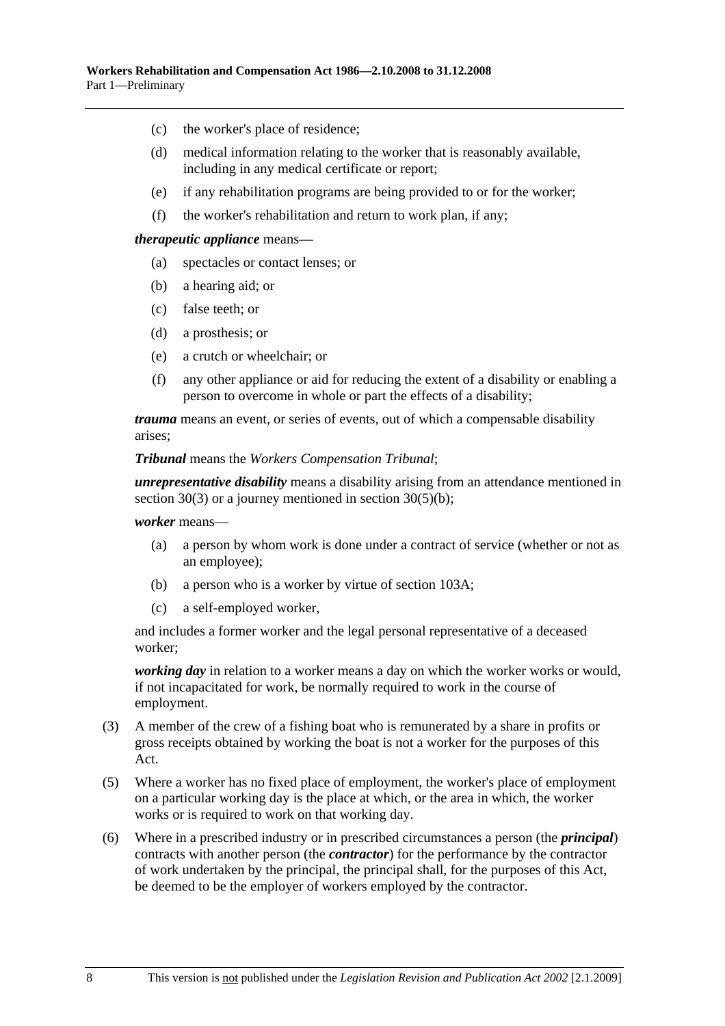- (c) the worker's place of residence;
- (d) medical information relating to the worker that is reasonably available, including in any medical certificate or report;
- (e) if any rehabilitation programs are being provided to or for the worker;
- (f) the worker's rehabilitation and return to work plan, if any;

#### *therapeutic appliance* means—

- (a) spectacles or contact lenses; or
- (b) a hearing aid; or
- (c) false teeth; or
- (d) a prosthesis; or
- (e) a crutch or wheelchair; or
- (f) any other appliance or aid for reducing the extent of a disability or enabling a person to overcome in whole or part the effects of a disability;

*trauma* means an event, or series of events, out of which a compensable disability arises;

#### *Tribunal* means the *Workers Compensation Tribunal*;

*unrepresentative disability* means a disability arising from an attendance mentioned in section 30(3) or a journey mentioned in section 30(5)(b);

#### *worker* means—

- (a) a person by whom work is done under a contract of service (whether or not as an employee);
- (b) a person who is a worker by virtue of section 103A;
- (c) a self-employed worker,

and includes a former worker and the legal personal representative of a deceased worker;

*working day* in relation to a worker means a day on which the worker works or would, if not incapacitated for work, be normally required to work in the course of employment.

- (3) A member of the crew of a fishing boat who is remunerated by a share in profits or gross receipts obtained by working the boat is not a worker for the purposes of this Act.
- (5) Where a worker has no fixed place of employment, the worker's place of employment on a particular working day is the place at which, or the area in which, the worker works or is required to work on that working day.
- (6) Where in a prescribed industry or in prescribed circumstances a person (the *principal*) contracts with another person (the *contractor*) for the performance by the contractor of work undertaken by the principal, the principal shall, for the purposes of this Act, be deemed to be the employer of workers employed by the contractor.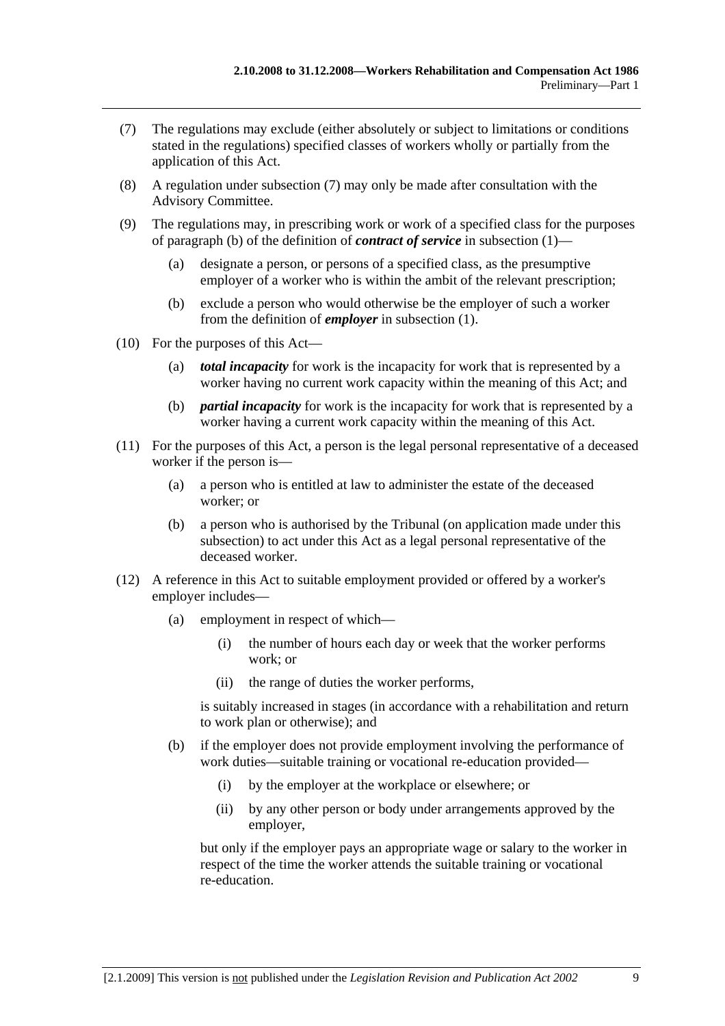- (7) The regulations may exclude (either absolutely or subject to limitations or conditions stated in the regulations) specified classes of workers wholly or partially from the application of this Act.
- (8) A regulation under subsection (7) may only be made after consultation with the Advisory Committee.
- (9) The regulations may, in prescribing work or work of a specified class for the purposes of paragraph (b) of the definition of *contract of service* in subsection (1)—
	- (a) designate a person, or persons of a specified class, as the presumptive employer of a worker who is within the ambit of the relevant prescription;
	- (b) exclude a person who would otherwise be the employer of such a worker from the definition of *employer* in subsection (1).
- (10) For the purposes of this Act—
	- (a) *total incapacity* for work is the incapacity for work that is represented by a worker having no current work capacity within the meaning of this Act; and
	- (b) *partial incapacity* for work is the incapacity for work that is represented by a worker having a current work capacity within the meaning of this Act.
- (11) For the purposes of this Act, a person is the legal personal representative of a deceased worker if the person is—
	- (a) a person who is entitled at law to administer the estate of the deceased worker; or
	- (b) a person who is authorised by the Tribunal (on application made under this subsection) to act under this Act as a legal personal representative of the deceased worker.
- (12) A reference in this Act to suitable employment provided or offered by a worker's employer includes—
	- (a) employment in respect of which—
		- (i) the number of hours each day or week that the worker performs work; or
		- (ii) the range of duties the worker performs,

is suitably increased in stages (in accordance with a rehabilitation and return to work plan or otherwise); and

- (b) if the employer does not provide employment involving the performance of work duties—suitable training or vocational re-education provided—
	- (i) by the employer at the workplace or elsewhere; or
	- (ii) by any other person or body under arrangements approved by the employer,

but only if the employer pays an appropriate wage or salary to the worker in respect of the time the worker attends the suitable training or vocational re-education.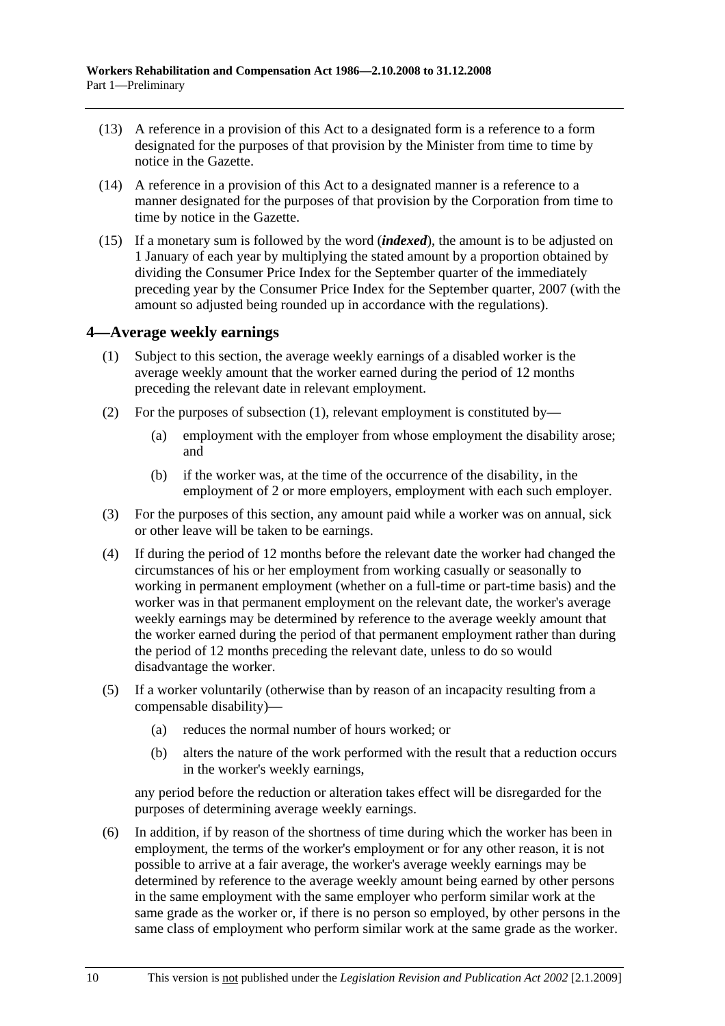- (13) A reference in a provision of this Act to a designated form is a reference to a form designated for the purposes of that provision by the Minister from time to time by notice in the Gazette.
- (14) A reference in a provision of this Act to a designated manner is a reference to a manner designated for the purposes of that provision by the Corporation from time to time by notice in the Gazette.
- (15) If a monetary sum is followed by the word (*indexed*), the amount is to be adjusted on 1 January of each year by multiplying the stated amount by a proportion obtained by dividing the Consumer Price Index for the September quarter of the immediately preceding year by the Consumer Price Index for the September quarter, 2007 (with the amount so adjusted being rounded up in accordance with the regulations).

## **4—Average weekly earnings**

- (1) Subject to this section, the average weekly earnings of a disabled worker is the average weekly amount that the worker earned during the period of 12 months preceding the relevant date in relevant employment.
- (2) For the purposes of subsection (1), relevant employment is constituted by—
	- (a) employment with the employer from whose employment the disability arose; and
	- (b) if the worker was, at the time of the occurrence of the disability, in the employment of 2 or more employers, employment with each such employer.
- (3) For the purposes of this section, any amount paid while a worker was on annual, sick or other leave will be taken to be earnings.
- (4) If during the period of 12 months before the relevant date the worker had changed the circumstances of his or her employment from working casually or seasonally to working in permanent employment (whether on a full-time or part-time basis) and the worker was in that permanent employment on the relevant date, the worker's average weekly earnings may be determined by reference to the average weekly amount that the worker earned during the period of that permanent employment rather than during the period of 12 months preceding the relevant date, unless to do so would disadvantage the worker.
- (5) If a worker voluntarily (otherwise than by reason of an incapacity resulting from a compensable disability)—
	- (a) reduces the normal number of hours worked; or
	- (b) alters the nature of the work performed with the result that a reduction occurs in the worker's weekly earnings,

any period before the reduction or alteration takes effect will be disregarded for the purposes of determining average weekly earnings.

 (6) In addition, if by reason of the shortness of time during which the worker has been in employment, the terms of the worker's employment or for any other reason, it is not possible to arrive at a fair average, the worker's average weekly earnings may be determined by reference to the average weekly amount being earned by other persons in the same employment with the same employer who perform similar work at the same grade as the worker or, if there is no person so employed, by other persons in the same class of employment who perform similar work at the same grade as the worker.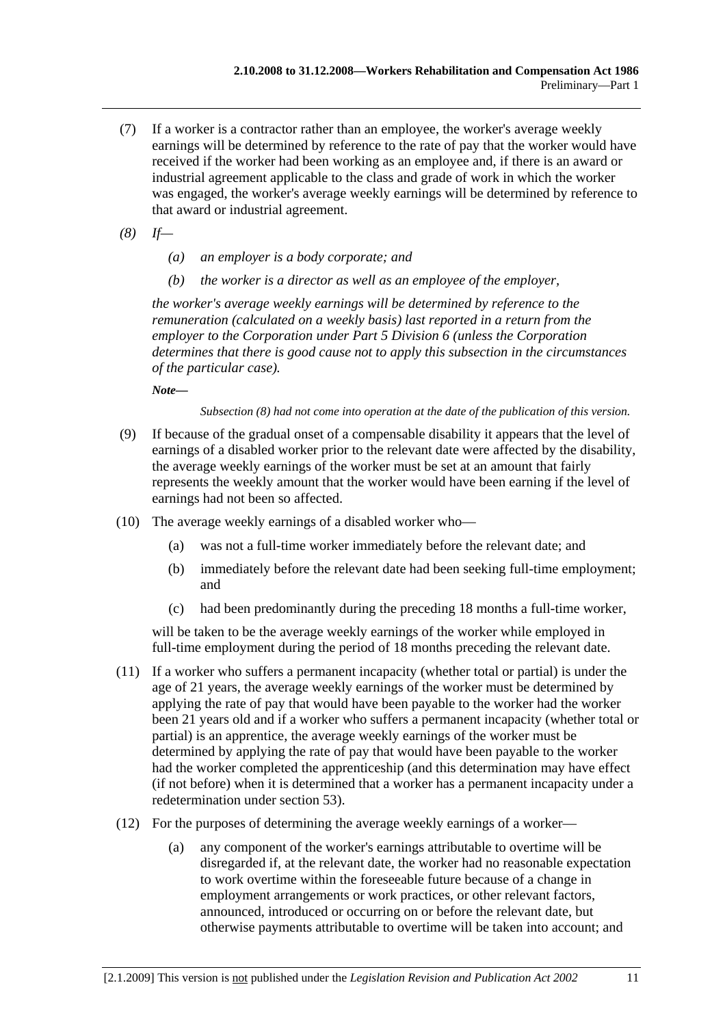- (7) If a worker is a contractor rather than an employee, the worker's average weekly earnings will be determined by reference to the rate of pay that the worker would have received if the worker had been working as an employee and, if there is an award or industrial agreement applicable to the class and grade of work in which the worker was engaged, the worker's average weekly earnings will be determined by reference to that award or industrial agreement.
- *(8) If—* 
	- *(a) an employer is a body corporate; and*
	- *(b) the worker is a director as well as an employee of the employer,*

*the worker's average weekly earnings will be determined by reference to the remuneration (calculated on a weekly basis) last reported in a return from the employer to the Corporation under Part 5 Division 6 (unless the Corporation determines that there is good cause not to apply this subsection in the circumstances of the particular case).* 

*Note—* 

*Subsection (8) had not come into operation at the date of the publication of this version.* 

- (9) If because of the gradual onset of a compensable disability it appears that the level of earnings of a disabled worker prior to the relevant date were affected by the disability, the average weekly earnings of the worker must be set at an amount that fairly represents the weekly amount that the worker would have been earning if the level of earnings had not been so affected.
- (10) The average weekly earnings of a disabled worker who—
	- (a) was not a full-time worker immediately before the relevant date; and
	- (b) immediately before the relevant date had been seeking full-time employment; and
	- (c) had been predominantly during the preceding 18 months a full-time worker,

will be taken to be the average weekly earnings of the worker while employed in full-time employment during the period of 18 months preceding the relevant date.

- (11) If a worker who suffers a permanent incapacity (whether total or partial) is under the age of 21 years, the average weekly earnings of the worker must be determined by applying the rate of pay that would have been payable to the worker had the worker been 21 years old and if a worker who suffers a permanent incapacity (whether total or partial) is an apprentice, the average weekly earnings of the worker must be determined by applying the rate of pay that would have been payable to the worker had the worker completed the apprenticeship (and this determination may have effect (if not before) when it is determined that a worker has a permanent incapacity under a redetermination under section 53).
- (12) For the purposes of determining the average weekly earnings of a worker—
	- (a) any component of the worker's earnings attributable to overtime will be disregarded if, at the relevant date, the worker had no reasonable expectation to work overtime within the foreseeable future because of a change in employment arrangements or work practices, or other relevant factors, announced, introduced or occurring on or before the relevant date, but otherwise payments attributable to overtime will be taken into account; and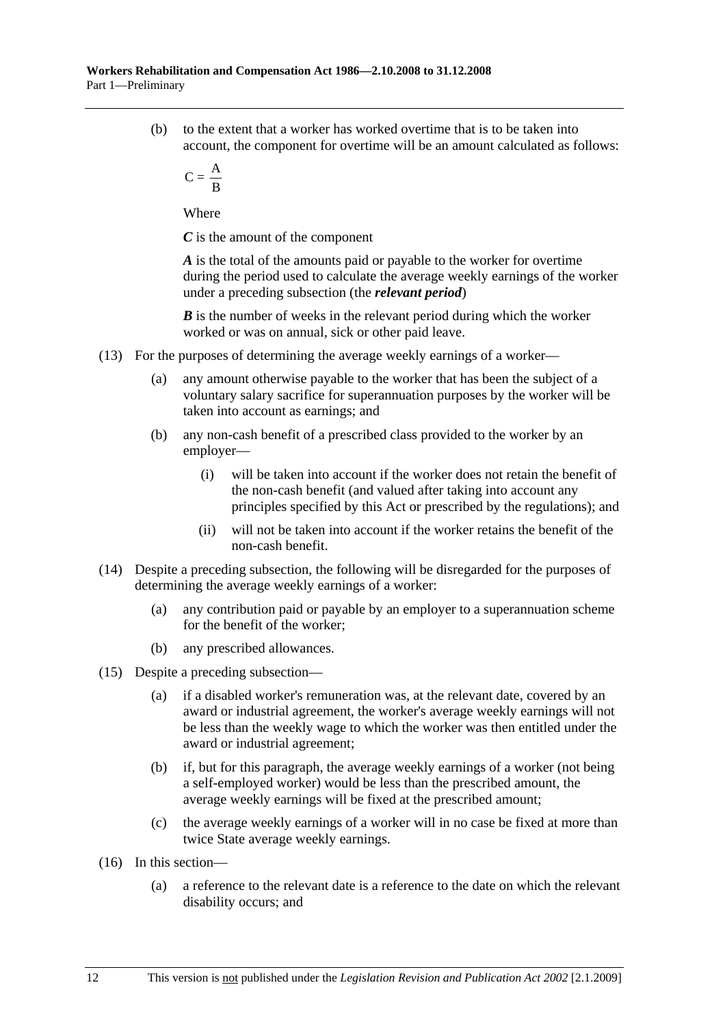(b) to the extent that a worker has worked overtime that is to be taken into account, the component for overtime will be an amount calculated as follows:

$$
C = \frac{A}{B}
$$

Where

*C* is the amount of the component

*A* is the total of the amounts paid or payable to the worker for overtime during the period used to calculate the average weekly earnings of the worker under a preceding subsection (the *relevant period*)

*B* is the number of weeks in the relevant period during which the worker worked or was on annual, sick or other paid leave.

- (13) For the purposes of determining the average weekly earnings of a worker—
	- (a) any amount otherwise payable to the worker that has been the subject of a voluntary salary sacrifice for superannuation purposes by the worker will be taken into account as earnings; and
	- (b) any non-cash benefit of a prescribed class provided to the worker by an employer—
		- (i) will be taken into account if the worker does not retain the benefit of the non-cash benefit (and valued after taking into account any principles specified by this Act or prescribed by the regulations); and
		- (ii) will not be taken into account if the worker retains the benefit of the non-cash benefit.
- (14) Despite a preceding subsection, the following will be disregarded for the purposes of determining the average weekly earnings of a worker:
	- (a) any contribution paid or payable by an employer to a superannuation scheme for the benefit of the worker;
	- (b) any prescribed allowances.
- (15) Despite a preceding subsection—
	- (a) if a disabled worker's remuneration was, at the relevant date, covered by an award or industrial agreement, the worker's average weekly earnings will not be less than the weekly wage to which the worker was then entitled under the award or industrial agreement;
	- (b) if, but for this paragraph, the average weekly earnings of a worker (not being a self-employed worker) would be less than the prescribed amount, the average weekly earnings will be fixed at the prescribed amount;
	- (c) the average weekly earnings of a worker will in no case be fixed at more than twice State average weekly earnings.
- (16) In this section—
	- (a) a reference to the relevant date is a reference to the date on which the relevant disability occurs; and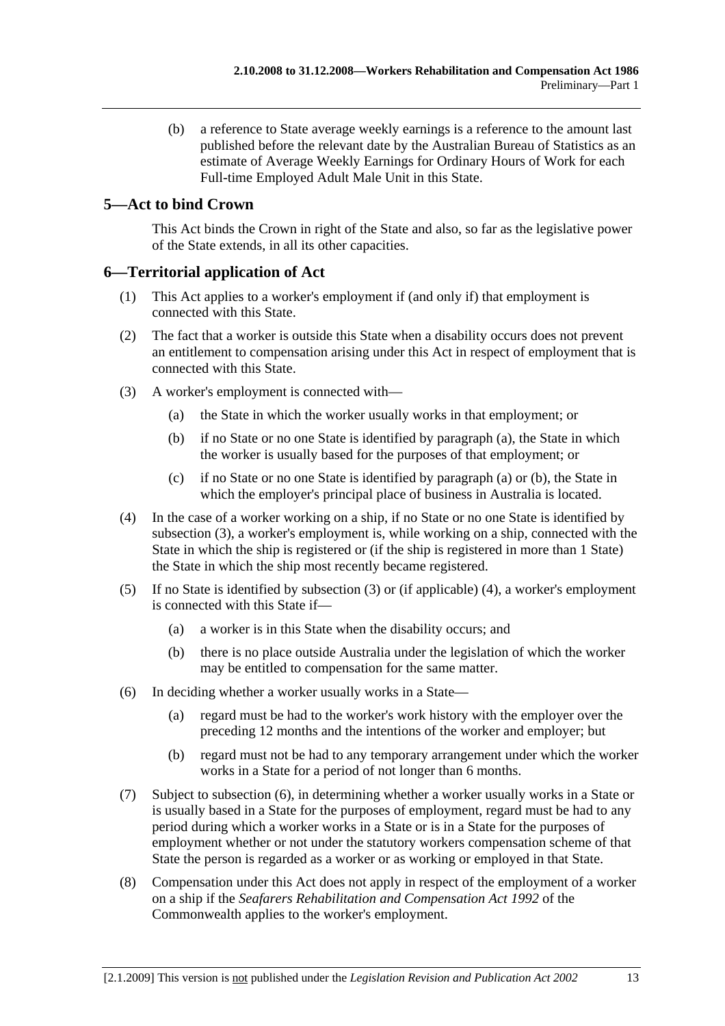(b) a reference to State average weekly earnings is a reference to the amount last published before the relevant date by the Australian Bureau of Statistics as an estimate of Average Weekly Earnings for Ordinary Hours of Work for each Full-time Employed Adult Male Unit in this State.

## **5—Act to bind Crown**

This Act binds the Crown in right of the State and also, so far as the legislative power of the State extends, in all its other capacities.

## **6—Territorial application of Act**

- (1) This Act applies to a worker's employment if (and only if) that employment is connected with this State.
- (2) The fact that a worker is outside this State when a disability occurs does not prevent an entitlement to compensation arising under this Act in respect of employment that is connected with this State.
- (3) A worker's employment is connected with—
	- (a) the State in which the worker usually works in that employment; or
	- (b) if no State or no one State is identified by paragraph (a), the State in which the worker is usually based for the purposes of that employment; or
	- (c) if no State or no one State is identified by paragraph (a) or (b), the State in which the employer's principal place of business in Australia is located.
- (4) In the case of a worker working on a ship, if no State or no one State is identified by subsection (3), a worker's employment is, while working on a ship, connected with the State in which the ship is registered or (if the ship is registered in more than 1 State) the State in which the ship most recently became registered.
- (5) If no State is identified by subsection (3) or (if applicable) (4), a worker's employment is connected with this State if—
	- (a) a worker is in this State when the disability occurs; and
	- (b) there is no place outside Australia under the legislation of which the worker may be entitled to compensation for the same matter.
- (6) In deciding whether a worker usually works in a State—
	- (a) regard must be had to the worker's work history with the employer over the preceding 12 months and the intentions of the worker and employer; but
	- (b) regard must not be had to any temporary arrangement under which the worker works in a State for a period of not longer than 6 months.
- (7) Subject to subsection (6), in determining whether a worker usually works in a State or is usually based in a State for the purposes of employment, regard must be had to any period during which a worker works in a State or is in a State for the purposes of employment whether or not under the statutory workers compensation scheme of that State the person is regarded as a worker or as working or employed in that State.
- (8) Compensation under this Act does not apply in respect of the employment of a worker on a ship if the *Seafarers Rehabilitation and Compensation Act 1992* of the Commonwealth applies to the worker's employment.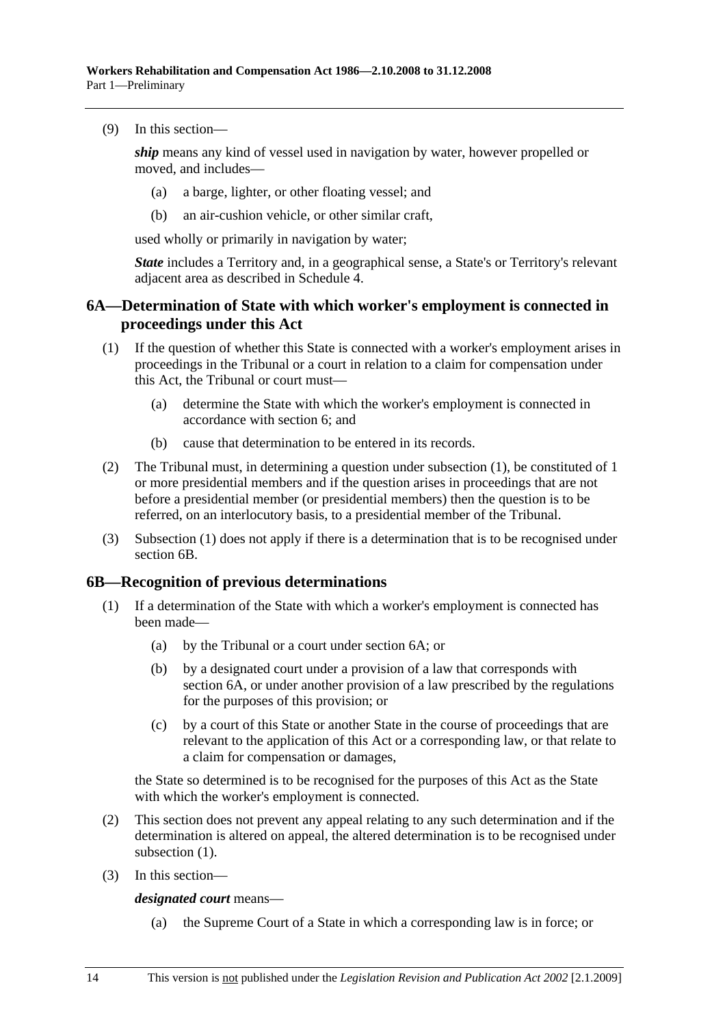(9) In this section—

*ship* means any kind of vessel used in navigation by water, however propelled or moved, and includes—

- (a) a barge, lighter, or other floating vessel; and
- (b) an air-cushion vehicle, or other similar craft,

used wholly or primarily in navigation by water;

*State* includes a Territory and, in a geographical sense, a State's or Territory's relevant adjacent area as described in Schedule 4.

## **6A—Determination of State with which worker's employment is connected in proceedings under this Act**

- (1) If the question of whether this State is connected with a worker's employment arises in proceedings in the Tribunal or a court in relation to a claim for compensation under this Act, the Tribunal or court must—
	- (a) determine the State with which the worker's employment is connected in accordance with section 6; and
	- (b) cause that determination to be entered in its records.
- (2) The Tribunal must, in determining a question under subsection (1), be constituted of 1 or more presidential members and if the question arises in proceedings that are not before a presidential member (or presidential members) then the question is to be referred, on an interlocutory basis, to a presidential member of the Tribunal.
- (3) Subsection (1) does not apply if there is a determination that is to be recognised under section 6B.

#### **6B—Recognition of previous determinations**

- (1) If a determination of the State with which a worker's employment is connected has been made—
	- (a) by the Tribunal or a court under section 6A; or
	- (b) by a designated court under a provision of a law that corresponds with section 6A, or under another provision of a law prescribed by the regulations for the purposes of this provision; or
	- (c) by a court of this State or another State in the course of proceedings that are relevant to the application of this Act or a corresponding law, or that relate to a claim for compensation or damages,

the State so determined is to be recognised for the purposes of this Act as the State with which the worker's employment is connected.

- (2) This section does not prevent any appeal relating to any such determination and if the determination is altered on appeal, the altered determination is to be recognised under subsection  $(1)$ .
- (3) In this section—

*designated court* means—

(a) the Supreme Court of a State in which a corresponding law is in force; or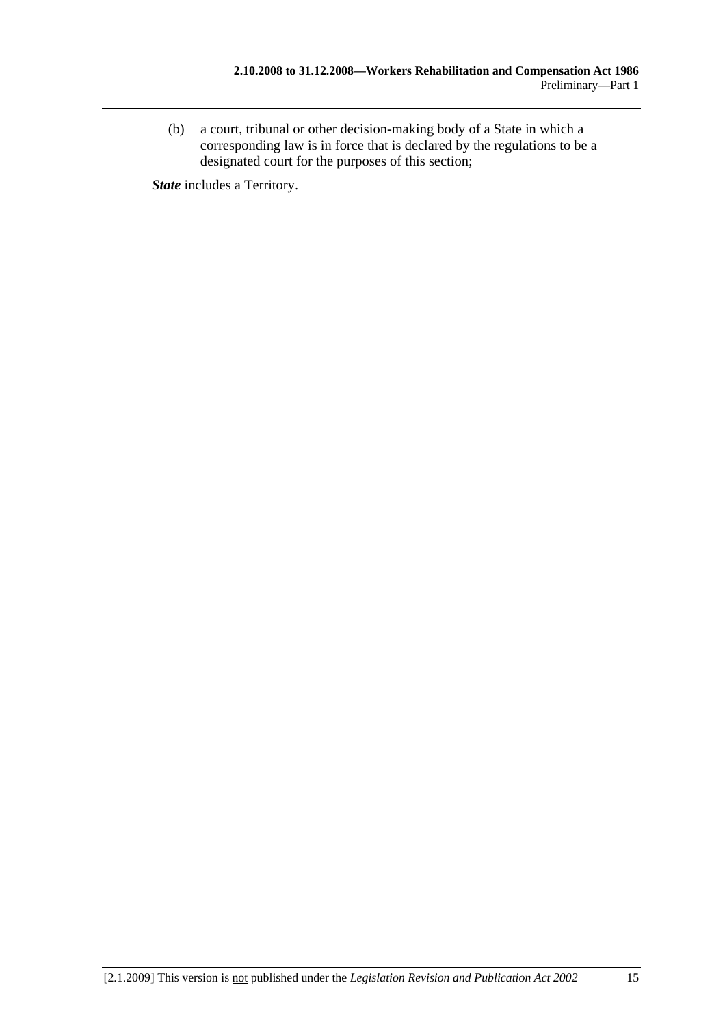(b) a court, tribunal or other decision-making body of a State in which a corresponding law is in force that is declared by the regulations to be a designated court for the purposes of this section;

*State* includes a Territory.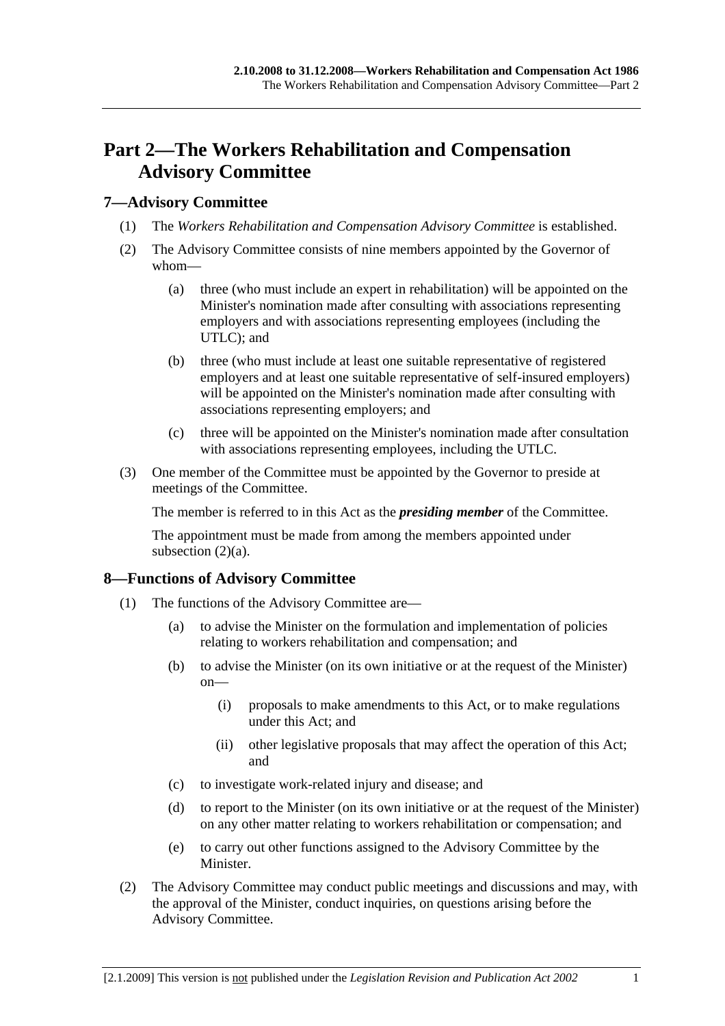# **Part 2—The Workers Rehabilitation and Compensation Advisory Committee**

## **7—Advisory Committee**

- (1) The *Workers Rehabilitation and Compensation Advisory Committee* is established.
- (2) The Advisory Committee consists of nine members appointed by the Governor of whom—
	- (a) three (who must include an expert in rehabilitation) will be appointed on the Minister's nomination made after consulting with associations representing employers and with associations representing employees (including the UTLC); and
	- (b) three (who must include at least one suitable representative of registered employers and at least one suitable representative of self-insured employers) will be appointed on the Minister's nomination made after consulting with associations representing employers; and
	- (c) three will be appointed on the Minister's nomination made after consultation with associations representing employees, including the UTLC.
- (3) One member of the Committee must be appointed by the Governor to preside at meetings of the Committee.

The member is referred to in this Act as the *presiding member* of the Committee.

The appointment must be made from among the members appointed under subsection  $(2)(a)$ .

## **8—Functions of Advisory Committee**

- (1) The functions of the Advisory Committee are—
	- (a) to advise the Minister on the formulation and implementation of policies relating to workers rehabilitation and compensation; and
	- (b) to advise the Minister (on its own initiative or at the request of the Minister) on—
		- (i) proposals to make amendments to this Act, or to make regulations under this Act; and
		- (ii) other legislative proposals that may affect the operation of this Act; and
	- (c) to investigate work-related injury and disease; and
	- (d) to report to the Minister (on its own initiative or at the request of the Minister) on any other matter relating to workers rehabilitation or compensation; and
	- (e) to carry out other functions assigned to the Advisory Committee by the Minister.
- (2) The Advisory Committee may conduct public meetings and discussions and may, with the approval of the Minister, conduct inquiries, on questions arising before the Advisory Committee.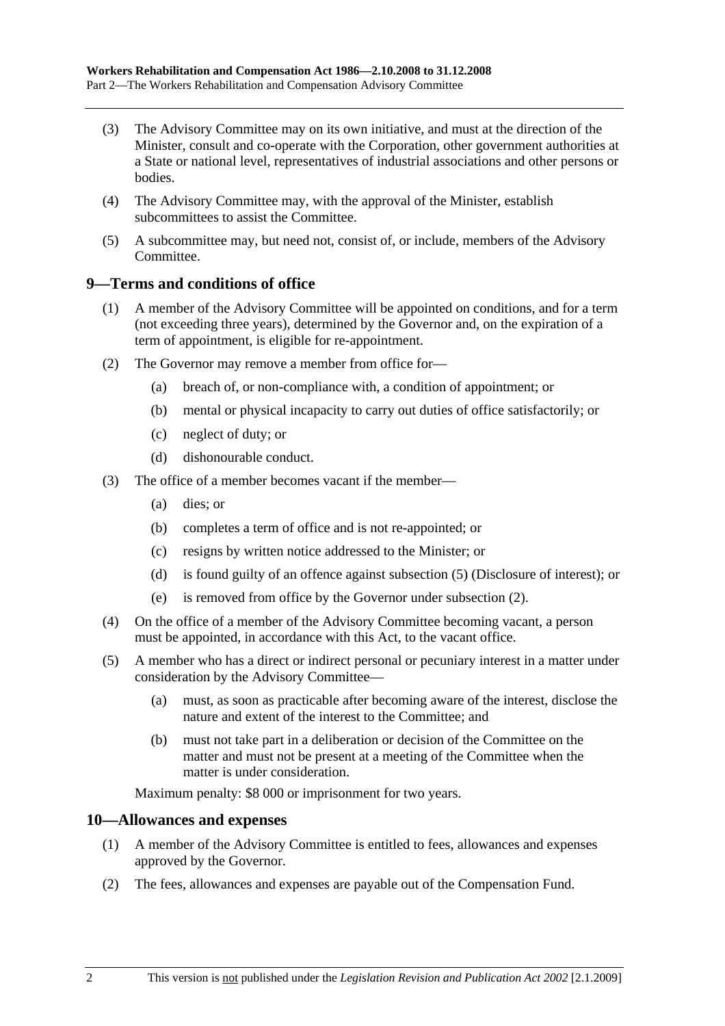- (3) The Advisory Committee may on its own initiative, and must at the direction of the Minister, consult and co-operate with the Corporation, other government authorities at a State or national level, representatives of industrial associations and other persons or bodies.
- (4) The Advisory Committee may, with the approval of the Minister, establish subcommittees to assist the Committee.
- (5) A subcommittee may, but need not, consist of, or include, members of the Advisory Committee.

### **9—Terms and conditions of office**

- (1) A member of the Advisory Committee will be appointed on conditions, and for a term (not exceeding three years), determined by the Governor and, on the expiration of a term of appointment, is eligible for re-appointment.
- (2) The Governor may remove a member from office for—
	- (a) breach of, or non-compliance with, a condition of appointment; or
	- (b) mental or physical incapacity to carry out duties of office satisfactorily; or
	- (c) neglect of duty; or
	- (d) dishonourable conduct.
- (3) The office of a member becomes vacant if the member—
	- (a) dies; or
	- (b) completes a term of office and is not re-appointed; or
	- (c) resigns by written notice addressed to the Minister; or
	- (d) is found guilty of an offence against subsection (5) (Disclosure of interest); or
	- (e) is removed from office by the Governor under subsection (2).
- (4) On the office of a member of the Advisory Committee becoming vacant, a person must be appointed, in accordance with this Act, to the vacant office.
- (5) A member who has a direct or indirect personal or pecuniary interest in a matter under consideration by the Advisory Committee—
	- (a) must, as soon as practicable after becoming aware of the interest, disclose the nature and extent of the interest to the Committee; and
	- (b) must not take part in a deliberation or decision of the Committee on the matter and must not be present at a meeting of the Committee when the matter is under consideration.

Maximum penalty: \$8 000 or imprisonment for two years.

#### **10—Allowances and expenses**

- (1) A member of the Advisory Committee is entitled to fees, allowances and expenses approved by the Governor.
- (2) The fees, allowances and expenses are payable out of the Compensation Fund.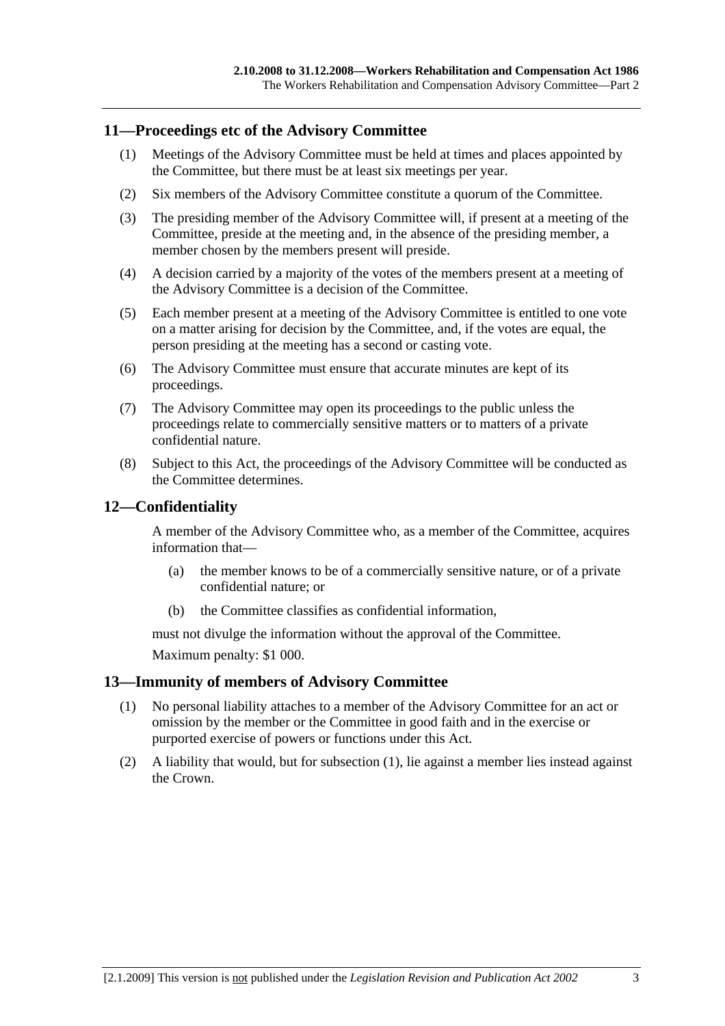### **11—Proceedings etc of the Advisory Committee**

- (1) Meetings of the Advisory Committee must be held at times and places appointed by the Committee, but there must be at least six meetings per year.
- (2) Six members of the Advisory Committee constitute a quorum of the Committee.
- (3) The presiding member of the Advisory Committee will, if present at a meeting of the Committee, preside at the meeting and, in the absence of the presiding member, a member chosen by the members present will preside.
- (4) A decision carried by a majority of the votes of the members present at a meeting of the Advisory Committee is a decision of the Committee.
- (5) Each member present at a meeting of the Advisory Committee is entitled to one vote on a matter arising for decision by the Committee, and, if the votes are equal, the person presiding at the meeting has a second or casting vote.
- (6) The Advisory Committee must ensure that accurate minutes are kept of its proceedings.
- (7) The Advisory Committee may open its proceedings to the public unless the proceedings relate to commercially sensitive matters or to matters of a private confidential nature.
- (8) Subject to this Act, the proceedings of the Advisory Committee will be conducted as the Committee determines.

## **12—Confidentiality**

A member of the Advisory Committee who, as a member of the Committee, acquires information that—

- (a) the member knows to be of a commercially sensitive nature, or of a private confidential nature; or
- (b) the Committee classifies as confidential information,

must not divulge the information without the approval of the Committee.

Maximum penalty: \$1 000.

### **13—Immunity of members of Advisory Committee**

- (1) No personal liability attaches to a member of the Advisory Committee for an act or omission by the member or the Committee in good faith and in the exercise or purported exercise of powers or functions under this Act.
- (2) A liability that would, but for subsection (1), lie against a member lies instead against the Crown.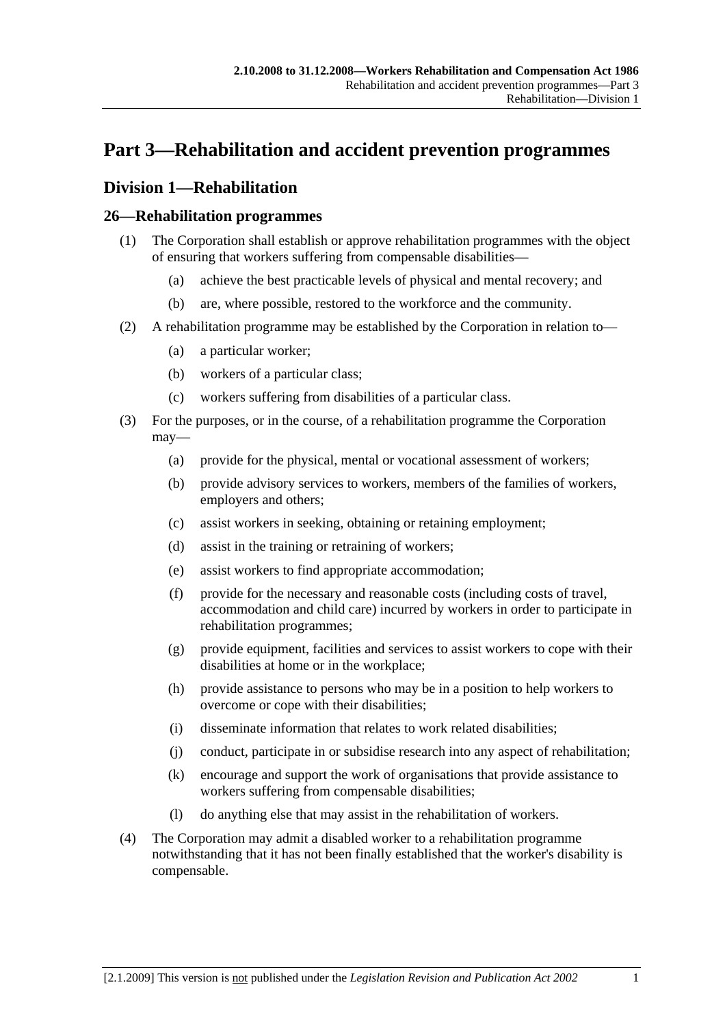# **Part 3—Rehabilitation and accident prevention programmes**

# **Division 1—Rehabilitation**

## **26—Rehabilitation programmes**

- (1) The Corporation shall establish or approve rehabilitation programmes with the object of ensuring that workers suffering from compensable disabilities—
	- (a) achieve the best practicable levels of physical and mental recovery; and
	- (b) are, where possible, restored to the workforce and the community.
- (2) A rehabilitation programme may be established by the Corporation in relation to—
	- (a) a particular worker;
	- (b) workers of a particular class;
	- (c) workers suffering from disabilities of a particular class.
- (3) For the purposes, or in the course, of a rehabilitation programme the Corporation may—
	- (a) provide for the physical, mental or vocational assessment of workers;
	- (b) provide advisory services to workers, members of the families of workers, employers and others;
	- (c) assist workers in seeking, obtaining or retaining employment;
	- (d) assist in the training or retraining of workers;
	- (e) assist workers to find appropriate accommodation;
	- (f) provide for the necessary and reasonable costs (including costs of travel, accommodation and child care) incurred by workers in order to participate in rehabilitation programmes;
	- (g) provide equipment, facilities and services to assist workers to cope with their disabilities at home or in the workplace;
	- (h) provide assistance to persons who may be in a position to help workers to overcome or cope with their disabilities;
	- (i) disseminate information that relates to work related disabilities;
	- (j) conduct, participate in or subsidise research into any aspect of rehabilitation;
	- (k) encourage and support the work of organisations that provide assistance to workers suffering from compensable disabilities;
	- (l) do anything else that may assist in the rehabilitation of workers.
- (4) The Corporation may admit a disabled worker to a rehabilitation programme notwithstanding that it has not been finally established that the worker's disability is compensable.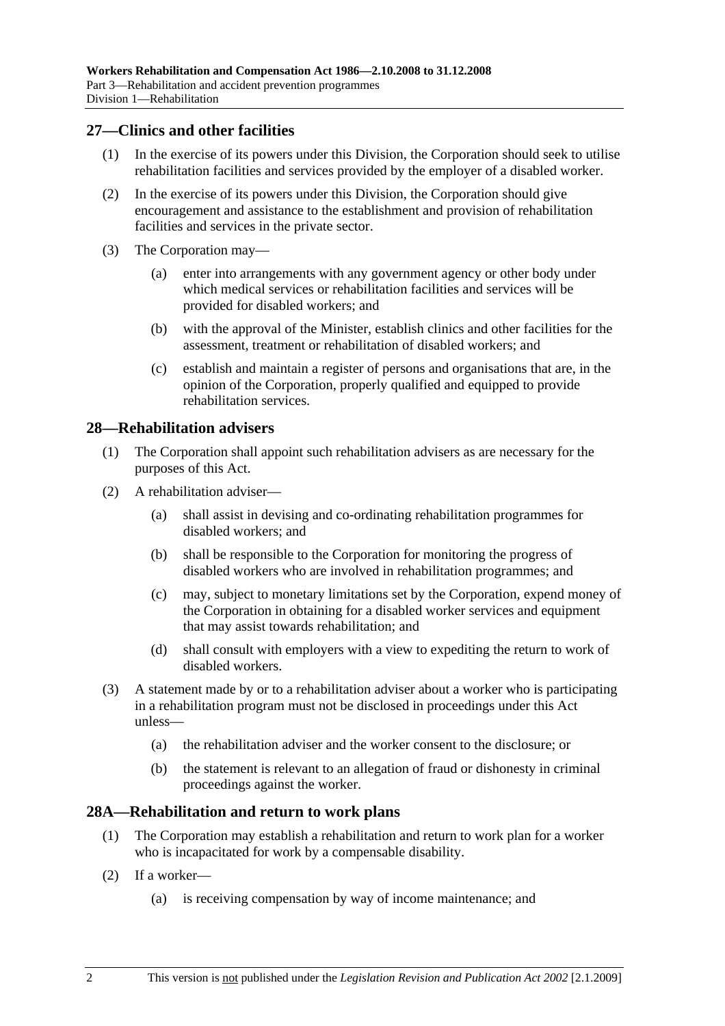### **27—Clinics and other facilities**

- (1) In the exercise of its powers under this Division, the Corporation should seek to utilise rehabilitation facilities and services provided by the employer of a disabled worker.
- (2) In the exercise of its powers under this Division, the Corporation should give encouragement and assistance to the establishment and provision of rehabilitation facilities and services in the private sector.
- (3) The Corporation may—
	- (a) enter into arrangements with any government agency or other body under which medical services or rehabilitation facilities and services will be provided for disabled workers; and
	- (b) with the approval of the Minister, establish clinics and other facilities for the assessment, treatment or rehabilitation of disabled workers; and
	- (c) establish and maintain a register of persons and organisations that are, in the opinion of the Corporation, properly qualified and equipped to provide rehabilitation services.

### **28—Rehabilitation advisers**

- (1) The Corporation shall appoint such rehabilitation advisers as are necessary for the purposes of this Act.
- (2) A rehabilitation adviser—
	- (a) shall assist in devising and co-ordinating rehabilitation programmes for disabled workers; and
	- (b) shall be responsible to the Corporation for monitoring the progress of disabled workers who are involved in rehabilitation programmes; and
	- (c) may, subject to monetary limitations set by the Corporation, expend money of the Corporation in obtaining for a disabled worker services and equipment that may assist towards rehabilitation; and
	- (d) shall consult with employers with a view to expediting the return to work of disabled workers.
- (3) A statement made by or to a rehabilitation adviser about a worker who is participating in a rehabilitation program must not be disclosed in proceedings under this Act unless—
	- (a) the rehabilitation adviser and the worker consent to the disclosure; or
	- (b) the statement is relevant to an allegation of fraud or dishonesty in criminal proceedings against the worker.

#### **28A—Rehabilitation and return to work plans**

- (1) The Corporation may establish a rehabilitation and return to work plan for a worker who is incapacitated for work by a compensable disability.
- (2) If a worker—
	- (a) is receiving compensation by way of income maintenance; and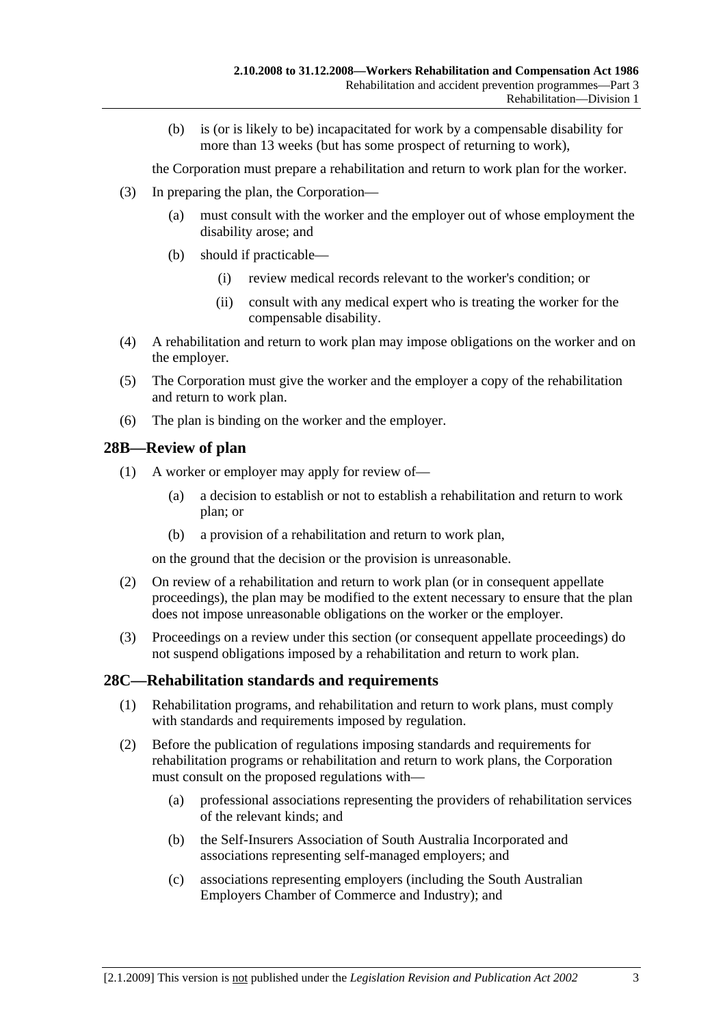(b) is (or is likely to be) incapacitated for work by a compensable disability for more than 13 weeks (but has some prospect of returning to work),

the Corporation must prepare a rehabilitation and return to work plan for the worker.

- (3) In preparing the plan, the Corporation—
	- (a) must consult with the worker and the employer out of whose employment the disability arose; and
	- (b) should if practicable—
		- (i) review medical records relevant to the worker's condition; or
		- (ii) consult with any medical expert who is treating the worker for the compensable disability.
- (4) A rehabilitation and return to work plan may impose obligations on the worker and on the employer.
- (5) The Corporation must give the worker and the employer a copy of the rehabilitation and return to work plan.
- (6) The plan is binding on the worker and the employer.

### **28B—Review of plan**

- (1) A worker or employer may apply for review of—
	- (a) a decision to establish or not to establish a rehabilitation and return to work plan; or
	- (b) a provision of a rehabilitation and return to work plan,

on the ground that the decision or the provision is unreasonable.

- (2) On review of a rehabilitation and return to work plan (or in consequent appellate proceedings), the plan may be modified to the extent necessary to ensure that the plan does not impose unreasonable obligations on the worker or the employer.
- (3) Proceedings on a review under this section (or consequent appellate proceedings) do not suspend obligations imposed by a rehabilitation and return to work plan.

## **28C—Rehabilitation standards and requirements**

- (1) Rehabilitation programs, and rehabilitation and return to work plans, must comply with standards and requirements imposed by regulation.
- (2) Before the publication of regulations imposing standards and requirements for rehabilitation programs or rehabilitation and return to work plans, the Corporation must consult on the proposed regulations with—
	- (a) professional associations representing the providers of rehabilitation services of the relevant kinds; and
	- (b) the Self-Insurers Association of South Australia Incorporated and associations representing self-managed employers; and
	- (c) associations representing employers (including the South Australian Employers Chamber of Commerce and Industry); and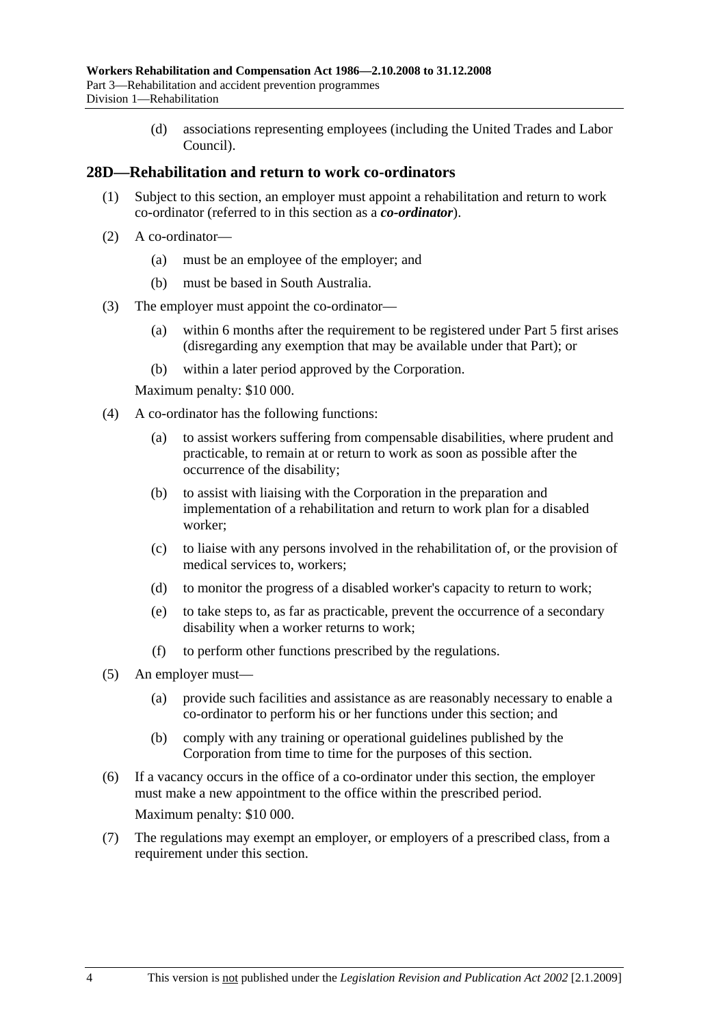(d) associations representing employees (including the United Trades and Labor Council).

#### **28D—Rehabilitation and return to work co-ordinators**

- (1) Subject to this section, an employer must appoint a rehabilitation and return to work co-ordinator (referred to in this section as a *co-ordinator*).
- (2) A co-ordinator—
	- (a) must be an employee of the employer; and
	- (b) must be based in South Australia.
- (3) The employer must appoint the co-ordinator—
	- (a) within 6 months after the requirement to be registered under Part 5 first arises (disregarding any exemption that may be available under that Part); or
	- (b) within a later period approved by the Corporation.

Maximum penalty: \$10 000.

- (4) A co-ordinator has the following functions:
	- (a) to assist workers suffering from compensable disabilities, where prudent and practicable, to remain at or return to work as soon as possible after the occurrence of the disability;
	- (b) to assist with liaising with the Corporation in the preparation and implementation of a rehabilitation and return to work plan for a disabled worker;
	- (c) to liaise with any persons involved in the rehabilitation of, or the provision of medical services to, workers;
	- (d) to monitor the progress of a disabled worker's capacity to return to work;
	- (e) to take steps to, as far as practicable, prevent the occurrence of a secondary disability when a worker returns to work;
	- (f) to perform other functions prescribed by the regulations.
- (5) An employer must—
	- (a) provide such facilities and assistance as are reasonably necessary to enable a co-ordinator to perform his or her functions under this section; and
	- (b) comply with any training or operational guidelines published by the Corporation from time to time for the purposes of this section.
- (6) If a vacancy occurs in the office of a co-ordinator under this section, the employer must make a new appointment to the office within the prescribed period. Maximum penalty: \$10 000.
- (7) The regulations may exempt an employer, or employers of a prescribed class, from a requirement under this section.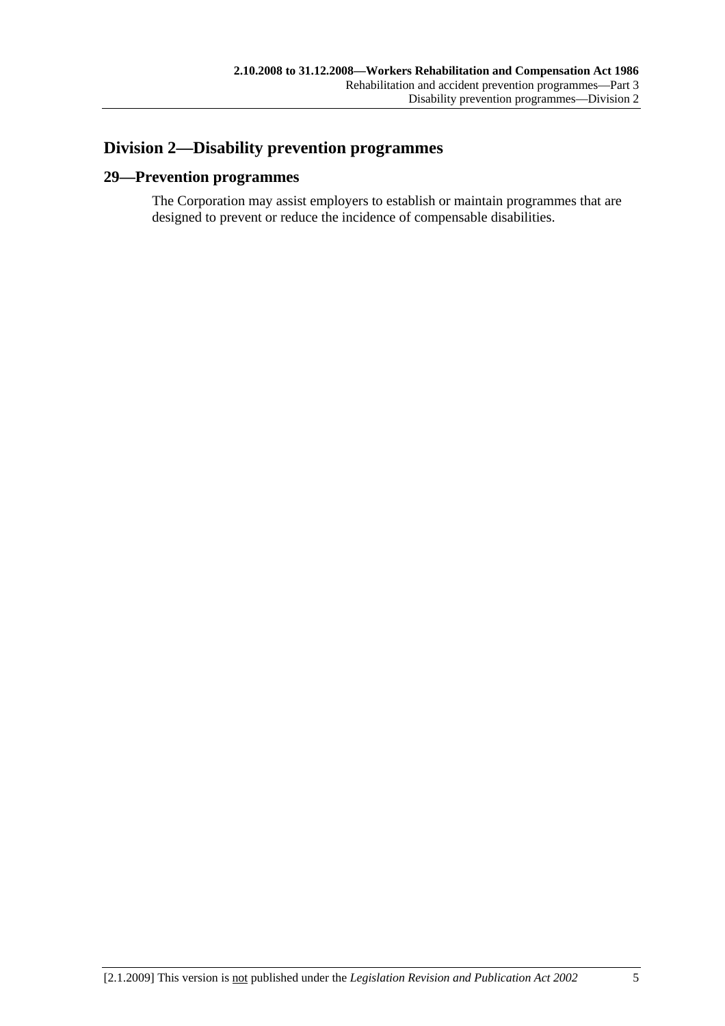# **Division 2—Disability prevention programmes**

## **29—Prevention programmes**

The Corporation may assist employers to establish or maintain programmes that are designed to prevent or reduce the incidence of compensable disabilities.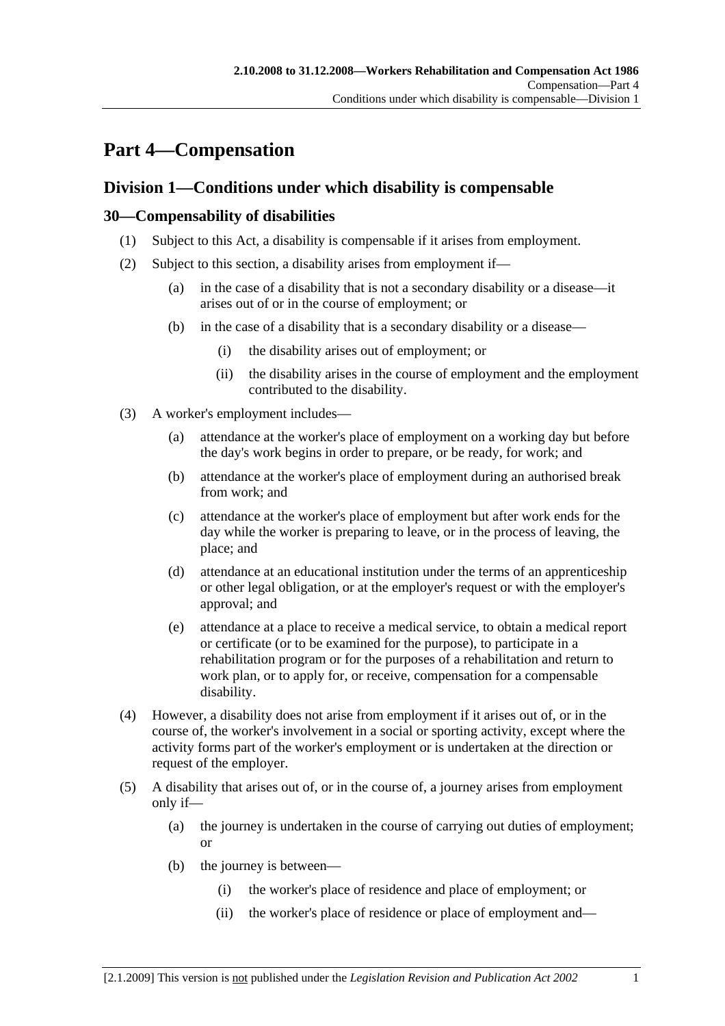# **Part 4—Compensation**

# **Division 1—Conditions under which disability is compensable**

## **30—Compensability of disabilities**

- (1) Subject to this Act, a disability is compensable if it arises from employment.
- (2) Subject to this section, a disability arises from employment if—
	- (a) in the case of a disability that is not a secondary disability or a disease—it arises out of or in the course of employment; or
	- (b) in the case of a disability that is a secondary disability or a disease—
		- (i) the disability arises out of employment; or
		- (ii) the disability arises in the course of employment and the employment contributed to the disability.
- (3) A worker's employment includes—
	- (a) attendance at the worker's place of employment on a working day but before the day's work begins in order to prepare, or be ready, for work; and
	- (b) attendance at the worker's place of employment during an authorised break from work; and
	- (c) attendance at the worker's place of employment but after work ends for the day while the worker is preparing to leave, or in the process of leaving, the place; and
	- (d) attendance at an educational institution under the terms of an apprenticeship or other legal obligation, or at the employer's request or with the employer's approval; and
	- (e) attendance at a place to receive a medical service, to obtain a medical report or certificate (or to be examined for the purpose), to participate in a rehabilitation program or for the purposes of a rehabilitation and return to work plan, or to apply for, or receive, compensation for a compensable disability.
- (4) However, a disability does not arise from employment if it arises out of, or in the course of, the worker's involvement in a social or sporting activity, except where the activity forms part of the worker's employment or is undertaken at the direction or request of the employer.
- (5) A disability that arises out of, or in the course of, a journey arises from employment only if—
	- (a) the journey is undertaken in the course of carrying out duties of employment; or
	- (b) the journey is between—
		- (i) the worker's place of residence and place of employment; or
		- (ii) the worker's place of residence or place of employment and—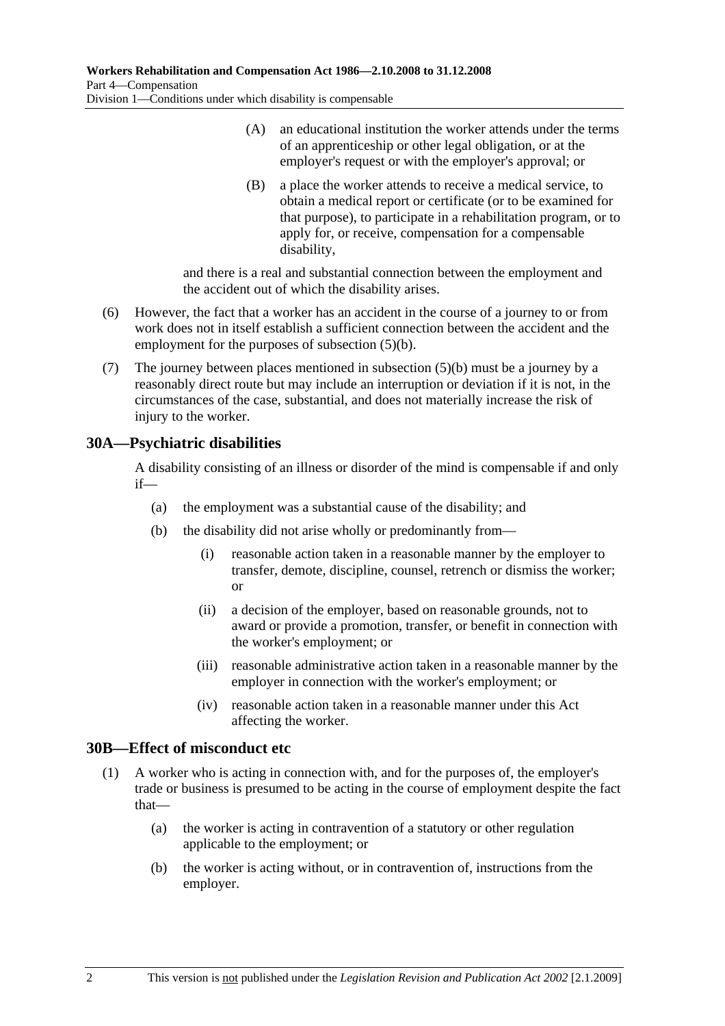- (A) an educational institution the worker attends under the terms of an apprenticeship or other legal obligation, or at the employer's request or with the employer's approval; or
- (B) a place the worker attends to receive a medical service, to obtain a medical report or certificate (or to be examined for that purpose), to participate in a rehabilitation program, or to apply for, or receive, compensation for a compensable disability,

and there is a real and substantial connection between the employment and the accident out of which the disability arises.

- (6) However, the fact that a worker has an accident in the course of a journey to or from work does not in itself establish a sufficient connection between the accident and the employment for the purposes of subsection (5)(b).
- (7) The journey between places mentioned in subsection (5)(b) must be a journey by a reasonably direct route but may include an interruption or deviation if it is not, in the circumstances of the case, substantial, and does not materially increase the risk of injury to the worker.

## **30A—Psychiatric disabilities**

A disability consisting of an illness or disorder of the mind is compensable if and only if—

- (a) the employment was a substantial cause of the disability; and
- (b) the disability did not arise wholly or predominantly from—
	- (i) reasonable action taken in a reasonable manner by the employer to transfer, demote, discipline, counsel, retrench or dismiss the worker; or
	- (ii) a decision of the employer, based on reasonable grounds, not to award or provide a promotion, transfer, or benefit in connection with the worker's employment; or
	- (iii) reasonable administrative action taken in a reasonable manner by the employer in connection with the worker's employment; or
	- (iv) reasonable action taken in a reasonable manner under this Act affecting the worker.

## **30B—Effect of misconduct etc**

- (1) A worker who is acting in connection with, and for the purposes of, the employer's trade or business is presumed to be acting in the course of employment despite the fact that—
	- (a) the worker is acting in contravention of a statutory or other regulation applicable to the employment; or
	- (b) the worker is acting without, or in contravention of, instructions from the employer.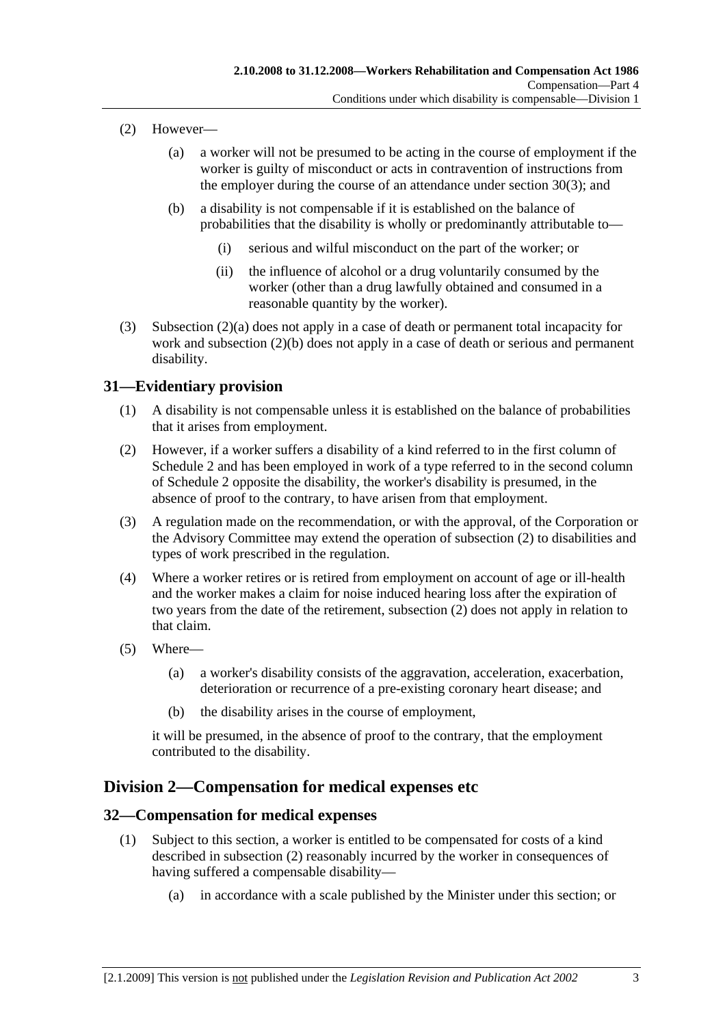- (2) However—
	- (a) a worker will not be presumed to be acting in the course of employment if the worker is guilty of misconduct or acts in contravention of instructions from the employer during the course of an attendance under section 30(3); and
	- (b) a disability is not compensable if it is established on the balance of probabilities that the disability is wholly or predominantly attributable to—
		- (i) serious and wilful misconduct on the part of the worker; or
		- (ii) the influence of alcohol or a drug voluntarily consumed by the worker (other than a drug lawfully obtained and consumed in a reasonable quantity by the worker).
- (3) Subsection (2)(a) does not apply in a case of death or permanent total incapacity for work and subsection (2)(b) does not apply in a case of death or serious and permanent disability.

### **31—Evidentiary provision**

- (1) A disability is not compensable unless it is established on the balance of probabilities that it arises from employment.
- (2) However, if a worker suffers a disability of a kind referred to in the first column of Schedule 2 and has been employed in work of a type referred to in the second column of Schedule 2 opposite the disability, the worker's disability is presumed, in the absence of proof to the contrary, to have arisen from that employment.
- (3) A regulation made on the recommendation, or with the approval, of the Corporation or the Advisory Committee may extend the operation of subsection (2) to disabilities and types of work prescribed in the regulation.
- (4) Where a worker retires or is retired from employment on account of age or ill-health and the worker makes a claim for noise induced hearing loss after the expiration of two years from the date of the retirement, subsection (2) does not apply in relation to that claim.
- (5) Where—
	- (a) a worker's disability consists of the aggravation, acceleration, exacerbation, deterioration or recurrence of a pre-existing coronary heart disease; and
	- (b) the disability arises in the course of employment,

it will be presumed, in the absence of proof to the contrary, that the employment contributed to the disability.

## **Division 2—Compensation for medical expenses etc**

### **32—Compensation for medical expenses**

- (1) Subject to this section, a worker is entitled to be compensated for costs of a kind described in subsection (2) reasonably incurred by the worker in consequences of having suffered a compensable disability—
	- (a) in accordance with a scale published by the Minister under this section; or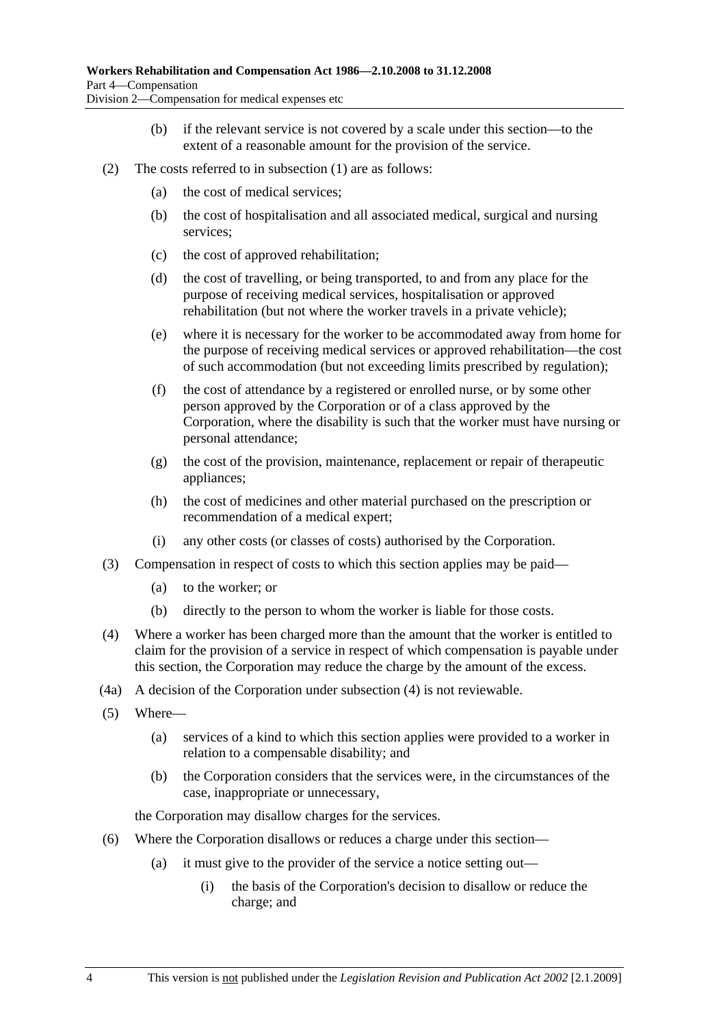- (b) if the relevant service is not covered by a scale under this section—to the extent of a reasonable amount for the provision of the service.
- (2) The costs referred to in subsection (1) are as follows:
	- (a) the cost of medical services;
	- (b) the cost of hospitalisation and all associated medical, surgical and nursing services;
	- (c) the cost of approved rehabilitation;
	- (d) the cost of travelling, or being transported, to and from any place for the purpose of receiving medical services, hospitalisation or approved rehabilitation (but not where the worker travels in a private vehicle);
	- (e) where it is necessary for the worker to be accommodated away from home for the purpose of receiving medical services or approved rehabilitation—the cost of such accommodation (but not exceeding limits prescribed by regulation);
	- (f) the cost of attendance by a registered or enrolled nurse, or by some other person approved by the Corporation or of a class approved by the Corporation, where the disability is such that the worker must have nursing or personal attendance;
	- (g) the cost of the provision, maintenance, replacement or repair of therapeutic appliances;
	- (h) the cost of medicines and other material purchased on the prescription or recommendation of a medical expert;
	- (i) any other costs (or classes of costs) authorised by the Corporation.
- (3) Compensation in respect of costs to which this section applies may be paid—
	- (a) to the worker; or
	- (b) directly to the person to whom the worker is liable for those costs.
- (4) Where a worker has been charged more than the amount that the worker is entitled to claim for the provision of a service in respect of which compensation is payable under this section, the Corporation may reduce the charge by the amount of the excess.
- (4a) A decision of the Corporation under subsection (4) is not reviewable.
- (5) Where—
	- (a) services of a kind to which this section applies were provided to a worker in relation to a compensable disability; and
	- (b) the Corporation considers that the services were, in the circumstances of the case, inappropriate or unnecessary,

the Corporation may disallow charges for the services.

- (6) Where the Corporation disallows or reduces a charge under this section—
	- (a) it must give to the provider of the service a notice setting out—
		- (i) the basis of the Corporation's decision to disallow or reduce the charge; and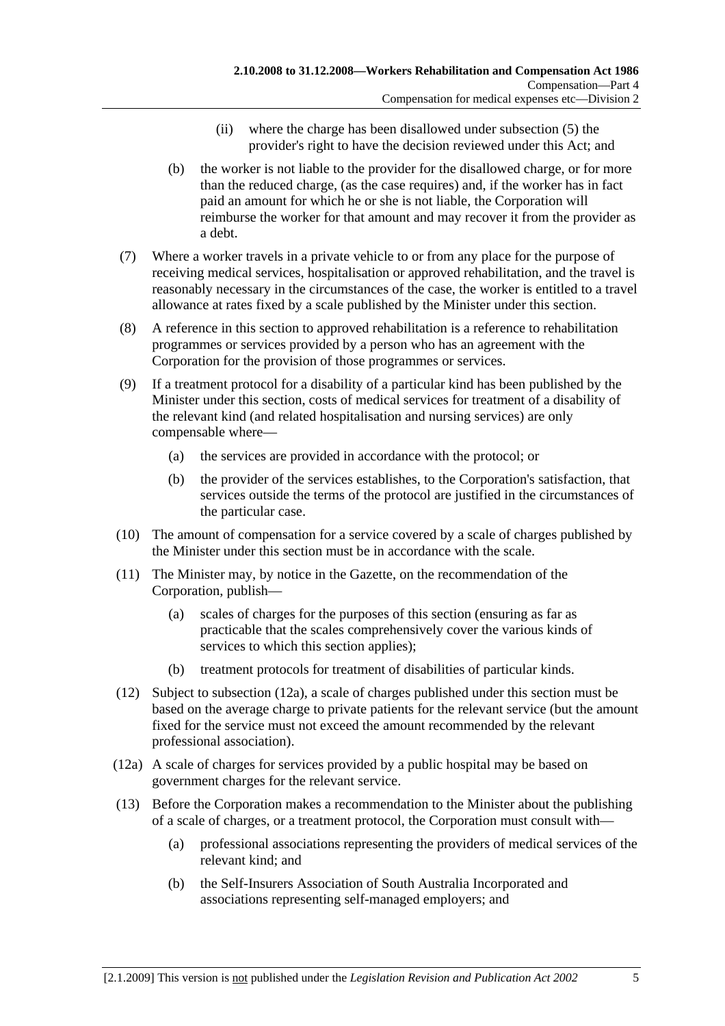- (ii) where the charge has been disallowed under subsection (5) the provider's right to have the decision reviewed under this Act; and
- (b) the worker is not liable to the provider for the disallowed charge, or for more than the reduced charge, (as the case requires) and, if the worker has in fact paid an amount for which he or she is not liable, the Corporation will reimburse the worker for that amount and may recover it from the provider as a debt.
- (7) Where a worker travels in a private vehicle to or from any place for the purpose of receiving medical services, hospitalisation or approved rehabilitation, and the travel is reasonably necessary in the circumstances of the case, the worker is entitled to a travel allowance at rates fixed by a scale published by the Minister under this section.
- (8) A reference in this section to approved rehabilitation is a reference to rehabilitation programmes or services provided by a person who has an agreement with the Corporation for the provision of those programmes or services.
- (9) If a treatment protocol for a disability of a particular kind has been published by the Minister under this section, costs of medical services for treatment of a disability of the relevant kind (and related hospitalisation and nursing services) are only compensable where—
	- (a) the services are provided in accordance with the protocol; or
	- (b) the provider of the services establishes, to the Corporation's satisfaction, that services outside the terms of the protocol are justified in the circumstances of the particular case.
- (10) The amount of compensation for a service covered by a scale of charges published by the Minister under this section must be in accordance with the scale.
- (11) The Minister may, by notice in the Gazette, on the recommendation of the Corporation, publish—
	- (a) scales of charges for the purposes of this section (ensuring as far as practicable that the scales comprehensively cover the various kinds of services to which this section applies);
	- (b) treatment protocols for treatment of disabilities of particular kinds.
- (12) Subject to subsection (12a), a scale of charges published under this section must be based on the average charge to private patients for the relevant service (but the amount fixed for the service must not exceed the amount recommended by the relevant professional association).
- (12a) A scale of charges for services provided by a public hospital may be based on government charges for the relevant service.
- (13) Before the Corporation makes a recommendation to the Minister about the publishing of a scale of charges, or a treatment protocol, the Corporation must consult with—
	- (a) professional associations representing the providers of medical services of the relevant kind; and
	- (b) the Self-Insurers Association of South Australia Incorporated and associations representing self-managed employers; and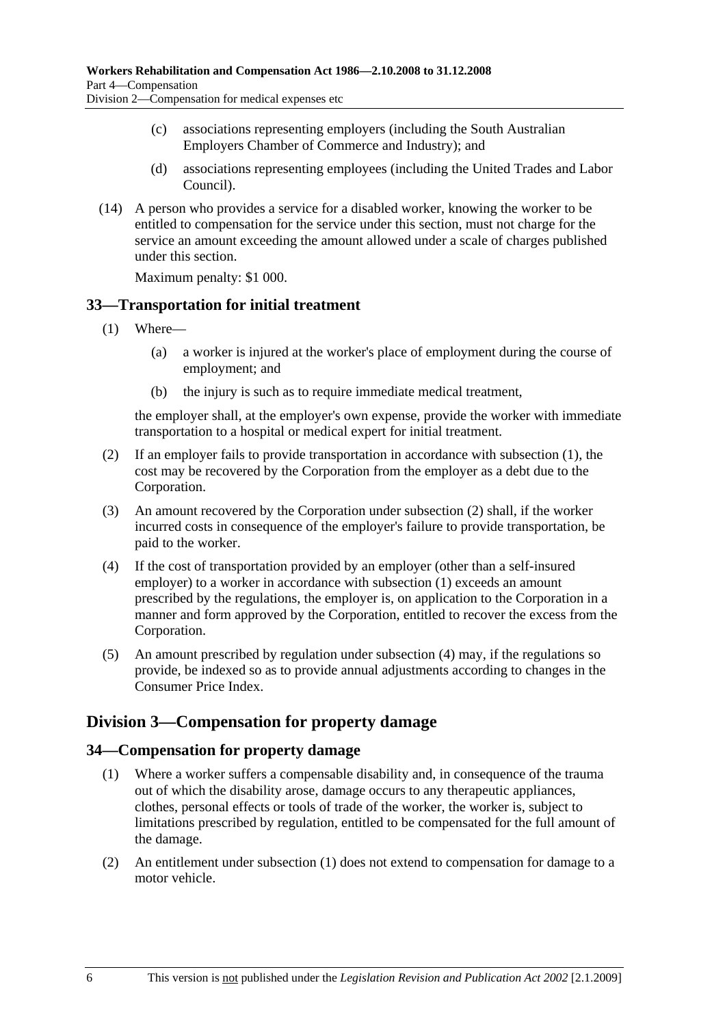- (c) associations representing employers (including the South Australian Employers Chamber of Commerce and Industry); and
- (d) associations representing employees (including the United Trades and Labor Council).
- (14) A person who provides a service for a disabled worker, knowing the worker to be entitled to compensation for the service under this section, must not charge for the service an amount exceeding the amount allowed under a scale of charges published under this section.

Maximum penalty: \$1 000.

### **33—Transportation for initial treatment**

- (1) Where—
	- (a) a worker is injured at the worker's place of employment during the course of employment; and
	- (b) the injury is such as to require immediate medical treatment,

the employer shall, at the employer's own expense, provide the worker with immediate transportation to a hospital or medical expert for initial treatment.

- (2) If an employer fails to provide transportation in accordance with subsection (1), the cost may be recovered by the Corporation from the employer as a debt due to the Corporation.
- (3) An amount recovered by the Corporation under subsection (2) shall, if the worker incurred costs in consequence of the employer's failure to provide transportation, be paid to the worker.
- (4) If the cost of transportation provided by an employer (other than a self-insured employer) to a worker in accordance with subsection (1) exceeds an amount prescribed by the regulations, the employer is, on application to the Corporation in a manner and form approved by the Corporation, entitled to recover the excess from the Corporation.
- (5) An amount prescribed by regulation under subsection (4) may, if the regulations so provide, be indexed so as to provide annual adjustments according to changes in the Consumer Price Index.

# **Division 3—Compensation for property damage**

## **34—Compensation for property damage**

- (1) Where a worker suffers a compensable disability and, in consequence of the trauma out of which the disability arose, damage occurs to any therapeutic appliances, clothes, personal effects or tools of trade of the worker, the worker is, subject to limitations prescribed by regulation, entitled to be compensated for the full amount of the damage.
- (2) An entitlement under subsection (1) does not extend to compensation for damage to a motor vehicle.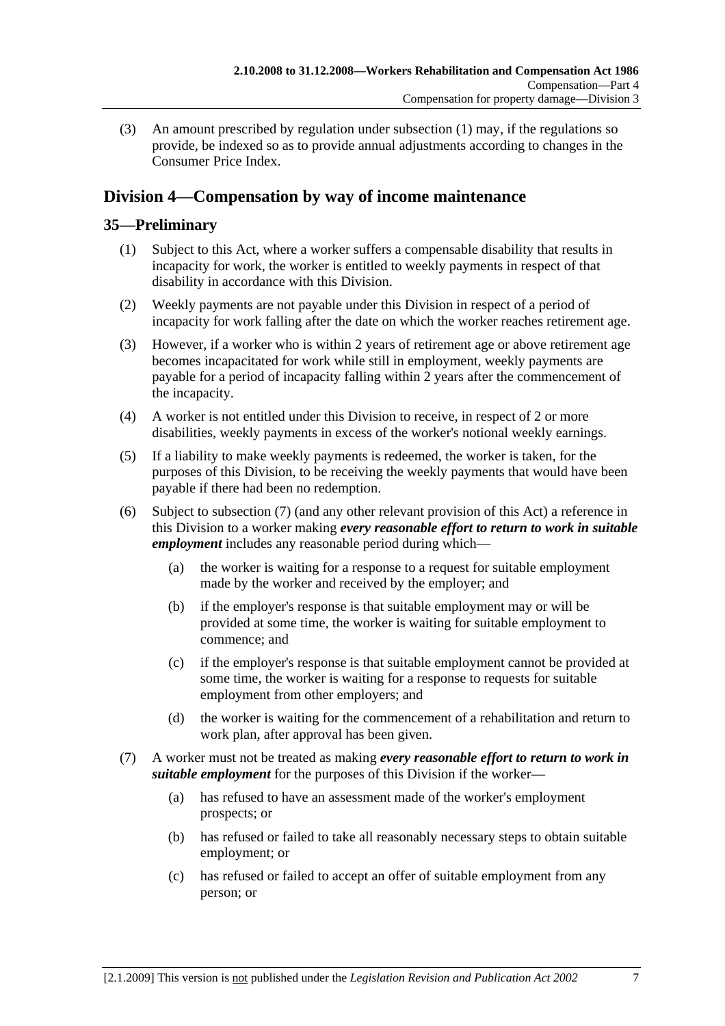(3) An amount prescribed by regulation under subsection (1) may, if the regulations so provide, be indexed so as to provide annual adjustments according to changes in the Consumer Price Index.

# **Division 4—Compensation by way of income maintenance**

## **35—Preliminary**

- (1) Subject to this Act, where a worker suffers a compensable disability that results in incapacity for work, the worker is entitled to weekly payments in respect of that disability in accordance with this Division.
- (2) Weekly payments are not payable under this Division in respect of a period of incapacity for work falling after the date on which the worker reaches retirement age.
- (3) However, if a worker who is within 2 years of retirement age or above retirement age becomes incapacitated for work while still in employment, weekly payments are payable for a period of incapacity falling within 2 years after the commencement of the incapacity.
- (4) A worker is not entitled under this Division to receive, in respect of 2 or more disabilities, weekly payments in excess of the worker's notional weekly earnings.
- (5) If a liability to make weekly payments is redeemed, the worker is taken, for the purposes of this Division, to be receiving the weekly payments that would have been payable if there had been no redemption.
- (6) Subject to subsection (7) (and any other relevant provision of this Act) a reference in this Division to a worker making *every reasonable effort to return to work in suitable employment* includes any reasonable period during which—
	- (a) the worker is waiting for a response to a request for suitable employment made by the worker and received by the employer; and
	- (b) if the employer's response is that suitable employment may or will be provided at some time, the worker is waiting for suitable employment to commence; and
	- (c) if the employer's response is that suitable employment cannot be provided at some time, the worker is waiting for a response to requests for suitable employment from other employers; and
	- (d) the worker is waiting for the commencement of a rehabilitation and return to work plan, after approval has been given.
- (7) A worker must not be treated as making *every reasonable effort to return to work in suitable employment* for the purposes of this Division if the worker—
	- (a) has refused to have an assessment made of the worker's employment prospects; or
	- (b) has refused or failed to take all reasonably necessary steps to obtain suitable employment; or
	- (c) has refused or failed to accept an offer of suitable employment from any person; or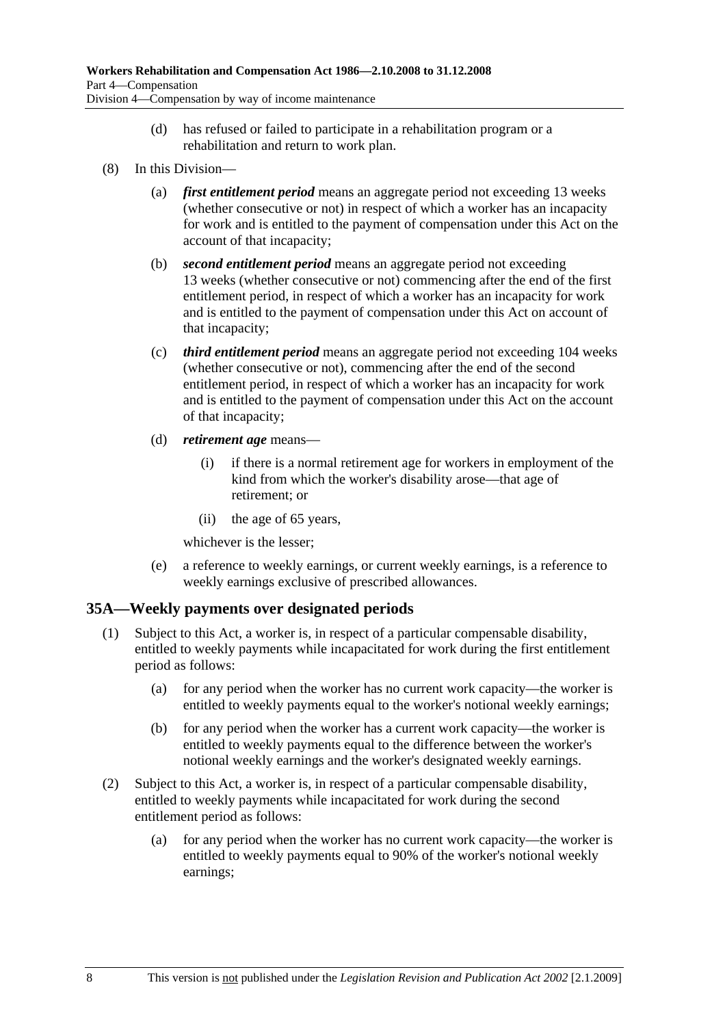- (d) has refused or failed to participate in a rehabilitation program or a rehabilitation and return to work plan.
- (8) In this Division—
	- (a) *first entitlement period* means an aggregate period not exceeding 13 weeks (whether consecutive or not) in respect of which a worker has an incapacity for work and is entitled to the payment of compensation under this Act on the account of that incapacity;
	- (b) *second entitlement period* means an aggregate period not exceeding 13 weeks (whether consecutive or not) commencing after the end of the first entitlement period, in respect of which a worker has an incapacity for work and is entitled to the payment of compensation under this Act on account of that incapacity;
	- (c) *third entitlement period* means an aggregate period not exceeding 104 weeks (whether consecutive or not), commencing after the end of the second entitlement period, in respect of which a worker has an incapacity for work and is entitled to the payment of compensation under this Act on the account of that incapacity;
	- (d) *retirement age* means—
		- (i) if there is a normal retirement age for workers in employment of the kind from which the worker's disability arose—that age of retirement; or
		- (ii) the age of 65 years,

whichever is the lesser;

 (e) a reference to weekly earnings, or current weekly earnings, is a reference to weekly earnings exclusive of prescribed allowances.

### **35A—Weekly payments over designated periods**

- (1) Subject to this Act, a worker is, in respect of a particular compensable disability, entitled to weekly payments while incapacitated for work during the first entitlement period as follows:
	- (a) for any period when the worker has no current work capacity—the worker is entitled to weekly payments equal to the worker's notional weekly earnings;
	- (b) for any period when the worker has a current work capacity—the worker is entitled to weekly payments equal to the difference between the worker's notional weekly earnings and the worker's designated weekly earnings.
- (2) Subject to this Act, a worker is, in respect of a particular compensable disability, entitled to weekly payments while incapacitated for work during the second entitlement period as follows:
	- (a) for any period when the worker has no current work capacity—the worker is entitled to weekly payments equal to 90% of the worker's notional weekly earnings;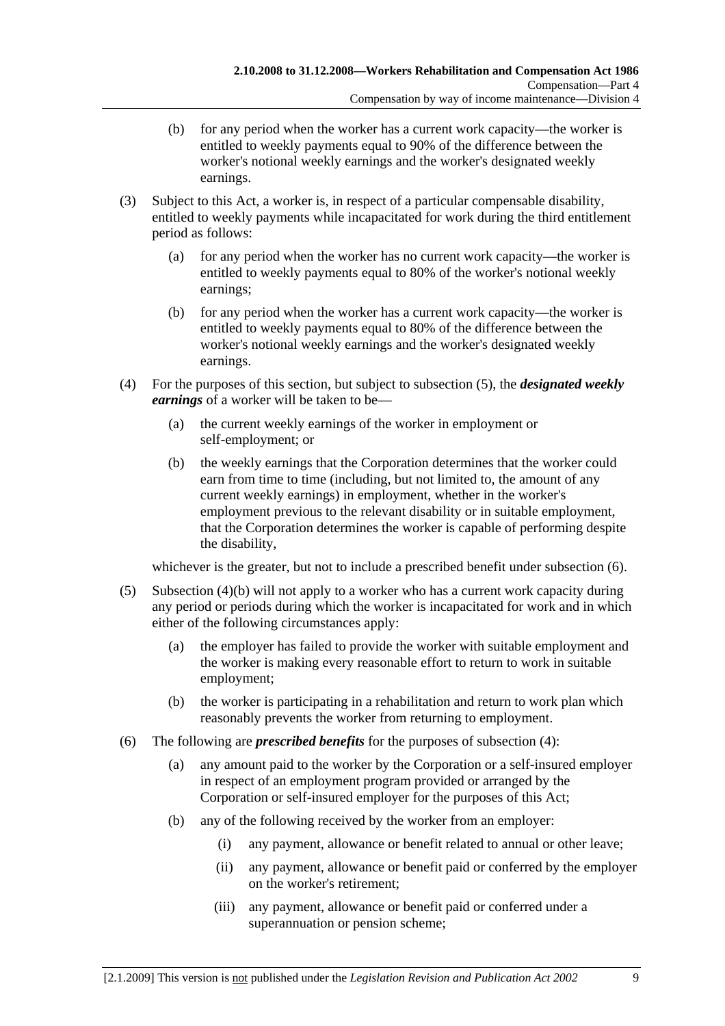- (b) for any period when the worker has a current work capacity—the worker is entitled to weekly payments equal to 90% of the difference between the worker's notional weekly earnings and the worker's designated weekly earnings.
- (3) Subject to this Act, a worker is, in respect of a particular compensable disability, entitled to weekly payments while incapacitated for work during the third entitlement period as follows:
	- (a) for any period when the worker has no current work capacity—the worker is entitled to weekly payments equal to 80% of the worker's notional weekly earnings;
	- (b) for any period when the worker has a current work capacity—the worker is entitled to weekly payments equal to 80% of the difference between the worker's notional weekly earnings and the worker's designated weekly earnings.
- (4) For the purposes of this section, but subject to subsection (5), the *designated weekly earnings* of a worker will be taken to be—
	- (a) the current weekly earnings of the worker in employment or self-employment; or
	- (b) the weekly earnings that the Corporation determines that the worker could earn from time to time (including, but not limited to, the amount of any current weekly earnings) in employment, whether in the worker's employment previous to the relevant disability or in suitable employment, that the Corporation determines the worker is capable of performing despite the disability,

whichever is the greater, but not to include a prescribed benefit under subsection (6).

- (5) Subsection (4)(b) will not apply to a worker who has a current work capacity during any period or periods during which the worker is incapacitated for work and in which either of the following circumstances apply:
	- (a) the employer has failed to provide the worker with suitable employment and the worker is making every reasonable effort to return to work in suitable employment;
	- (b) the worker is participating in a rehabilitation and return to work plan which reasonably prevents the worker from returning to employment.
- (6) The following are *prescribed benefits* for the purposes of subsection (4):
	- (a) any amount paid to the worker by the Corporation or a self-insured employer in respect of an employment program provided or arranged by the Corporation or self-insured employer for the purposes of this Act;
	- (b) any of the following received by the worker from an employer:
		- (i) any payment, allowance or benefit related to annual or other leave;
		- (ii) any payment, allowance or benefit paid or conferred by the employer on the worker's retirement;
		- (iii) any payment, allowance or benefit paid or conferred under a superannuation or pension scheme;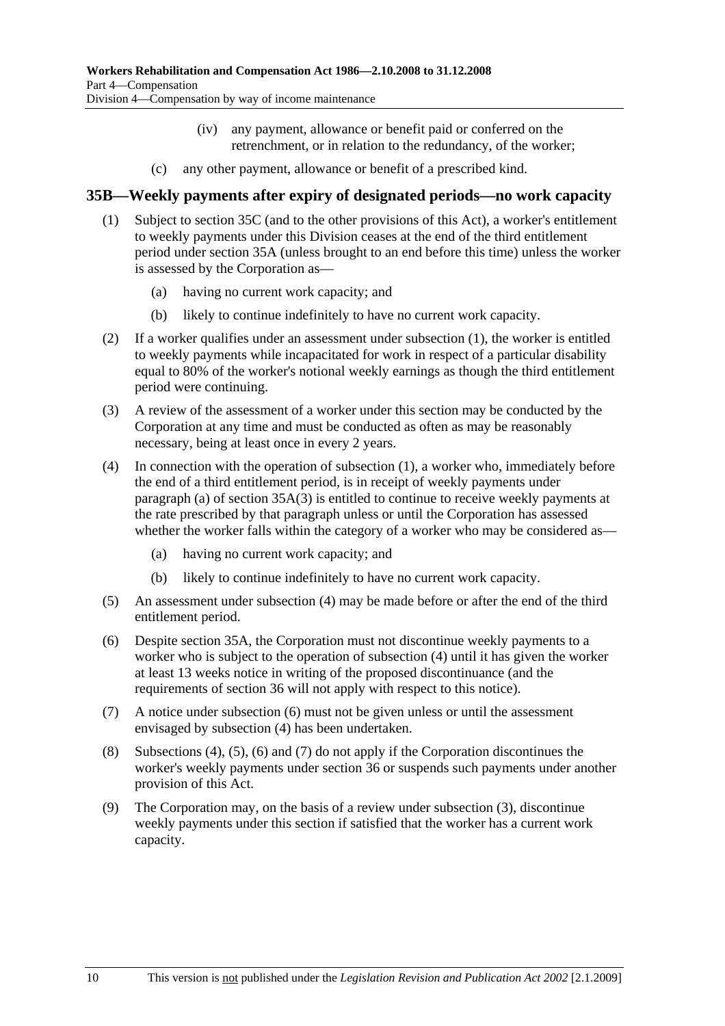- (iv) any payment, allowance or benefit paid or conferred on the retrenchment, or in relation to the redundancy, of the worker;
- (c) any other payment, allowance or benefit of a prescribed kind.

#### **35B—Weekly payments after expiry of designated periods—no work capacity**

- (1) Subject to section 35C (and to the other provisions of this Act), a worker's entitlement to weekly payments under this Division ceases at the end of the third entitlement period under section 35A (unless brought to an end before this time) unless the worker is assessed by the Corporation as—
	- (a) having no current work capacity; and
	- (b) likely to continue indefinitely to have no current work capacity.
- (2) If a worker qualifies under an assessment under subsection (1), the worker is entitled to weekly payments while incapacitated for work in respect of a particular disability equal to 80% of the worker's notional weekly earnings as though the third entitlement period were continuing.
- (3) A review of the assessment of a worker under this section may be conducted by the Corporation at any time and must be conducted as often as may be reasonably necessary, being at least once in every 2 years.
- (4) In connection with the operation of subsection (1), a worker who, immediately before the end of a third entitlement period, is in receipt of weekly payments under paragraph (a) of section 35A(3) is entitled to continue to receive weekly payments at the rate prescribed by that paragraph unless or until the Corporation has assessed whether the worker falls within the category of a worker who may be considered as—
	- (a) having no current work capacity; and
	- (b) likely to continue indefinitely to have no current work capacity.
- (5) An assessment under subsection (4) may be made before or after the end of the third entitlement period.
- (6) Despite section 35A, the Corporation must not discontinue weekly payments to a worker who is subject to the operation of subsection (4) until it has given the worker at least 13 weeks notice in writing of the proposed discontinuance (and the requirements of section 36 will not apply with respect to this notice).
- (7) A notice under subsection (6) must not be given unless or until the assessment envisaged by subsection (4) has been undertaken.
- (8) Subsections (4), (5), (6) and (7) do not apply if the Corporation discontinues the worker's weekly payments under section 36 or suspends such payments under another provision of this Act.
- (9) The Corporation may, on the basis of a review under subsection (3), discontinue weekly payments under this section if satisfied that the worker has a current work capacity.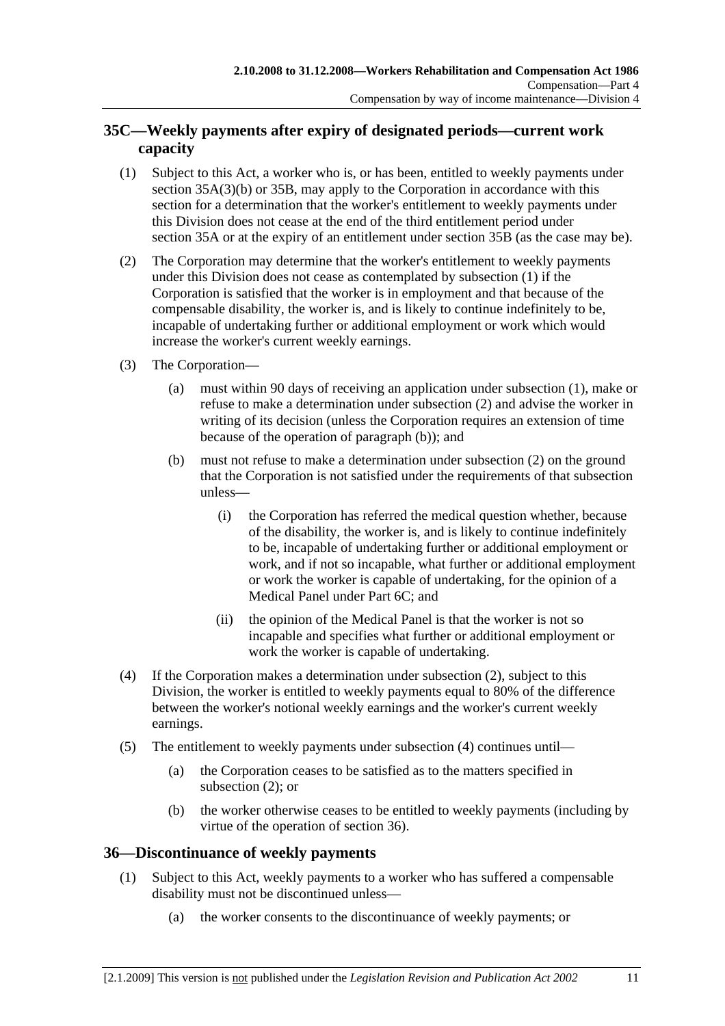## **35C—Weekly payments after expiry of designated periods—current work capacity**

- (1) Subject to this Act, a worker who is, or has been, entitled to weekly payments under section 35A(3)(b) or 35B, may apply to the Corporation in accordance with this section for a determination that the worker's entitlement to weekly payments under this Division does not cease at the end of the third entitlement period under section 35A or at the expiry of an entitlement under section 35B (as the case may be).
- (2) The Corporation may determine that the worker's entitlement to weekly payments under this Division does not cease as contemplated by subsection (1) if the Corporation is satisfied that the worker is in employment and that because of the compensable disability, the worker is, and is likely to continue indefinitely to be, incapable of undertaking further or additional employment or work which would increase the worker's current weekly earnings.
- (3) The Corporation—
	- (a) must within 90 days of receiving an application under subsection (1), make or refuse to make a determination under subsection (2) and advise the worker in writing of its decision (unless the Corporation requires an extension of time because of the operation of paragraph (b)); and
	- (b) must not refuse to make a determination under subsection (2) on the ground that the Corporation is not satisfied under the requirements of that subsection unless—
		- (i) the Corporation has referred the medical question whether, because of the disability, the worker is, and is likely to continue indefinitely to be, incapable of undertaking further or additional employment or work, and if not so incapable, what further or additional employment or work the worker is capable of undertaking, for the opinion of a Medical Panel under Part 6C; and
		- (ii) the opinion of the Medical Panel is that the worker is not so incapable and specifies what further or additional employment or work the worker is capable of undertaking.
- (4) If the Corporation makes a determination under subsection (2), subject to this Division, the worker is entitled to weekly payments equal to 80% of the difference between the worker's notional weekly earnings and the worker's current weekly earnings.
- (5) The entitlement to weekly payments under subsection (4) continues until—
	- (a) the Corporation ceases to be satisfied as to the matters specified in subsection (2); or
	- (b) the worker otherwise ceases to be entitled to weekly payments (including by virtue of the operation of section 36).

## **36—Discontinuance of weekly payments**

- (1) Subject to this Act, weekly payments to a worker who has suffered a compensable disability must not be discontinued unless—
	- (a) the worker consents to the discontinuance of weekly payments; or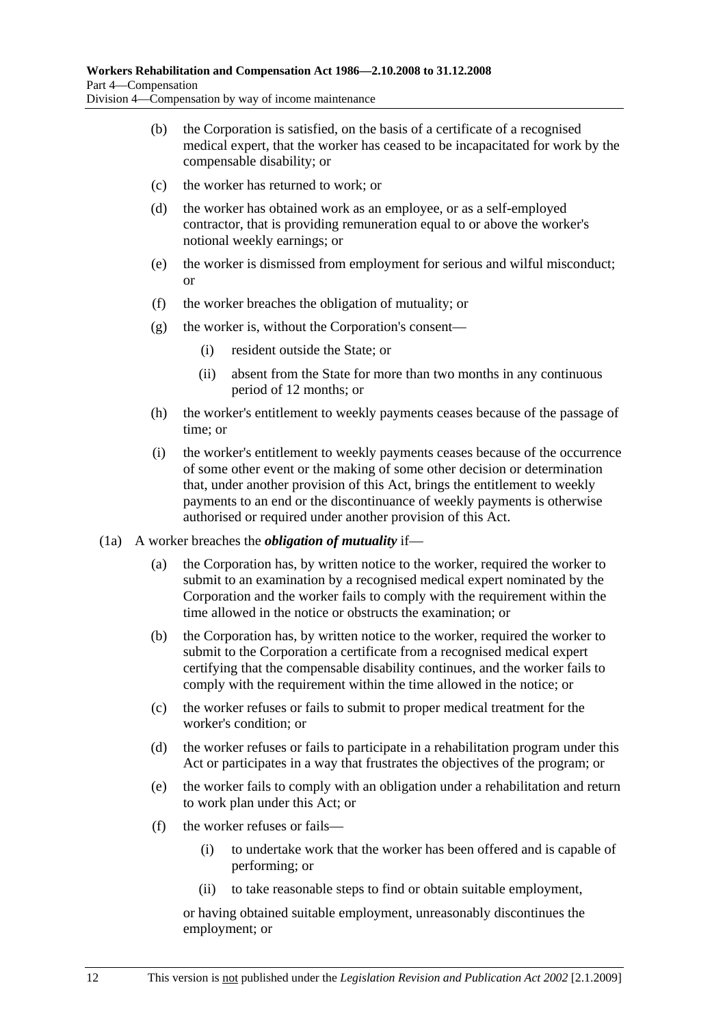- (b) the Corporation is satisfied, on the basis of a certificate of a recognised medical expert, that the worker has ceased to be incapacitated for work by the compensable disability; or
- (c) the worker has returned to work; or
- (d) the worker has obtained work as an employee, or as a self-employed contractor, that is providing remuneration equal to or above the worker's notional weekly earnings; or
- (e) the worker is dismissed from employment for serious and wilful misconduct; or
- (f) the worker breaches the obligation of mutuality; or
- $(g)$  the worker is, without the Corporation's consent—
	- (i) resident outside the State; or
	- (ii) absent from the State for more than two months in any continuous period of 12 months; or
- (h) the worker's entitlement to weekly payments ceases because of the passage of time; or
- (i) the worker's entitlement to weekly payments ceases because of the occurrence of some other event or the making of some other decision or determination that, under another provision of this Act, brings the entitlement to weekly payments to an end or the discontinuance of weekly payments is otherwise authorised or required under another provision of this Act.
- (1a) A worker breaches the *obligation of mutuality* if—
	- (a) the Corporation has, by written notice to the worker, required the worker to submit to an examination by a recognised medical expert nominated by the Corporation and the worker fails to comply with the requirement within the time allowed in the notice or obstructs the examination; or
	- (b) the Corporation has, by written notice to the worker, required the worker to submit to the Corporation a certificate from a recognised medical expert certifying that the compensable disability continues, and the worker fails to comply with the requirement within the time allowed in the notice; or
	- (c) the worker refuses or fails to submit to proper medical treatment for the worker's condition; or
	- (d) the worker refuses or fails to participate in a rehabilitation program under this Act or participates in a way that frustrates the objectives of the program; or
	- (e) the worker fails to comply with an obligation under a rehabilitation and return to work plan under this Act; or
	- (f) the worker refuses or fails—
		- (i) to undertake work that the worker has been offered and is capable of performing; or
		- (ii) to take reasonable steps to find or obtain suitable employment,

or having obtained suitable employment, unreasonably discontinues the employment; or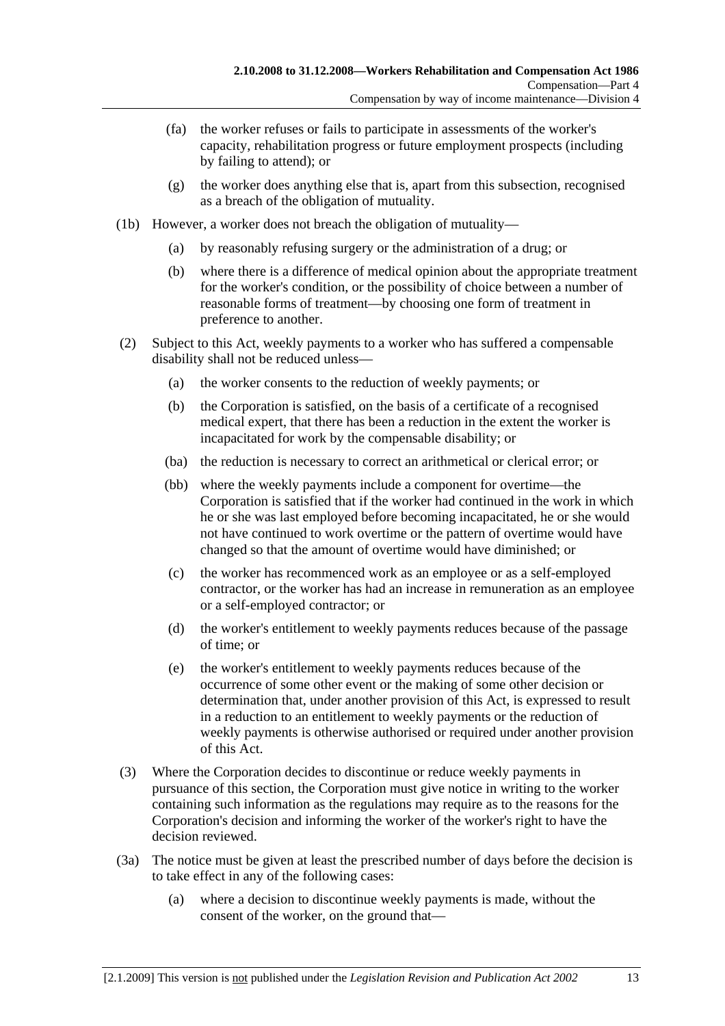- (fa) the worker refuses or fails to participate in assessments of the worker's capacity, rehabilitation progress or future employment prospects (including by failing to attend); or
- (g) the worker does anything else that is, apart from this subsection, recognised as a breach of the obligation of mutuality.
- (1b) However, a worker does not breach the obligation of mutuality—
	- (a) by reasonably refusing surgery or the administration of a drug; or
	- (b) where there is a difference of medical opinion about the appropriate treatment for the worker's condition, or the possibility of choice between a number of reasonable forms of treatment—by choosing one form of treatment in preference to another.
- (2) Subject to this Act, weekly payments to a worker who has suffered a compensable disability shall not be reduced unless—
	- (a) the worker consents to the reduction of weekly payments; or
	- (b) the Corporation is satisfied, on the basis of a certificate of a recognised medical expert, that there has been a reduction in the extent the worker is incapacitated for work by the compensable disability; or
	- (ba) the reduction is necessary to correct an arithmetical or clerical error; or
	- (bb) where the weekly payments include a component for overtime—the Corporation is satisfied that if the worker had continued in the work in which he or she was last employed before becoming incapacitated, he or she would not have continued to work overtime or the pattern of overtime would have changed so that the amount of overtime would have diminished; or
	- (c) the worker has recommenced work as an employee or as a self-employed contractor, or the worker has had an increase in remuneration as an employee or a self-employed contractor; or
	- (d) the worker's entitlement to weekly payments reduces because of the passage of time; or
	- (e) the worker's entitlement to weekly payments reduces because of the occurrence of some other event or the making of some other decision or determination that, under another provision of this Act, is expressed to result in a reduction to an entitlement to weekly payments or the reduction of weekly payments is otherwise authorised or required under another provision of this Act.
- (3) Where the Corporation decides to discontinue or reduce weekly payments in pursuance of this section, the Corporation must give notice in writing to the worker containing such information as the regulations may require as to the reasons for the Corporation's decision and informing the worker of the worker's right to have the decision reviewed.
- (3a) The notice must be given at least the prescribed number of days before the decision is to take effect in any of the following cases:
	- (a) where a decision to discontinue weekly payments is made, without the consent of the worker, on the ground that—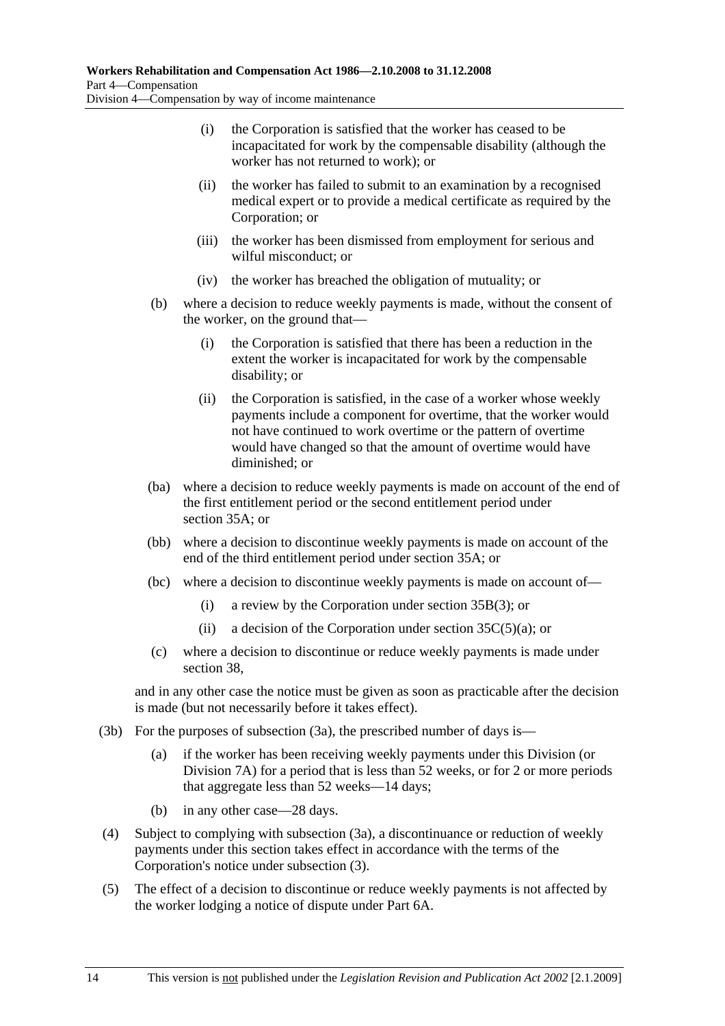- (i) the Corporation is satisfied that the worker has ceased to be incapacitated for work by the compensable disability (although the worker has not returned to work); or
- (ii) the worker has failed to submit to an examination by a recognised medical expert or to provide a medical certificate as required by the Corporation; or
- (iii) the worker has been dismissed from employment for serious and wilful misconduct; or
- (iv) the worker has breached the obligation of mutuality; or
- (b) where a decision to reduce weekly payments is made, without the consent of the worker, on the ground that—
	- (i) the Corporation is satisfied that there has been a reduction in the extent the worker is incapacitated for work by the compensable disability; or
	- (ii) the Corporation is satisfied, in the case of a worker whose weekly payments include a component for overtime, that the worker would not have continued to work overtime or the pattern of overtime would have changed so that the amount of overtime would have diminished; or
- (ba) where a decision to reduce weekly payments is made on account of the end of the first entitlement period or the second entitlement period under section 35A; or
- (bb) where a decision to discontinue weekly payments is made on account of the end of the third entitlement period under section 35A; or
- (bc) where a decision to discontinue weekly payments is made on account of—
	- (i) a review by the Corporation under section 35B(3); or
	- (ii) a decision of the Corporation under section  $35C(5)(a)$ ; or
- (c) where a decision to discontinue or reduce weekly payments is made under section 38,

and in any other case the notice must be given as soon as practicable after the decision is made (but not necessarily before it takes effect).

- (3b) For the purposes of subsection (3a), the prescribed number of days is—
	- (a) if the worker has been receiving weekly payments under this Division (or Division 7A) for a period that is less than 52 weeks, or for 2 or more periods that aggregate less than 52 weeks—14 days;
	- (b) in any other case—28 days.
- (4) Subject to complying with subsection (3a), a discontinuance or reduction of weekly payments under this section takes effect in accordance with the terms of the Corporation's notice under subsection (3).
- (5) The effect of a decision to discontinue or reduce weekly payments is not affected by the worker lodging a notice of dispute under Part 6A.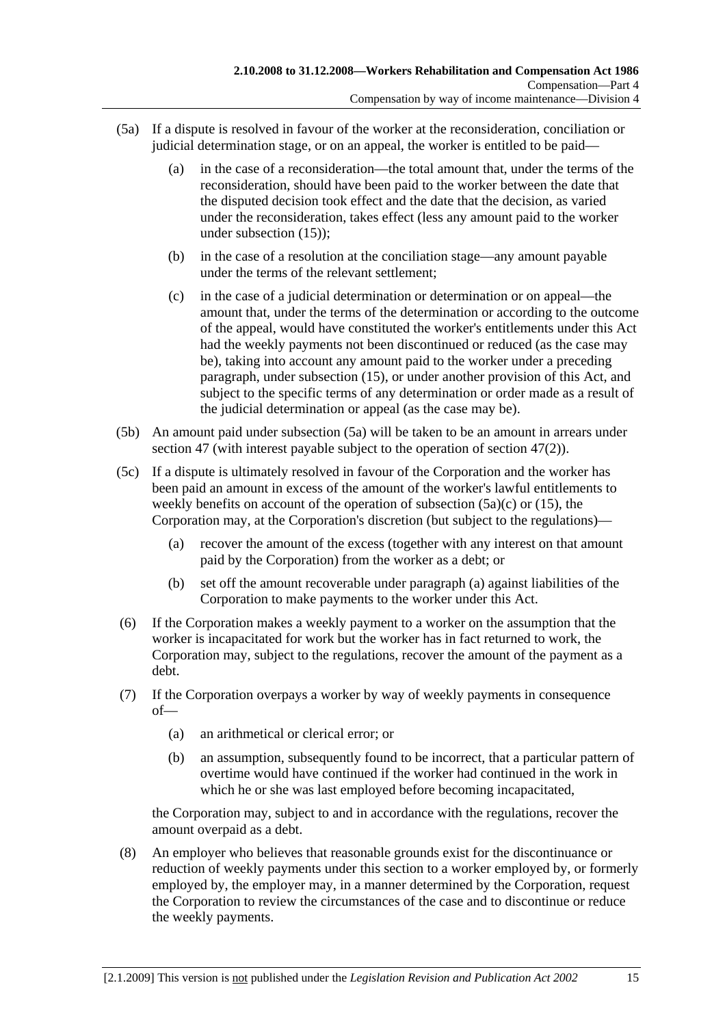- (5a) If a dispute is resolved in favour of the worker at the reconsideration, conciliation or judicial determination stage, or on an appeal, the worker is entitled to be paid—
	- (a) in the case of a reconsideration—the total amount that, under the terms of the reconsideration, should have been paid to the worker between the date that the disputed decision took effect and the date that the decision, as varied under the reconsideration, takes effect (less any amount paid to the worker under subsection (15));
	- (b) in the case of a resolution at the conciliation stage—any amount payable under the terms of the relevant settlement;
	- (c) in the case of a judicial determination or determination or on appeal—the amount that, under the terms of the determination or according to the outcome of the appeal, would have constituted the worker's entitlements under this Act had the weekly payments not been discontinued or reduced (as the case may be), taking into account any amount paid to the worker under a preceding paragraph, under subsection (15), or under another provision of this Act, and subject to the specific terms of any determination or order made as a result of the judicial determination or appeal (as the case may be).
- (5b) An amount paid under subsection (5a) will be taken to be an amount in arrears under section 47 (with interest payable subject to the operation of section 47(2)).
- (5c) If a dispute is ultimately resolved in favour of the Corporation and the worker has been paid an amount in excess of the amount of the worker's lawful entitlements to weekly benefits on account of the operation of subsection  $(5a)(c)$  or  $(15)$ , the Corporation may, at the Corporation's discretion (but subject to the regulations)—
	- (a) recover the amount of the excess (together with any interest on that amount paid by the Corporation) from the worker as a debt; or
	- (b) set off the amount recoverable under paragraph (a) against liabilities of the Corporation to make payments to the worker under this Act.
- (6) If the Corporation makes a weekly payment to a worker on the assumption that the worker is incapacitated for work but the worker has in fact returned to work, the Corporation may, subject to the regulations, recover the amount of the payment as a debt.
- (7) If the Corporation overpays a worker by way of weekly payments in consequence of—
	- (a) an arithmetical or clerical error; or
	- (b) an assumption, subsequently found to be incorrect, that a particular pattern of overtime would have continued if the worker had continued in the work in which he or she was last employed before becoming incapacitated,

the Corporation may, subject to and in accordance with the regulations, recover the amount overpaid as a debt.

 (8) An employer who believes that reasonable grounds exist for the discontinuance or reduction of weekly payments under this section to a worker employed by, or formerly employed by, the employer may, in a manner determined by the Corporation, request the Corporation to review the circumstances of the case and to discontinue or reduce the weekly payments.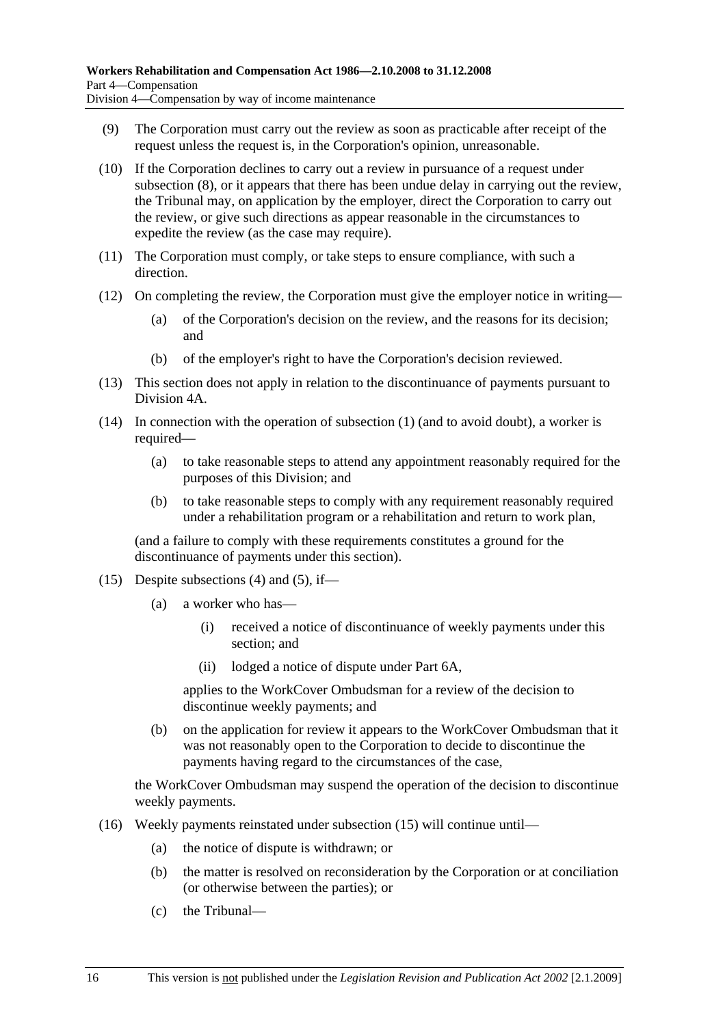- (9) The Corporation must carry out the review as soon as practicable after receipt of the request unless the request is, in the Corporation's opinion, unreasonable.
- (10) If the Corporation declines to carry out a review in pursuance of a request under subsection (8), or it appears that there has been undue delay in carrying out the review, the Tribunal may, on application by the employer, direct the Corporation to carry out the review, or give such directions as appear reasonable in the circumstances to expedite the review (as the case may require).
- (11) The Corporation must comply, or take steps to ensure compliance, with such a direction.
- (12) On completing the review, the Corporation must give the employer notice in writing—
	- (a) of the Corporation's decision on the review, and the reasons for its decision; and
	- (b) of the employer's right to have the Corporation's decision reviewed.
- (13) This section does not apply in relation to the discontinuance of payments pursuant to Division 4A.
- (14) In connection with the operation of subsection (1) (and to avoid doubt), a worker is required—
	- (a) to take reasonable steps to attend any appointment reasonably required for the purposes of this Division; and
	- (b) to take reasonable steps to comply with any requirement reasonably required under a rehabilitation program or a rehabilitation and return to work plan,

(and a failure to comply with these requirements constitutes a ground for the discontinuance of payments under this section).

- (15) Despite subsections (4) and (5), if—
	- (a) a worker who has—
		- (i) received a notice of discontinuance of weekly payments under this section; and
		- (ii) lodged a notice of dispute under Part 6A,

applies to the WorkCover Ombudsman for a review of the decision to discontinue weekly payments; and

 (b) on the application for review it appears to the WorkCover Ombudsman that it was not reasonably open to the Corporation to decide to discontinue the payments having regard to the circumstances of the case,

the WorkCover Ombudsman may suspend the operation of the decision to discontinue weekly payments.

- (16) Weekly payments reinstated under subsection (15) will continue until—
	- (a) the notice of dispute is withdrawn; or
	- (b) the matter is resolved on reconsideration by the Corporation or at conciliation (or otherwise between the parties); or
	- (c) the Tribunal—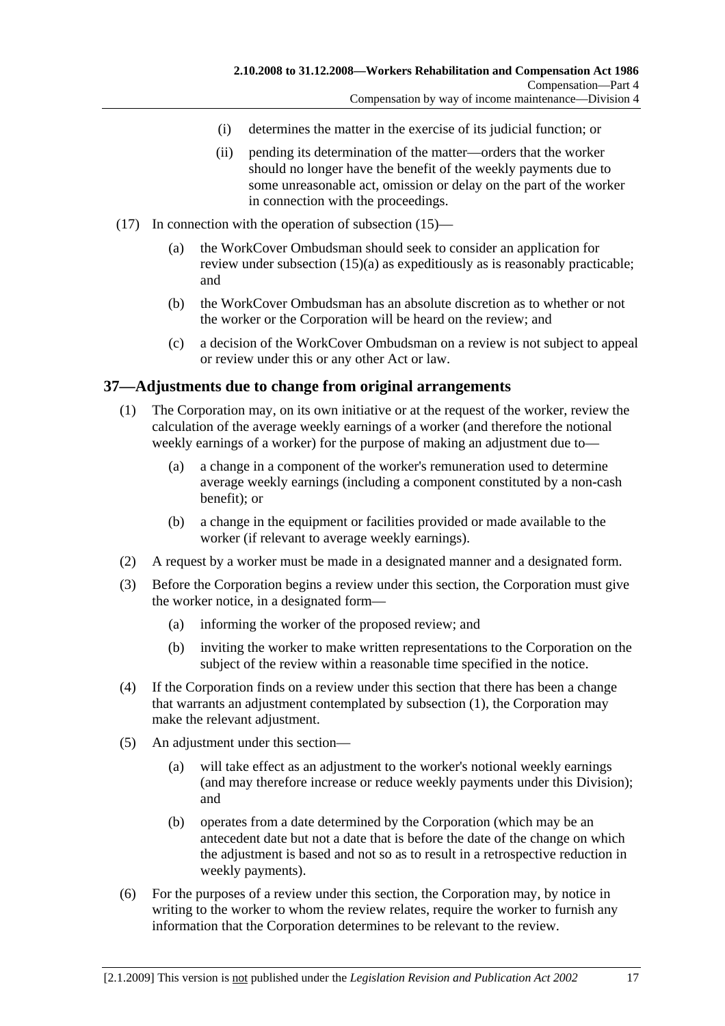- (i) determines the matter in the exercise of its judicial function; or
- (ii) pending its determination of the matter—orders that the worker should no longer have the benefit of the weekly payments due to some unreasonable act, omission or delay on the part of the worker in connection with the proceedings.
- (17) In connection with the operation of subsection (15)—
	- (a) the WorkCover Ombudsman should seek to consider an application for review under subsection (15)(a) as expeditiously as is reasonably practicable; and
	- (b) the WorkCover Ombudsman has an absolute discretion as to whether or not the worker or the Corporation will be heard on the review; and
	- (c) a decision of the WorkCover Ombudsman on a review is not subject to appeal or review under this or any other Act or law.

#### **37—Adjustments due to change from original arrangements**

- (1) The Corporation may, on its own initiative or at the request of the worker, review the calculation of the average weekly earnings of a worker (and therefore the notional weekly earnings of a worker) for the purpose of making an adjustment due to—
	- (a) a change in a component of the worker's remuneration used to determine average weekly earnings (including a component constituted by a non-cash benefit); or
	- (b) a change in the equipment or facilities provided or made available to the worker (if relevant to average weekly earnings).
- (2) A request by a worker must be made in a designated manner and a designated form.
- (3) Before the Corporation begins a review under this section, the Corporation must give the worker notice, in a designated form—
	- (a) informing the worker of the proposed review; and
	- (b) inviting the worker to make written representations to the Corporation on the subject of the review within a reasonable time specified in the notice.
- (4) If the Corporation finds on a review under this section that there has been a change that warrants an adjustment contemplated by subsection (1), the Corporation may make the relevant adjustment.
- (5) An adjustment under this section—
	- (a) will take effect as an adjustment to the worker's notional weekly earnings (and may therefore increase or reduce weekly payments under this Division); and
	- (b) operates from a date determined by the Corporation (which may be an antecedent date but not a date that is before the date of the change on which the adjustment is based and not so as to result in a retrospective reduction in weekly payments).
- (6) For the purposes of a review under this section, the Corporation may, by notice in writing to the worker to whom the review relates, require the worker to furnish any information that the Corporation determines to be relevant to the review.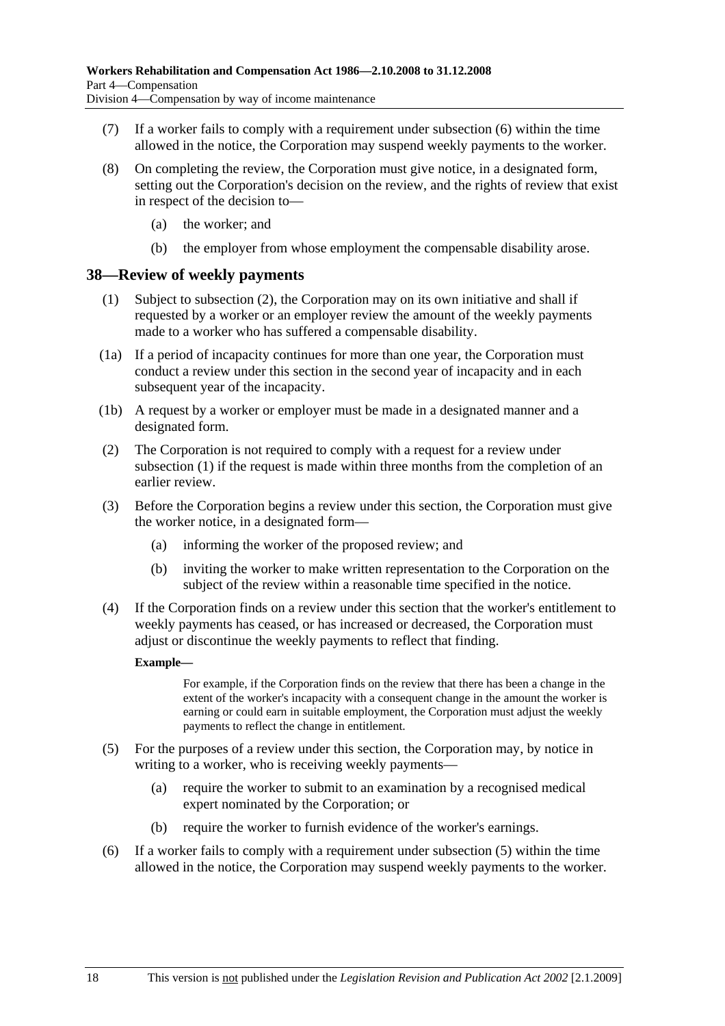- (7) If a worker fails to comply with a requirement under subsection (6) within the time allowed in the notice, the Corporation may suspend weekly payments to the worker.
- (8) On completing the review, the Corporation must give notice, in a designated form, setting out the Corporation's decision on the review, and the rights of review that exist in respect of the decision to—
	- (a) the worker; and
	- (b) the employer from whose employment the compensable disability arose.

#### **38—Review of weekly payments**

- (1) Subject to subsection (2), the Corporation may on its own initiative and shall if requested by a worker or an employer review the amount of the weekly payments made to a worker who has suffered a compensable disability.
- (1a) If a period of incapacity continues for more than one year, the Corporation must conduct a review under this section in the second year of incapacity and in each subsequent year of the incapacity.
- (1b) A request by a worker or employer must be made in a designated manner and a designated form.
- (2) The Corporation is not required to comply with a request for a review under subsection (1) if the request is made within three months from the completion of an earlier review.
- (3) Before the Corporation begins a review under this section, the Corporation must give the worker notice, in a designated form—
	- (a) informing the worker of the proposed review; and
	- (b) inviting the worker to make written representation to the Corporation on the subject of the review within a reasonable time specified in the notice.
- (4) If the Corporation finds on a review under this section that the worker's entitlement to weekly payments has ceased, or has increased or decreased, the Corporation must adjust or discontinue the weekly payments to reflect that finding.

#### **Example—**

For example, if the Corporation finds on the review that there has been a change in the extent of the worker's incapacity with a consequent change in the amount the worker is earning or could earn in suitable employment, the Corporation must adjust the weekly payments to reflect the change in entitlement.

- (5) For the purposes of a review under this section, the Corporation may, by notice in writing to a worker, who is receiving weekly payments—
	- (a) require the worker to submit to an examination by a recognised medical expert nominated by the Corporation; or
	- (b) require the worker to furnish evidence of the worker's earnings.
- (6) If a worker fails to comply with a requirement under subsection (5) within the time allowed in the notice, the Corporation may suspend weekly payments to the worker.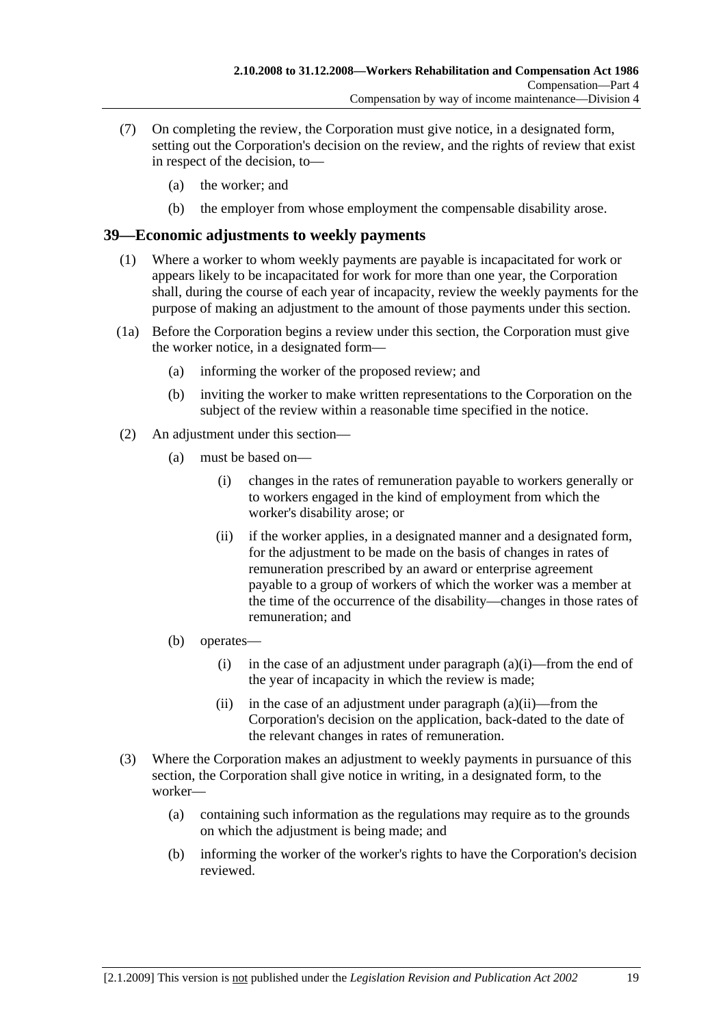- (7) On completing the review, the Corporation must give notice, in a designated form, setting out the Corporation's decision on the review, and the rights of review that exist in respect of the decision, to—
	- (a) the worker; and
	- (b) the employer from whose employment the compensable disability arose.

#### **39—Economic adjustments to weekly payments**

- (1) Where a worker to whom weekly payments are payable is incapacitated for work or appears likely to be incapacitated for work for more than one year, the Corporation shall, during the course of each year of incapacity, review the weekly payments for the purpose of making an adjustment to the amount of those payments under this section.
- (1a) Before the Corporation begins a review under this section, the Corporation must give the worker notice, in a designated form—
	- (a) informing the worker of the proposed review; and
	- (b) inviting the worker to make written representations to the Corporation on the subject of the review within a reasonable time specified in the notice.
- (2) An adjustment under this section—
	- (a) must be based on—
		- (i) changes in the rates of remuneration payable to workers generally or to workers engaged in the kind of employment from which the worker's disability arose; or
		- (ii) if the worker applies, in a designated manner and a designated form, for the adjustment to be made on the basis of changes in rates of remuneration prescribed by an award or enterprise agreement payable to a group of workers of which the worker was a member at the time of the occurrence of the disability—changes in those rates of remuneration; and
	- (b) operates—
		- (i) in the case of an adjustment under paragraph  $(a)(i)$ —from the end of the year of incapacity in which the review is made;
		- (ii) in the case of an adjustment under paragraph  $(a)(ii)$ —from the Corporation's decision on the application, back-dated to the date of the relevant changes in rates of remuneration.
- (3) Where the Corporation makes an adjustment to weekly payments in pursuance of this section, the Corporation shall give notice in writing, in a designated form, to the worker—
	- (a) containing such information as the regulations may require as to the grounds on which the adjustment is being made; and
	- (b) informing the worker of the worker's rights to have the Corporation's decision reviewed.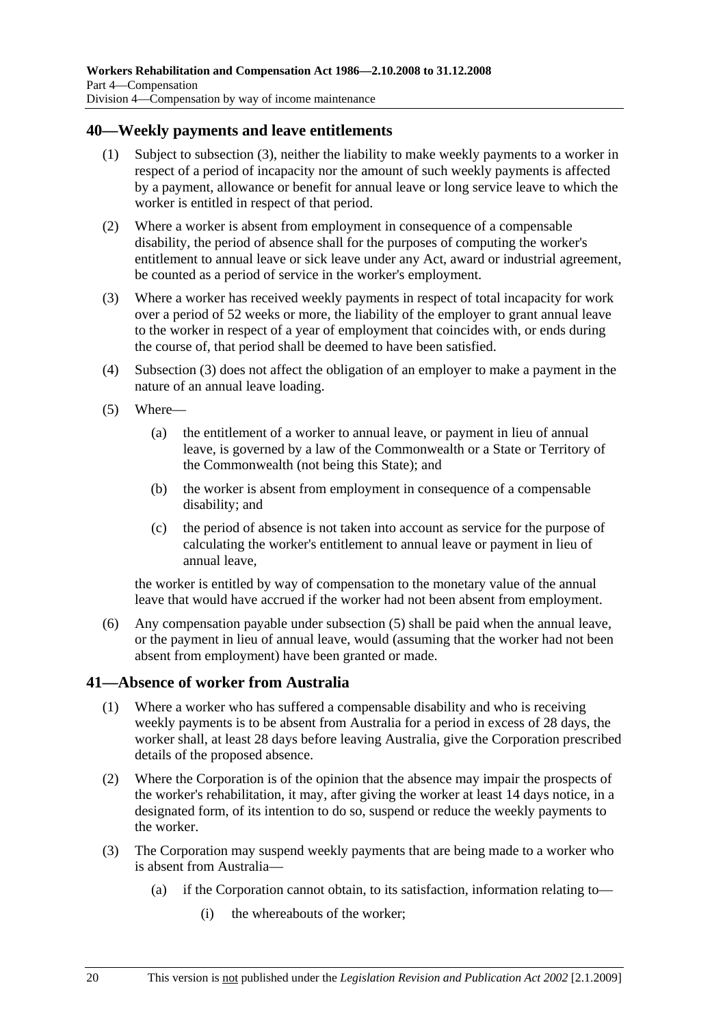### **40—Weekly payments and leave entitlements**

- (1) Subject to subsection (3), neither the liability to make weekly payments to a worker in respect of a period of incapacity nor the amount of such weekly payments is affected by a payment, allowance or benefit for annual leave or long service leave to which the worker is entitled in respect of that period.
- (2) Where a worker is absent from employment in consequence of a compensable disability, the period of absence shall for the purposes of computing the worker's entitlement to annual leave or sick leave under any Act, award or industrial agreement, be counted as a period of service in the worker's employment.
- (3) Where a worker has received weekly payments in respect of total incapacity for work over a period of 52 weeks or more, the liability of the employer to grant annual leave to the worker in respect of a year of employment that coincides with, or ends during the course of, that period shall be deemed to have been satisfied.
- (4) Subsection (3) does not affect the obligation of an employer to make a payment in the nature of an annual leave loading.
- (5) Where—
	- (a) the entitlement of a worker to annual leave, or payment in lieu of annual leave, is governed by a law of the Commonwealth or a State or Territory of the Commonwealth (not being this State); and
	- (b) the worker is absent from employment in consequence of a compensable disability; and
	- (c) the period of absence is not taken into account as service for the purpose of calculating the worker's entitlement to annual leave or payment in lieu of annual leave,

the worker is entitled by way of compensation to the monetary value of the annual leave that would have accrued if the worker had not been absent from employment.

 (6) Any compensation payable under subsection (5) shall be paid when the annual leave, or the payment in lieu of annual leave, would (assuming that the worker had not been absent from employment) have been granted or made.

### **41—Absence of worker from Australia**

- (1) Where a worker who has suffered a compensable disability and who is receiving weekly payments is to be absent from Australia for a period in excess of 28 days, the worker shall, at least 28 days before leaving Australia, give the Corporation prescribed details of the proposed absence.
- (2) Where the Corporation is of the opinion that the absence may impair the prospects of the worker's rehabilitation, it may, after giving the worker at least 14 days notice, in a designated form, of its intention to do so, suspend or reduce the weekly payments to the worker.
- (3) The Corporation may suspend weekly payments that are being made to a worker who is absent from Australia—
	- (a) if the Corporation cannot obtain, to its satisfaction, information relating to—
		- (i) the whereabouts of the worker;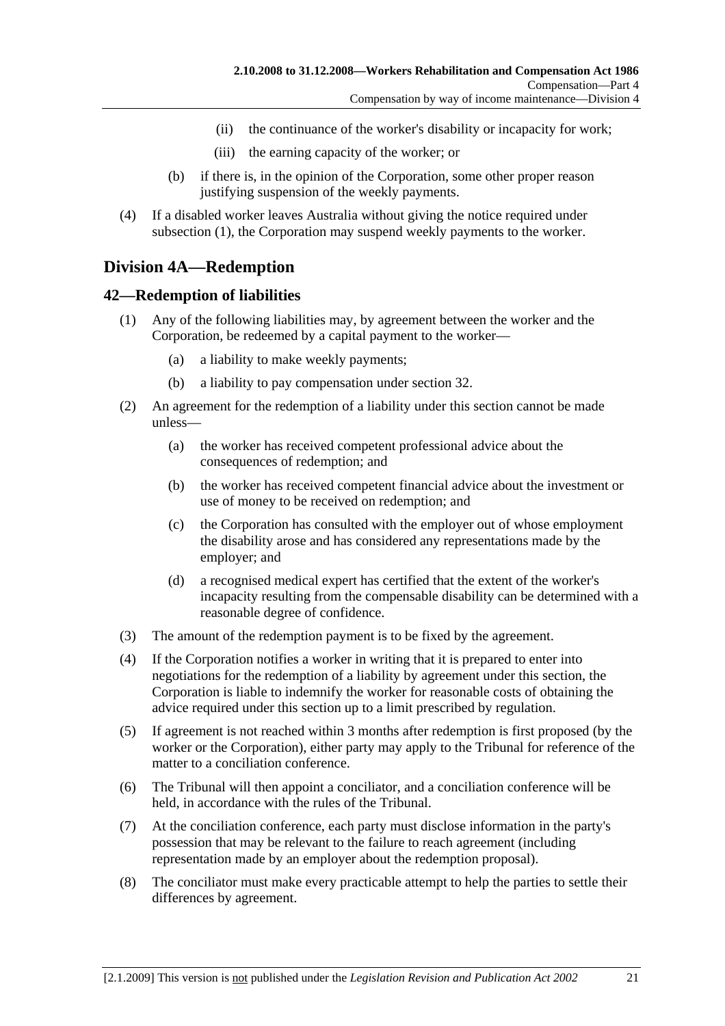- (ii) the continuance of the worker's disability or incapacity for work;
- (iii) the earning capacity of the worker; or
- (b) if there is, in the opinion of the Corporation, some other proper reason justifying suspension of the weekly payments.
- (4) If a disabled worker leaves Australia without giving the notice required under subsection (1), the Corporation may suspend weekly payments to the worker.

## **Division 4A—Redemption**

#### **42—Redemption of liabilities**

- (1) Any of the following liabilities may, by agreement between the worker and the Corporation, be redeemed by a capital payment to the worker—
	- (a) a liability to make weekly payments;
	- (b) a liability to pay compensation under section 32.
- (2) An agreement for the redemption of a liability under this section cannot be made unless—
	- (a) the worker has received competent professional advice about the consequences of redemption; and
	- (b) the worker has received competent financial advice about the investment or use of money to be received on redemption; and
	- (c) the Corporation has consulted with the employer out of whose employment the disability arose and has considered any representations made by the employer; and
	- (d) a recognised medical expert has certified that the extent of the worker's incapacity resulting from the compensable disability can be determined with a reasonable degree of confidence.
- (3) The amount of the redemption payment is to be fixed by the agreement.
- (4) If the Corporation notifies a worker in writing that it is prepared to enter into negotiations for the redemption of a liability by agreement under this section, the Corporation is liable to indemnify the worker for reasonable costs of obtaining the advice required under this section up to a limit prescribed by regulation.
- (5) If agreement is not reached within 3 months after redemption is first proposed (by the worker or the Corporation), either party may apply to the Tribunal for reference of the matter to a conciliation conference.
- (6) The Tribunal will then appoint a conciliator, and a conciliation conference will be held, in accordance with the rules of the Tribunal.
- (7) At the conciliation conference, each party must disclose information in the party's possession that may be relevant to the failure to reach agreement (including representation made by an employer about the redemption proposal).
- (8) The conciliator must make every practicable attempt to help the parties to settle their differences by agreement.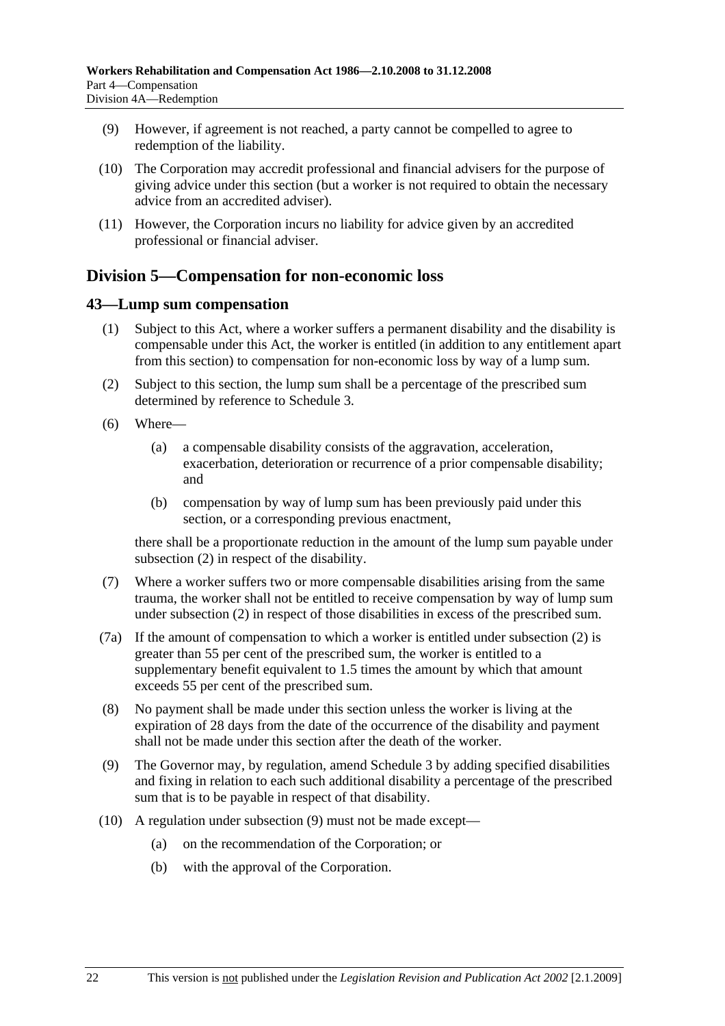- (9) However, if agreement is not reached, a party cannot be compelled to agree to redemption of the liability.
- (10) The Corporation may accredit professional and financial advisers for the purpose of giving advice under this section (but a worker is not required to obtain the necessary advice from an accredited adviser).
- (11) However, the Corporation incurs no liability for advice given by an accredited professional or financial adviser.

# **Division 5—Compensation for non-economic loss**

### **43—Lump sum compensation**

- (1) Subject to this Act, where a worker suffers a permanent disability and the disability is compensable under this Act, the worker is entitled (in addition to any entitlement apart from this section) to compensation for non-economic loss by way of a lump sum.
- (2) Subject to this section, the lump sum shall be a percentage of the prescribed sum determined by reference to Schedule 3.
- (6) Where—
	- (a) a compensable disability consists of the aggravation, acceleration, exacerbation, deterioration or recurrence of a prior compensable disability; and
	- (b) compensation by way of lump sum has been previously paid under this section, or a corresponding previous enactment,

there shall be a proportionate reduction in the amount of the lump sum payable under subsection (2) in respect of the disability.

- (7) Where a worker suffers two or more compensable disabilities arising from the same trauma, the worker shall not be entitled to receive compensation by way of lump sum under subsection (2) in respect of those disabilities in excess of the prescribed sum.
- (7a) If the amount of compensation to which a worker is entitled under subsection (2) is greater than 55 per cent of the prescribed sum, the worker is entitled to a supplementary benefit equivalent to 1.5 times the amount by which that amount exceeds 55 per cent of the prescribed sum.
- (8) No payment shall be made under this section unless the worker is living at the expiration of 28 days from the date of the occurrence of the disability and payment shall not be made under this section after the death of the worker.
- (9) The Governor may, by regulation, amend Schedule 3 by adding specified disabilities and fixing in relation to each such additional disability a percentage of the prescribed sum that is to be payable in respect of that disability.
- (10) A regulation under subsection (9) must not be made except—
	- (a) on the recommendation of the Corporation; or
	- (b) with the approval of the Corporation.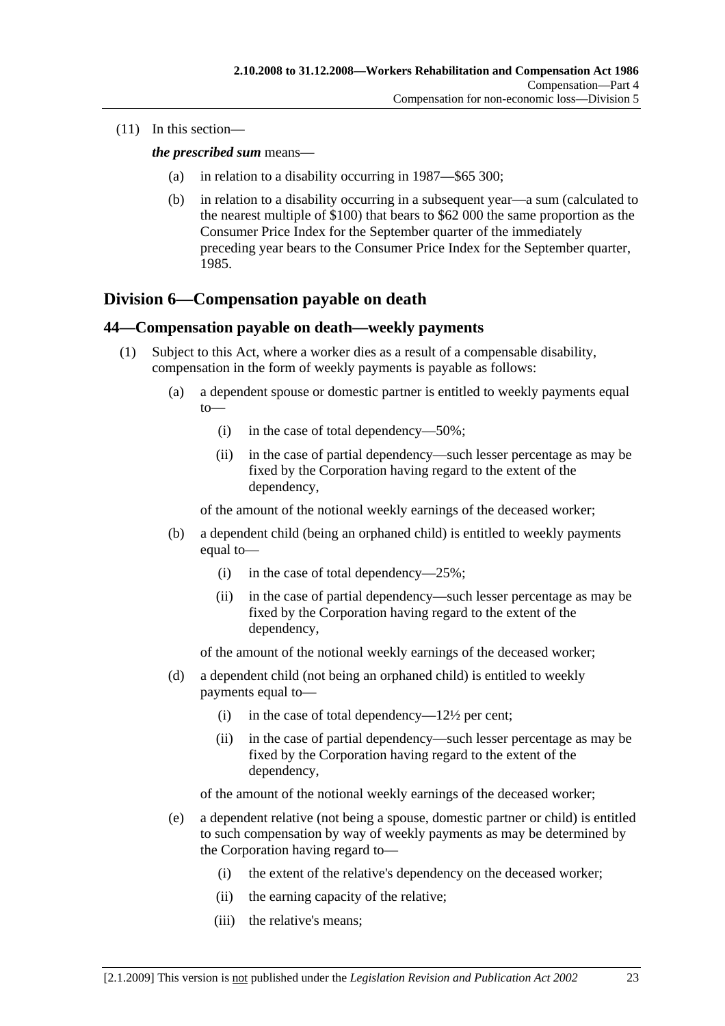(11) In this section—

*the prescribed sum* means—

- (a) in relation to a disability occurring in 1987—\$65 300;
- (b) in relation to a disability occurring in a subsequent year—a sum (calculated to the nearest multiple of \$100) that bears to \$62 000 the same proportion as the Consumer Price Index for the September quarter of the immediately preceding year bears to the Consumer Price Index for the September quarter, 1985.

## **Division 6—Compensation payable on death**

#### **44—Compensation payable on death—weekly payments**

- (1) Subject to this Act, where a worker dies as a result of a compensable disability, compensation in the form of weekly payments is payable as follows:
	- (a) a dependent spouse or domestic partner is entitled to weekly payments equal to—
		- (i) in the case of total dependency—50%;
		- (ii) in the case of partial dependency—such lesser percentage as may be fixed by the Corporation having regard to the extent of the dependency,

of the amount of the notional weekly earnings of the deceased worker;

- (b) a dependent child (being an orphaned child) is entitled to weekly payments equal to—
	- (i) in the case of total dependency—25%;
	- (ii) in the case of partial dependency—such lesser percentage as may be fixed by the Corporation having regard to the extent of the dependency,

of the amount of the notional weekly earnings of the deceased worker;

- (d) a dependent child (not being an orphaned child) is entitled to weekly payments equal to—
	- (i) in the case of total dependency— $12\frac{1}{2}$  per cent;
	- (ii) in the case of partial dependency—such lesser percentage as may be fixed by the Corporation having regard to the extent of the dependency,

of the amount of the notional weekly earnings of the deceased worker;

- (e) a dependent relative (not being a spouse, domestic partner or child) is entitled to such compensation by way of weekly payments as may be determined by the Corporation having regard to—
	- (i) the extent of the relative's dependency on the deceased worker;
	- (ii) the earning capacity of the relative;
	- (iii) the relative's means;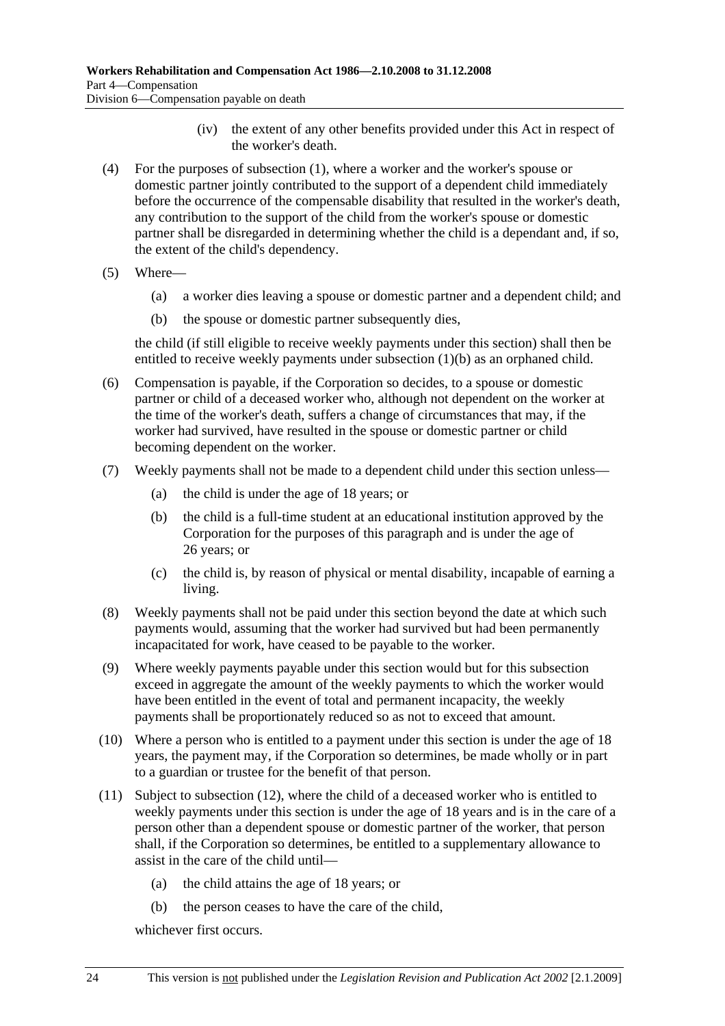- (iv) the extent of any other benefits provided under this Act in respect of the worker's death.
- (4) For the purposes of subsection (1), where a worker and the worker's spouse or domestic partner jointly contributed to the support of a dependent child immediately before the occurrence of the compensable disability that resulted in the worker's death, any contribution to the support of the child from the worker's spouse or domestic partner shall be disregarded in determining whether the child is a dependant and, if so, the extent of the child's dependency.
- (5) Where—
	- (a) a worker dies leaving a spouse or domestic partner and a dependent child; and
	- (b) the spouse or domestic partner subsequently dies,

the child (if still eligible to receive weekly payments under this section) shall then be entitled to receive weekly payments under subsection  $(1)(b)$  as an orphaned child.

- (6) Compensation is payable, if the Corporation so decides, to a spouse or domestic partner or child of a deceased worker who, although not dependent on the worker at the time of the worker's death, suffers a change of circumstances that may, if the worker had survived, have resulted in the spouse or domestic partner or child becoming dependent on the worker.
- (7) Weekly payments shall not be made to a dependent child under this section unless—
	- (a) the child is under the age of 18 years; or
	- (b) the child is a full-time student at an educational institution approved by the Corporation for the purposes of this paragraph and is under the age of 26 years; or
	- (c) the child is, by reason of physical or mental disability, incapable of earning a living.
- (8) Weekly payments shall not be paid under this section beyond the date at which such payments would, assuming that the worker had survived but had been permanently incapacitated for work, have ceased to be payable to the worker.
- (9) Where weekly payments payable under this section would but for this subsection exceed in aggregate the amount of the weekly payments to which the worker would have been entitled in the event of total and permanent incapacity, the weekly payments shall be proportionately reduced so as not to exceed that amount.
- (10) Where a person who is entitled to a payment under this section is under the age of 18 years, the payment may, if the Corporation so determines, be made wholly or in part to a guardian or trustee for the benefit of that person.
- (11) Subject to subsection (12), where the child of a deceased worker who is entitled to weekly payments under this section is under the age of 18 years and is in the care of a person other than a dependent spouse or domestic partner of the worker, that person shall, if the Corporation so determines, be entitled to a supplementary allowance to assist in the care of the child until—
	- (a) the child attains the age of 18 years; or
	- (b) the person ceases to have the care of the child,

whichever first occurs.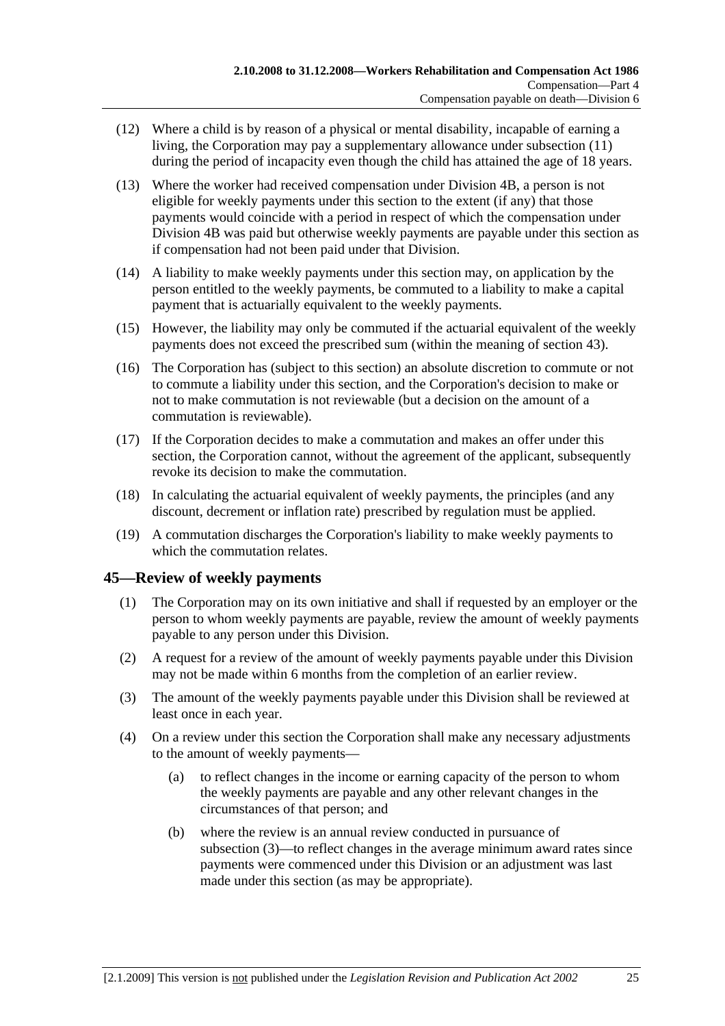- (12) Where a child is by reason of a physical or mental disability, incapable of earning a living, the Corporation may pay a supplementary allowance under subsection (11) during the period of incapacity even though the child has attained the age of 18 years.
- (13) Where the worker had received compensation under Division 4B, a person is not eligible for weekly payments under this section to the extent (if any) that those payments would coincide with a period in respect of which the compensation under Division 4B was paid but otherwise weekly payments are payable under this section as if compensation had not been paid under that Division.
- (14) A liability to make weekly payments under this section may, on application by the person entitled to the weekly payments, be commuted to a liability to make a capital payment that is actuarially equivalent to the weekly payments.
- (15) However, the liability may only be commuted if the actuarial equivalent of the weekly payments does not exceed the prescribed sum (within the meaning of section 43).
- (16) The Corporation has (subject to this section) an absolute discretion to commute or not to commute a liability under this section, and the Corporation's decision to make or not to make commutation is not reviewable (but a decision on the amount of a commutation is reviewable).
- (17) If the Corporation decides to make a commutation and makes an offer under this section, the Corporation cannot, without the agreement of the applicant, subsequently revoke its decision to make the commutation.
- (18) In calculating the actuarial equivalent of weekly payments, the principles (and any discount, decrement or inflation rate) prescribed by regulation must be applied.
- (19) A commutation discharges the Corporation's liability to make weekly payments to which the commutation relates.

## **45—Review of weekly payments**

- (1) The Corporation may on its own initiative and shall if requested by an employer or the person to whom weekly payments are payable, review the amount of weekly payments payable to any person under this Division.
- (2) A request for a review of the amount of weekly payments payable under this Division may not be made within 6 months from the completion of an earlier review.
- (3) The amount of the weekly payments payable under this Division shall be reviewed at least once in each year.
- (4) On a review under this section the Corporation shall make any necessary adjustments to the amount of weekly payments—
	- (a) to reflect changes in the income or earning capacity of the person to whom the weekly payments are payable and any other relevant changes in the circumstances of that person; and
	- (b) where the review is an annual review conducted in pursuance of subsection (3)—to reflect changes in the average minimum award rates since payments were commenced under this Division or an adjustment was last made under this section (as may be appropriate).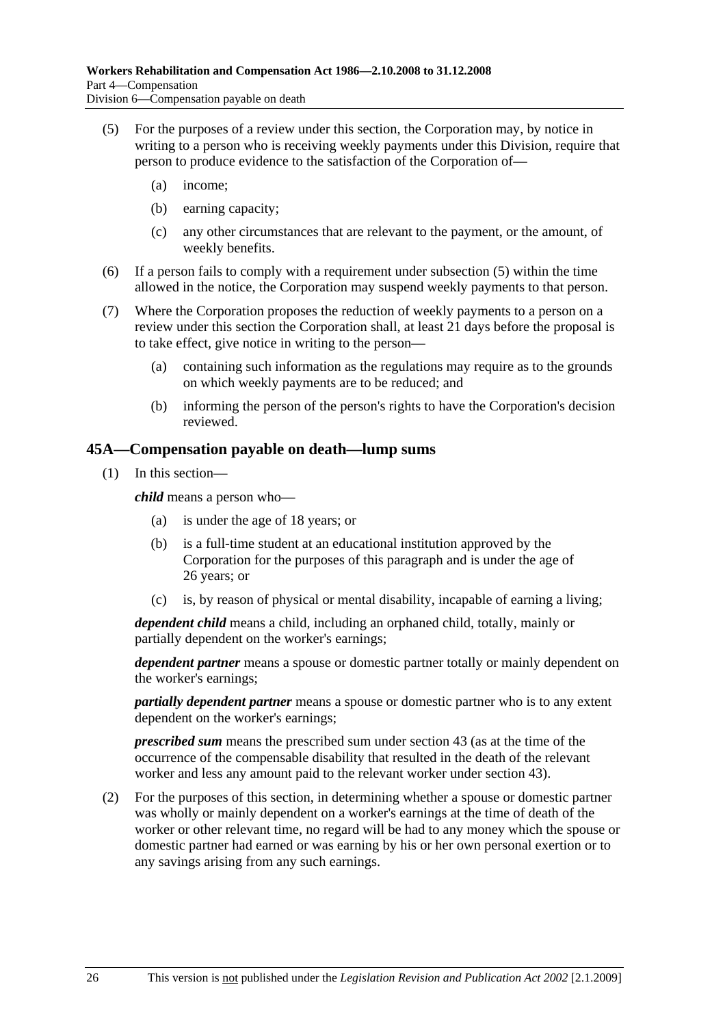- (5) For the purposes of a review under this section, the Corporation may, by notice in writing to a person who is receiving weekly payments under this Division, require that person to produce evidence to the satisfaction of the Corporation of—
	- (a) income;
	- (b) earning capacity;
	- (c) any other circumstances that are relevant to the payment, or the amount, of weekly benefits.
- (6) If a person fails to comply with a requirement under subsection (5) within the time allowed in the notice, the Corporation may suspend weekly payments to that person.
- (7) Where the Corporation proposes the reduction of weekly payments to a person on a review under this section the Corporation shall, at least 21 days before the proposal is to take effect, give notice in writing to the person—
	- (a) containing such information as the regulations may require as to the grounds on which weekly payments are to be reduced; and
	- (b) informing the person of the person's rights to have the Corporation's decision reviewed.

### **45A—Compensation payable on death—lump sums**

(1) In this section—

*child* means a person who—

- (a) is under the age of 18 years; or
- (b) is a full-time student at an educational institution approved by the Corporation for the purposes of this paragraph and is under the age of 26 years; or
- (c) is, by reason of physical or mental disability, incapable of earning a living;

*dependent child* means a child, including an orphaned child, totally, mainly or partially dependent on the worker's earnings;

*dependent partner* means a spouse or domestic partner totally or mainly dependent on the worker's earnings;

*partially dependent partner* means a spouse or domestic partner who is to any extent dependent on the worker's earnings;

*prescribed sum* means the prescribed sum under section 43 (as at the time of the occurrence of the compensable disability that resulted in the death of the relevant worker and less any amount paid to the relevant worker under section 43).

 (2) For the purposes of this section, in determining whether a spouse or domestic partner was wholly or mainly dependent on a worker's earnings at the time of death of the worker or other relevant time, no regard will be had to any money which the spouse or domestic partner had earned or was earning by his or her own personal exertion or to any savings arising from any such earnings.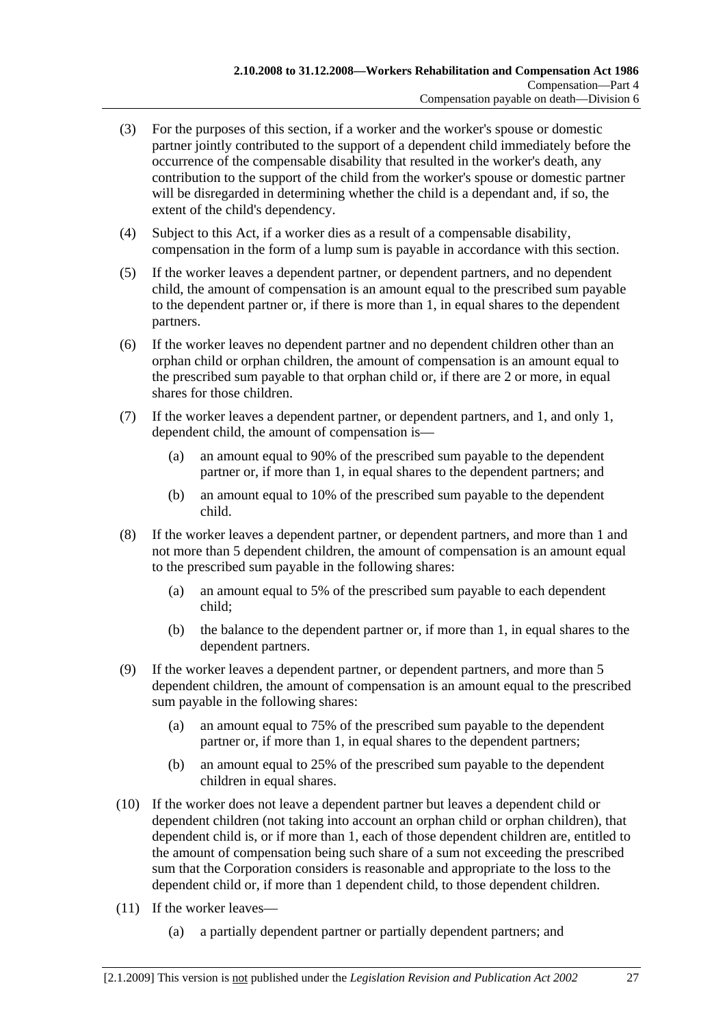- (3) For the purposes of this section, if a worker and the worker's spouse or domestic partner jointly contributed to the support of a dependent child immediately before the occurrence of the compensable disability that resulted in the worker's death, any contribution to the support of the child from the worker's spouse or domestic partner will be disregarded in determining whether the child is a dependant and, if so, the extent of the child's dependency.
- (4) Subject to this Act, if a worker dies as a result of a compensable disability, compensation in the form of a lump sum is payable in accordance with this section.
- (5) If the worker leaves a dependent partner, or dependent partners, and no dependent child, the amount of compensation is an amount equal to the prescribed sum payable to the dependent partner or, if there is more than 1, in equal shares to the dependent partners.
- (6) If the worker leaves no dependent partner and no dependent children other than an orphan child or orphan children, the amount of compensation is an amount equal to the prescribed sum payable to that orphan child or, if there are 2 or more, in equal shares for those children.
- (7) If the worker leaves a dependent partner, or dependent partners, and 1, and only 1, dependent child, the amount of compensation is—
	- (a) an amount equal to 90% of the prescribed sum payable to the dependent partner or, if more than 1, in equal shares to the dependent partners; and
	- (b) an amount equal to 10% of the prescribed sum payable to the dependent child.
- (8) If the worker leaves a dependent partner, or dependent partners, and more than 1 and not more than 5 dependent children, the amount of compensation is an amount equal to the prescribed sum payable in the following shares:
	- (a) an amount equal to 5% of the prescribed sum payable to each dependent child;
	- (b) the balance to the dependent partner or, if more than 1, in equal shares to the dependent partners.
- (9) If the worker leaves a dependent partner, or dependent partners, and more than 5 dependent children, the amount of compensation is an amount equal to the prescribed sum payable in the following shares:
	- (a) an amount equal to 75% of the prescribed sum payable to the dependent partner or, if more than 1, in equal shares to the dependent partners;
	- (b) an amount equal to 25% of the prescribed sum payable to the dependent children in equal shares.
- (10) If the worker does not leave a dependent partner but leaves a dependent child or dependent children (not taking into account an orphan child or orphan children), that dependent child is, or if more than 1, each of those dependent children are, entitled to the amount of compensation being such share of a sum not exceeding the prescribed sum that the Corporation considers is reasonable and appropriate to the loss to the dependent child or, if more than 1 dependent child, to those dependent children.
- (11) If the worker leaves—
	- (a) a partially dependent partner or partially dependent partners; and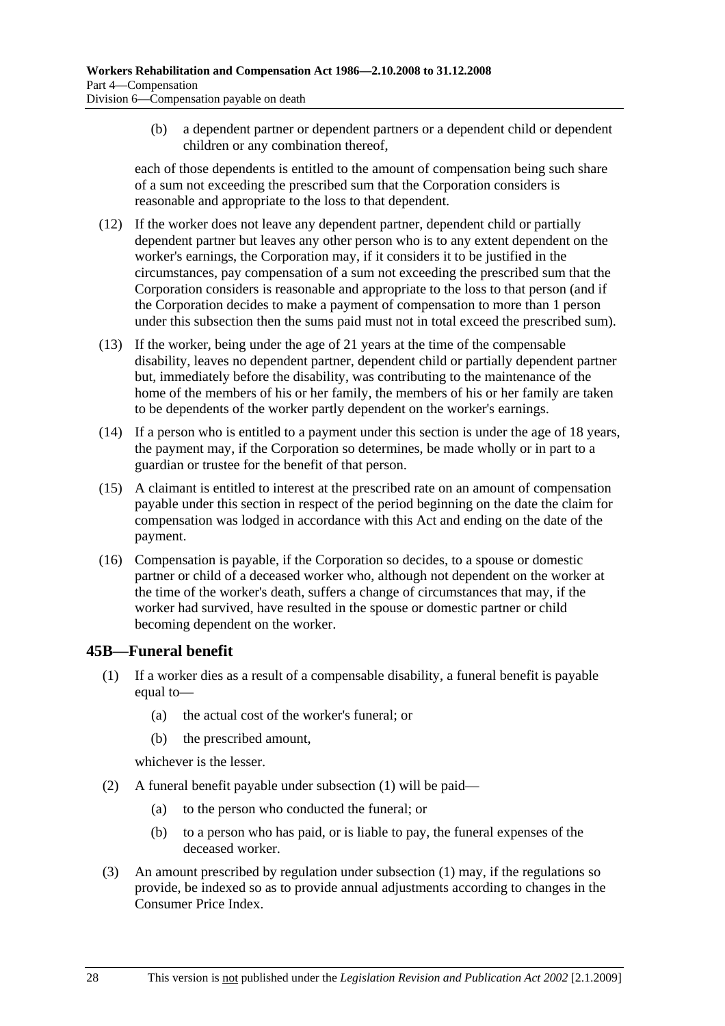(b) a dependent partner or dependent partners or a dependent child or dependent children or any combination thereof,

each of those dependents is entitled to the amount of compensation being such share of a sum not exceeding the prescribed sum that the Corporation considers is reasonable and appropriate to the loss to that dependent.

- (12) If the worker does not leave any dependent partner, dependent child or partially dependent partner but leaves any other person who is to any extent dependent on the worker's earnings, the Corporation may, if it considers it to be justified in the circumstances, pay compensation of a sum not exceeding the prescribed sum that the Corporation considers is reasonable and appropriate to the loss to that person (and if the Corporation decides to make a payment of compensation to more than 1 person under this subsection then the sums paid must not in total exceed the prescribed sum).
- (13) If the worker, being under the age of 21 years at the time of the compensable disability, leaves no dependent partner, dependent child or partially dependent partner but, immediately before the disability, was contributing to the maintenance of the home of the members of his or her family, the members of his or her family are taken to be dependents of the worker partly dependent on the worker's earnings.
- (14) If a person who is entitled to a payment under this section is under the age of 18 years, the payment may, if the Corporation so determines, be made wholly or in part to a guardian or trustee for the benefit of that person.
- (15) A claimant is entitled to interest at the prescribed rate on an amount of compensation payable under this section in respect of the period beginning on the date the claim for compensation was lodged in accordance with this Act and ending on the date of the payment.
- (16) Compensation is payable, if the Corporation so decides, to a spouse or domestic partner or child of a deceased worker who, although not dependent on the worker at the time of the worker's death, suffers a change of circumstances that may, if the worker had survived, have resulted in the spouse or domestic partner or child becoming dependent on the worker.

### **45B—Funeral benefit**

- (1) If a worker dies as a result of a compensable disability, a funeral benefit is payable equal to—
	- (a) the actual cost of the worker's funeral; or
	- (b) the prescribed amount,

whichever is the lesser.

- (2) A funeral benefit payable under subsection (1) will be paid—
	- (a) to the person who conducted the funeral; or
	- (b) to a person who has paid, or is liable to pay, the funeral expenses of the deceased worker.
- (3) An amount prescribed by regulation under subsection (1) may, if the regulations so provide, be indexed so as to provide annual adjustments according to changes in the Consumer Price Index.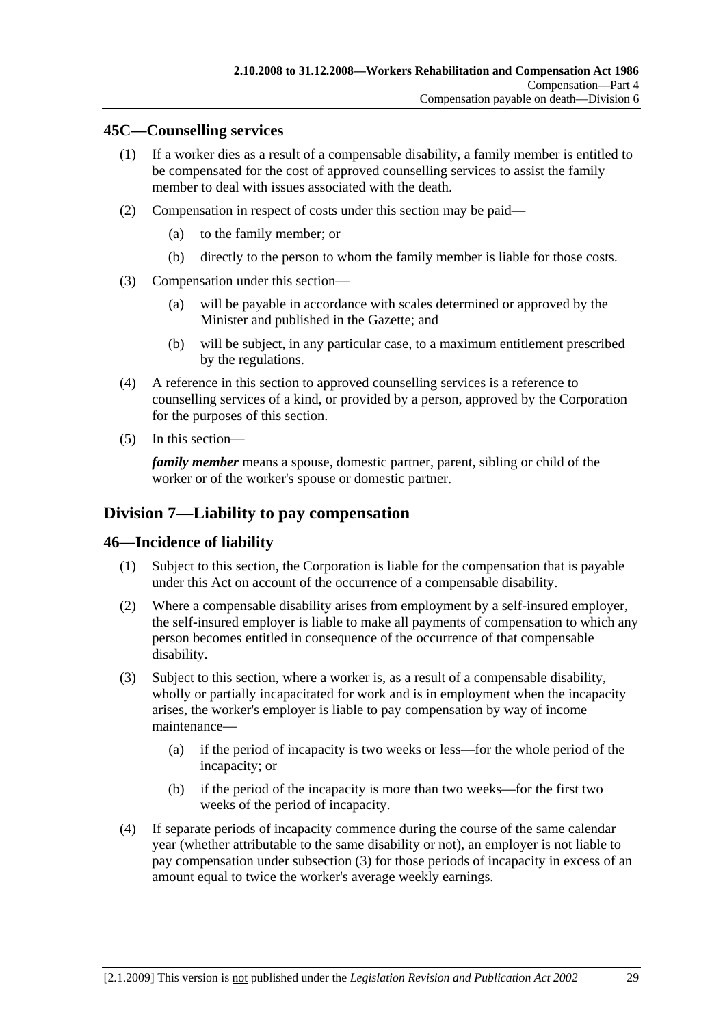### **45C—Counselling services**

- (1) If a worker dies as a result of a compensable disability, a family member is entitled to be compensated for the cost of approved counselling services to assist the family member to deal with issues associated with the death.
- (2) Compensation in respect of costs under this section may be paid—
	- (a) to the family member; or
	- (b) directly to the person to whom the family member is liable for those costs.
- (3) Compensation under this section—
	- (a) will be payable in accordance with scales determined or approved by the Minister and published in the Gazette; and
	- (b) will be subject, in any particular case, to a maximum entitlement prescribed by the regulations.
- (4) A reference in this section to approved counselling services is a reference to counselling services of a kind, or provided by a person, approved by the Corporation for the purposes of this section.
- (5) In this section—

*family member* means a spouse, domestic partner, parent, sibling or child of the worker or of the worker's spouse or domestic partner.

## **Division 7—Liability to pay compensation**

### **46—Incidence of liability**

- (1) Subject to this section, the Corporation is liable for the compensation that is payable under this Act on account of the occurrence of a compensable disability.
- (2) Where a compensable disability arises from employment by a self-insured employer, the self-insured employer is liable to make all payments of compensation to which any person becomes entitled in consequence of the occurrence of that compensable disability.
- (3) Subject to this section, where a worker is, as a result of a compensable disability, wholly or partially incapacitated for work and is in employment when the incapacity arises, the worker's employer is liable to pay compensation by way of income maintenance—
	- (a) if the period of incapacity is two weeks or less—for the whole period of the incapacity; or
	- (b) if the period of the incapacity is more than two weeks—for the first two weeks of the period of incapacity.
- (4) If separate periods of incapacity commence during the course of the same calendar year (whether attributable to the same disability or not), an employer is not liable to pay compensation under subsection (3) for those periods of incapacity in excess of an amount equal to twice the worker's average weekly earnings.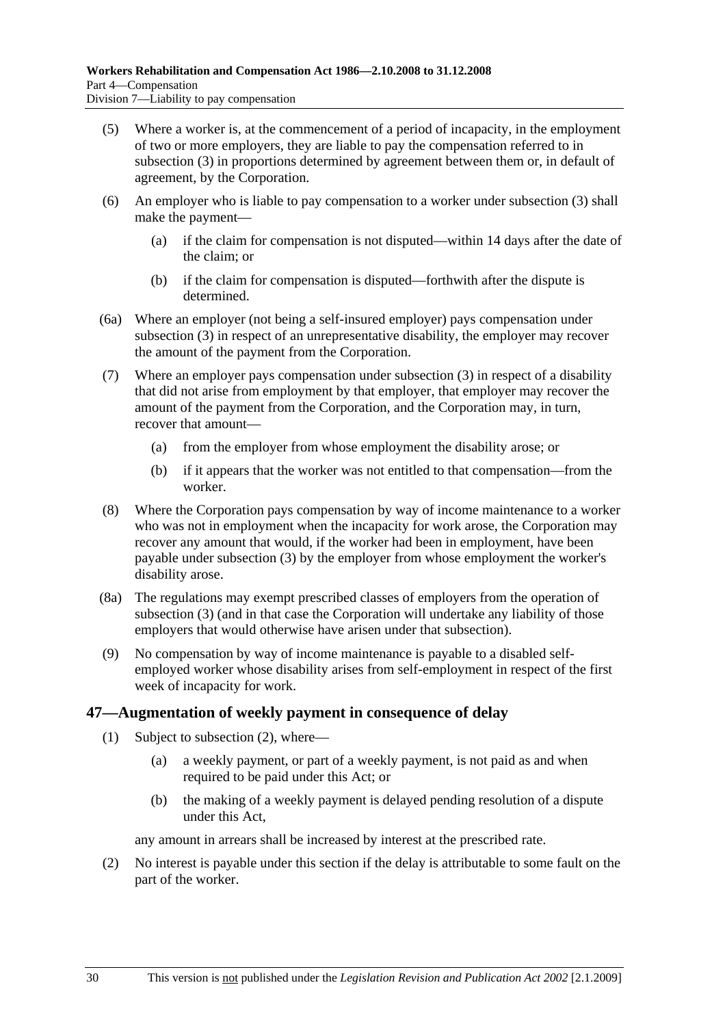- (5) Where a worker is, at the commencement of a period of incapacity, in the employment of two or more employers, they are liable to pay the compensation referred to in subsection (3) in proportions determined by agreement between them or, in default of agreement, by the Corporation.
- (6) An employer who is liable to pay compensation to a worker under subsection (3) shall make the payment—
	- (a) if the claim for compensation is not disputed—within 14 days after the date of the claim; or
	- (b) if the claim for compensation is disputed—forthwith after the dispute is determined.
- (6a) Where an employer (not being a self-insured employer) pays compensation under subsection (3) in respect of an unrepresentative disability, the employer may recover the amount of the payment from the Corporation.
- (7) Where an employer pays compensation under subsection (3) in respect of a disability that did not arise from employment by that employer, that employer may recover the amount of the payment from the Corporation, and the Corporation may, in turn, recover that amount—
	- (a) from the employer from whose employment the disability arose; or
	- (b) if it appears that the worker was not entitled to that compensation—from the worker.
- (8) Where the Corporation pays compensation by way of income maintenance to a worker who was not in employment when the incapacity for work arose, the Corporation may recover any amount that would, if the worker had been in employment, have been payable under subsection (3) by the employer from whose employment the worker's disability arose.
- (8a) The regulations may exempt prescribed classes of employers from the operation of subsection (3) (and in that case the Corporation will undertake any liability of those employers that would otherwise have arisen under that subsection).
- (9) No compensation by way of income maintenance is payable to a disabled selfemployed worker whose disability arises from self-employment in respect of the first week of incapacity for work.

### **47—Augmentation of weekly payment in consequence of delay**

- (1) Subject to subsection (2), where—
	- (a) a weekly payment, or part of a weekly payment, is not paid as and when required to be paid under this Act; or
	- (b) the making of a weekly payment is delayed pending resolution of a dispute under this Act,

any amount in arrears shall be increased by interest at the prescribed rate.

 (2) No interest is payable under this section if the delay is attributable to some fault on the part of the worker.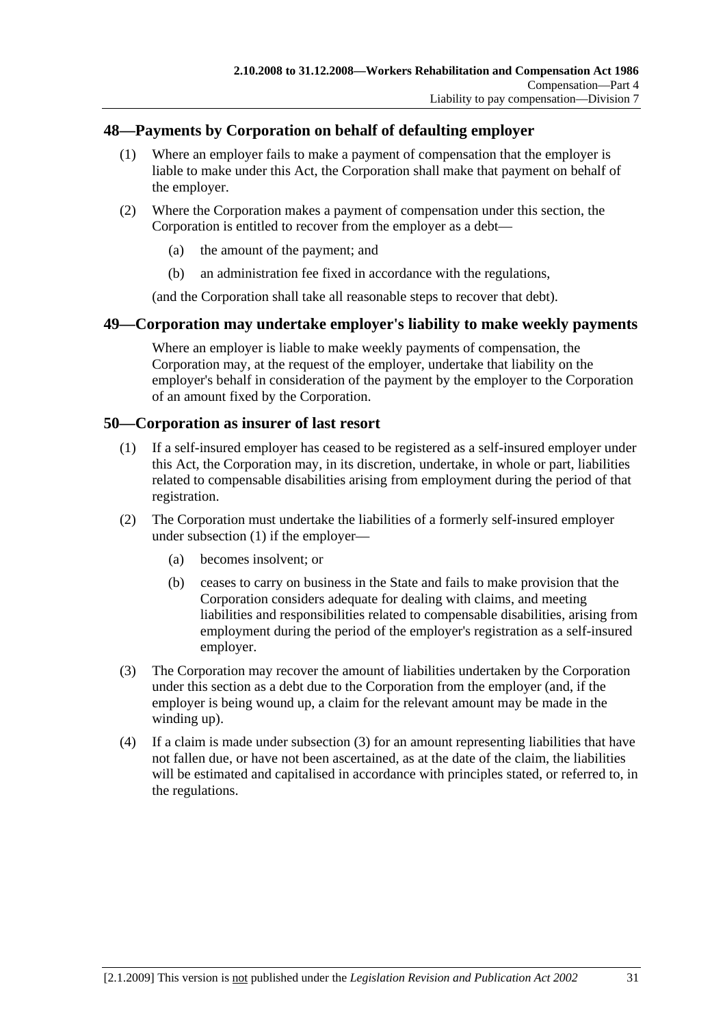### **48—Payments by Corporation on behalf of defaulting employer**

- (1) Where an employer fails to make a payment of compensation that the employer is liable to make under this Act, the Corporation shall make that payment on behalf of the employer.
- (2) Where the Corporation makes a payment of compensation under this section, the Corporation is entitled to recover from the employer as a debt—
	- (a) the amount of the payment; and
	- (b) an administration fee fixed in accordance with the regulations,

(and the Corporation shall take all reasonable steps to recover that debt).

### **49—Corporation may undertake employer's liability to make weekly payments**

Where an employer is liable to make weekly payments of compensation, the Corporation may, at the request of the employer, undertake that liability on the employer's behalf in consideration of the payment by the employer to the Corporation of an amount fixed by the Corporation.

### **50—Corporation as insurer of last resort**

- (1) If a self-insured employer has ceased to be registered as a self-insured employer under this Act, the Corporation may, in its discretion, undertake, in whole or part, liabilities related to compensable disabilities arising from employment during the period of that registration.
- (2) The Corporation must undertake the liabilities of a formerly self-insured employer under subsection (1) if the employer—
	- (a) becomes insolvent; or
	- (b) ceases to carry on business in the State and fails to make provision that the Corporation considers adequate for dealing with claims, and meeting liabilities and responsibilities related to compensable disabilities, arising from employment during the period of the employer's registration as a self-insured employer.
- (3) The Corporation may recover the amount of liabilities undertaken by the Corporation under this section as a debt due to the Corporation from the employer (and, if the employer is being wound up, a claim for the relevant amount may be made in the winding up).
- (4) If a claim is made under subsection (3) for an amount representing liabilities that have not fallen due, or have not been ascertained, as at the date of the claim, the liabilities will be estimated and capitalised in accordance with principles stated, or referred to, in the regulations.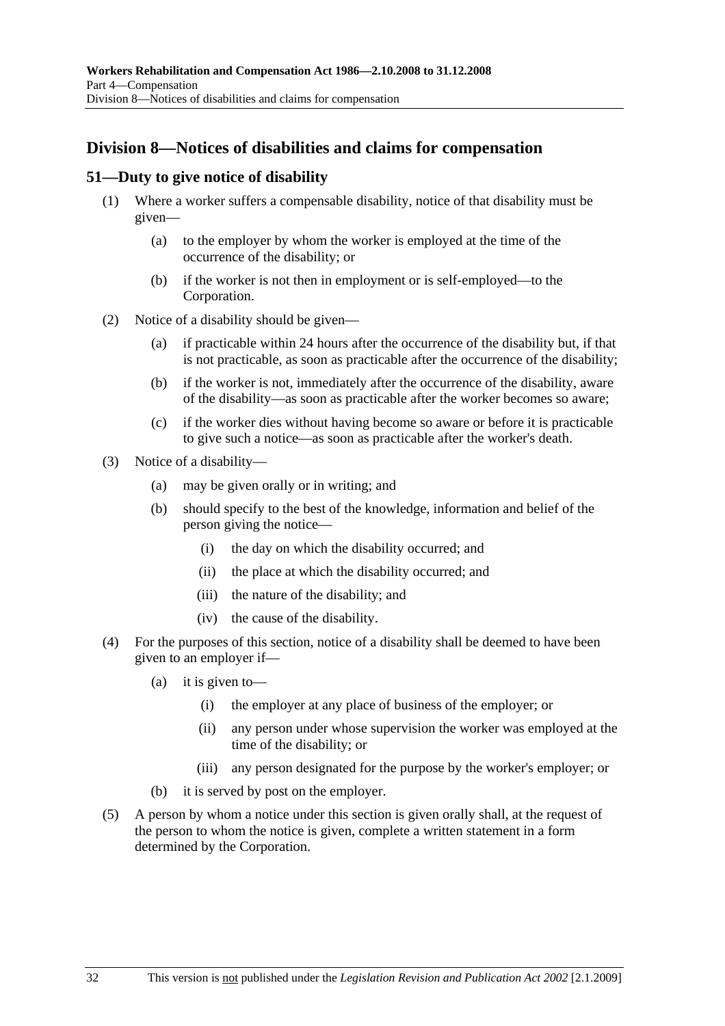# **Division 8—Notices of disabilities and claims for compensation**

#### **51—Duty to give notice of disability**

- (1) Where a worker suffers a compensable disability, notice of that disability must be given—
	- (a) to the employer by whom the worker is employed at the time of the occurrence of the disability; or
	- (b) if the worker is not then in employment or is self-employed—to the Corporation.
- (2) Notice of a disability should be given—
	- (a) if practicable within 24 hours after the occurrence of the disability but, if that is not practicable, as soon as practicable after the occurrence of the disability;
	- (b) if the worker is not, immediately after the occurrence of the disability, aware of the disability—as soon as practicable after the worker becomes so aware;
	- (c) if the worker dies without having become so aware or before it is practicable to give such a notice—as soon as practicable after the worker's death.
- (3) Notice of a disability—
	- (a) may be given orally or in writing; and
	- (b) should specify to the best of the knowledge, information and belief of the person giving the notice—
		- (i) the day on which the disability occurred; and
		- (ii) the place at which the disability occurred; and
		- (iii) the nature of the disability; and
		- (iv) the cause of the disability.
- (4) For the purposes of this section, notice of a disability shall be deemed to have been given to an employer if—
	- (a) it is given to—
		- (i) the employer at any place of business of the employer; or
		- (ii) any person under whose supervision the worker was employed at the time of the disability; or
		- (iii) any person designated for the purpose by the worker's employer; or
	- (b) it is served by post on the employer.
- (5) A person by whom a notice under this section is given orally shall, at the request of the person to whom the notice is given, complete a written statement in a form determined by the Corporation.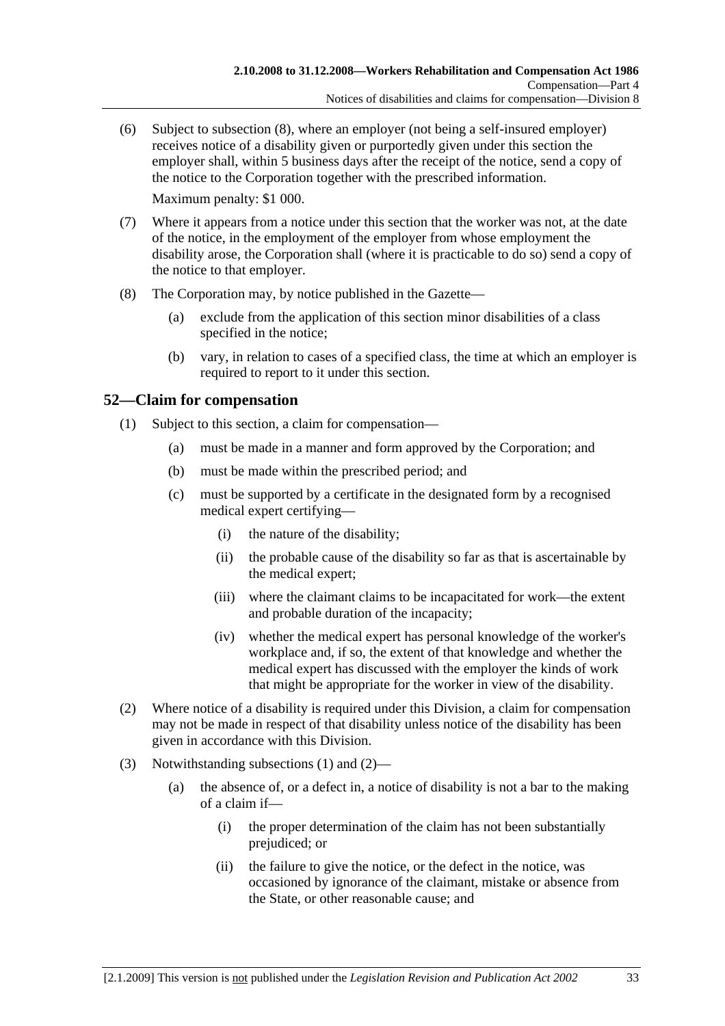(6) Subject to subsection (8), where an employer (not being a self-insured employer) receives notice of a disability given or purportedly given under this section the employer shall, within 5 business days after the receipt of the notice, send a copy of the notice to the Corporation together with the prescribed information.

Maximum penalty: \$1 000.

- (7) Where it appears from a notice under this section that the worker was not, at the date of the notice, in the employment of the employer from whose employment the disability arose, the Corporation shall (where it is practicable to do so) send a copy of the notice to that employer.
- (8) The Corporation may, by notice published in the Gazette—
	- (a) exclude from the application of this section minor disabilities of a class specified in the notice;
	- (b) vary, in relation to cases of a specified class, the time at which an employer is required to report to it under this section.

## **52—Claim for compensation**

- (1) Subject to this section, a claim for compensation—
	- (a) must be made in a manner and form approved by the Corporation; and
	- (b) must be made within the prescribed period; and
	- (c) must be supported by a certificate in the designated form by a recognised medical expert certifying—
		- (i) the nature of the disability;
		- (ii) the probable cause of the disability so far as that is ascertainable by the medical expert;
		- (iii) where the claimant claims to be incapacitated for work—the extent and probable duration of the incapacity;
		- (iv) whether the medical expert has personal knowledge of the worker's workplace and, if so, the extent of that knowledge and whether the medical expert has discussed with the employer the kinds of work that might be appropriate for the worker in view of the disability.
- (2) Where notice of a disability is required under this Division, a claim for compensation may not be made in respect of that disability unless notice of the disability has been given in accordance with this Division.
- (3) Notwithstanding subsections (1) and (2)—
	- (a) the absence of, or a defect in, a notice of disability is not a bar to the making of a claim if—
		- (i) the proper determination of the claim has not been substantially prejudiced; or
		- (ii) the failure to give the notice, or the defect in the notice, was occasioned by ignorance of the claimant, mistake or absence from the State, or other reasonable cause; and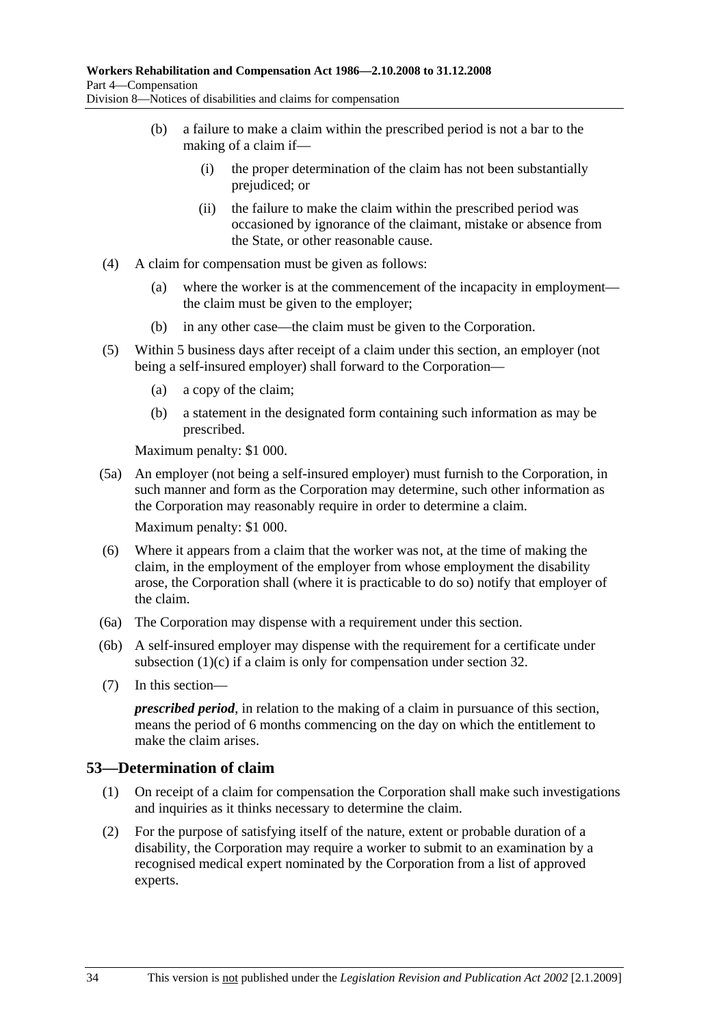- (b) a failure to make a claim within the prescribed period is not a bar to the making of a claim if—
	- (i) the proper determination of the claim has not been substantially prejudiced; or
	- (ii) the failure to make the claim within the prescribed period was occasioned by ignorance of the claimant, mistake or absence from the State, or other reasonable cause.
- (4) A claim for compensation must be given as follows:
	- (a) where the worker is at the commencement of the incapacity in employment the claim must be given to the employer;
	- (b) in any other case—the claim must be given to the Corporation.
- (5) Within 5 business days after receipt of a claim under this section, an employer (not being a self-insured employer) shall forward to the Corporation—
	- (a) a copy of the claim;
	- (b) a statement in the designated form containing such information as may be prescribed.

Maximum penalty: \$1 000.

- (5a) An employer (not being a self-insured employer) must furnish to the Corporation, in such manner and form as the Corporation may determine, such other information as the Corporation may reasonably require in order to determine a claim. Maximum penalty: \$1 000.
- (6) Where it appears from a claim that the worker was not, at the time of making the claim, in the employment of the employer from whose employment the disability arose, the Corporation shall (where it is practicable to do so) notify that employer of the claim.
- (6a) The Corporation may dispense with a requirement under this section.
- (6b) A self-insured employer may dispense with the requirement for a certificate under subsection (1)(c) if a claim is only for compensation under section 32.
- (7) In this section—

*prescribed period*, in relation to the making of a claim in pursuance of this section, means the period of 6 months commencing on the day on which the entitlement to make the claim arises.

### **53—Determination of claim**

- (1) On receipt of a claim for compensation the Corporation shall make such investigations and inquiries as it thinks necessary to determine the claim.
- (2) For the purpose of satisfying itself of the nature, extent or probable duration of a disability, the Corporation may require a worker to submit to an examination by a recognised medical expert nominated by the Corporation from a list of approved experts.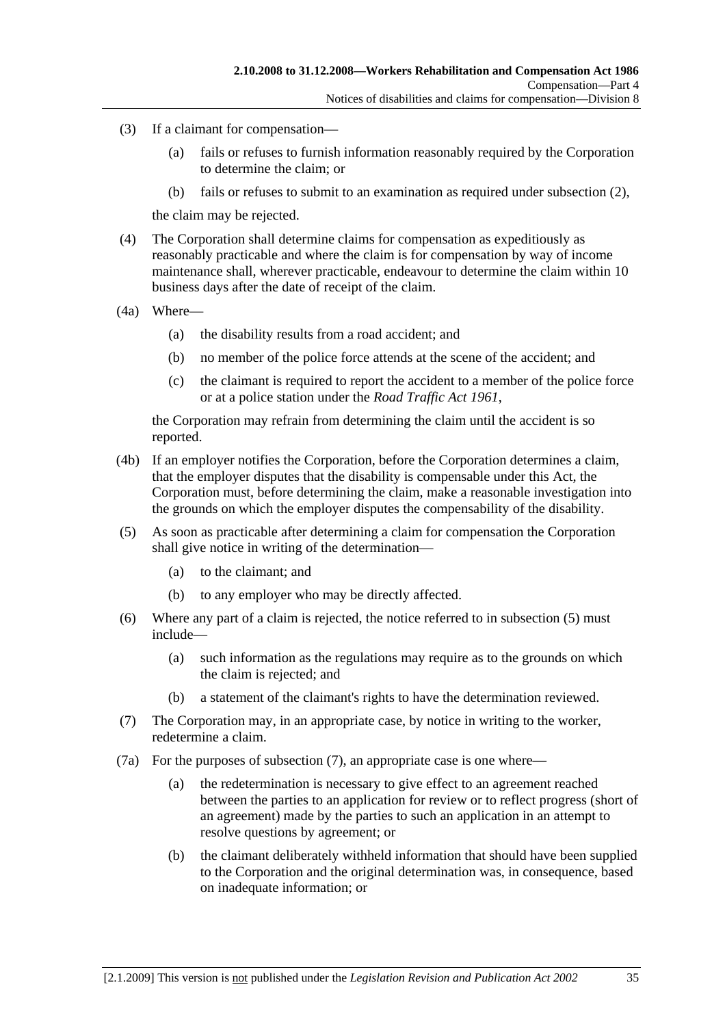- (3) If a claimant for compensation—
	- (a) fails or refuses to furnish information reasonably required by the Corporation to determine the claim; or
	- (b) fails or refuses to submit to an examination as required under subsection (2),

the claim may be rejected.

- (4) The Corporation shall determine claims for compensation as expeditiously as reasonably practicable and where the claim is for compensation by way of income maintenance shall, wherever practicable, endeavour to determine the claim within 10 business days after the date of receipt of the claim.
- (4a) Where—
	- (a) the disability results from a road accident; and
	- (b) no member of the police force attends at the scene of the accident; and
	- (c) the claimant is required to report the accident to a member of the police force or at a police station under the *Road Traffic Act 1961*,

the Corporation may refrain from determining the claim until the accident is so reported.

- (4b) If an employer notifies the Corporation, before the Corporation determines a claim, that the employer disputes that the disability is compensable under this Act, the Corporation must, before determining the claim, make a reasonable investigation into the grounds on which the employer disputes the compensability of the disability.
- (5) As soon as practicable after determining a claim for compensation the Corporation shall give notice in writing of the determination—
	- (a) to the claimant; and
	- (b) to any employer who may be directly affected.
- (6) Where any part of a claim is rejected, the notice referred to in subsection (5) must include—
	- (a) such information as the regulations may require as to the grounds on which the claim is rejected; and
	- (b) a statement of the claimant's rights to have the determination reviewed.
- (7) The Corporation may, in an appropriate case, by notice in writing to the worker, redetermine a claim.
- (7a) For the purposes of subsection (7), an appropriate case is one where—
	- (a) the redetermination is necessary to give effect to an agreement reached between the parties to an application for review or to reflect progress (short of an agreement) made by the parties to such an application in an attempt to resolve questions by agreement; or
	- (b) the claimant deliberately withheld information that should have been supplied to the Corporation and the original determination was, in consequence, based on inadequate information; or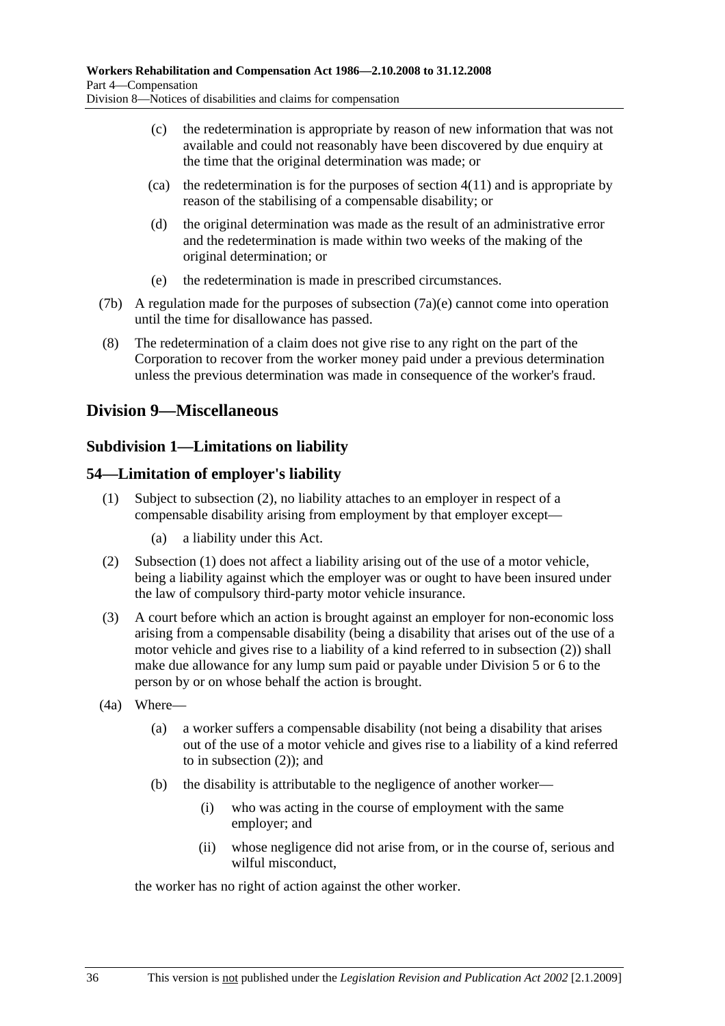- (c) the redetermination is appropriate by reason of new information that was not available and could not reasonably have been discovered by due enquiry at the time that the original determination was made; or
- $\alpha$  (ca) the redetermination is for the purposes of section 4(11) and is appropriate by reason of the stabilising of a compensable disability; or
- (d) the original determination was made as the result of an administrative error and the redetermination is made within two weeks of the making of the original determination; or
- (e) the redetermination is made in prescribed circumstances.
- (7b) A regulation made for the purposes of subsection (7a)(e) cannot come into operation until the time for disallowance has passed.
- (8) The redetermination of a claim does not give rise to any right on the part of the Corporation to recover from the worker money paid under a previous determination unless the previous determination was made in consequence of the worker's fraud.

## **Division 9—Miscellaneous**

### **Subdivision 1—Limitations on liability**

#### **54—Limitation of employer's liability**

- (1) Subject to subsection (2), no liability attaches to an employer in respect of a compensable disability arising from employment by that employer except—
	- (a) a liability under this Act.
- (2) Subsection (1) does not affect a liability arising out of the use of a motor vehicle, being a liability against which the employer was or ought to have been insured under the law of compulsory third-party motor vehicle insurance.
- (3) A court before which an action is brought against an employer for non-economic loss arising from a compensable disability (being a disability that arises out of the use of a motor vehicle and gives rise to a liability of a kind referred to in subsection (2)) shall make due allowance for any lump sum paid or payable under Division 5 or 6 to the person by or on whose behalf the action is brought.
- (4a) Where—
	- (a) a worker suffers a compensable disability (not being a disability that arises out of the use of a motor vehicle and gives rise to a liability of a kind referred to in subsection (2)); and
	- (b) the disability is attributable to the negligence of another worker—
		- (i) who was acting in the course of employment with the same employer; and
		- (ii) whose negligence did not arise from, or in the course of, serious and wilful misconduct.

the worker has no right of action against the other worker.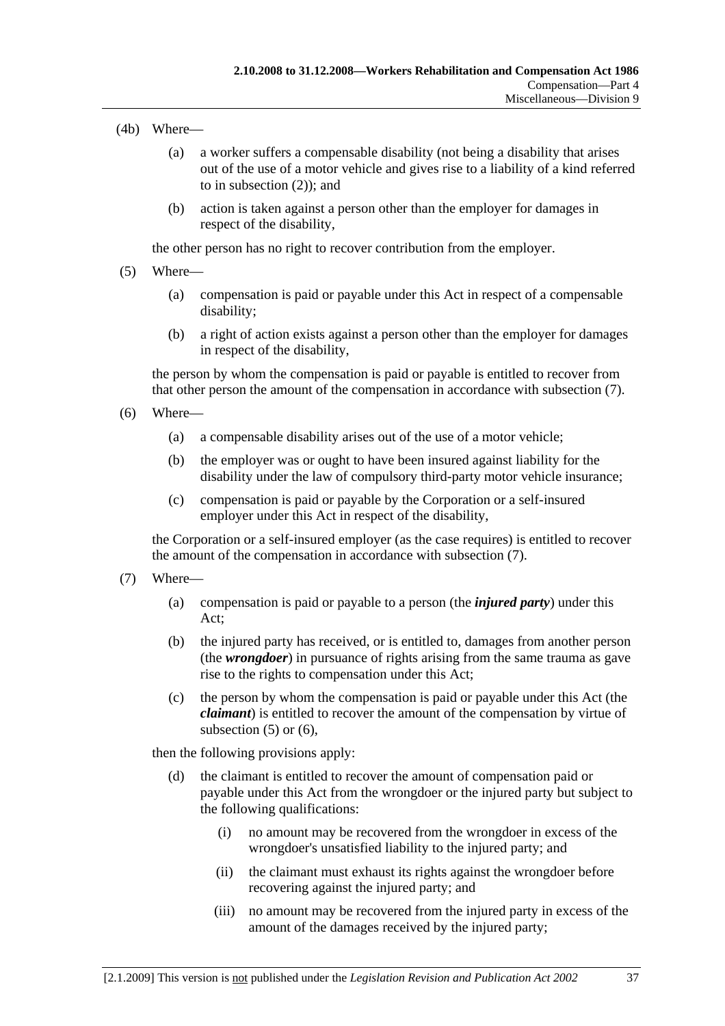#### (4b) Where—

- (a) a worker suffers a compensable disability (not being a disability that arises out of the use of a motor vehicle and gives rise to a liability of a kind referred to in subsection (2)); and
- (b) action is taken against a person other than the employer for damages in respect of the disability,

the other person has no right to recover contribution from the employer.

- (5) Where—
	- (a) compensation is paid or payable under this Act in respect of a compensable disability;
	- (b) a right of action exists against a person other than the employer for damages in respect of the disability,

the person by whom the compensation is paid or payable is entitled to recover from that other person the amount of the compensation in accordance with subsection (7).

- (6) Where—
	- (a) a compensable disability arises out of the use of a motor vehicle;
	- (b) the employer was or ought to have been insured against liability for the disability under the law of compulsory third-party motor vehicle insurance;
	- (c) compensation is paid or payable by the Corporation or a self-insured employer under this Act in respect of the disability,

the Corporation or a self-insured employer (as the case requires) is entitled to recover the amount of the compensation in accordance with subsection (7).

- (7) Where—
	- (a) compensation is paid or payable to a person (the *injured party*) under this Act;
	- (b) the injured party has received, or is entitled to, damages from another person (the *wrongdoer*) in pursuance of rights arising from the same trauma as gave rise to the rights to compensation under this Act;
	- (c) the person by whom the compensation is paid or payable under this Act (the *claimant*) is entitled to recover the amount of the compensation by virtue of subsection  $(5)$  or  $(6)$ ,

then the following provisions apply:

- (d) the claimant is entitled to recover the amount of compensation paid or payable under this Act from the wrongdoer or the injured party but subject to the following qualifications:
	- (i) no amount may be recovered from the wrongdoer in excess of the wrongdoer's unsatisfied liability to the injured party; and
	- (ii) the claimant must exhaust its rights against the wrongdoer before recovering against the injured party; and
	- (iii) no amount may be recovered from the injured party in excess of the amount of the damages received by the injured party;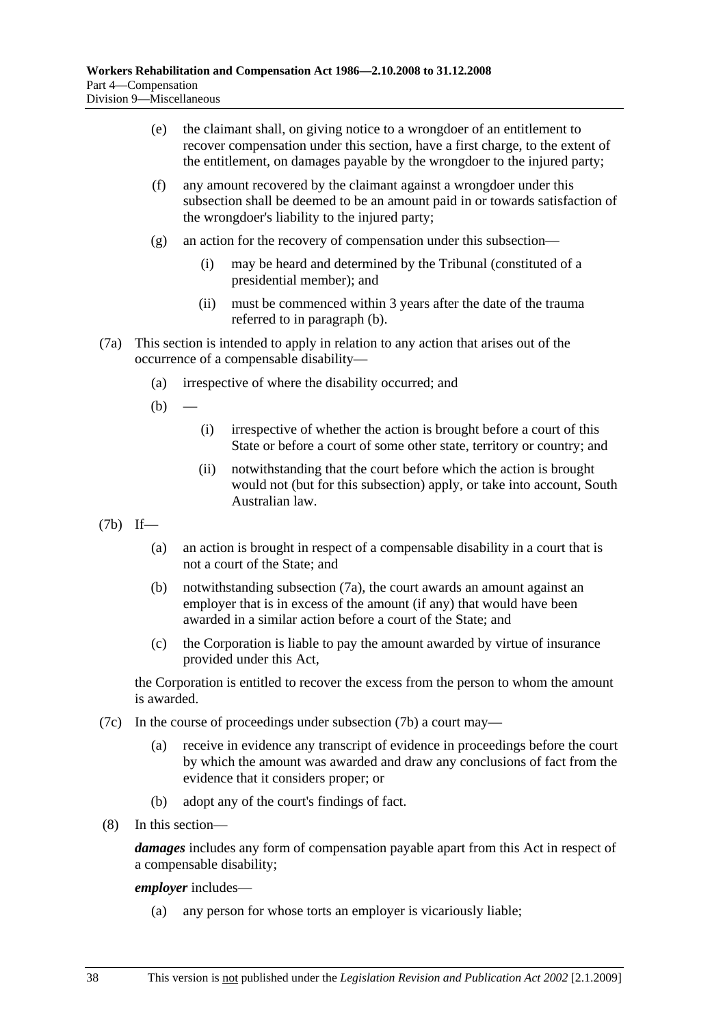- (e) the claimant shall, on giving notice to a wrongdoer of an entitlement to recover compensation under this section, have a first charge, to the extent of the entitlement, on damages payable by the wrongdoer to the injured party;
- (f) any amount recovered by the claimant against a wrongdoer under this subsection shall be deemed to be an amount paid in or towards satisfaction of the wrongdoer's liability to the injured party;
- (g) an action for the recovery of compensation under this subsection—
	- (i) may be heard and determined by the Tribunal (constituted of a presidential member); and
	- (ii) must be commenced within 3 years after the date of the trauma referred to in paragraph (b).
- (7a) This section is intended to apply in relation to any action that arises out of the occurrence of a compensable disability—
	- (a) irrespective of where the disability occurred; and
	- $(b)$
- (i) irrespective of whether the action is brought before a court of this State or before a court of some other state, territory or country; and
- (ii) notwithstanding that the court before which the action is brought would not (but for this subsection) apply, or take into account, South Australian law.
- (7b) If—
	- (a) an action is brought in respect of a compensable disability in a court that is not a court of the State; and
	- (b) notwithstanding subsection (7a), the court awards an amount against an employer that is in excess of the amount (if any) that would have been awarded in a similar action before a court of the State; and
	- (c) the Corporation is liable to pay the amount awarded by virtue of insurance provided under this Act,

the Corporation is entitled to recover the excess from the person to whom the amount is awarded.

- (7c) In the course of proceedings under subsection (7b) a court may—
	- (a) receive in evidence any transcript of evidence in proceedings before the court by which the amount was awarded and draw any conclusions of fact from the evidence that it considers proper; or
	- (b) adopt any of the court's findings of fact.
- (8) In this section—

*damages* includes any form of compensation payable apart from this Act in respect of a compensable disability;

#### *employer* includes—

(a) any person for whose torts an employer is vicariously liable;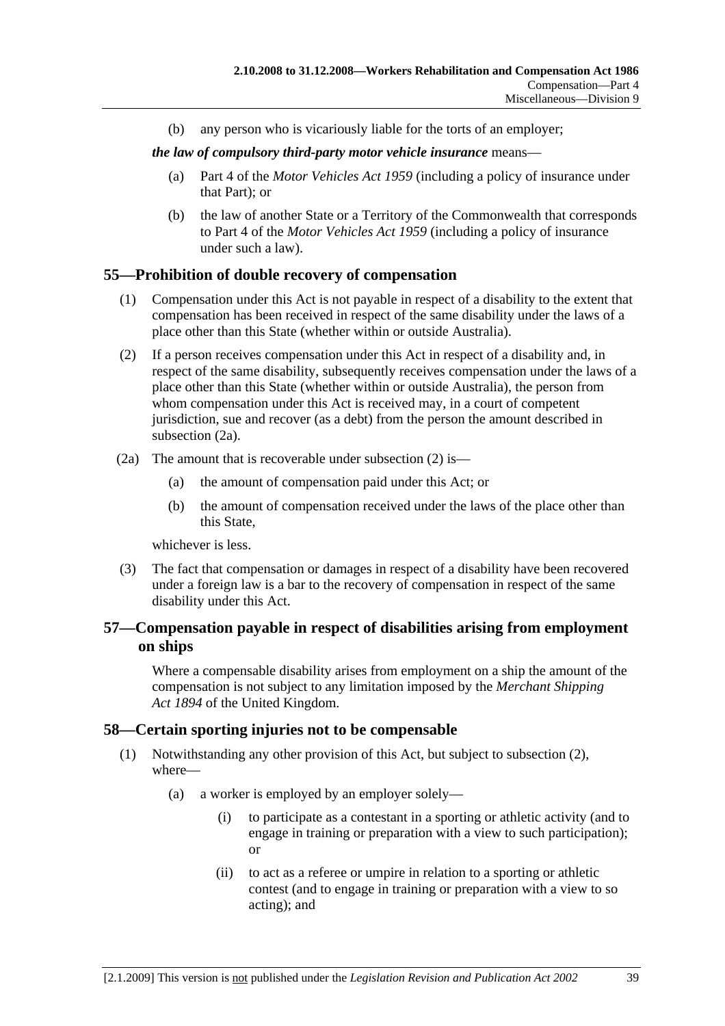(b) any person who is vicariously liable for the torts of an employer;

*the law of compulsory third-party motor vehicle insurance* means—

- (a) Part 4 of the *Motor Vehicles Act 1959* (including a policy of insurance under that Part); or
- (b) the law of another State or a Territory of the Commonwealth that corresponds to Part 4 of the *Motor Vehicles Act 1959* (including a policy of insurance under such a law).

## **55—Prohibition of double recovery of compensation**

- (1) Compensation under this Act is not payable in respect of a disability to the extent that compensation has been received in respect of the same disability under the laws of a place other than this State (whether within or outside Australia).
- (2) If a person receives compensation under this Act in respect of a disability and, in respect of the same disability, subsequently receives compensation under the laws of a place other than this State (whether within or outside Australia), the person from whom compensation under this Act is received may, in a court of competent jurisdiction, sue and recover (as a debt) from the person the amount described in subsection (2a).
- (2a) The amount that is recoverable under subsection (2) is—
	- (a) the amount of compensation paid under this Act; or
	- (b) the amount of compensation received under the laws of the place other than this State,

whichever is less.

 (3) The fact that compensation or damages in respect of a disability have been recovered under a foreign law is a bar to the recovery of compensation in respect of the same disability under this Act.

## **57—Compensation payable in respect of disabilities arising from employment on ships**

Where a compensable disability arises from employment on a ship the amount of the compensation is not subject to any limitation imposed by the *Merchant Shipping Act 1894* of the United Kingdom.

## **58—Certain sporting injuries not to be compensable**

- (1) Notwithstanding any other provision of this Act, but subject to subsection (2), where—
	- (a) a worker is employed by an employer solely—
		- (i) to participate as a contestant in a sporting or athletic activity (and to engage in training or preparation with a view to such participation); or
		- (ii) to act as a referee or umpire in relation to a sporting or athletic contest (and to engage in training or preparation with a view to so acting); and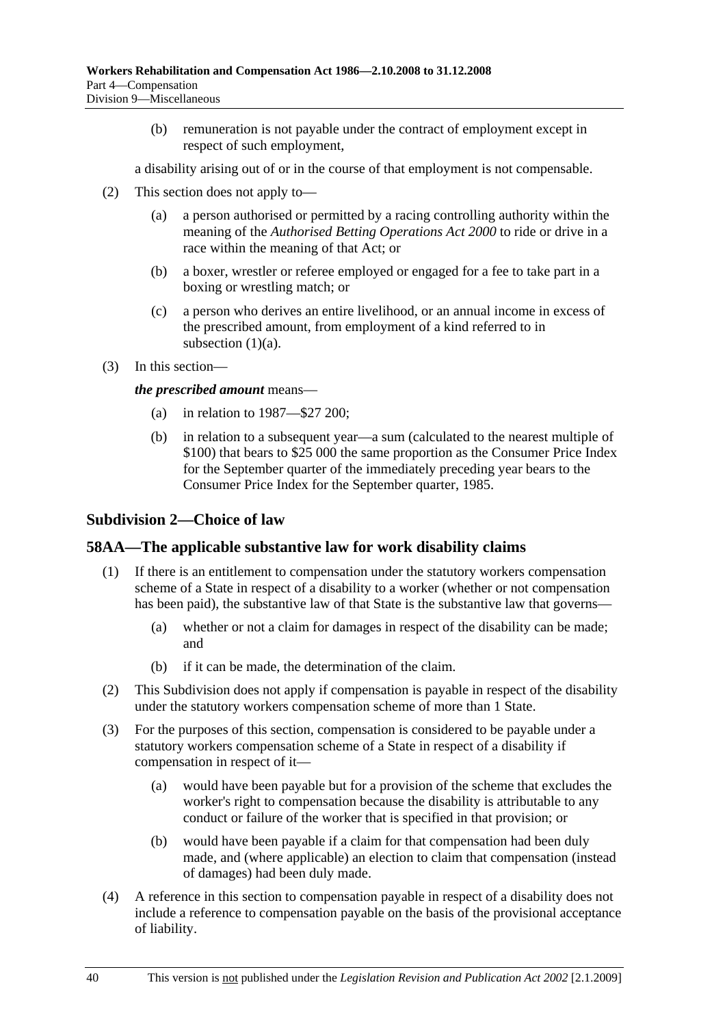(b) remuneration is not payable under the contract of employment except in respect of such employment,

a disability arising out of or in the course of that employment is not compensable.

- (2) This section does not apply to—
	- (a) a person authorised or permitted by a racing controlling authority within the meaning of the *Authorised Betting Operations Act 2000* to ride or drive in a race within the meaning of that Act; or
	- (b) a boxer, wrestler or referee employed or engaged for a fee to take part in a boxing or wrestling match; or
	- (c) a person who derives an entire livelihood, or an annual income in excess of the prescribed amount, from employment of a kind referred to in subsection  $(1)(a)$ .
- (3) In this section—

*the prescribed amount* means—

- (a) in relation to 1987—\$27 200;
- (b) in relation to a subsequent year—a sum (calculated to the nearest multiple of \$100) that bears to \$25 000 the same proportion as the Consumer Price Index for the September quarter of the immediately preceding year bears to the Consumer Price Index for the September quarter, 1985.

#### **Subdivision 2—Choice of law**

#### **58AA—The applicable substantive law for work disability claims**

- (1) If there is an entitlement to compensation under the statutory workers compensation scheme of a State in respect of a disability to a worker (whether or not compensation has been paid), the substantive law of that State is the substantive law that governs—
	- (a) whether or not a claim for damages in respect of the disability can be made; and
	- (b) if it can be made, the determination of the claim.
- (2) This Subdivision does not apply if compensation is payable in respect of the disability under the statutory workers compensation scheme of more than 1 State.
- (3) For the purposes of this section, compensation is considered to be payable under a statutory workers compensation scheme of a State in respect of a disability if compensation in respect of it—
	- (a) would have been payable but for a provision of the scheme that excludes the worker's right to compensation because the disability is attributable to any conduct or failure of the worker that is specified in that provision; or
	- (b) would have been payable if a claim for that compensation had been duly made, and (where applicable) an election to claim that compensation (instead of damages) had been duly made.
- (4) A reference in this section to compensation payable in respect of a disability does not include a reference to compensation payable on the basis of the provisional acceptance of liability.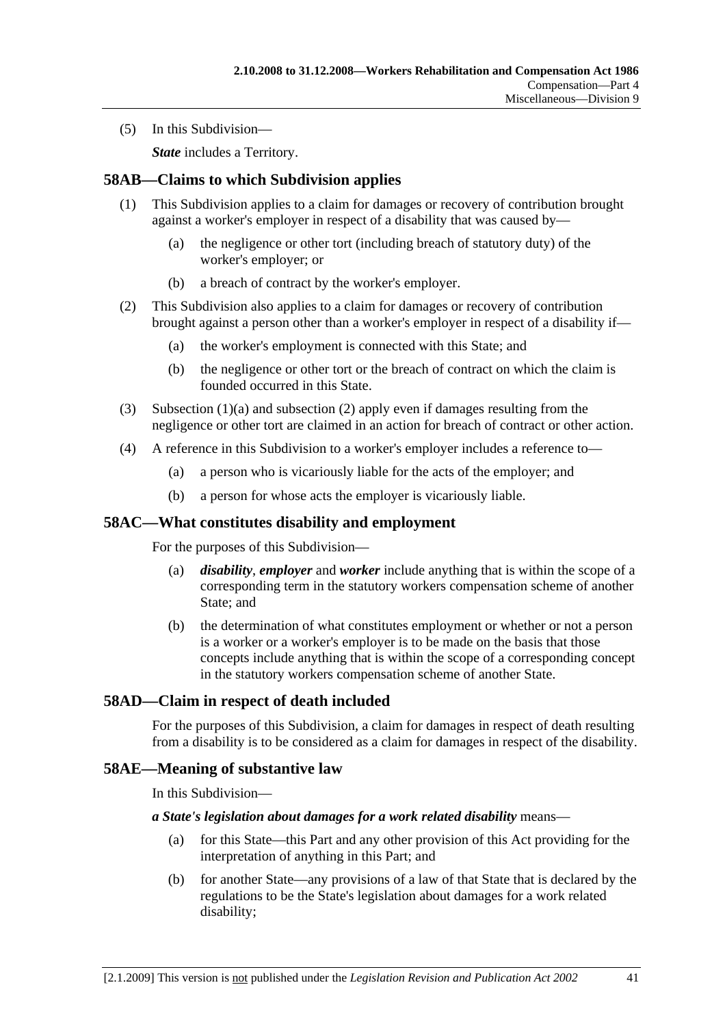(5) In this Subdivision—

*State* includes a Territory.

### **58AB—Claims to which Subdivision applies**

- (1) This Subdivision applies to a claim for damages or recovery of contribution brought against a worker's employer in respect of a disability that was caused by—
	- (a) the negligence or other tort (including breach of statutory duty) of the worker's employer; or
	- (b) a breach of contract by the worker's employer.
- (2) This Subdivision also applies to a claim for damages or recovery of contribution brought against a person other than a worker's employer in respect of a disability if—
	- (a) the worker's employment is connected with this State; and
	- (b) the negligence or other tort or the breach of contract on which the claim is founded occurred in this State.
- (3) Subsection (1)(a) and subsection (2) apply even if damages resulting from the negligence or other tort are claimed in an action for breach of contract or other action.
- (4) A reference in this Subdivision to a worker's employer includes a reference to—
	- (a) a person who is vicariously liable for the acts of the employer; and
	- (b) a person for whose acts the employer is vicariously liable.

#### **58AC—What constitutes disability and employment**

For the purposes of this Subdivision—

- (a) *disability*, *employer* and *worker* include anything that is within the scope of a corresponding term in the statutory workers compensation scheme of another State; and
- (b) the determination of what constitutes employment or whether or not a person is a worker or a worker's employer is to be made on the basis that those concepts include anything that is within the scope of a corresponding concept in the statutory workers compensation scheme of another State.

## **58AD—Claim in respect of death included**

For the purposes of this Subdivision, a claim for damages in respect of death resulting from a disability is to be considered as a claim for damages in respect of the disability.

#### **58AE—Meaning of substantive law**

In this Subdivision—

#### *a State's legislation about damages for a work related disability* means—

- (a) for this State—this Part and any other provision of this Act providing for the interpretation of anything in this Part; and
- (b) for another State—any provisions of a law of that State that is declared by the regulations to be the State's legislation about damages for a work related disability;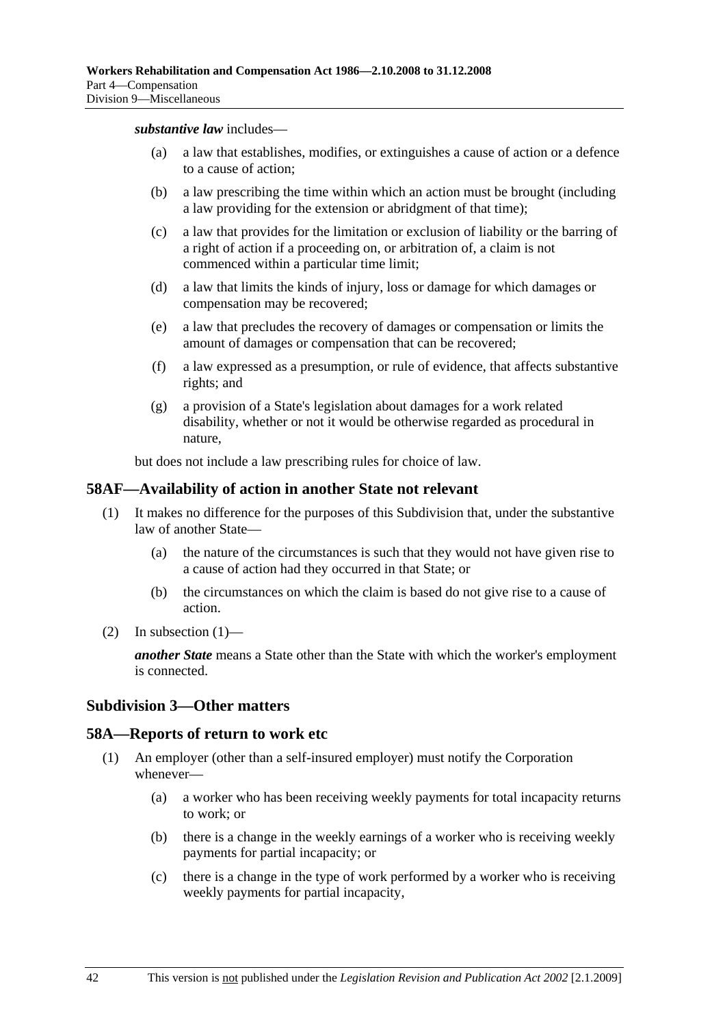*substantive law* includes—

- (a) a law that establishes, modifies, or extinguishes a cause of action or a defence to a cause of action;
- (b) a law prescribing the time within which an action must be brought (including a law providing for the extension or abridgment of that time);
- (c) a law that provides for the limitation or exclusion of liability or the barring of a right of action if a proceeding on, or arbitration of, a claim is not commenced within a particular time limit;
- (d) a law that limits the kinds of injury, loss or damage for which damages or compensation may be recovered;
- (e) a law that precludes the recovery of damages or compensation or limits the amount of damages or compensation that can be recovered;
- (f) a law expressed as a presumption, or rule of evidence, that affects substantive rights; and
- (g) a provision of a State's legislation about damages for a work related disability, whether or not it would be otherwise regarded as procedural in nature,

but does not include a law prescribing rules for choice of law.

#### **58AF—Availability of action in another State not relevant**

- (1) It makes no difference for the purposes of this Subdivision that, under the substantive law of another State—
	- (a) the nature of the circumstances is such that they would not have given rise to a cause of action had they occurred in that State; or
	- (b) the circumstances on which the claim is based do not give rise to a cause of action.
- (2) In subsection  $(1)$ —

*another State* means a State other than the State with which the worker's employment is connected.

#### **Subdivision 3—Other matters**

#### **58A—Reports of return to work etc**

- (1) An employer (other than a self-insured employer) must notify the Corporation whenever—
	- (a) a worker who has been receiving weekly payments for total incapacity returns to work; or
	- (b) there is a change in the weekly earnings of a worker who is receiving weekly payments for partial incapacity; or
	- (c) there is a change in the type of work performed by a worker who is receiving weekly payments for partial incapacity,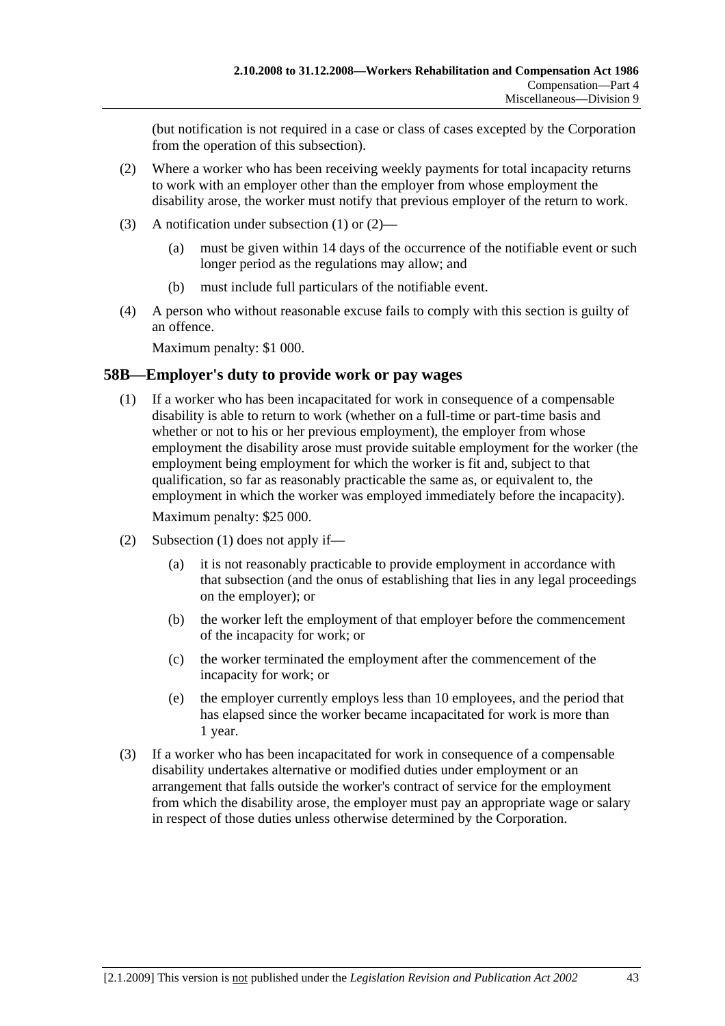(but notification is not required in a case or class of cases excepted by the Corporation from the operation of this subsection).

- (2) Where a worker who has been receiving weekly payments for total incapacity returns to work with an employer other than the employer from whose employment the disability arose, the worker must notify that previous employer of the return to work.
- (3) A notification under subsection (1) or (2)—
	- (a) must be given within 14 days of the occurrence of the notifiable event or such longer period as the regulations may allow; and
	- (b) must include full particulars of the notifiable event.
- (4) A person who without reasonable excuse fails to comply with this section is guilty of an offence.

Maximum penalty: \$1 000.

#### **58B—Employer's duty to provide work or pay wages**

 (1) If a worker who has been incapacitated for work in consequence of a compensable disability is able to return to work (whether on a full-time or part-time basis and whether or not to his or her previous employment), the employer from whose employment the disability arose must provide suitable employment for the worker (the employment being employment for which the worker is fit and, subject to that qualification, so far as reasonably practicable the same as, or equivalent to, the employment in which the worker was employed immediately before the incapacity).

Maximum penalty: \$25 000.

- (2) Subsection (1) does not apply if—
	- (a) it is not reasonably practicable to provide employment in accordance with that subsection (and the onus of establishing that lies in any legal proceedings on the employer); or
	- (b) the worker left the employment of that employer before the commencement of the incapacity for work; or
	- (c) the worker terminated the employment after the commencement of the incapacity for work; or
	- (e) the employer currently employs less than 10 employees, and the period that has elapsed since the worker became incapacitated for work is more than 1 year.
- (3) If a worker who has been incapacitated for work in consequence of a compensable disability undertakes alternative or modified duties under employment or an arrangement that falls outside the worker's contract of service for the employment from which the disability arose, the employer must pay an appropriate wage or salary in respect of those duties unless otherwise determined by the Corporation.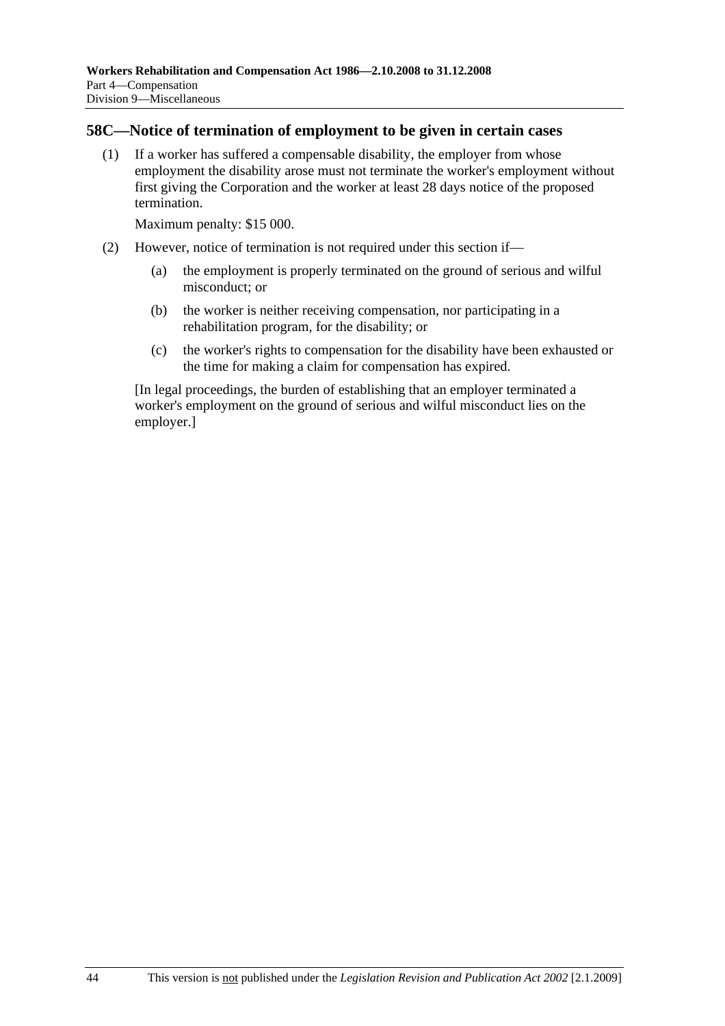#### **58C—Notice of termination of employment to be given in certain cases**

 (1) If a worker has suffered a compensable disability, the employer from whose employment the disability arose must not terminate the worker's employment without first giving the Corporation and the worker at least 28 days notice of the proposed termination.

Maximum penalty: \$15 000.

- (2) However, notice of termination is not required under this section if—
	- (a) the employment is properly terminated on the ground of serious and wilful misconduct; or
	- (b) the worker is neither receiving compensation, nor participating in a rehabilitation program, for the disability; or
	- (c) the worker's rights to compensation for the disability have been exhausted or the time for making a claim for compensation has expired.

[In legal proceedings, the burden of establishing that an employer terminated a worker's employment on the ground of serious and wilful misconduct lies on the employer.]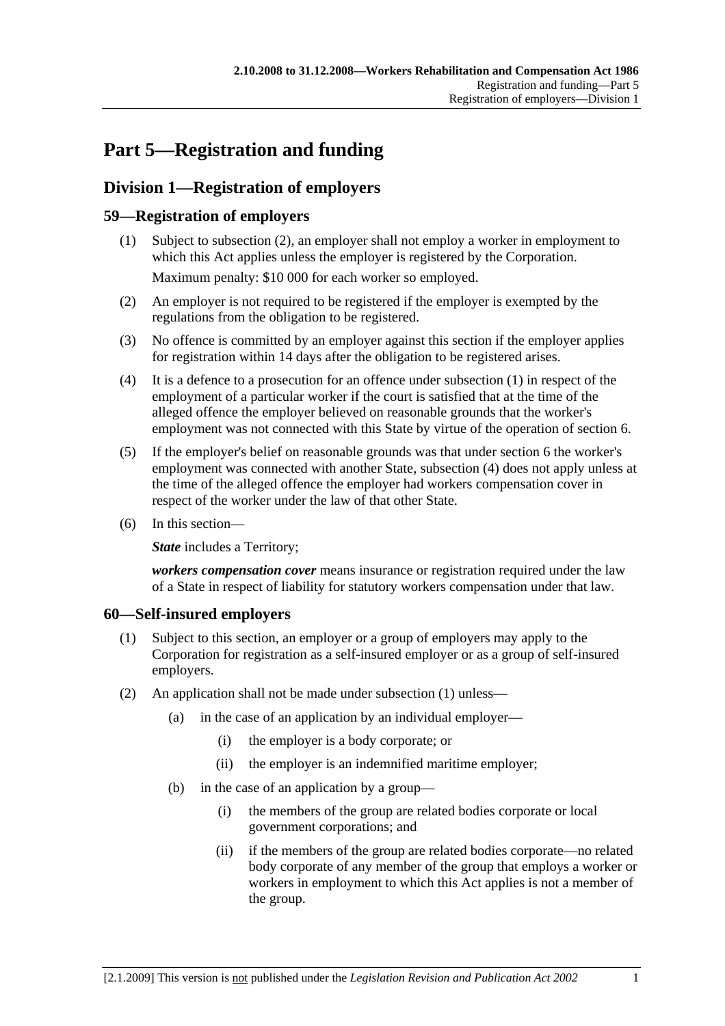# **Part 5—Registration and funding**

## **Division 1—Registration of employers**

## **59—Registration of employers**

- (1) Subject to subsection (2), an employer shall not employ a worker in employment to which this Act applies unless the employer is registered by the Corporation. Maximum penalty: \$10 000 for each worker so employed.
- (2) An employer is not required to be registered if the employer is exempted by the regulations from the obligation to be registered.
- (3) No offence is committed by an employer against this section if the employer applies for registration within 14 days after the obligation to be registered arises.
- (4) It is a defence to a prosecution for an offence under subsection (1) in respect of the employment of a particular worker if the court is satisfied that at the time of the alleged offence the employer believed on reasonable grounds that the worker's employment was not connected with this State by virtue of the operation of section 6.
- (5) If the employer's belief on reasonable grounds was that under section 6 the worker's employment was connected with another State, subsection (4) does not apply unless at the time of the alleged offence the employer had workers compensation cover in respect of the worker under the law of that other State.
- (6) In this section—

**State** includes a Territory;

*workers compensation cover* means insurance or registration required under the law of a State in respect of liability for statutory workers compensation under that law.

## **60—Self-insured employers**

- (1) Subject to this section, an employer or a group of employers may apply to the Corporation for registration as a self-insured employer or as a group of self-insured employers.
- (2) An application shall not be made under subsection (1) unless—
	- (a) in the case of an application by an individual employer—
		- (i) the employer is a body corporate; or
		- (ii) the employer is an indemnified maritime employer;
	- (b) in the case of an application by a group—
		- (i) the members of the group are related bodies corporate or local government corporations; and
		- (ii) if the members of the group are related bodies corporate—no related body corporate of any member of the group that employs a worker or workers in employment to which this Act applies is not a member of the group.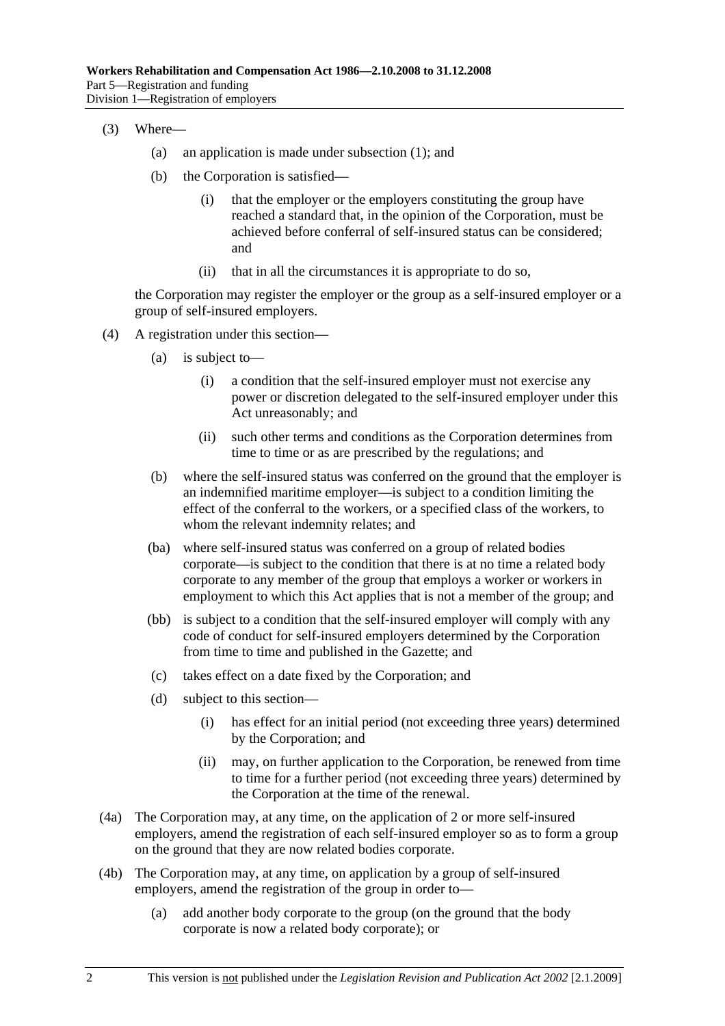- (3) Where—
	- (a) an application is made under subsection (1); and
	- (b) the Corporation is satisfied—
		- (i) that the employer or the employers constituting the group have reached a standard that, in the opinion of the Corporation, must be achieved before conferral of self-insured status can be considered; and
		- (ii) that in all the circumstances it is appropriate to do so,

the Corporation may register the employer or the group as a self-insured employer or a group of self-insured employers.

- (4) A registration under this section—
	- (a) is subject to—
		- (i) a condition that the self-insured employer must not exercise any power or discretion delegated to the self-insured employer under this Act unreasonably; and
		- (ii) such other terms and conditions as the Corporation determines from time to time or as are prescribed by the regulations; and
	- (b) where the self-insured status was conferred on the ground that the employer is an indemnified maritime employer—is subject to a condition limiting the effect of the conferral to the workers, or a specified class of the workers, to whom the relevant indemnity relates; and
	- (ba) where self-insured status was conferred on a group of related bodies corporate—is subject to the condition that there is at no time a related body corporate to any member of the group that employs a worker or workers in employment to which this Act applies that is not a member of the group; and
	- (bb) is subject to a condition that the self-insured employer will comply with any code of conduct for self-insured employers determined by the Corporation from time to time and published in the Gazette; and
	- (c) takes effect on a date fixed by the Corporation; and
	- (d) subject to this section—
		- (i) has effect for an initial period (not exceeding three years) determined by the Corporation; and
		- (ii) may, on further application to the Corporation, be renewed from time to time for a further period (not exceeding three years) determined by the Corporation at the time of the renewal.
- (4a) The Corporation may, at any time, on the application of 2 or more self-insured employers, amend the registration of each self-insured employer so as to form a group on the ground that they are now related bodies corporate.
- (4b) The Corporation may, at any time, on application by a group of self-insured employers, amend the registration of the group in order to—
	- (a) add another body corporate to the group (on the ground that the body corporate is now a related body corporate); or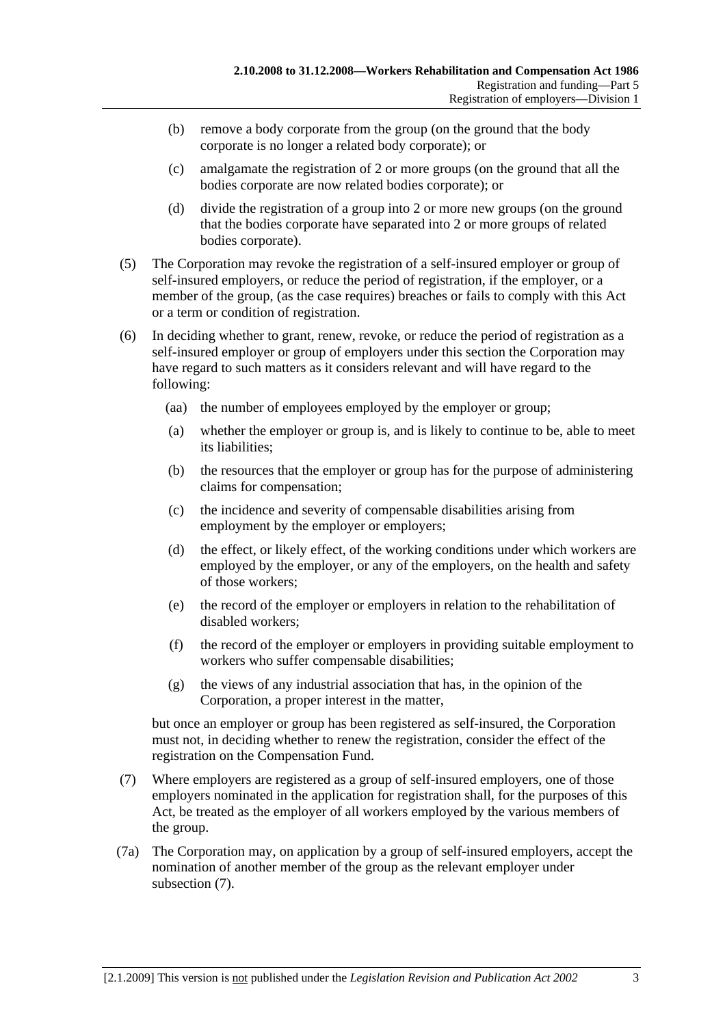- (b) remove a body corporate from the group (on the ground that the body corporate is no longer a related body corporate); or
- (c) amalgamate the registration of 2 or more groups (on the ground that all the bodies corporate are now related bodies corporate); or
- (d) divide the registration of a group into 2 or more new groups (on the ground that the bodies corporate have separated into 2 or more groups of related bodies corporate).
- (5) The Corporation may revoke the registration of a self-insured employer or group of self-insured employers, or reduce the period of registration, if the employer, or a member of the group, (as the case requires) breaches or fails to comply with this Act or a term or condition of registration.
- (6) In deciding whether to grant, renew, revoke, or reduce the period of registration as a self-insured employer or group of employers under this section the Corporation may have regard to such matters as it considers relevant and will have regard to the following:
	- (aa) the number of employees employed by the employer or group;
	- (a) whether the employer or group is, and is likely to continue to be, able to meet its liabilities;
	- (b) the resources that the employer or group has for the purpose of administering claims for compensation;
	- (c) the incidence and severity of compensable disabilities arising from employment by the employer or employers;
	- (d) the effect, or likely effect, of the working conditions under which workers are employed by the employer, or any of the employers, on the health and safety of those workers;
	- (e) the record of the employer or employers in relation to the rehabilitation of disabled workers;
	- (f) the record of the employer or employers in providing suitable employment to workers who suffer compensable disabilities;
	- (g) the views of any industrial association that has, in the opinion of the Corporation, a proper interest in the matter,

but once an employer or group has been registered as self-insured, the Corporation must not, in deciding whether to renew the registration, consider the effect of the registration on the Compensation Fund.

- (7) Where employers are registered as a group of self-insured employers, one of those employers nominated in the application for registration shall, for the purposes of this Act, be treated as the employer of all workers employed by the various members of the group.
- (7a) The Corporation may, on application by a group of self-insured employers, accept the nomination of another member of the group as the relevant employer under subsection (7).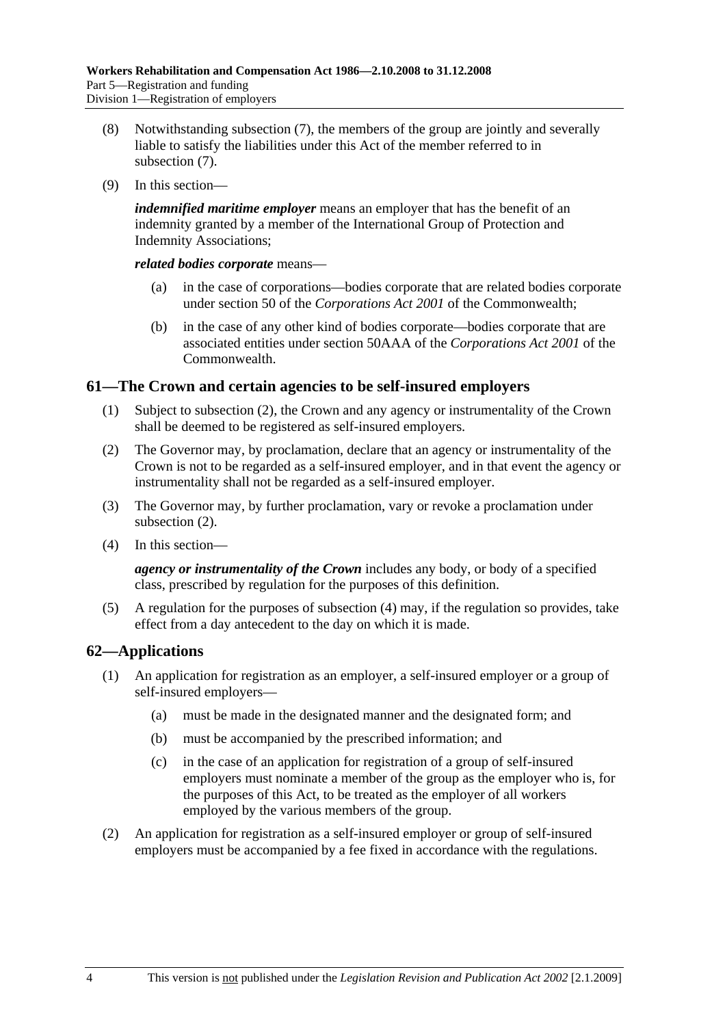- (8) Notwithstanding subsection (7), the members of the group are jointly and severally liable to satisfy the liabilities under this Act of the member referred to in subsection (7).
- (9) In this section—

*indemnified maritime employer* means an employer that has the benefit of an indemnity granted by a member of the International Group of Protection and Indemnity Associations;

*related bodies corporate* means—

- (a) in the case of corporations—bodies corporate that are related bodies corporate under section 50 of the *Corporations Act 2001* of the Commonwealth;
- (b) in the case of any other kind of bodies corporate—bodies corporate that are associated entities under section 50AAA of the *Corporations Act 2001* of the **Commonwealth**

## **61—The Crown and certain agencies to be self-insured employers**

- (1) Subject to subsection (2), the Crown and any agency or instrumentality of the Crown shall be deemed to be registered as self-insured employers.
- (2) The Governor may, by proclamation, declare that an agency or instrumentality of the Crown is not to be regarded as a self-insured employer, and in that event the agency or instrumentality shall not be regarded as a self-insured employer.
- (3) The Governor may, by further proclamation, vary or revoke a proclamation under subsection (2).
- (4) In this section—

*agency or instrumentality of the Crown* includes any body, or body of a specified class, prescribed by regulation for the purposes of this definition.

 (5) A regulation for the purposes of subsection (4) may, if the regulation so provides, take effect from a day antecedent to the day on which it is made.

## **62—Applications**

- (1) An application for registration as an employer, a self-insured employer or a group of self-insured employers—
	- (a) must be made in the designated manner and the designated form; and
	- (b) must be accompanied by the prescribed information; and
	- (c) in the case of an application for registration of a group of self-insured employers must nominate a member of the group as the employer who is, for the purposes of this Act, to be treated as the employer of all workers employed by the various members of the group.
- (2) An application for registration as a self-insured employer or group of self-insured employers must be accompanied by a fee fixed in accordance with the regulations.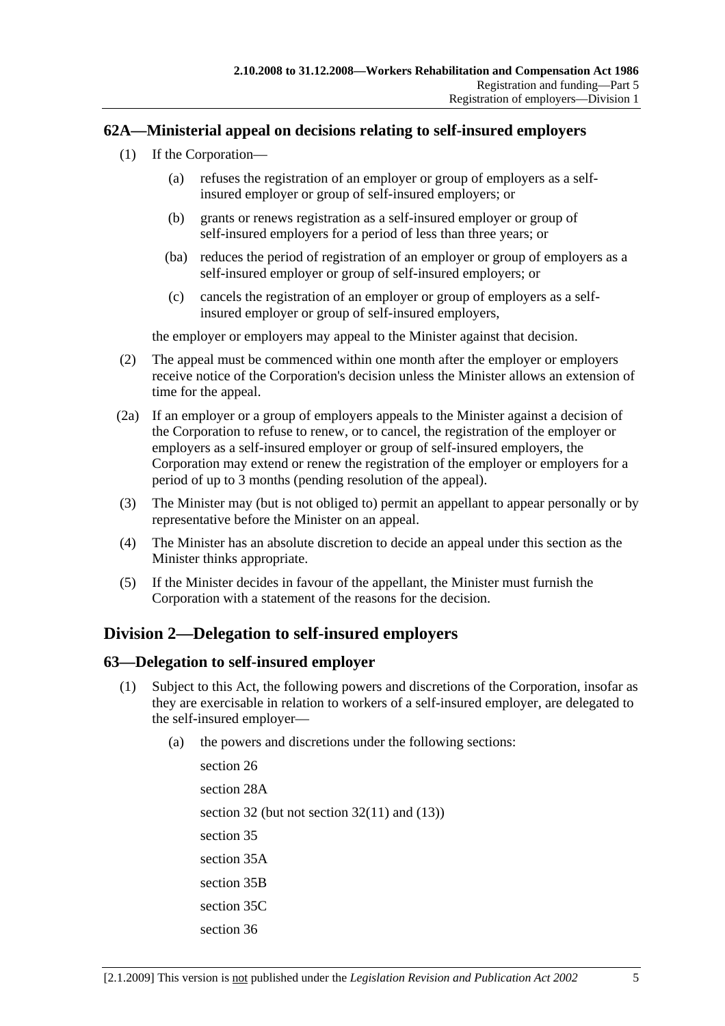## **62A—Ministerial appeal on decisions relating to self-insured employers**

- (1) If the Corporation—
	- (a) refuses the registration of an employer or group of employers as a selfinsured employer or group of self-insured employers; or
	- (b) grants or renews registration as a self-insured employer or group of self-insured employers for a period of less than three years; or
	- (ba) reduces the period of registration of an employer or group of employers as a self-insured employer or group of self-insured employers; or
	- (c) cancels the registration of an employer or group of employers as a selfinsured employer or group of self-insured employers,

the employer or employers may appeal to the Minister against that decision.

- (2) The appeal must be commenced within one month after the employer or employers receive notice of the Corporation's decision unless the Minister allows an extension of time for the appeal.
- (2a) If an employer or a group of employers appeals to the Minister against a decision of the Corporation to refuse to renew, or to cancel, the registration of the employer or employers as a self-insured employer or group of self-insured employers, the Corporation may extend or renew the registration of the employer or employers for a period of up to 3 months (pending resolution of the appeal).
- (3) The Minister may (but is not obliged to) permit an appellant to appear personally or by representative before the Minister on an appeal.
- (4) The Minister has an absolute discretion to decide an appeal under this section as the Minister thinks appropriate.
- (5) If the Minister decides in favour of the appellant, the Minister must furnish the Corporation with a statement of the reasons for the decision.

## **Division 2—Delegation to self-insured employers**

## **63—Delegation to self-insured employer**

- (1) Subject to this Act, the following powers and discretions of the Corporation, insofar as they are exercisable in relation to workers of a self-insured employer, are delegated to the self-insured employer—
	- (a) the powers and discretions under the following sections:

section 26 section 28A section 32 (but not section  $32(11)$  and  $(13)$ ) section 35 section 35A section 35B section 35C section 36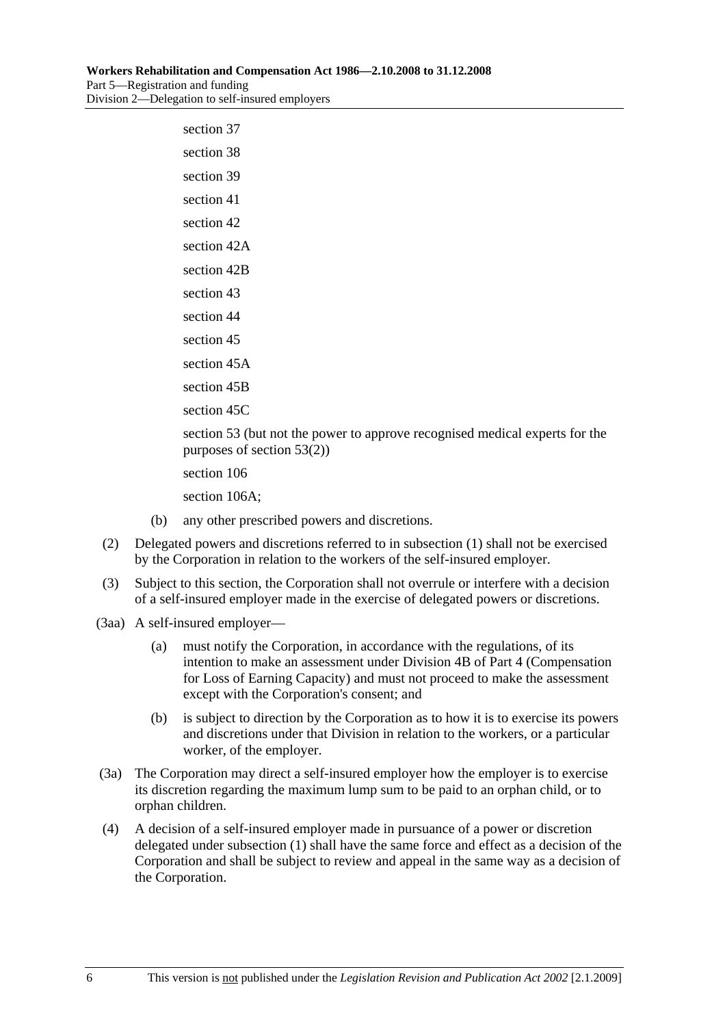| section 37                                                                                                   |
|--------------------------------------------------------------------------------------------------------------|
| section 38                                                                                                   |
| section 39                                                                                                   |
| section 41                                                                                                   |
| section 42                                                                                                   |
| section 42A                                                                                                  |
| section 42B                                                                                                  |
| section 43                                                                                                   |
| section 44                                                                                                   |
| section 45                                                                                                   |
| section 45A                                                                                                  |
| section 45B                                                                                                  |
| section 45C                                                                                                  |
| section 53 (but not the power to approve recognised medical experts for the<br>purposes of section $53(2)$ ) |
| section 106                                                                                                  |
| section 106A;                                                                                                |

- (b) any other prescribed powers and discretions.
- (2) Delegated powers and discretions referred to in subsection (1) shall not be exercised by the Corporation in relation to the workers of the self-insured employer.
- (3) Subject to this section, the Corporation shall not overrule or interfere with a decision of a self-insured employer made in the exercise of delegated powers or discretions.
- (3aa) A self-insured employer—
	- (a) must notify the Corporation, in accordance with the regulations, of its intention to make an assessment under Division 4B of Part 4 (Compensation for Loss of Earning Capacity) and must not proceed to make the assessment except with the Corporation's consent; and
	- (b) is subject to direction by the Corporation as to how it is to exercise its powers and discretions under that Division in relation to the workers, or a particular worker, of the employer.
- (3a) The Corporation may direct a self-insured employer how the employer is to exercise its discretion regarding the maximum lump sum to be paid to an orphan child, or to orphan children.
- (4) A decision of a self-insured employer made in pursuance of a power or discretion delegated under subsection (1) shall have the same force and effect as a decision of the Corporation and shall be subject to review and appeal in the same way as a decision of the Corporation.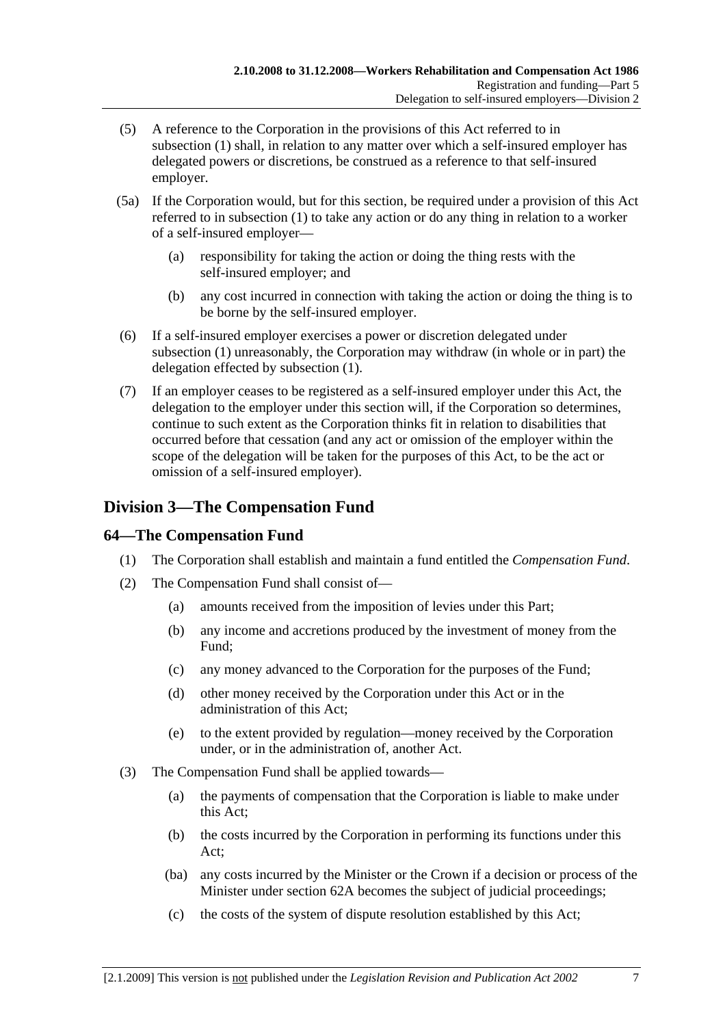- (5) A reference to the Corporation in the provisions of this Act referred to in subsection (1) shall, in relation to any matter over which a self-insured employer has delegated powers or discretions, be construed as a reference to that self-insured employer.
- (5a) If the Corporation would, but for this section, be required under a provision of this Act referred to in subsection (1) to take any action or do any thing in relation to a worker of a self-insured employer—
	- (a) responsibility for taking the action or doing the thing rests with the self-insured employer; and
	- (b) any cost incurred in connection with taking the action or doing the thing is to be borne by the self-insured employer.
- (6) If a self-insured employer exercises a power or discretion delegated under subsection (1) unreasonably, the Corporation may withdraw (in whole or in part) the delegation effected by subsection (1).
- (7) If an employer ceases to be registered as a self-insured employer under this Act, the delegation to the employer under this section will, if the Corporation so determines, continue to such extent as the Corporation thinks fit in relation to disabilities that occurred before that cessation (and any act or omission of the employer within the scope of the delegation will be taken for the purposes of this Act, to be the act or omission of a self-insured employer).

## **Division 3—The Compensation Fund**

## **64—The Compensation Fund**

- (1) The Corporation shall establish and maintain a fund entitled the *Compensation Fund*.
- (2) The Compensation Fund shall consist of—
	- (a) amounts received from the imposition of levies under this Part;
	- (b) any income and accretions produced by the investment of money from the Fund;
	- (c) any money advanced to the Corporation for the purposes of the Fund;
	- (d) other money received by the Corporation under this Act or in the administration of this Act;
	- (e) to the extent provided by regulation—money received by the Corporation under, or in the administration of, another Act.
- (3) The Compensation Fund shall be applied towards—
	- (a) the payments of compensation that the Corporation is liable to make under this Act;
	- (b) the costs incurred by the Corporation in performing its functions under this Act;
	- (ba) any costs incurred by the Minister or the Crown if a decision or process of the Minister under section 62A becomes the subject of judicial proceedings;
	- (c) the costs of the system of dispute resolution established by this Act;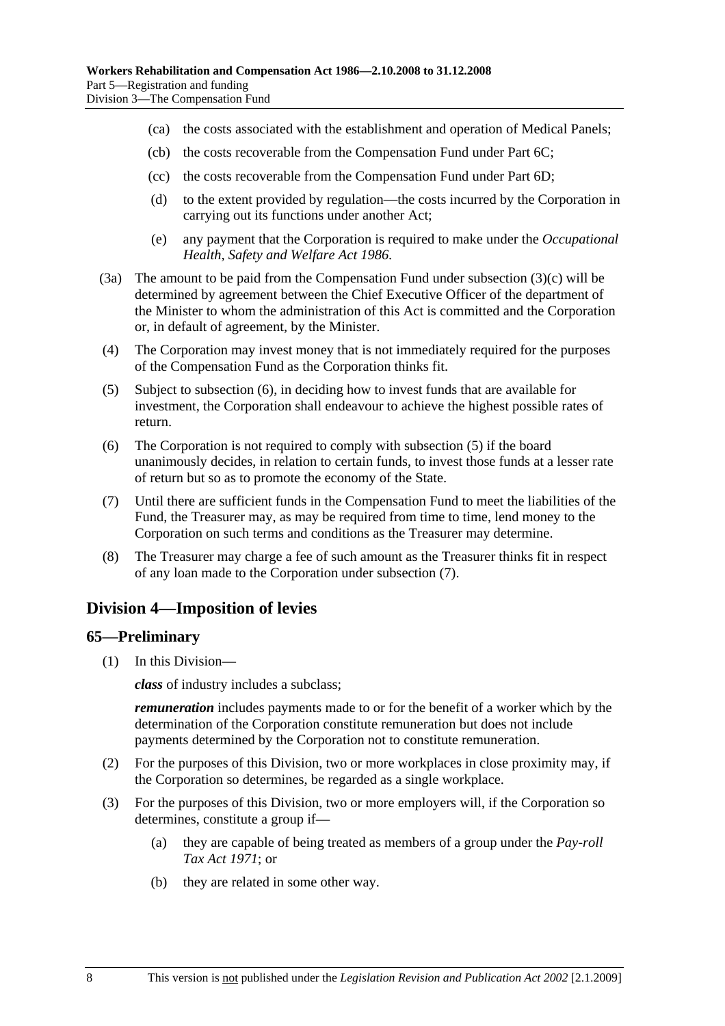- (ca) the costs associated with the establishment and operation of Medical Panels;
- (cb) the costs recoverable from the Compensation Fund under Part 6C;
- (cc) the costs recoverable from the Compensation Fund under Part 6D;
- (d) to the extent provided by regulation—the costs incurred by the Corporation in carrying out its functions under another Act;
- (e) any payment that the Corporation is required to make under the *Occupational Health, Safety and Welfare Act 1986*.
- (3a) The amount to be paid from the Compensation Fund under subsection (3)(c) will be determined by agreement between the Chief Executive Officer of the department of the Minister to whom the administration of this Act is committed and the Corporation or, in default of agreement, by the Minister.
- (4) The Corporation may invest money that is not immediately required for the purposes of the Compensation Fund as the Corporation thinks fit.
- (5) Subject to subsection (6), in deciding how to invest funds that are available for investment, the Corporation shall endeavour to achieve the highest possible rates of return.
- (6) The Corporation is not required to comply with subsection (5) if the board unanimously decides, in relation to certain funds, to invest those funds at a lesser rate of return but so as to promote the economy of the State.
- (7) Until there are sufficient funds in the Compensation Fund to meet the liabilities of the Fund, the Treasurer may, as may be required from time to time, lend money to the Corporation on such terms and conditions as the Treasurer may determine.
- (8) The Treasurer may charge a fee of such amount as the Treasurer thinks fit in respect of any loan made to the Corporation under subsection (7).

## **Division 4—Imposition of levies**

#### **65—Preliminary**

(1) In this Division—

*class* of industry includes a subclass;

*remuneration* includes payments made to or for the benefit of a worker which by the determination of the Corporation constitute remuneration but does not include payments determined by the Corporation not to constitute remuneration.

- (2) For the purposes of this Division, two or more workplaces in close proximity may, if the Corporation so determines, be regarded as a single workplace.
- (3) For the purposes of this Division, two or more employers will, if the Corporation so determines, constitute a group if—
	- (a) they are capable of being treated as members of a group under the *Pay-roll Tax Act 1971*; or
	- (b) they are related in some other way.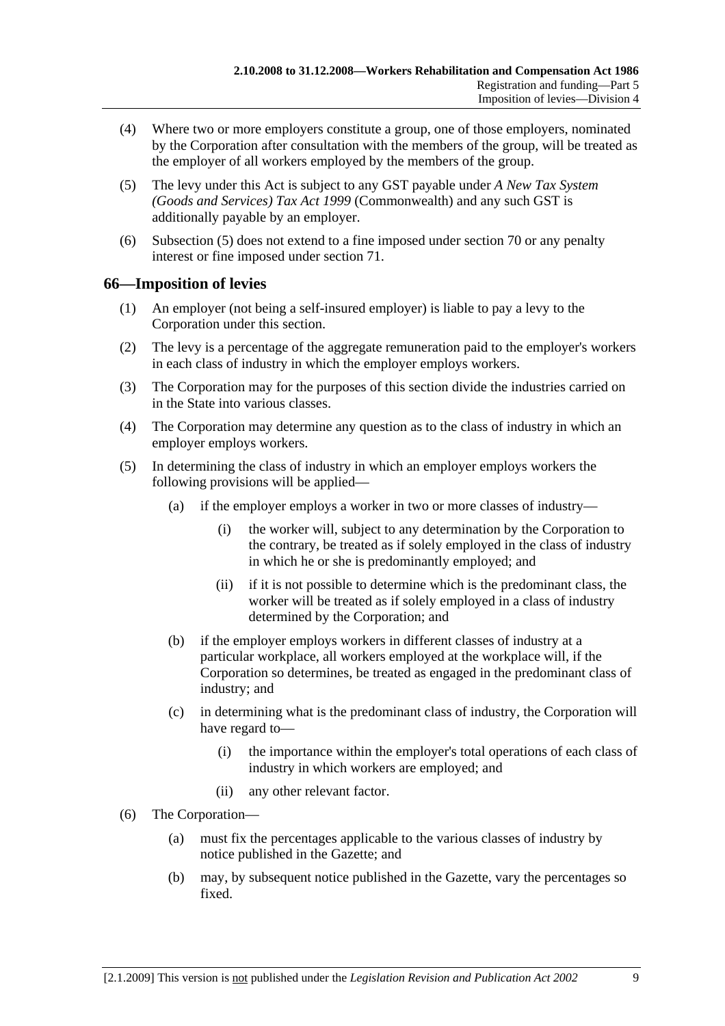- (4) Where two or more employers constitute a group, one of those employers, nominated by the Corporation after consultation with the members of the group, will be treated as the employer of all workers employed by the members of the group.
- (5) The levy under this Act is subject to any GST payable under *A New Tax System (Goods and Services) Tax Act 1999* (Commonwealth) and any such GST is additionally payable by an employer.
- (6) Subsection (5) does not extend to a fine imposed under section 70 or any penalty interest or fine imposed under section 71.

#### **66—Imposition of levies**

- (1) An employer (not being a self-insured employer) is liable to pay a levy to the Corporation under this section.
- (2) The levy is a percentage of the aggregate remuneration paid to the employer's workers in each class of industry in which the employer employs workers.
- (3) The Corporation may for the purposes of this section divide the industries carried on in the State into various classes.
- (4) The Corporation may determine any question as to the class of industry in which an employer employs workers.
- (5) In determining the class of industry in which an employer employs workers the following provisions will be applied—
	- (a) if the employer employs a worker in two or more classes of industry—
		- (i) the worker will, subject to any determination by the Corporation to the contrary, be treated as if solely employed in the class of industry in which he or she is predominantly employed; and
		- (ii) if it is not possible to determine which is the predominant class, the worker will be treated as if solely employed in a class of industry determined by the Corporation; and
	- (b) if the employer employs workers in different classes of industry at a particular workplace, all workers employed at the workplace will, if the Corporation so determines, be treated as engaged in the predominant class of industry; and
	- (c) in determining what is the predominant class of industry, the Corporation will have regard to—
		- (i) the importance within the employer's total operations of each class of industry in which workers are employed; and
		- (ii) any other relevant factor.
- (6) The Corporation—
	- (a) must fix the percentages applicable to the various classes of industry by notice published in the Gazette; and
	- (b) may, by subsequent notice published in the Gazette, vary the percentages so fixed.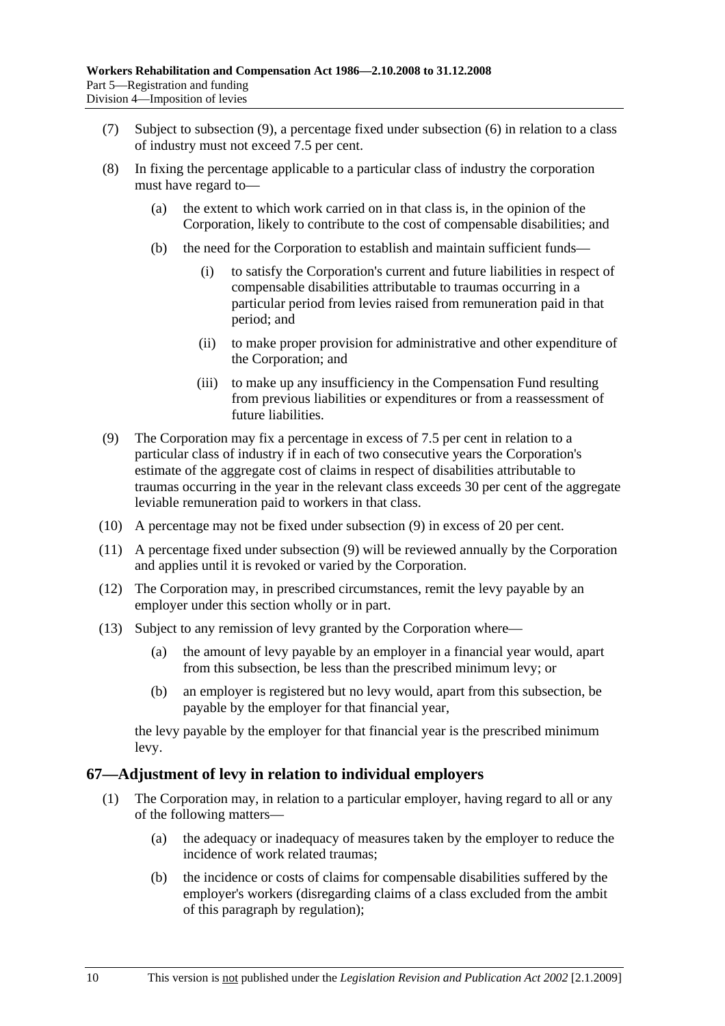- (7) Subject to subsection (9), a percentage fixed under subsection (6) in relation to a class of industry must not exceed 7.5 per cent.
- (8) In fixing the percentage applicable to a particular class of industry the corporation must have regard to—
	- (a) the extent to which work carried on in that class is, in the opinion of the Corporation, likely to contribute to the cost of compensable disabilities; and
	- (b) the need for the Corporation to establish and maintain sufficient funds—
		- (i) to satisfy the Corporation's current and future liabilities in respect of compensable disabilities attributable to traumas occurring in a particular period from levies raised from remuneration paid in that period; and
		- (ii) to make proper provision for administrative and other expenditure of the Corporation; and
		- (iii) to make up any insufficiency in the Compensation Fund resulting from previous liabilities or expenditures or from a reassessment of future liabilities.
- (9) The Corporation may fix a percentage in excess of 7.5 per cent in relation to a particular class of industry if in each of two consecutive years the Corporation's estimate of the aggregate cost of claims in respect of disabilities attributable to traumas occurring in the year in the relevant class exceeds 30 per cent of the aggregate leviable remuneration paid to workers in that class.
- (10) A percentage may not be fixed under subsection (9) in excess of 20 per cent.
- (11) A percentage fixed under subsection (9) will be reviewed annually by the Corporation and applies until it is revoked or varied by the Corporation.
- (12) The Corporation may, in prescribed circumstances, remit the levy payable by an employer under this section wholly or in part.
- (13) Subject to any remission of levy granted by the Corporation where—
	- (a) the amount of levy payable by an employer in a financial year would, apart from this subsection, be less than the prescribed minimum levy; or
	- (b) an employer is registered but no levy would, apart from this subsection, be payable by the employer for that financial year,

the levy payable by the employer for that financial year is the prescribed minimum levy.

## **67—Adjustment of levy in relation to individual employers**

- (1) The Corporation may, in relation to a particular employer, having regard to all or any of the following matters—
	- (a) the adequacy or inadequacy of measures taken by the employer to reduce the incidence of work related traumas;
	- (b) the incidence or costs of claims for compensable disabilities suffered by the employer's workers (disregarding claims of a class excluded from the ambit of this paragraph by regulation);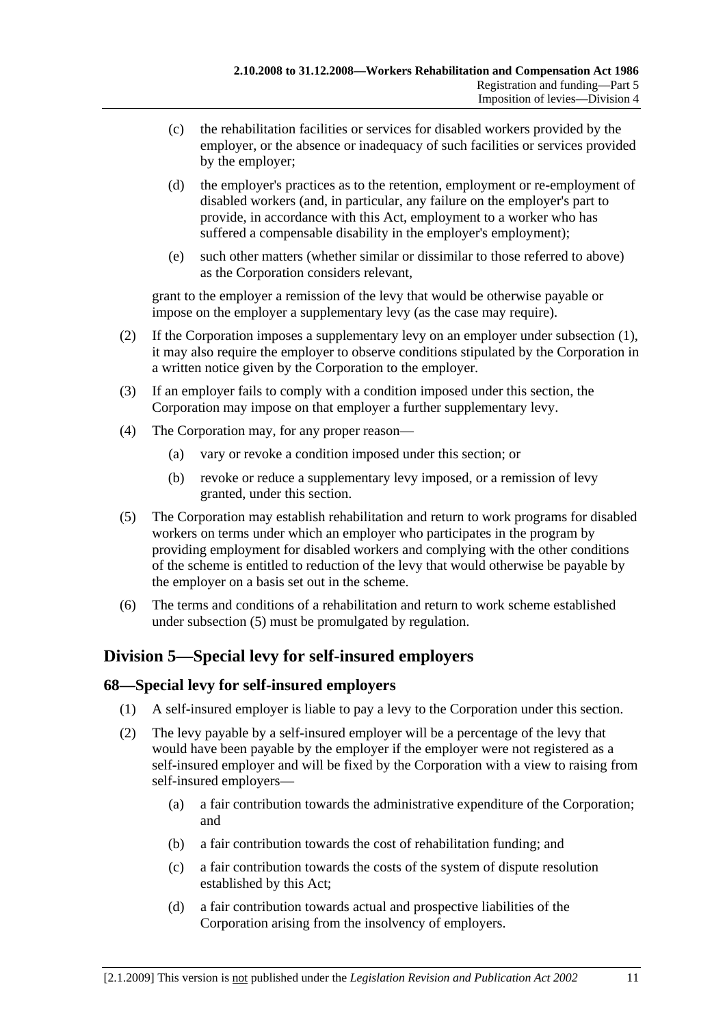- (c) the rehabilitation facilities or services for disabled workers provided by the employer, or the absence or inadequacy of such facilities or services provided by the employer;
- (d) the employer's practices as to the retention, employment or re-employment of disabled workers (and, in particular, any failure on the employer's part to provide, in accordance with this Act, employment to a worker who has suffered a compensable disability in the employer's employment);
- (e) such other matters (whether similar or dissimilar to those referred to above) as the Corporation considers relevant,

grant to the employer a remission of the levy that would be otherwise payable or impose on the employer a supplementary levy (as the case may require).

- (2) If the Corporation imposes a supplementary levy on an employer under subsection (1), it may also require the employer to observe conditions stipulated by the Corporation in a written notice given by the Corporation to the employer.
- (3) If an employer fails to comply with a condition imposed under this section, the Corporation may impose on that employer a further supplementary levy.
- (4) The Corporation may, for any proper reason—
	- (a) vary or revoke a condition imposed under this section; or
	- (b) revoke or reduce a supplementary levy imposed, or a remission of levy granted, under this section.
- (5) The Corporation may establish rehabilitation and return to work programs for disabled workers on terms under which an employer who participates in the program by providing employment for disabled workers and complying with the other conditions of the scheme is entitled to reduction of the levy that would otherwise be payable by the employer on a basis set out in the scheme.
- (6) The terms and conditions of a rehabilitation and return to work scheme established under subsection (5) must be promulgated by regulation.

## **Division 5—Special levy for self-insured employers**

## **68—Special levy for self-insured employers**

- (1) A self-insured employer is liable to pay a levy to the Corporation under this section.
- (2) The levy payable by a self-insured employer will be a percentage of the levy that would have been payable by the employer if the employer were not registered as a self-insured employer and will be fixed by the Corporation with a view to raising from self-insured employers—
	- (a) a fair contribution towards the administrative expenditure of the Corporation; and
	- (b) a fair contribution towards the cost of rehabilitation funding; and
	- (c) a fair contribution towards the costs of the system of dispute resolution established by this Act;
	- (d) a fair contribution towards actual and prospective liabilities of the Corporation arising from the insolvency of employers.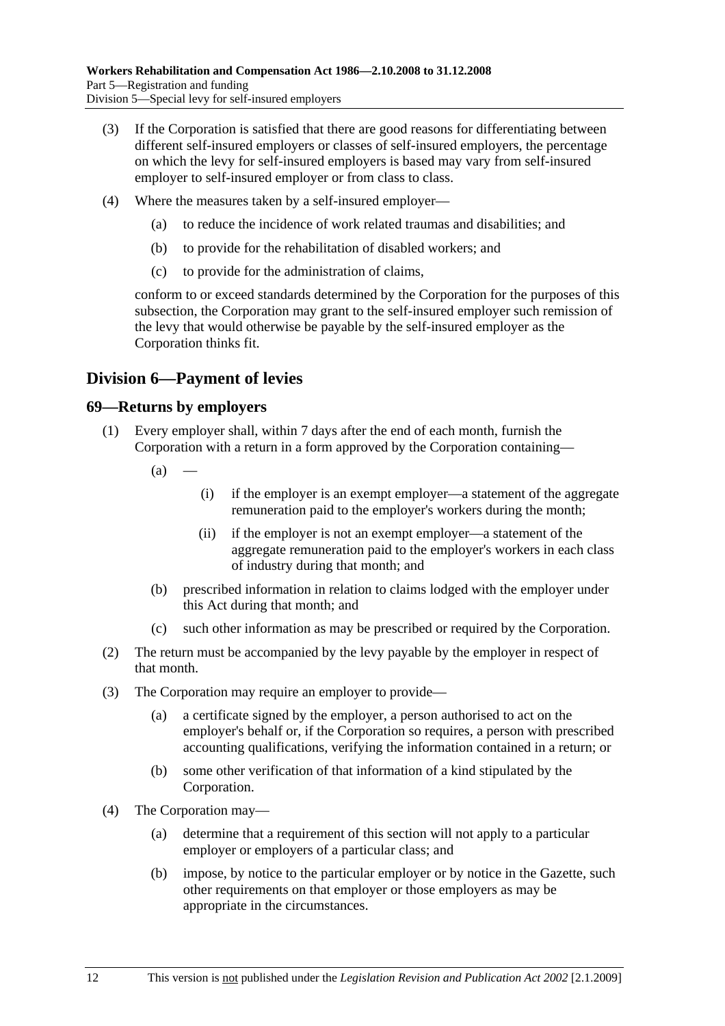- (3) If the Corporation is satisfied that there are good reasons for differentiating between different self-insured employers or classes of self-insured employers, the percentage on which the levy for self-insured employers is based may vary from self-insured employer to self-insured employer or from class to class.
- (4) Where the measures taken by a self-insured employer—
	- (a) to reduce the incidence of work related traumas and disabilities; and
	- (b) to provide for the rehabilitation of disabled workers; and
	- (c) to provide for the administration of claims,

conform to or exceed standards determined by the Corporation for the purposes of this subsection, the Corporation may grant to the self-insured employer such remission of the levy that would otherwise be payable by the self-insured employer as the Corporation thinks fit.

## **Division 6—Payment of levies**

#### **69—Returns by employers**

- (1) Every employer shall, within 7 days after the end of each month, furnish the Corporation with a return in a form approved by the Corporation containing—
	- $(a)$  —
- (i) if the employer is an exempt employer—a statement of the aggregate remuneration paid to the employer's workers during the month;
- (ii) if the employer is not an exempt employer—a statement of the aggregate remuneration paid to the employer's workers in each class of industry during that month; and
- (b) prescribed information in relation to claims lodged with the employer under this Act during that month; and
- (c) such other information as may be prescribed or required by the Corporation.
- (2) The return must be accompanied by the levy payable by the employer in respect of that month.
- (3) The Corporation may require an employer to provide—
	- (a) a certificate signed by the employer, a person authorised to act on the employer's behalf or, if the Corporation so requires, a person with prescribed accounting qualifications, verifying the information contained in a return; or
	- (b) some other verification of that information of a kind stipulated by the Corporation.
- (4) The Corporation may—
	- (a) determine that a requirement of this section will not apply to a particular employer or employers of a particular class; and
	- (b) impose, by notice to the particular employer or by notice in the Gazette, such other requirements on that employer or those employers as may be appropriate in the circumstances.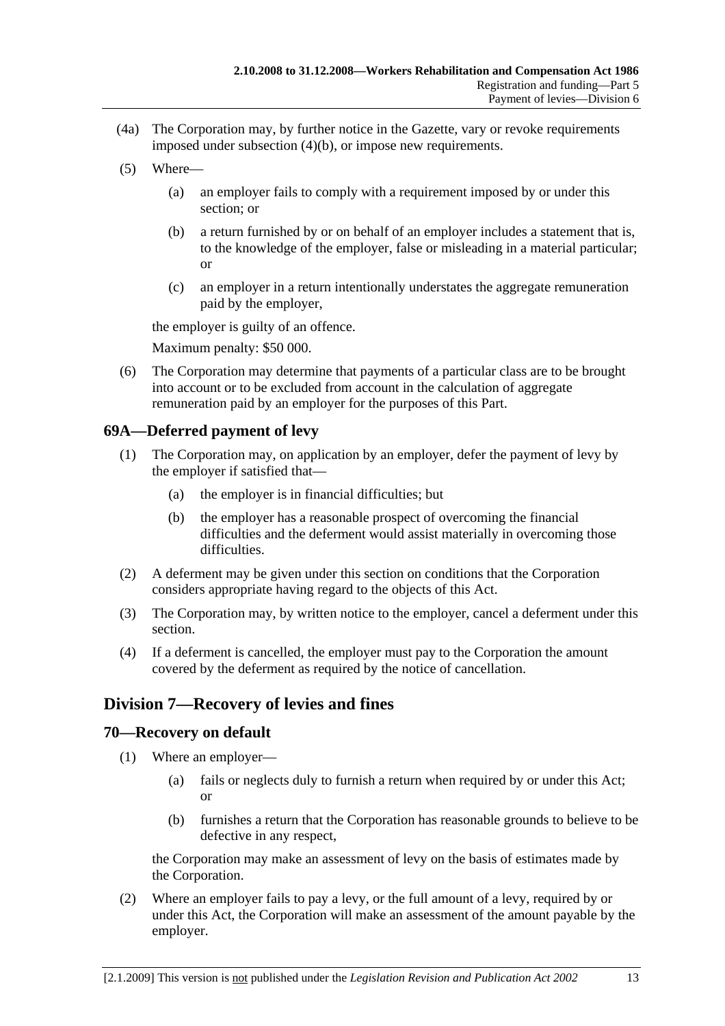- (4a) The Corporation may, by further notice in the Gazette, vary or revoke requirements imposed under subsection (4)(b), or impose new requirements.
- (5) Where—
	- (a) an employer fails to comply with a requirement imposed by or under this section; or
	- (b) a return furnished by or on behalf of an employer includes a statement that is, to the knowledge of the employer, false or misleading in a material particular; or
	- (c) an employer in a return intentionally understates the aggregate remuneration paid by the employer,

the employer is guilty of an offence.

Maximum penalty: \$50 000.

 (6) The Corporation may determine that payments of a particular class are to be brought into account or to be excluded from account in the calculation of aggregate remuneration paid by an employer for the purposes of this Part.

## **69A—Deferred payment of levy**

- (1) The Corporation may, on application by an employer, defer the payment of levy by the employer if satisfied that—
	- (a) the employer is in financial difficulties; but
	- (b) the employer has a reasonable prospect of overcoming the financial difficulties and the deferment would assist materially in overcoming those difficulties.
- (2) A deferment may be given under this section on conditions that the Corporation considers appropriate having regard to the objects of this Act.
- (3) The Corporation may, by written notice to the employer, cancel a deferment under this section.
- (4) If a deferment is cancelled, the employer must pay to the Corporation the amount covered by the deferment as required by the notice of cancellation.

## **Division 7—Recovery of levies and fines**

#### **70—Recovery on default**

- (1) Where an employer—
	- (a) fails or neglects duly to furnish a return when required by or under this Act; or
	- (b) furnishes a return that the Corporation has reasonable grounds to believe to be defective in any respect,

the Corporation may make an assessment of levy on the basis of estimates made by the Corporation.

 (2) Where an employer fails to pay a levy, or the full amount of a levy, required by or under this Act, the Corporation will make an assessment of the amount payable by the employer.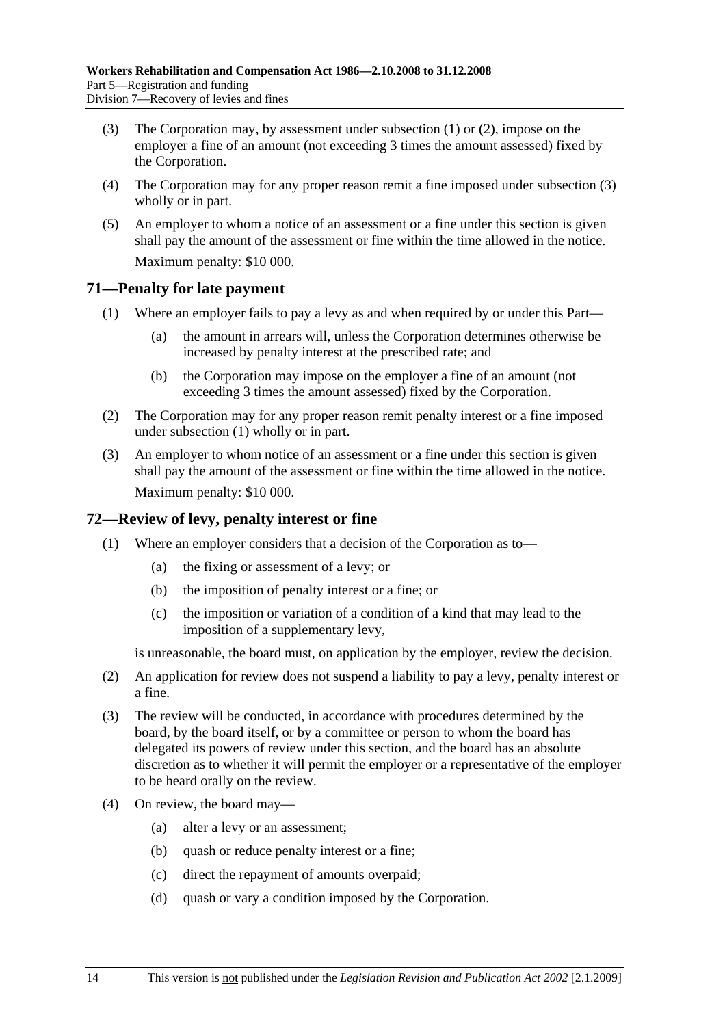- (3) The Corporation may, by assessment under subsection (1) or (2), impose on the employer a fine of an amount (not exceeding 3 times the amount assessed) fixed by the Corporation.
- (4) The Corporation may for any proper reason remit a fine imposed under subsection (3) wholly or in part.
- (5) An employer to whom a notice of an assessment or a fine under this section is given shall pay the amount of the assessment or fine within the time allowed in the notice. Maximum penalty: \$10 000.

#### **71—Penalty for late payment**

- (1) Where an employer fails to pay a levy as and when required by or under this Part—
	- (a) the amount in arrears will, unless the Corporation determines otherwise be increased by penalty interest at the prescribed rate; and
	- (b) the Corporation may impose on the employer a fine of an amount (not exceeding 3 times the amount assessed) fixed by the Corporation.
- (2) The Corporation may for any proper reason remit penalty interest or a fine imposed under subsection (1) wholly or in part.
- (3) An employer to whom notice of an assessment or a fine under this section is given shall pay the amount of the assessment or fine within the time allowed in the notice. Maximum penalty: \$10 000.

## **72—Review of levy, penalty interest or fine**

- (1) Where an employer considers that a decision of the Corporation as to—
	- (a) the fixing or assessment of a levy; or
	- (b) the imposition of penalty interest or a fine; or
	- (c) the imposition or variation of a condition of a kind that may lead to the imposition of a supplementary levy,

is unreasonable, the board must, on application by the employer, review the decision.

- (2) An application for review does not suspend a liability to pay a levy, penalty interest or a fine.
- (3) The review will be conducted, in accordance with procedures determined by the board, by the board itself, or by a committee or person to whom the board has delegated its powers of review under this section, and the board has an absolute discretion as to whether it will permit the employer or a representative of the employer to be heard orally on the review.
- (4) On review, the board may—
	- (a) alter a levy or an assessment;
	- (b) quash or reduce penalty interest or a fine;
	- (c) direct the repayment of amounts overpaid;
	- (d) quash or vary a condition imposed by the Corporation.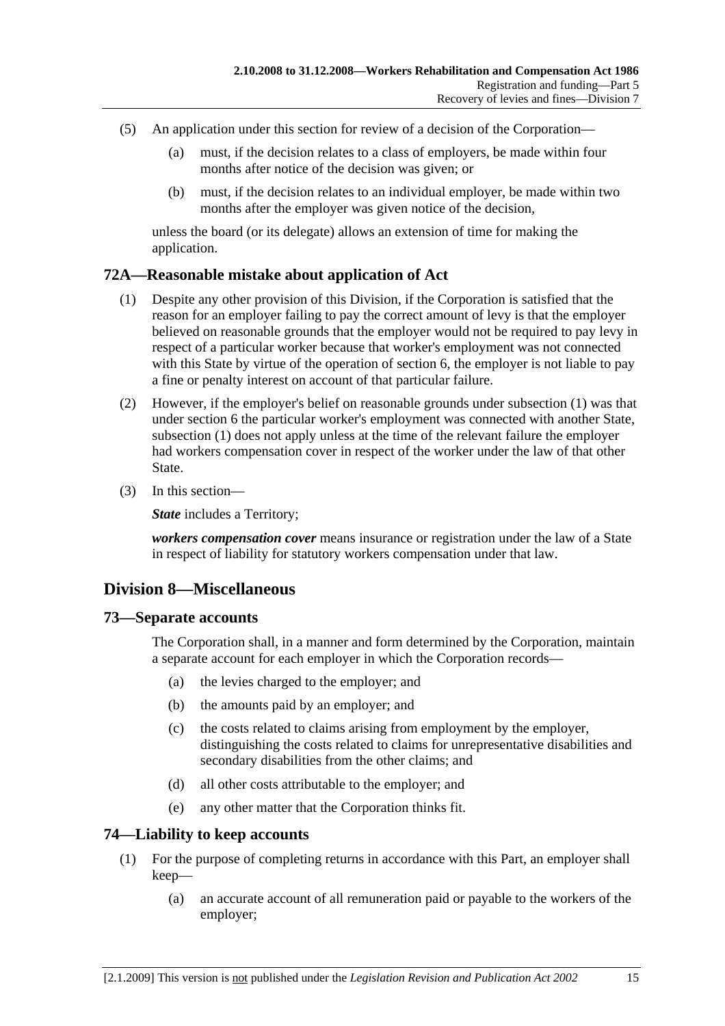- (5) An application under this section for review of a decision of the Corporation—
	- (a) must, if the decision relates to a class of employers, be made within four months after notice of the decision was given; or
	- (b) must, if the decision relates to an individual employer, be made within two months after the employer was given notice of the decision,

unless the board (or its delegate) allows an extension of time for making the application.

#### **72A—Reasonable mistake about application of Act**

- (1) Despite any other provision of this Division, if the Corporation is satisfied that the reason for an employer failing to pay the correct amount of levy is that the employer believed on reasonable grounds that the employer would not be required to pay levy in respect of a particular worker because that worker's employment was not connected with this State by virtue of the operation of section 6, the employer is not liable to pay a fine or penalty interest on account of that particular failure.
- (2) However, if the employer's belief on reasonable grounds under subsection (1) was that under section 6 the particular worker's employment was connected with another State, subsection (1) does not apply unless at the time of the relevant failure the employer had workers compensation cover in respect of the worker under the law of that other State.
- (3) In this section—

*State* includes a Territory;

*workers compensation cover* means insurance or registration under the law of a State in respect of liability for statutory workers compensation under that law.

## **Division 8—Miscellaneous**

#### **73—Separate accounts**

The Corporation shall, in a manner and form determined by the Corporation, maintain a separate account for each employer in which the Corporation records—

- (a) the levies charged to the employer; and
- (b) the amounts paid by an employer; and
- (c) the costs related to claims arising from employment by the employer, distinguishing the costs related to claims for unrepresentative disabilities and secondary disabilities from the other claims; and
- (d) all other costs attributable to the employer; and
- (e) any other matter that the Corporation thinks fit.

#### **74—Liability to keep accounts**

- (1) For the purpose of completing returns in accordance with this Part, an employer shall keep—
	- (a) an accurate account of all remuneration paid or payable to the workers of the employer;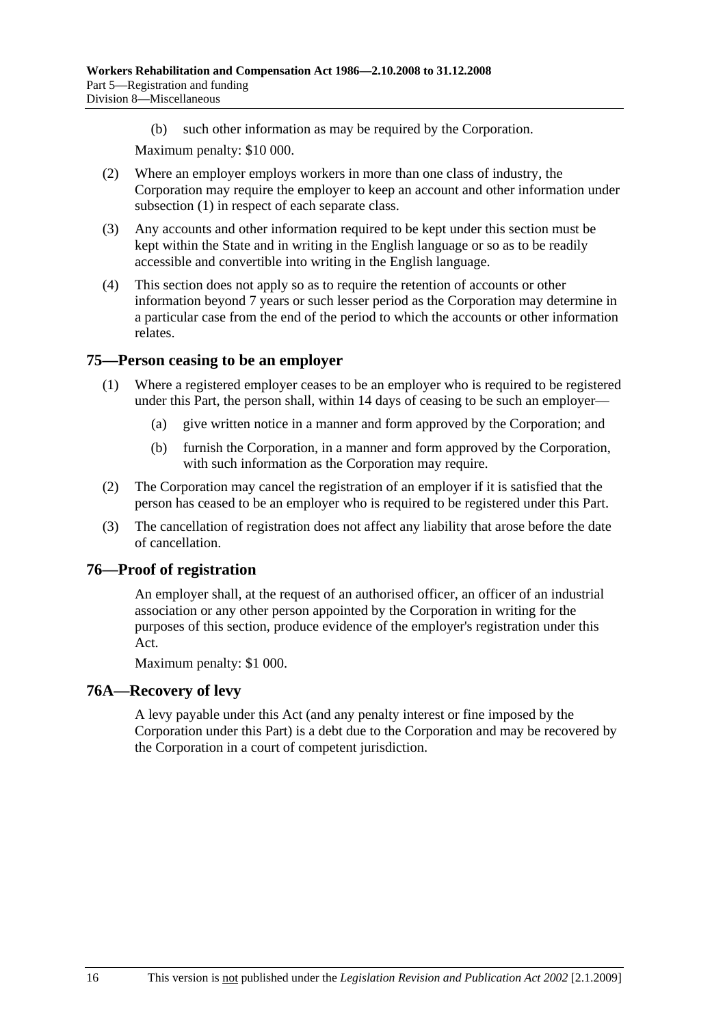(b) such other information as may be required by the Corporation.

Maximum penalty: \$10 000.

- (2) Where an employer employs workers in more than one class of industry, the Corporation may require the employer to keep an account and other information under subsection (1) in respect of each separate class.
- (3) Any accounts and other information required to be kept under this section must be kept within the State and in writing in the English language or so as to be readily accessible and convertible into writing in the English language.
- (4) This section does not apply so as to require the retention of accounts or other information beyond 7 years or such lesser period as the Corporation may determine in a particular case from the end of the period to which the accounts or other information relates.

## **75—Person ceasing to be an employer**

- (1) Where a registered employer ceases to be an employer who is required to be registered under this Part, the person shall, within 14 days of ceasing to be such an employer—
	- (a) give written notice in a manner and form approved by the Corporation; and
	- (b) furnish the Corporation, in a manner and form approved by the Corporation, with such information as the Corporation may require.
- (2) The Corporation may cancel the registration of an employer if it is satisfied that the person has ceased to be an employer who is required to be registered under this Part.
- (3) The cancellation of registration does not affect any liability that arose before the date of cancellation.

## **76—Proof of registration**

An employer shall, at the request of an authorised officer, an officer of an industrial association or any other person appointed by the Corporation in writing for the purposes of this section, produce evidence of the employer's registration under this Act.

Maximum penalty: \$1 000.

## **76A—Recovery of levy**

A levy payable under this Act (and any penalty interest or fine imposed by the Corporation under this Part) is a debt due to the Corporation and may be recovered by the Corporation in a court of competent jurisdiction.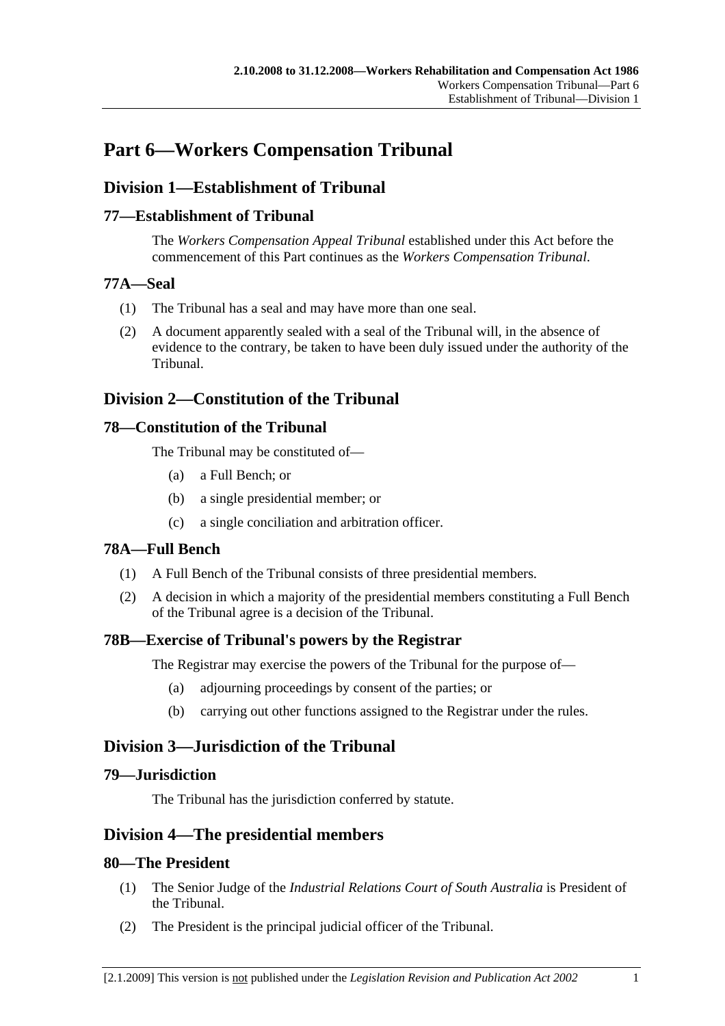# **Part 6—Workers Compensation Tribunal**

## **Division 1—Establishment of Tribunal**

## **77—Establishment of Tribunal**

The *Workers Compensation Appeal Tribunal* established under this Act before the commencement of this Part continues as the *Workers Compensation Tribunal*.

### **77A—Seal**

- (1) The Tribunal has a seal and may have more than one seal.
- (2) A document apparently sealed with a seal of the Tribunal will, in the absence of evidence to the contrary, be taken to have been duly issued under the authority of the Tribunal.

## **Division 2—Constitution of the Tribunal**

## **78—Constitution of the Tribunal**

The Tribunal may be constituted of—

- (a) a Full Bench; or
- (b) a single presidential member; or
- (c) a single conciliation and arbitration officer.

## **78A—Full Bench**

- (1) A Full Bench of the Tribunal consists of three presidential members.
- (2) A decision in which a majority of the presidential members constituting a Full Bench of the Tribunal agree is a decision of the Tribunal.

## **78B—Exercise of Tribunal's powers by the Registrar**

The Registrar may exercise the powers of the Tribunal for the purpose of—

- (a) adjourning proceedings by consent of the parties; or
- (b) carrying out other functions assigned to the Registrar under the rules.

## **Division 3—Jurisdiction of the Tribunal**

## **79—Jurisdiction**

The Tribunal has the jurisdiction conferred by statute.

## **Division 4—The presidential members**

## **80—The President**

- (1) The Senior Judge of the *Industrial Relations Court of South Australia* is President of the Tribunal.
- (2) The President is the principal judicial officer of the Tribunal.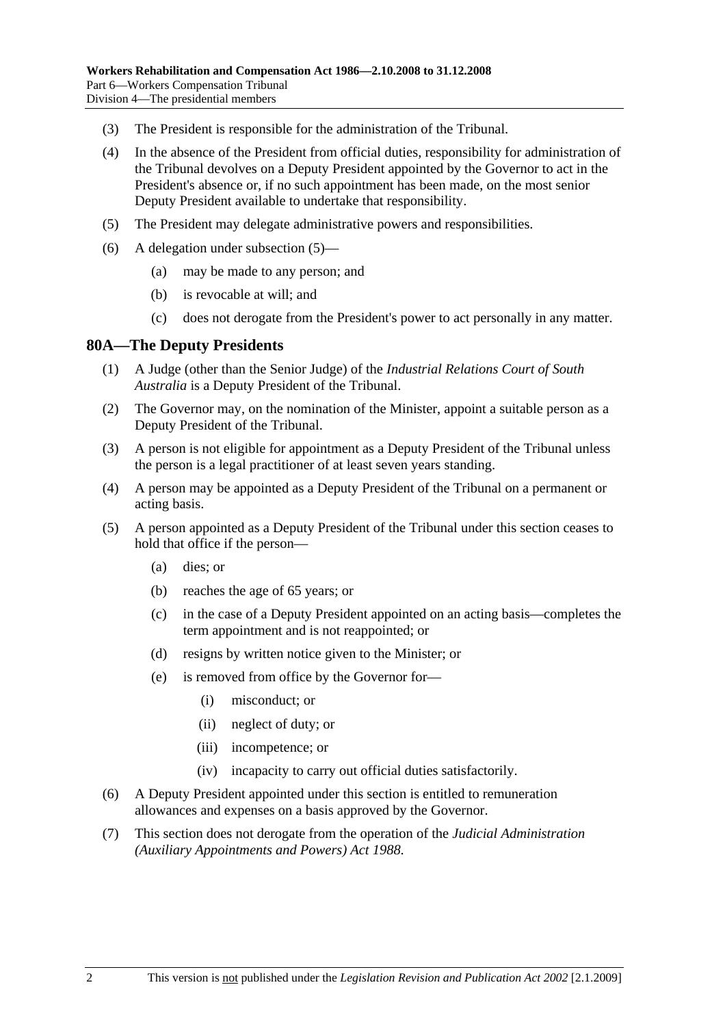- (3) The President is responsible for the administration of the Tribunal.
- (4) In the absence of the President from official duties, responsibility for administration of the Tribunal devolves on a Deputy President appointed by the Governor to act in the President's absence or, if no such appointment has been made, on the most senior Deputy President available to undertake that responsibility.
- (5) The President may delegate administrative powers and responsibilities.
- (6) A delegation under subsection (5)—
	- (a) may be made to any person; and
	- (b) is revocable at will; and
	- (c) does not derogate from the President's power to act personally in any matter.

#### **80A—The Deputy Presidents**

- (1) A Judge (other than the Senior Judge) of the *Industrial Relations Court of South Australia* is a Deputy President of the Tribunal.
- (2) The Governor may, on the nomination of the Minister, appoint a suitable person as a Deputy President of the Tribunal.
- (3) A person is not eligible for appointment as a Deputy President of the Tribunal unless the person is a legal practitioner of at least seven years standing.
- (4) A person may be appointed as a Deputy President of the Tribunal on a permanent or acting basis.
- (5) A person appointed as a Deputy President of the Tribunal under this section ceases to hold that office if the person—
	- (a) dies; or
	- (b) reaches the age of 65 years; or
	- (c) in the case of a Deputy President appointed on an acting basis—completes the term appointment and is not reappointed; or
	- (d) resigns by written notice given to the Minister; or
	- (e) is removed from office by the Governor for—
		- (i) misconduct; or
		- (ii) neglect of duty; or
		- (iii) incompetence; or
		- (iv) incapacity to carry out official duties satisfactorily.
- (6) A Deputy President appointed under this section is entitled to remuneration allowances and expenses on a basis approved by the Governor.
- (7) This section does not derogate from the operation of the *Judicial Administration (Auxiliary Appointments and Powers) Act 1988*.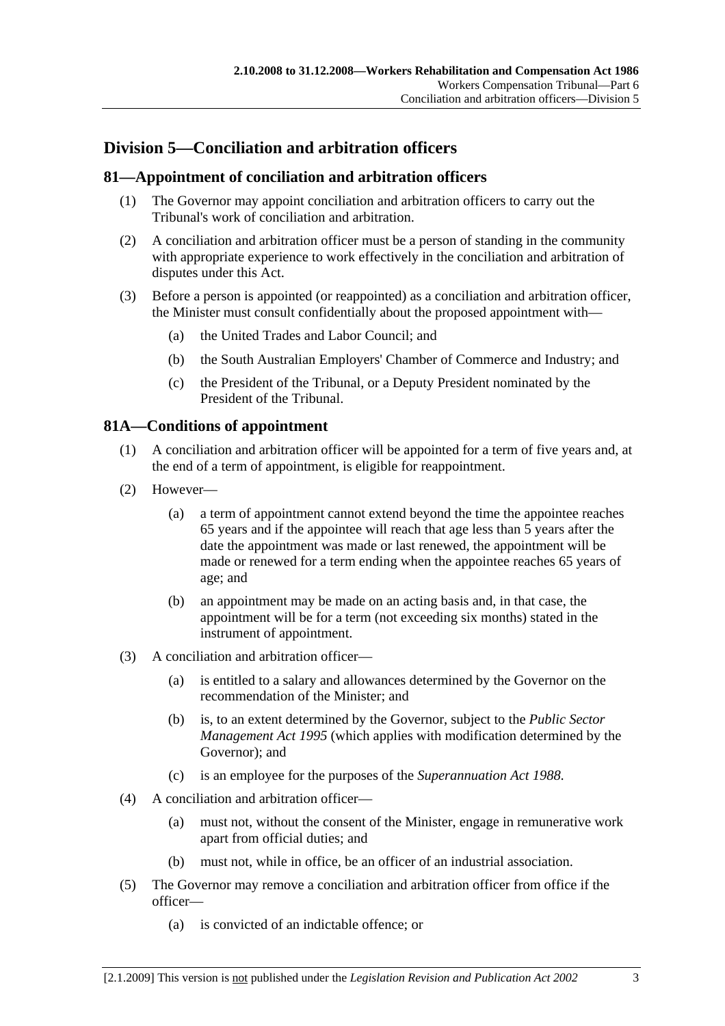## **Division 5—Conciliation and arbitration officers**

## **81—Appointment of conciliation and arbitration officers**

- (1) The Governor may appoint conciliation and arbitration officers to carry out the Tribunal's work of conciliation and arbitration.
- (2) A conciliation and arbitration officer must be a person of standing in the community with appropriate experience to work effectively in the conciliation and arbitration of disputes under this Act.
- (3) Before a person is appointed (or reappointed) as a conciliation and arbitration officer, the Minister must consult confidentially about the proposed appointment with—
	- (a) the United Trades and Labor Council; and
	- (b) the South Australian Employers' Chamber of Commerce and Industry; and
	- (c) the President of the Tribunal, or a Deputy President nominated by the President of the Tribunal.

## **81A—Conditions of appointment**

- (1) A conciliation and arbitration officer will be appointed for a term of five years and, at the end of a term of appointment, is eligible for reappointment.
- (2) However—
	- (a) a term of appointment cannot extend beyond the time the appointee reaches 65 years and if the appointee will reach that age less than 5 years after the date the appointment was made or last renewed, the appointment will be made or renewed for a term ending when the appointee reaches 65 years of age; and
	- (b) an appointment may be made on an acting basis and, in that case, the appointment will be for a term (not exceeding six months) stated in the instrument of appointment.
- (3) A conciliation and arbitration officer—
	- (a) is entitled to a salary and allowances determined by the Governor on the recommendation of the Minister; and
	- (b) is, to an extent determined by the Governor, subject to the *Public Sector Management Act 1995* (which applies with modification determined by the Governor); and
	- (c) is an employee for the purposes of the *Superannuation Act 1988*.
- (4) A conciliation and arbitration officer—
	- (a) must not, without the consent of the Minister, engage in remunerative work apart from official duties; and
	- (b) must not, while in office, be an officer of an industrial association.
- (5) The Governor may remove a conciliation and arbitration officer from office if the officer—
	- (a) is convicted of an indictable offence; or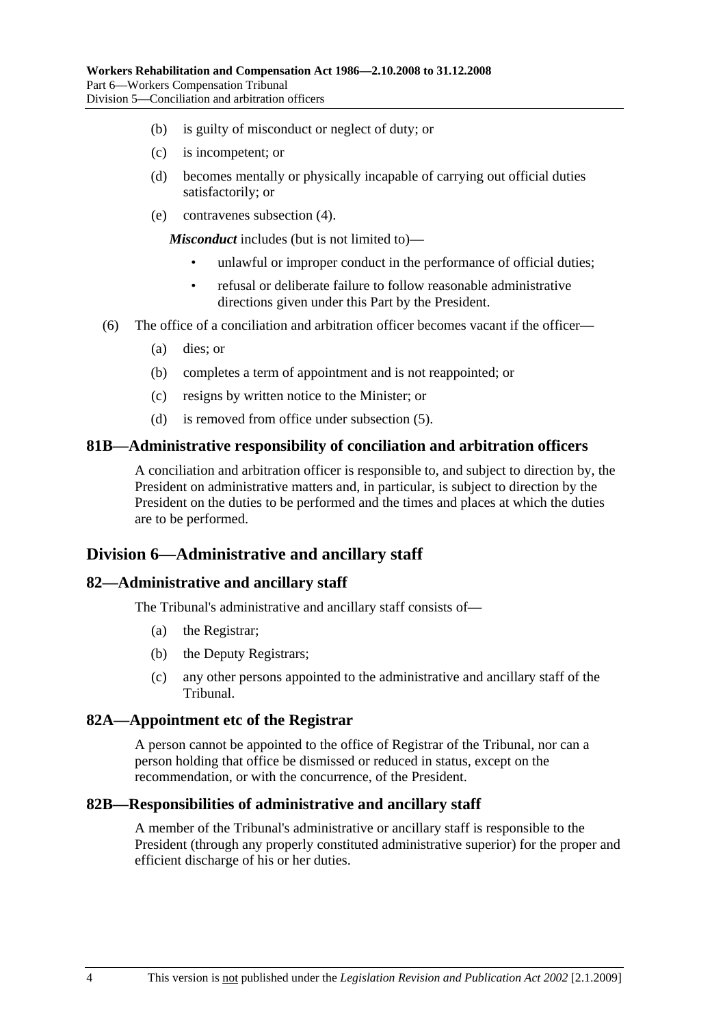- (b) is guilty of misconduct or neglect of duty; or
- (c) is incompetent; or
- (d) becomes mentally or physically incapable of carrying out official duties satisfactorily; or
- (e) contravenes subsection (4).

*Misconduct* includes (but is not limited to)—

- unlawful or improper conduct in the performance of official duties:
- refusal or deliberate failure to follow reasonable administrative directions given under this Part by the President.
- (6) The office of a conciliation and arbitration officer becomes vacant if the officer—
	- (a) dies; or
	- (b) completes a term of appointment and is not reappointed; or
	- (c) resigns by written notice to the Minister; or
	- (d) is removed from office under subsection (5).

#### **81B—Administrative responsibility of conciliation and arbitration officers**

A conciliation and arbitration officer is responsible to, and subject to direction by, the President on administrative matters and, in particular, is subject to direction by the President on the duties to be performed and the times and places at which the duties are to be performed.

## **Division 6—Administrative and ancillary staff**

#### **82—Administrative and ancillary staff**

The Tribunal's administrative and ancillary staff consists of—

- (a) the Registrar;
- (b) the Deputy Registrars;
- (c) any other persons appointed to the administrative and ancillary staff of the Tribunal.

#### **82A—Appointment etc of the Registrar**

A person cannot be appointed to the office of Registrar of the Tribunal, nor can a person holding that office be dismissed or reduced in status, except on the recommendation, or with the concurrence, of the President.

#### **82B—Responsibilities of administrative and ancillary staff**

A member of the Tribunal's administrative or ancillary staff is responsible to the President (through any properly constituted administrative superior) for the proper and efficient discharge of his or her duties.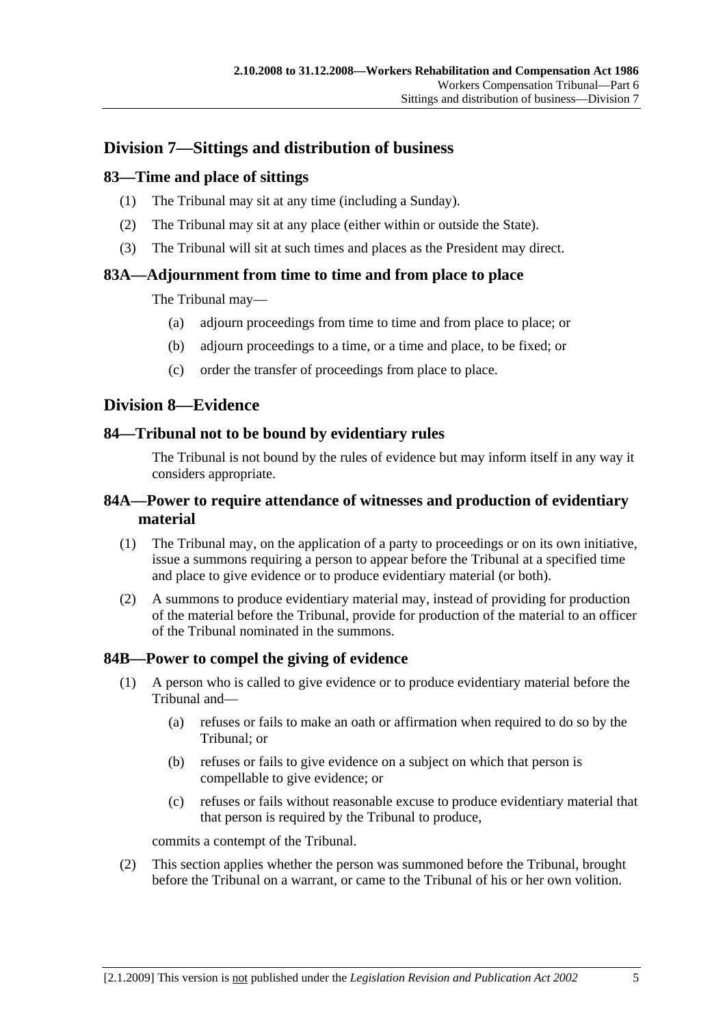## **Division 7—Sittings and distribution of business**

## **83—Time and place of sittings**

- (1) The Tribunal may sit at any time (including a Sunday).
- (2) The Tribunal may sit at any place (either within or outside the State).
- (3) The Tribunal will sit at such times and places as the President may direct.

## **83A—Adjournment from time to time and from place to place**

The Tribunal may—

- (a) adjourn proceedings from time to time and from place to place; or
- (b) adjourn proceedings to a time, or a time and place, to be fixed; or
- (c) order the transfer of proceedings from place to place.

## **Division 8—Evidence**

## **84—Tribunal not to be bound by evidentiary rules**

The Tribunal is not bound by the rules of evidence but may inform itself in any way it considers appropriate.

## **84A—Power to require attendance of witnesses and production of evidentiary material**

- (1) The Tribunal may, on the application of a party to proceedings or on its own initiative, issue a summons requiring a person to appear before the Tribunal at a specified time and place to give evidence or to produce evidentiary material (or both).
- (2) A summons to produce evidentiary material may, instead of providing for production of the material before the Tribunal, provide for production of the material to an officer of the Tribunal nominated in the summons.

## **84B—Power to compel the giving of evidence**

- (1) A person who is called to give evidence or to produce evidentiary material before the Tribunal and—
	- (a) refuses or fails to make an oath or affirmation when required to do so by the Tribunal; or
	- (b) refuses or fails to give evidence on a subject on which that person is compellable to give evidence; or
	- (c) refuses or fails without reasonable excuse to produce evidentiary material that that person is required by the Tribunal to produce,

commits a contempt of the Tribunal.

 (2) This section applies whether the person was summoned before the Tribunal, brought before the Tribunal on a warrant, or came to the Tribunal of his or her own volition.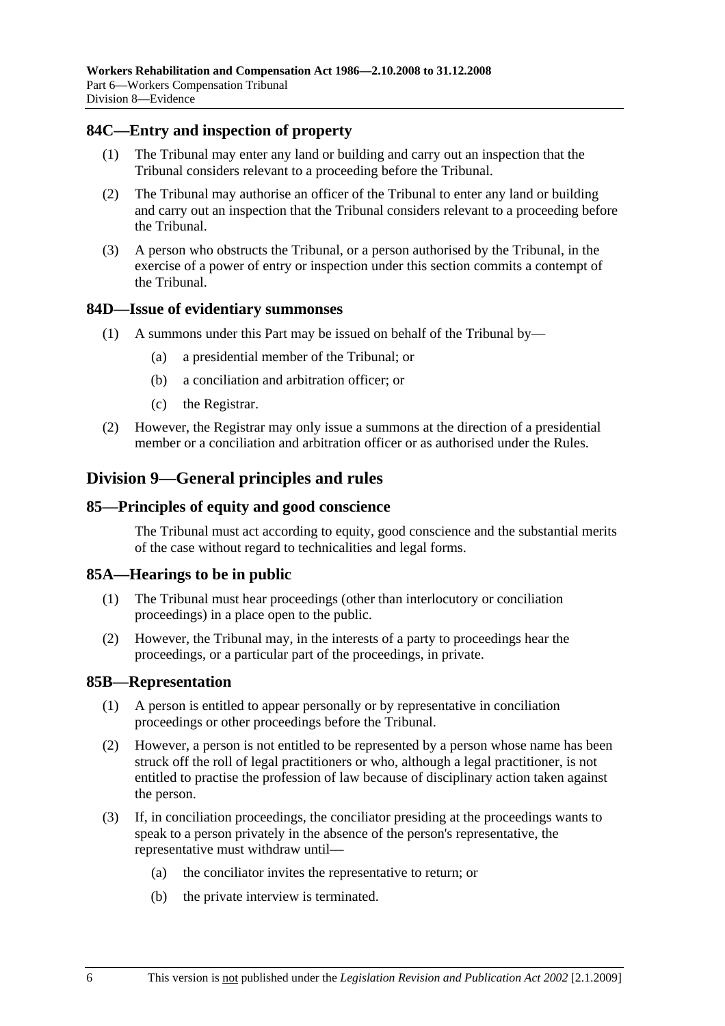### **84C—Entry and inspection of property**

- (1) The Tribunal may enter any land or building and carry out an inspection that the Tribunal considers relevant to a proceeding before the Tribunal.
- (2) The Tribunal may authorise an officer of the Tribunal to enter any land or building and carry out an inspection that the Tribunal considers relevant to a proceeding before the Tribunal.
- (3) A person who obstructs the Tribunal, or a person authorised by the Tribunal, in the exercise of a power of entry or inspection under this section commits a contempt of the Tribunal.

#### **84D—Issue of evidentiary summonses**

- (1) A summons under this Part may be issued on behalf of the Tribunal by—
	- (a) a presidential member of the Tribunal; or
	- (b) a conciliation and arbitration officer; or
	- (c) the Registrar.
- (2) However, the Registrar may only issue a summons at the direction of a presidential member or a conciliation and arbitration officer or as authorised under the Rules.

## **Division 9—General principles and rules**

#### **85—Principles of equity and good conscience**

The Tribunal must act according to equity, good conscience and the substantial merits of the case without regard to technicalities and legal forms.

#### **85A—Hearings to be in public**

- (1) The Tribunal must hear proceedings (other than interlocutory or conciliation proceedings) in a place open to the public.
- (2) However, the Tribunal may, in the interests of a party to proceedings hear the proceedings, or a particular part of the proceedings, in private.

#### **85B—Representation**

- (1) A person is entitled to appear personally or by representative in conciliation proceedings or other proceedings before the Tribunal.
- (2) However, a person is not entitled to be represented by a person whose name has been struck off the roll of legal practitioners or who, although a legal practitioner, is not entitled to practise the profession of law because of disciplinary action taken against the person.
- (3) If, in conciliation proceedings, the conciliator presiding at the proceedings wants to speak to a person privately in the absence of the person's representative, the representative must withdraw until—
	- (a) the conciliator invites the representative to return; or
	- (b) the private interview is terminated.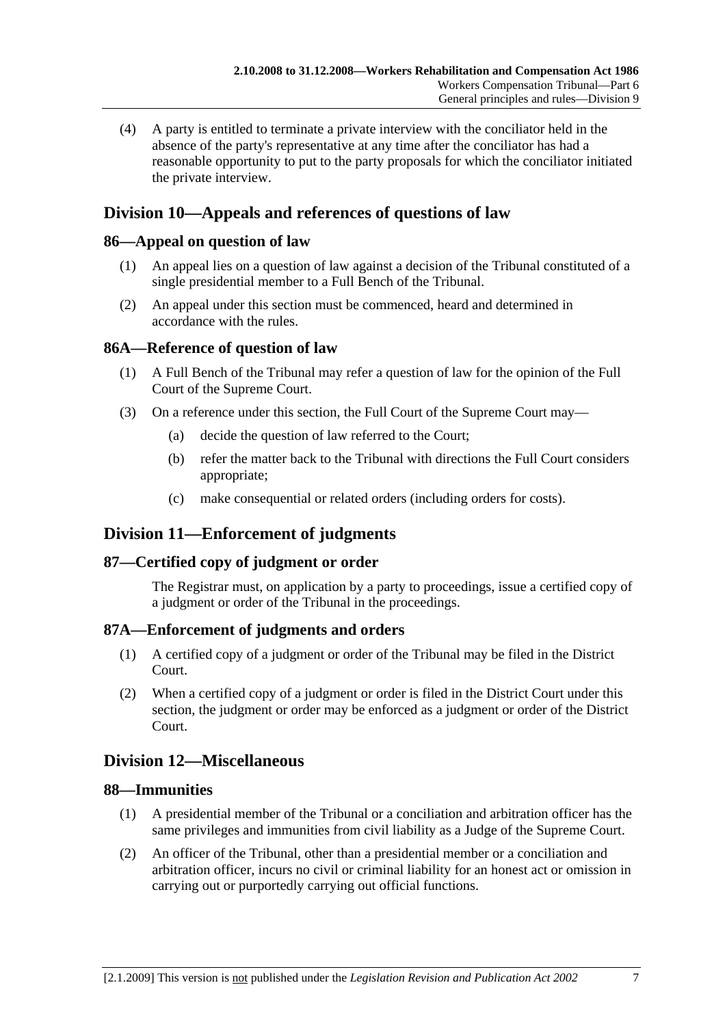(4) A party is entitled to terminate a private interview with the conciliator held in the absence of the party's representative at any time after the conciliator has had a reasonable opportunity to put to the party proposals for which the conciliator initiated the private interview.

## **Division 10—Appeals and references of questions of law**

## **86—Appeal on question of law**

- (1) An appeal lies on a question of law against a decision of the Tribunal constituted of a single presidential member to a Full Bench of the Tribunal.
- (2) An appeal under this section must be commenced, heard and determined in accordance with the rules.

## **86A—Reference of question of law**

- (1) A Full Bench of the Tribunal may refer a question of law for the opinion of the Full Court of the Supreme Court.
- (3) On a reference under this section, the Full Court of the Supreme Court may—
	- (a) decide the question of law referred to the Court;
	- (b) refer the matter back to the Tribunal with directions the Full Court considers appropriate;
	- (c) make consequential or related orders (including orders for costs).

## **Division 11—Enforcement of judgments**

## **87—Certified copy of judgment or order**

The Registrar must, on application by a party to proceedings, issue a certified copy of a judgment or order of the Tribunal in the proceedings.

## **87A—Enforcement of judgments and orders**

- (1) A certified copy of a judgment or order of the Tribunal may be filed in the District Court.
- (2) When a certified copy of a judgment or order is filed in the District Court under this section, the judgment or order may be enforced as a judgment or order of the District Court.

## **Division 12—Miscellaneous**

## **88—Immunities**

- (1) A presidential member of the Tribunal or a conciliation and arbitration officer has the same privileges and immunities from civil liability as a Judge of the Supreme Court.
- (2) An officer of the Tribunal, other than a presidential member or a conciliation and arbitration officer, incurs no civil or criminal liability for an honest act or omission in carrying out or purportedly carrying out official functions.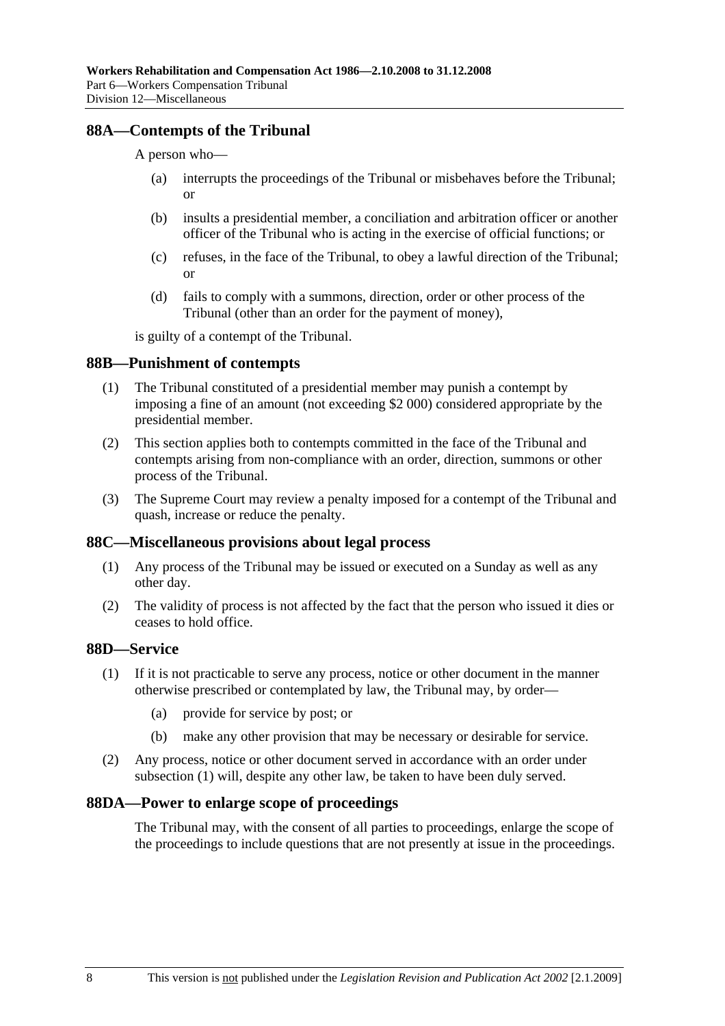### **88A—Contempts of the Tribunal**

#### A person who—

- (a) interrupts the proceedings of the Tribunal or misbehaves before the Tribunal; or
- (b) insults a presidential member, a conciliation and arbitration officer or another officer of the Tribunal who is acting in the exercise of official functions; or
- (c) refuses, in the face of the Tribunal, to obey a lawful direction of the Tribunal; or
- (d) fails to comply with a summons, direction, order or other process of the Tribunal (other than an order for the payment of money),

is guilty of a contempt of the Tribunal.

#### **88B—Punishment of contempts**

- (1) The Tribunal constituted of a presidential member may punish a contempt by imposing a fine of an amount (not exceeding \$2 000) considered appropriate by the presidential member.
- (2) This section applies both to contempts committed in the face of the Tribunal and contempts arising from non-compliance with an order, direction, summons or other process of the Tribunal.
- (3) The Supreme Court may review a penalty imposed for a contempt of the Tribunal and quash, increase or reduce the penalty.

#### **88C—Miscellaneous provisions about legal process**

- (1) Any process of the Tribunal may be issued or executed on a Sunday as well as any other day.
- (2) The validity of process is not affected by the fact that the person who issued it dies or ceases to hold office.

## **88D—Service**

- (1) If it is not practicable to serve any process, notice or other document in the manner otherwise prescribed or contemplated by law, the Tribunal may, by order—
	- (a) provide for service by post; or
	- (b) make any other provision that may be necessary or desirable for service.
- (2) Any process, notice or other document served in accordance with an order under subsection (1) will, despite any other law, be taken to have been duly served.

#### **88DA—Power to enlarge scope of proceedings**

The Tribunal may, with the consent of all parties to proceedings, enlarge the scope of the proceedings to include questions that are not presently at issue in the proceedings.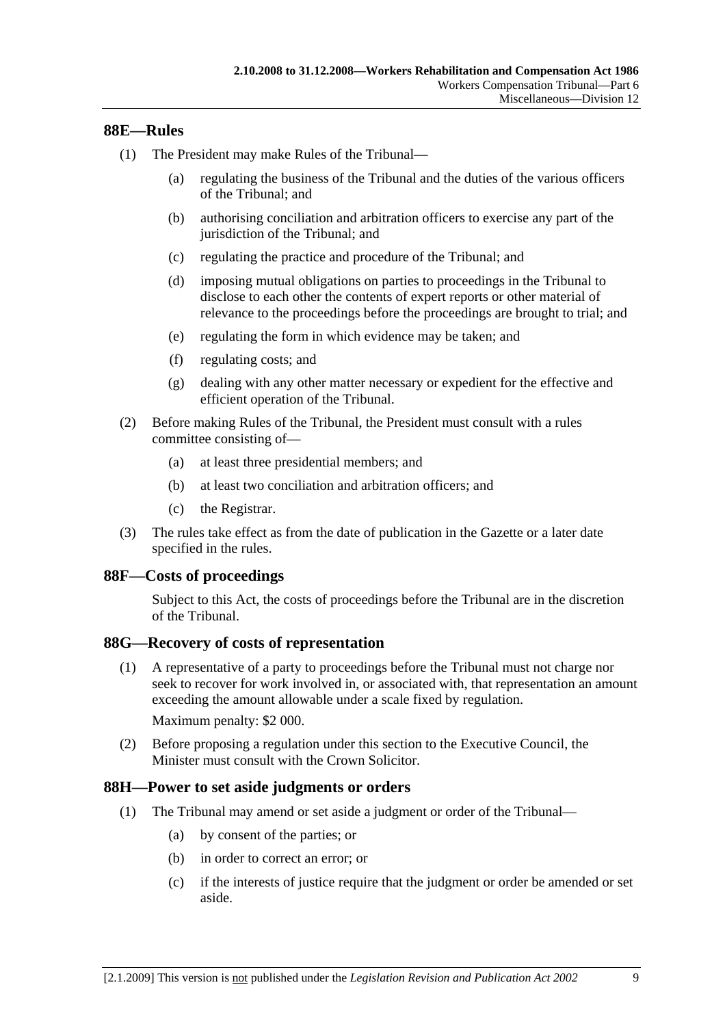### **88E—Rules**

- (1) The President may make Rules of the Tribunal—
	- (a) regulating the business of the Tribunal and the duties of the various officers of the Tribunal; and
	- (b) authorising conciliation and arbitration officers to exercise any part of the jurisdiction of the Tribunal; and
	- (c) regulating the practice and procedure of the Tribunal; and
	- (d) imposing mutual obligations on parties to proceedings in the Tribunal to disclose to each other the contents of expert reports or other material of relevance to the proceedings before the proceedings are brought to trial; and
	- (e) regulating the form in which evidence may be taken; and
	- (f) regulating costs; and
	- (g) dealing with any other matter necessary or expedient for the effective and efficient operation of the Tribunal.
- (2) Before making Rules of the Tribunal, the President must consult with a rules committee consisting of—
	- (a) at least three presidential members; and
	- (b) at least two conciliation and arbitration officers; and
	- (c) the Registrar.
- (3) The rules take effect as from the date of publication in the Gazette or a later date specified in the rules.

#### **88F—Costs of proceedings**

Subject to this Act, the costs of proceedings before the Tribunal are in the discretion of the Tribunal.

#### **88G—Recovery of costs of representation**

 (1) A representative of a party to proceedings before the Tribunal must not charge nor seek to recover for work involved in, or associated with, that representation an amount exceeding the amount allowable under a scale fixed by regulation.

Maximum penalty: \$2 000.

 (2) Before proposing a regulation under this section to the Executive Council, the Minister must consult with the Crown Solicitor.

#### **88H—Power to set aside judgments or orders**

- (1) The Tribunal may amend or set aside a judgment or order of the Tribunal—
	- (a) by consent of the parties; or
	- (b) in order to correct an error; or
	- (c) if the interests of justice require that the judgment or order be amended or set aside.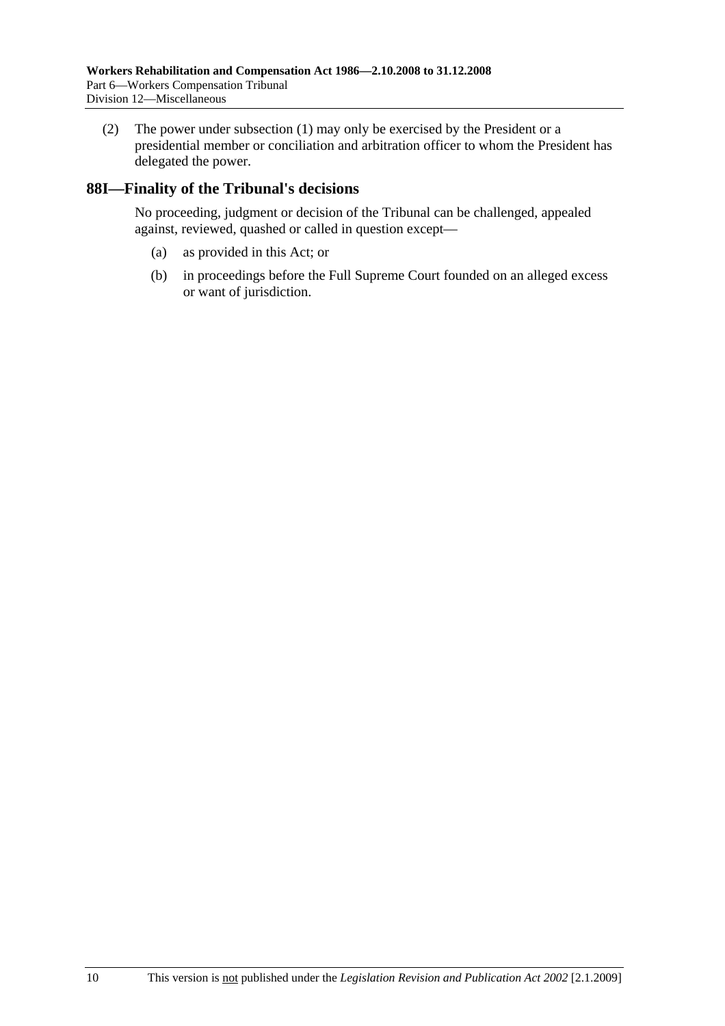(2) The power under subsection (1) may only be exercised by the President or a presidential member or conciliation and arbitration officer to whom the President has delegated the power.

## **88I—Finality of the Tribunal's decisions**

No proceeding, judgment or decision of the Tribunal can be challenged, appealed against, reviewed, quashed or called in question except—

- (a) as provided in this Act; or
- (b) in proceedings before the Full Supreme Court founded on an alleged excess or want of jurisdiction.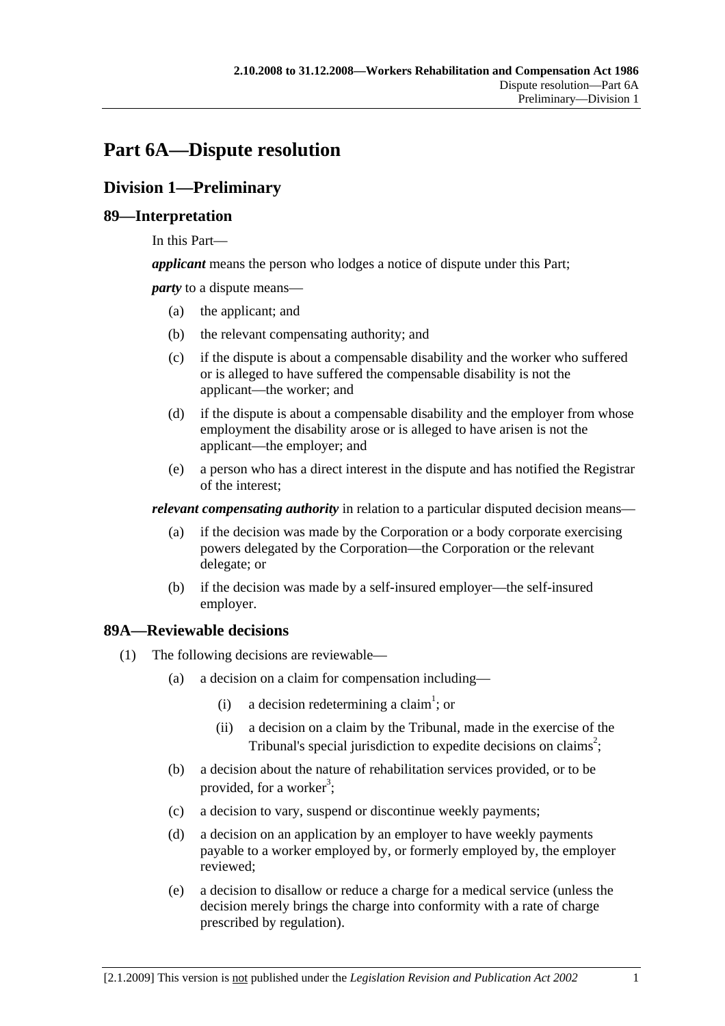# **Part 6A—Dispute resolution**

## **Division 1—Preliminary**

## **89—Interpretation**

In this Part—

*applicant* means the person who lodges a notice of dispute under this Part;

*party* to a dispute means—

- (a) the applicant; and
- (b) the relevant compensating authority; and
- (c) if the dispute is about a compensable disability and the worker who suffered or is alleged to have suffered the compensable disability is not the applicant—the worker; and
- (d) if the dispute is about a compensable disability and the employer from whose employment the disability arose or is alleged to have arisen is not the applicant—the employer; and
- (e) a person who has a direct interest in the dispute and has notified the Registrar of the interest;

*relevant compensating authority* in relation to a particular disputed decision means—

- (a) if the decision was made by the Corporation or a body corporate exercising powers delegated by the Corporation—the Corporation or the relevant delegate; or
- (b) if the decision was made by a self-insured employer—the self-insured employer.

## **89A—Reviewable decisions**

- (1) The following decisions are reviewable—
	- (a) a decision on a claim for compensation including—
		- (i) a decision redetermining a claim<sup>1</sup>; or
			- (ii) a decision on a claim by the Tribunal, made in the exercise of the Tribunal's special jurisdiction to expedite decisions on claims<sup>2</sup>;
	- (b) a decision about the nature of rehabilitation services provided, or to be provided, for a worker<sup>3</sup>;
	- (c) a decision to vary, suspend or discontinue weekly payments;
	- (d) a decision on an application by an employer to have weekly payments payable to a worker employed by, or formerly employed by, the employer reviewed;
	- (e) a decision to disallow or reduce a charge for a medical service (unless the decision merely brings the charge into conformity with a rate of charge prescribed by regulation).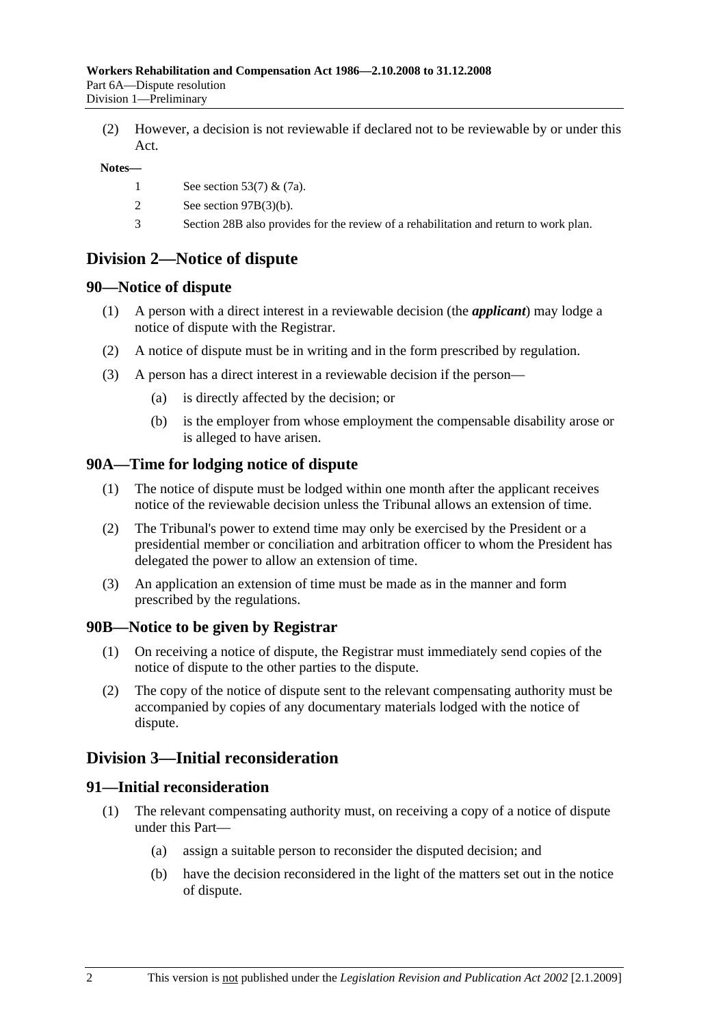(2) However, a decision is not reviewable if declared not to be reviewable by or under this Act.

#### **Notes—**

- 1 See section 53(7) & (7a).
- 2 See section 97B(3)(b).
- 3 Section 28B also provides for the review of a rehabilitation and return to work plan.

## **Division 2—Notice of dispute**

## **90—Notice of dispute**

- (1) A person with a direct interest in a reviewable decision (the *applicant*) may lodge a notice of dispute with the Registrar.
- (2) A notice of dispute must be in writing and in the form prescribed by regulation.
- (3) A person has a direct interest in a reviewable decision if the person—
	- (a) is directly affected by the decision; or
	- (b) is the employer from whose employment the compensable disability arose or is alleged to have arisen.

## **90A—Time for lodging notice of dispute**

- (1) The notice of dispute must be lodged within one month after the applicant receives notice of the reviewable decision unless the Tribunal allows an extension of time.
- (2) The Tribunal's power to extend time may only be exercised by the President or a presidential member or conciliation and arbitration officer to whom the President has delegated the power to allow an extension of time.
- (3) An application an extension of time must be made as in the manner and form prescribed by the regulations.

## **90B—Notice to be given by Registrar**

- (1) On receiving a notice of dispute, the Registrar must immediately send copies of the notice of dispute to the other parties to the dispute.
- (2) The copy of the notice of dispute sent to the relevant compensating authority must be accompanied by copies of any documentary materials lodged with the notice of dispute.

## **Division 3—Initial reconsideration**

## **91—Initial reconsideration**

- (1) The relevant compensating authority must, on receiving a copy of a notice of dispute under this Part—
	- (a) assign a suitable person to reconsider the disputed decision; and
	- (b) have the decision reconsidered in the light of the matters set out in the notice of dispute.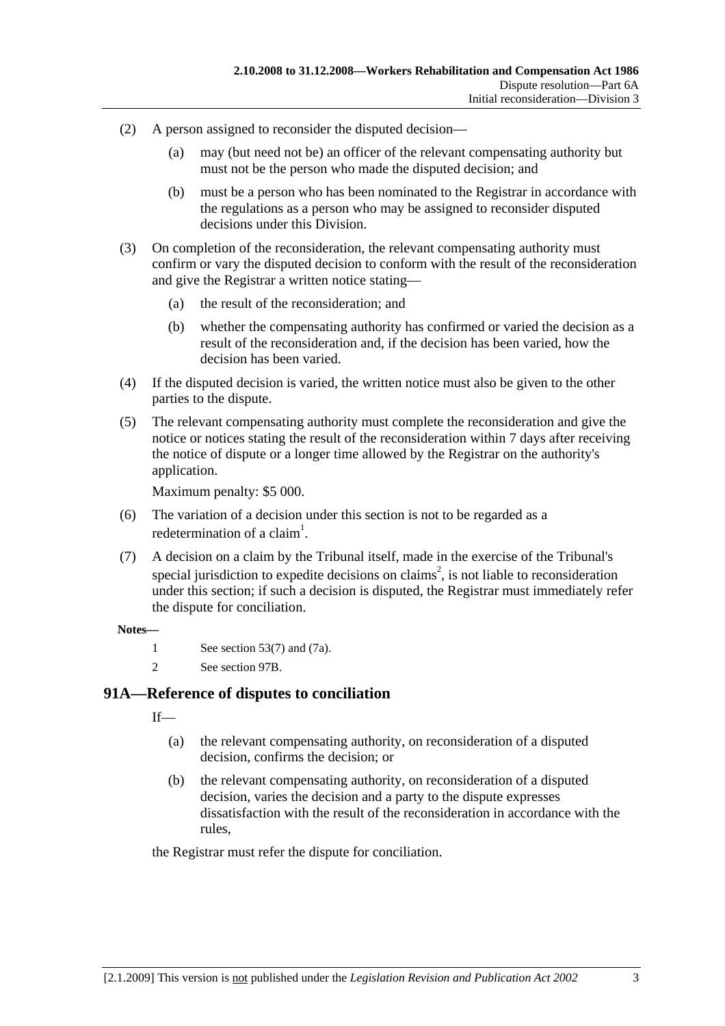- (2) A person assigned to reconsider the disputed decision—
	- (a) may (but need not be) an officer of the relevant compensating authority but must not be the person who made the disputed decision; and
	- (b) must be a person who has been nominated to the Registrar in accordance with the regulations as a person who may be assigned to reconsider disputed decisions under this Division.
- (3) On completion of the reconsideration, the relevant compensating authority must confirm or vary the disputed decision to conform with the result of the reconsideration and give the Registrar a written notice stating—
	- (a) the result of the reconsideration; and
	- (b) whether the compensating authority has confirmed or varied the decision as a result of the reconsideration and, if the decision has been varied, how the decision has been varied.
- (4) If the disputed decision is varied, the written notice must also be given to the other parties to the dispute.
- (5) The relevant compensating authority must complete the reconsideration and give the notice or notices stating the result of the reconsideration within 7 days after receiving the notice of dispute or a longer time allowed by the Registrar on the authority's application.

Maximum penalty: \$5 000.

- (6) The variation of a decision under this section is not to be regarded as a redetermination of a claim<sup>1</sup>.
- (7) A decision on a claim by the Tribunal itself, made in the exercise of the Tribunal's special jurisdiction to expedite decisions on claims<sup>2</sup>, is not liable to reconsideration under this section; if such a decision is disputed, the Registrar must immediately refer the dispute for conciliation.

#### **Notes—**

- 1 See section 53(7) and (7a).
- 2 See section 97B.

## **91A—Reference of disputes to conciliation**

 $If$ <sub>—</sub>

- (a) the relevant compensating authority, on reconsideration of a disputed decision, confirms the decision; or
- (b) the relevant compensating authority, on reconsideration of a disputed decision, varies the decision and a party to the dispute expresses dissatisfaction with the result of the reconsideration in accordance with the rules,

the Registrar must refer the dispute for conciliation.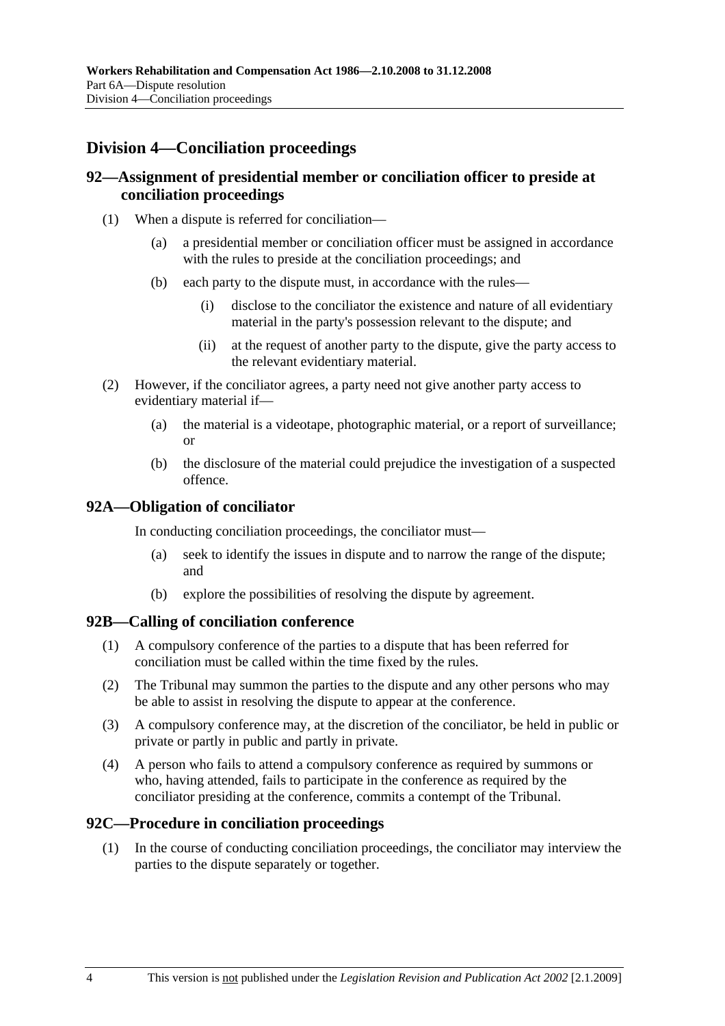## **Division 4—Conciliation proceedings**

## **92—Assignment of presidential member or conciliation officer to preside at conciliation proceedings**

- (1) When a dispute is referred for conciliation—
	- (a) a presidential member or conciliation officer must be assigned in accordance with the rules to preside at the conciliation proceedings; and
	- (b) each party to the dispute must, in accordance with the rules—
		- (i) disclose to the conciliator the existence and nature of all evidentiary material in the party's possession relevant to the dispute; and
		- (ii) at the request of another party to the dispute, give the party access to the relevant evidentiary material.
- (2) However, if the conciliator agrees, a party need not give another party access to evidentiary material if—
	- (a) the material is a videotape, photographic material, or a report of surveillance; or
	- (b) the disclosure of the material could prejudice the investigation of a suspected offence.

### **92A—Obligation of conciliator**

In conducting conciliation proceedings, the conciliator must—

- (a) seek to identify the issues in dispute and to narrow the range of the dispute; and
- (b) explore the possibilities of resolving the dispute by agreement.

#### **92B—Calling of conciliation conference**

- (1) A compulsory conference of the parties to a dispute that has been referred for conciliation must be called within the time fixed by the rules.
- (2) The Tribunal may summon the parties to the dispute and any other persons who may be able to assist in resolving the dispute to appear at the conference.
- (3) A compulsory conference may, at the discretion of the conciliator, be held in public or private or partly in public and partly in private.
- (4) A person who fails to attend a compulsory conference as required by summons or who, having attended, fails to participate in the conference as required by the conciliator presiding at the conference, commits a contempt of the Tribunal.

#### **92C—Procedure in conciliation proceedings**

 (1) In the course of conducting conciliation proceedings, the conciliator may interview the parties to the dispute separately or together.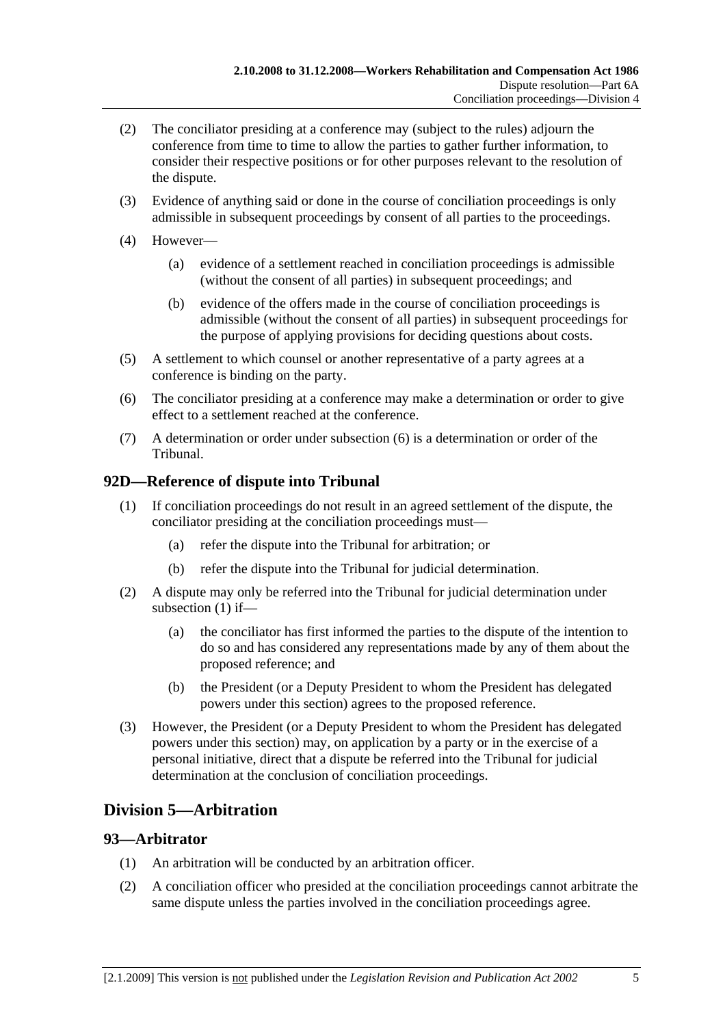- (2) The conciliator presiding at a conference may (subject to the rules) adjourn the conference from time to time to allow the parties to gather further information, to consider their respective positions or for other purposes relevant to the resolution of the dispute.
- (3) Evidence of anything said or done in the course of conciliation proceedings is only admissible in subsequent proceedings by consent of all parties to the proceedings.
- (4) However—
	- (a) evidence of a settlement reached in conciliation proceedings is admissible (without the consent of all parties) in subsequent proceedings; and
	- (b) evidence of the offers made in the course of conciliation proceedings is admissible (without the consent of all parties) in subsequent proceedings for the purpose of applying provisions for deciding questions about costs.
- (5) A settlement to which counsel or another representative of a party agrees at a conference is binding on the party.
- (6) The conciliator presiding at a conference may make a determination or order to give effect to a settlement reached at the conference.
- (7) A determination or order under subsection (6) is a determination or order of the Tribunal.

## **92D—Reference of dispute into Tribunal**

- (1) If conciliation proceedings do not result in an agreed settlement of the dispute, the conciliator presiding at the conciliation proceedings must—
	- (a) refer the dispute into the Tribunal for arbitration; or
	- (b) refer the dispute into the Tribunal for judicial determination.
- (2) A dispute may only be referred into the Tribunal for judicial determination under subsection (1) if—
	- (a) the conciliator has first informed the parties to the dispute of the intention to do so and has considered any representations made by any of them about the proposed reference; and
	- (b) the President (or a Deputy President to whom the President has delegated powers under this section) agrees to the proposed reference.
- (3) However, the President (or a Deputy President to whom the President has delegated powers under this section) may, on application by a party or in the exercise of a personal initiative, direct that a dispute be referred into the Tribunal for judicial determination at the conclusion of conciliation proceedings.

# **Division 5—Arbitration**

#### **93—Arbitrator**

- (1) An arbitration will be conducted by an arbitration officer.
- (2) A conciliation officer who presided at the conciliation proceedings cannot arbitrate the same dispute unless the parties involved in the conciliation proceedings agree.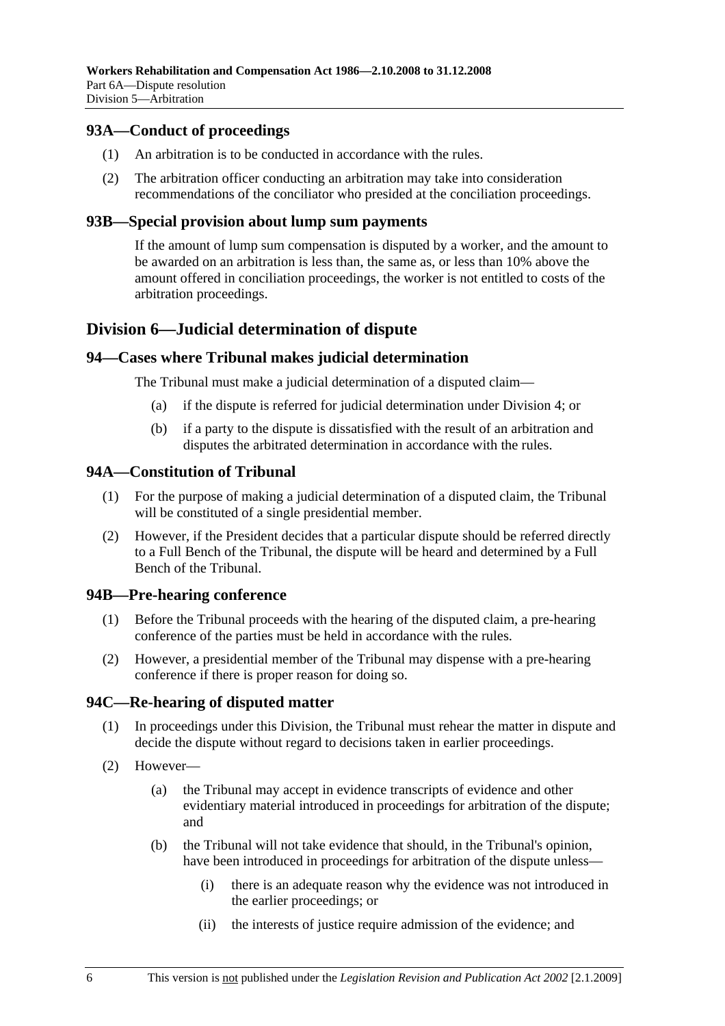## **93A—Conduct of proceedings**

- (1) An arbitration is to be conducted in accordance with the rules.
- (2) The arbitration officer conducting an arbitration may take into consideration recommendations of the conciliator who presided at the conciliation proceedings.

#### **93B—Special provision about lump sum payments**

If the amount of lump sum compensation is disputed by a worker, and the amount to be awarded on an arbitration is less than, the same as, or less than 10% above the amount offered in conciliation proceedings, the worker is not entitled to costs of the arbitration proceedings.

# **Division 6—Judicial determination of dispute**

#### **94—Cases where Tribunal makes judicial determination**

The Tribunal must make a judicial determination of a disputed claim—

- (a) if the dispute is referred for judicial determination under Division 4; or
- (b) if a party to the dispute is dissatisfied with the result of an arbitration and disputes the arbitrated determination in accordance with the rules.

#### **94A—Constitution of Tribunal**

- (1) For the purpose of making a judicial determination of a disputed claim, the Tribunal will be constituted of a single presidential member.
- (2) However, if the President decides that a particular dispute should be referred directly to a Full Bench of the Tribunal, the dispute will be heard and determined by a Full Bench of the Tribunal.

#### **94B—Pre-hearing conference**

- (1) Before the Tribunal proceeds with the hearing of the disputed claim, a pre-hearing conference of the parties must be held in accordance with the rules.
- (2) However, a presidential member of the Tribunal may dispense with a pre-hearing conference if there is proper reason for doing so.

## **94C—Re-hearing of disputed matter**

- (1) In proceedings under this Division, the Tribunal must rehear the matter in dispute and decide the dispute without regard to decisions taken in earlier proceedings.
- (2) However—
	- (a) the Tribunal may accept in evidence transcripts of evidence and other evidentiary material introduced in proceedings for arbitration of the dispute; and
	- (b) the Tribunal will not take evidence that should, in the Tribunal's opinion, have been introduced in proceedings for arbitration of the dispute unless—
		- (i) there is an adequate reason why the evidence was not introduced in the earlier proceedings; or
		- (ii) the interests of justice require admission of the evidence; and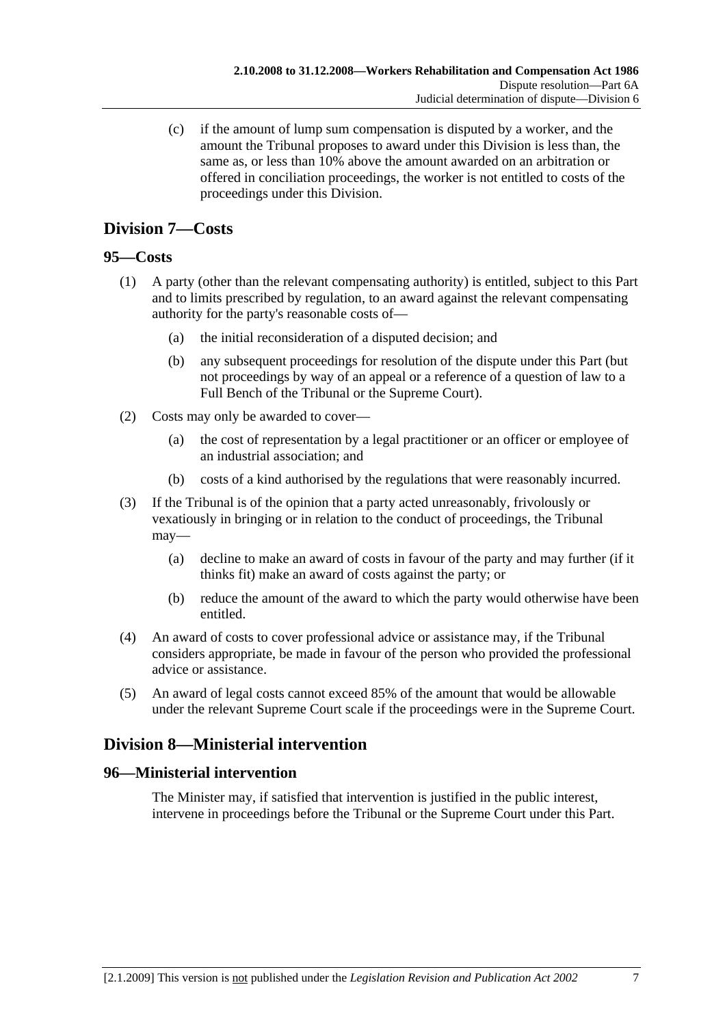(c) if the amount of lump sum compensation is disputed by a worker, and the amount the Tribunal proposes to award under this Division is less than, the same as, or less than 10% above the amount awarded on an arbitration or offered in conciliation proceedings, the worker is not entitled to costs of the proceedings under this Division.

# **Division 7—Costs**

## **95—Costs**

- (1) A party (other than the relevant compensating authority) is entitled, subject to this Part and to limits prescribed by regulation, to an award against the relevant compensating authority for the party's reasonable costs of—
	- (a) the initial reconsideration of a disputed decision; and
	- (b) any subsequent proceedings for resolution of the dispute under this Part (but not proceedings by way of an appeal or a reference of a question of law to a Full Bench of the Tribunal or the Supreme Court).
- (2) Costs may only be awarded to cover—
	- (a) the cost of representation by a legal practitioner or an officer or employee of an industrial association; and
	- (b) costs of a kind authorised by the regulations that were reasonably incurred.
- (3) If the Tribunal is of the opinion that a party acted unreasonably, frivolously or vexatiously in bringing or in relation to the conduct of proceedings, the Tribunal may—
	- (a) decline to make an award of costs in favour of the party and may further (if it thinks fit) make an award of costs against the party; or
	- (b) reduce the amount of the award to which the party would otherwise have been entitled.
- (4) An award of costs to cover professional advice or assistance may, if the Tribunal considers appropriate, be made in favour of the person who provided the professional advice or assistance.
- (5) An award of legal costs cannot exceed 85% of the amount that would be allowable under the relevant Supreme Court scale if the proceedings were in the Supreme Court.

# **Division 8—Ministerial intervention**

## **96—Ministerial intervention**

The Minister may, if satisfied that intervention is justified in the public interest, intervene in proceedings before the Tribunal or the Supreme Court under this Part.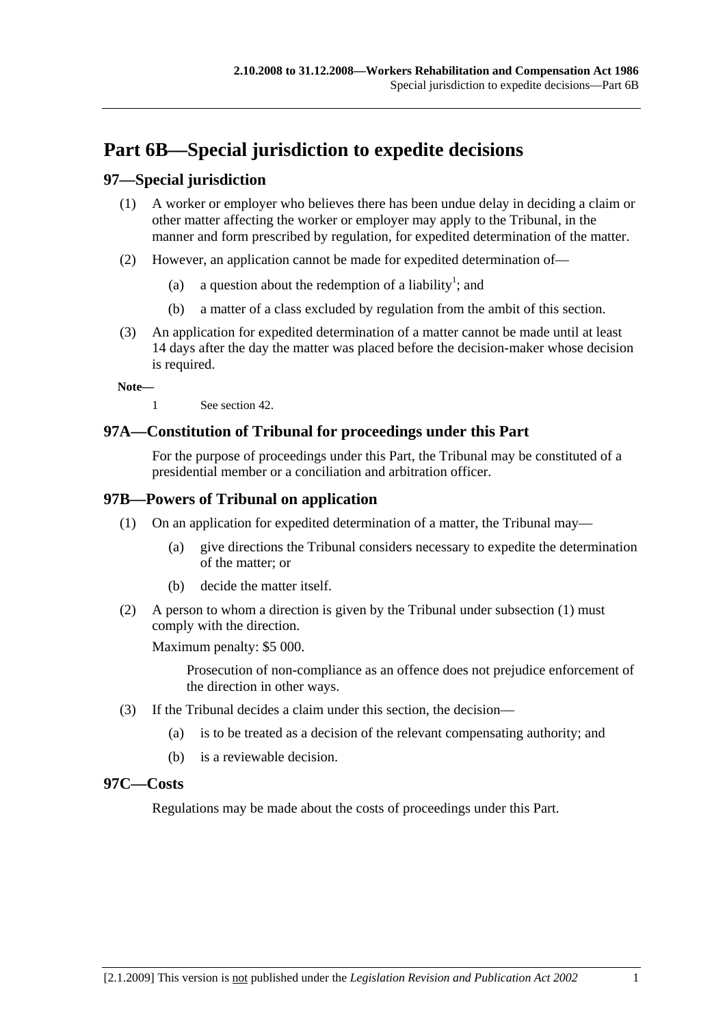# **Part 6B—Special jurisdiction to expedite decisions**

# **97—Special jurisdiction**

- (1) A worker or employer who believes there has been undue delay in deciding a claim or other matter affecting the worker or employer may apply to the Tribunal, in the manner and form prescribed by regulation, for expedited determination of the matter.
- (2) However, an application cannot be made for expedited determination of—
	- (a) a question about the redemption of a liability<sup>1</sup>; and
		- (b) a matter of a class excluded by regulation from the ambit of this section.
- (3) An application for expedited determination of a matter cannot be made until at least 14 days after the day the matter was placed before the decision-maker whose decision is required.

**Note—** 

1 See section 42.

## **97A—Constitution of Tribunal for proceedings under this Part**

For the purpose of proceedings under this Part, the Tribunal may be constituted of a presidential member or a conciliation and arbitration officer.

## **97B—Powers of Tribunal on application**

- (1) On an application for expedited determination of a matter, the Tribunal may—
	- (a) give directions the Tribunal considers necessary to expedite the determination of the matter; or
	- (b) decide the matter itself.
- (2) A person to whom a direction is given by the Tribunal under subsection (1) must comply with the direction.

Maximum penalty: \$5 000.

Prosecution of non-compliance as an offence does not prejudice enforcement of the direction in other ways.

- (3) If the Tribunal decides a claim under this section, the decision—
	- (a) is to be treated as a decision of the relevant compensating authority; and
	- (b) is a reviewable decision.

## **97C—Costs**

Regulations may be made about the costs of proceedings under this Part.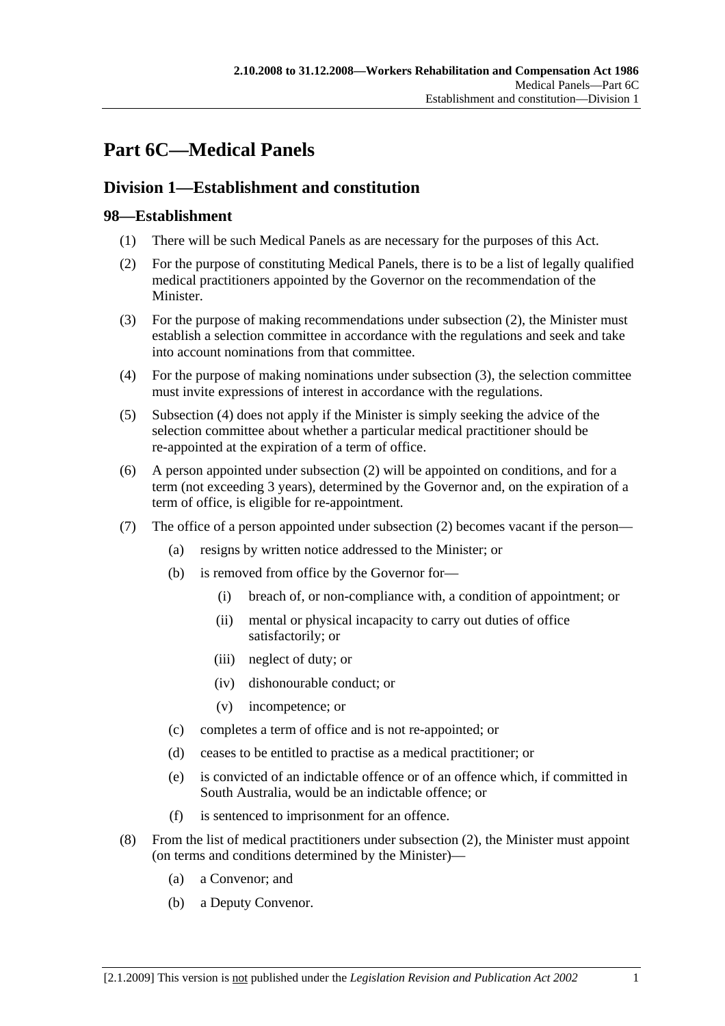# **Part 6C—Medical Panels**

# **Division 1—Establishment and constitution**

# **98—Establishment**

- (1) There will be such Medical Panels as are necessary for the purposes of this Act.
- (2) For the purpose of constituting Medical Panels, there is to be a list of legally qualified medical practitioners appointed by the Governor on the recommendation of the Minister.
- (3) For the purpose of making recommendations under subsection (2), the Minister must establish a selection committee in accordance with the regulations and seek and take into account nominations from that committee.
- (4) For the purpose of making nominations under subsection (3), the selection committee must invite expressions of interest in accordance with the regulations.
- (5) Subsection (4) does not apply if the Minister is simply seeking the advice of the selection committee about whether a particular medical practitioner should be re-appointed at the expiration of a term of office.
- (6) A person appointed under subsection (2) will be appointed on conditions, and for a term (not exceeding 3 years), determined by the Governor and, on the expiration of a term of office, is eligible for re-appointment.
- (7) The office of a person appointed under subsection (2) becomes vacant if the person—
	- (a) resigns by written notice addressed to the Minister; or
	- (b) is removed from office by the Governor for—
		- (i) breach of, or non-compliance with, a condition of appointment; or
		- (ii) mental or physical incapacity to carry out duties of office satisfactorily; or
		- (iii) neglect of duty; or
		- (iv) dishonourable conduct; or
		- (v) incompetence; or
	- (c) completes a term of office and is not re-appointed; or
	- (d) ceases to be entitled to practise as a medical practitioner; or
	- (e) is convicted of an indictable offence or of an offence which, if committed in South Australia, would be an indictable offence; or
	- (f) is sentenced to imprisonment for an offence.
- (8) From the list of medical practitioners under subsection (2), the Minister must appoint (on terms and conditions determined by the Minister)—
	- (a) a Convenor; and
	- (b) a Deputy Convenor.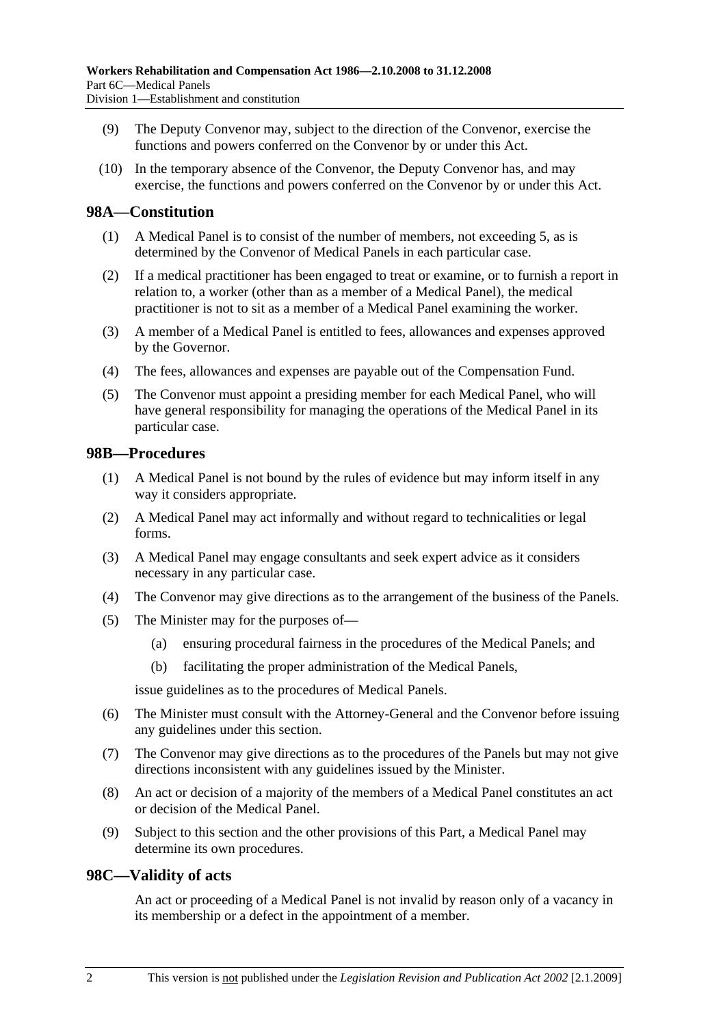- (9) The Deputy Convenor may, subject to the direction of the Convenor, exercise the functions and powers conferred on the Convenor by or under this Act.
- (10) In the temporary absence of the Convenor, the Deputy Convenor has, and may exercise, the functions and powers conferred on the Convenor by or under this Act.

#### **98A—Constitution**

- (1) A Medical Panel is to consist of the number of members, not exceeding 5, as is determined by the Convenor of Medical Panels in each particular case.
- (2) If a medical practitioner has been engaged to treat or examine, or to furnish a report in relation to, a worker (other than as a member of a Medical Panel), the medical practitioner is not to sit as a member of a Medical Panel examining the worker.
- (3) A member of a Medical Panel is entitled to fees, allowances and expenses approved by the Governor.
- (4) The fees, allowances and expenses are payable out of the Compensation Fund.
- (5) The Convenor must appoint a presiding member for each Medical Panel, who will have general responsibility for managing the operations of the Medical Panel in its particular case.

#### **98B—Procedures**

- (1) A Medical Panel is not bound by the rules of evidence but may inform itself in any way it considers appropriate.
- (2) A Medical Panel may act informally and without regard to technicalities or legal forms.
- (3) A Medical Panel may engage consultants and seek expert advice as it considers necessary in any particular case.
- (4) The Convenor may give directions as to the arrangement of the business of the Panels.
- (5) The Minister may for the purposes of—
	- (a) ensuring procedural fairness in the procedures of the Medical Panels; and
	- (b) facilitating the proper administration of the Medical Panels,

issue guidelines as to the procedures of Medical Panels.

- (6) The Minister must consult with the Attorney-General and the Convenor before issuing any guidelines under this section.
- (7) The Convenor may give directions as to the procedures of the Panels but may not give directions inconsistent with any guidelines issued by the Minister.
- (8) An act or decision of a majority of the members of a Medical Panel constitutes an act or decision of the Medical Panel.
- (9) Subject to this section and the other provisions of this Part, a Medical Panel may determine its own procedures.

#### **98C—Validity of acts**

An act or proceeding of a Medical Panel is not invalid by reason only of a vacancy in its membership or a defect in the appointment of a member.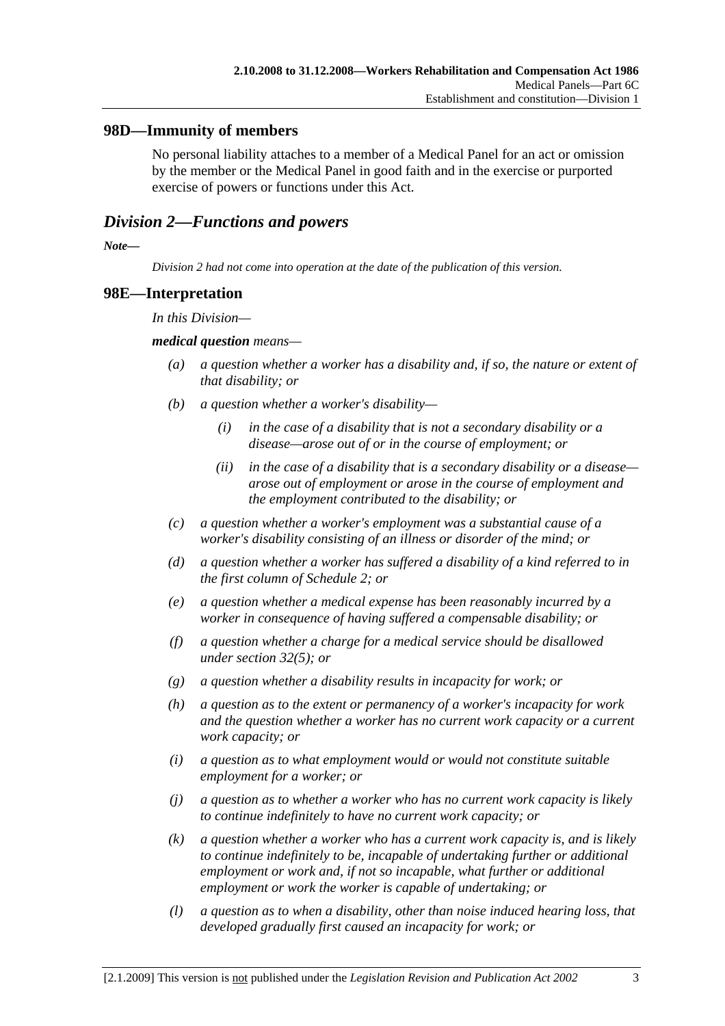## **98D—Immunity of members**

No personal liability attaches to a member of a Medical Panel for an act or omission by the member or the Medical Panel in good faith and in the exercise or purported exercise of powers or functions under this Act.

## *Division 2—Functions and powers*

*Note—* 

*Division 2 had not come into operation at the date of the publication of this version.* 

#### **98E—Interpretation**

*In this Division—* 

#### *medical question means—*

- *(a) a question whether a worker has a disability and, if so, the nature or extent of that disability; or*
- *(b) a question whether a worker's disability—* 
	- *(i) in the case of a disability that is not a secondary disability or a disease—arose out of or in the course of employment; or*
	- *(ii) in the case of a disability that is a secondary disability or a disease arose out of employment or arose in the course of employment and the employment contributed to the disability; or*
- *(c) a question whether a worker's employment was a substantial cause of a worker's disability consisting of an illness or disorder of the mind; or*
- *(d) a question whether a worker has suffered a disability of a kind referred to in the first column of Schedule 2; or*
- *(e) a question whether a medical expense has been reasonably incurred by a worker in consequence of having suffered a compensable disability; or*
- *(f) a question whether a charge for a medical service should be disallowed under section 32(5); or*
- *(g) a question whether a disability results in incapacity for work; or*
- *(h) a question as to the extent or permanency of a worker's incapacity for work and the question whether a worker has no current work capacity or a current work capacity; or*
- *(i) a question as to what employment would or would not constitute suitable employment for a worker; or*
- *(j) a question as to whether a worker who has no current work capacity is likely to continue indefinitely to have no current work capacity; or*
- *(k) a question whether a worker who has a current work capacity is, and is likely to continue indefinitely to be, incapable of undertaking further or additional employment or work and, if not so incapable, what further or additional employment or work the worker is capable of undertaking; or*
- *(l) a question as to when a disability, other than noise induced hearing loss, that developed gradually first caused an incapacity for work; or*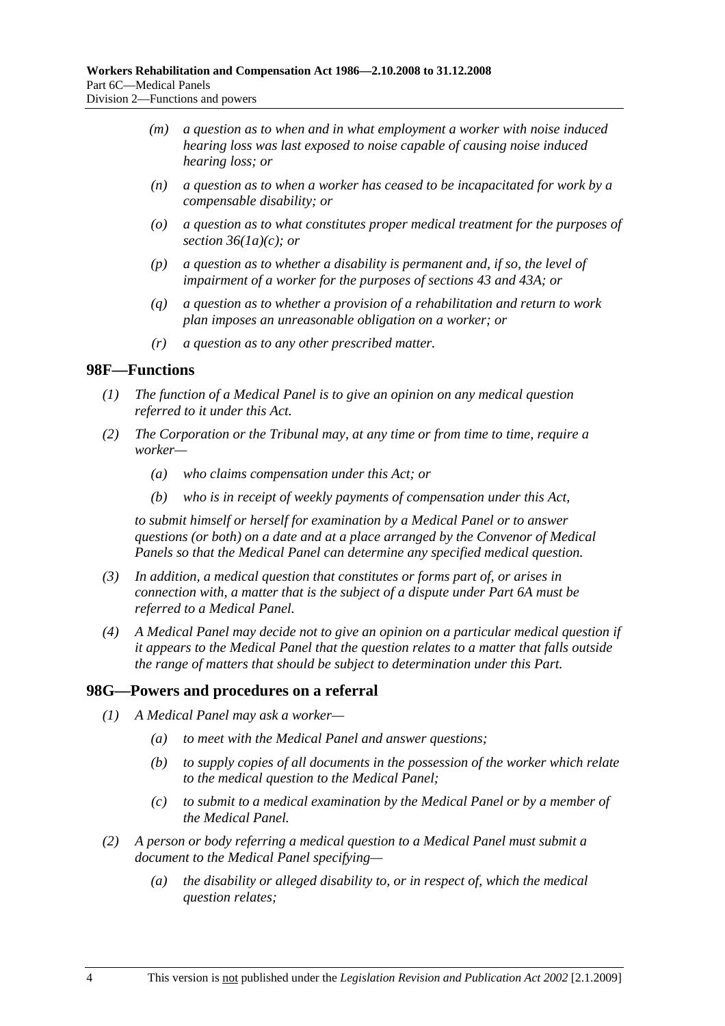- *(m) a question as to when and in what employment a worker with noise induced hearing loss was last exposed to noise capable of causing noise induced hearing loss; or*
- *(n) a question as to when a worker has ceased to be incapacitated for work by a compensable disability; or*
- *(o) a question as to what constitutes proper medical treatment for the purposes of section 36(1a)(c); or*
- *(p) a question as to whether a disability is permanent and, if so, the level of impairment of a worker for the purposes of sections 43 and 43A; or*
- *(q) a question as to whether a provision of a rehabilitation and return to work plan imposes an unreasonable obligation on a worker; or*
- *(r) a question as to any other prescribed matter.*

#### **98F—Functions**

- *(1) The function of a Medical Panel is to give an opinion on any medical question referred to it under this Act.*
- *(2) The Corporation or the Tribunal may, at any time or from time to time, require a worker—* 
	- *(a) who claims compensation under this Act; or*
	- *(b) who is in receipt of weekly payments of compensation under this Act,*

*to submit himself or herself for examination by a Medical Panel or to answer questions (or both) on a date and at a place arranged by the Convenor of Medical Panels so that the Medical Panel can determine any specified medical question.* 

- *(3) In addition, a medical question that constitutes or forms part of, or arises in connection with, a matter that is the subject of a dispute under Part 6A must be referred to a Medical Panel.*
- *(4) A Medical Panel may decide not to give an opinion on a particular medical question if it appears to the Medical Panel that the question relates to a matter that falls outside the range of matters that should be subject to determination under this Part.*

#### **98G—Powers and procedures on a referral**

- *(1) A Medical Panel may ask a worker—* 
	- *(a) to meet with the Medical Panel and answer questions;*
	- *(b) to supply copies of all documents in the possession of the worker which relate to the medical question to the Medical Panel;*
	- *(c) to submit to a medical examination by the Medical Panel or by a member of the Medical Panel.*
- *(2) A person or body referring a medical question to a Medical Panel must submit a document to the Medical Panel specifying—* 
	- *(a) the disability or alleged disability to, or in respect of, which the medical question relates;*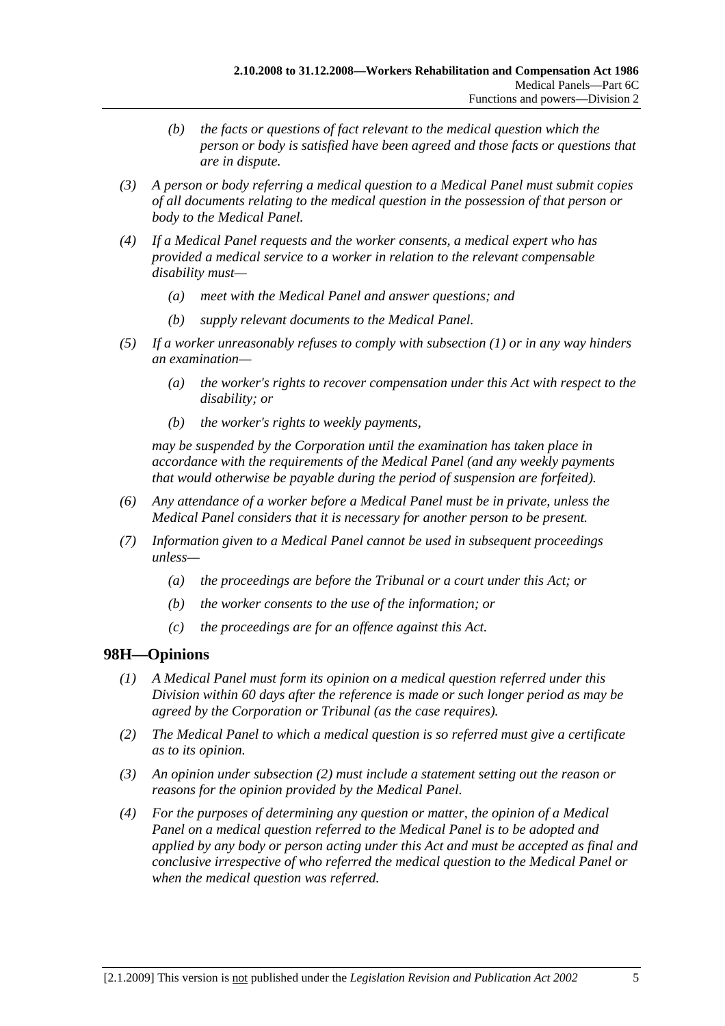- *(b) the facts or questions of fact relevant to the medical question which the person or body is satisfied have been agreed and those facts or questions that are in dispute.*
- *(3) A person or body referring a medical question to a Medical Panel must submit copies of all documents relating to the medical question in the possession of that person or body to the Medical Panel.*
- *(4) If a Medical Panel requests and the worker consents, a medical expert who has provided a medical service to a worker in relation to the relevant compensable disability must—* 
	- *(a) meet with the Medical Panel and answer questions; and*
	- *(b) supply relevant documents to the Medical Panel.*
- *(5) If a worker unreasonably refuses to comply with subsection (1) or in any way hinders an examination—* 
	- *(a) the worker's rights to recover compensation under this Act with respect to the disability; or*
	- *(b) the worker's rights to weekly payments,*

*may be suspended by the Corporation until the examination has taken place in accordance with the requirements of the Medical Panel (and any weekly payments that would otherwise be payable during the period of suspension are forfeited).* 

- *(6) Any attendance of a worker before a Medical Panel must be in private, unless the Medical Panel considers that it is necessary for another person to be present.*
- *(7) Information given to a Medical Panel cannot be used in subsequent proceedings unless—* 
	- *(a) the proceedings are before the Tribunal or a court under this Act; or*
	- *(b) the worker consents to the use of the information; or*
	- *(c) the proceedings are for an offence against this Act.*

## **98H—Opinions**

- *(1) A Medical Panel must form its opinion on a medical question referred under this Division within 60 days after the reference is made or such longer period as may be agreed by the Corporation or Tribunal (as the case requires).*
- *(2) The Medical Panel to which a medical question is so referred must give a certificate as to its opinion.*
- *(3) An opinion under subsection (2) must include a statement setting out the reason or reasons for the opinion provided by the Medical Panel.*
- *(4) For the purposes of determining any question or matter, the opinion of a Medical Panel on a medical question referred to the Medical Panel is to be adopted and applied by any body or person acting under this Act and must be accepted as final and conclusive irrespective of who referred the medical question to the Medical Panel or when the medical question was referred.*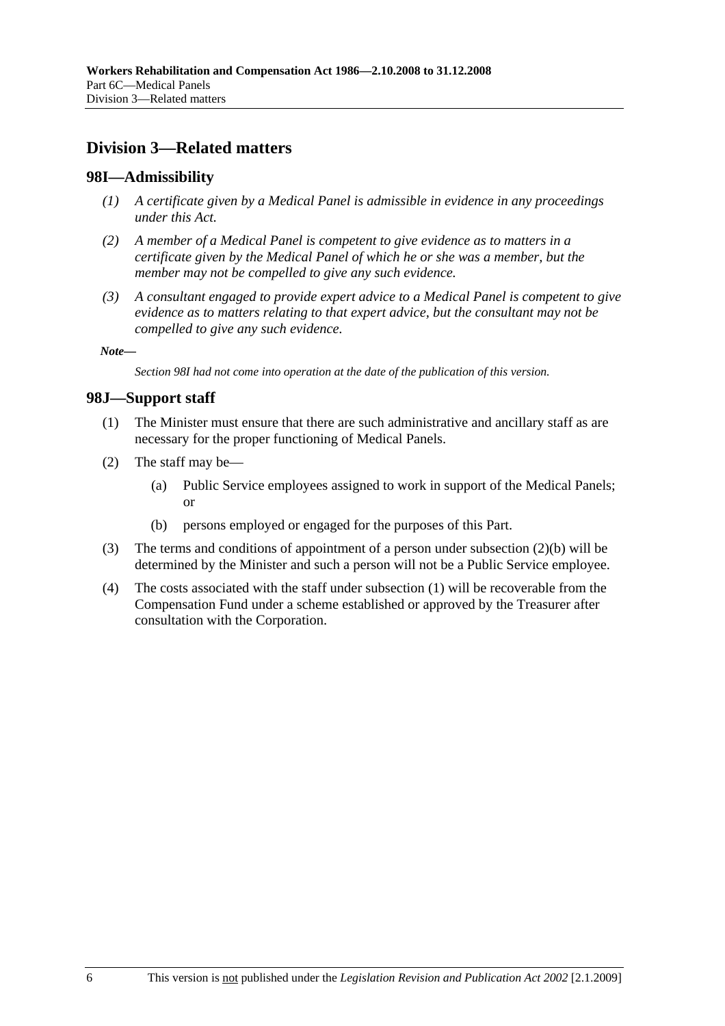# **Division 3—Related matters**

#### **98I—Admissibility**

- *(1) A certificate given by a Medical Panel is admissible in evidence in any proceedings under this Act.*
- *(2) A member of a Medical Panel is competent to give evidence as to matters in a certificate given by the Medical Panel of which he or she was a member, but the member may not be compelled to give any such evidence.*
- *(3) A consultant engaged to provide expert advice to a Medical Panel is competent to give evidence as to matters relating to that expert advice, but the consultant may not be compelled to give any such evidence.*

*Note—* 

*Section 98I had not come into operation at the date of the publication of this version.* 

#### **98J—Support staff**

- (1) The Minister must ensure that there are such administrative and ancillary staff as are necessary for the proper functioning of Medical Panels.
- (2) The staff may be—
	- (a) Public Service employees assigned to work in support of the Medical Panels; or
	- (b) persons employed or engaged for the purposes of this Part.
- (3) The terms and conditions of appointment of a person under subsection (2)(b) will be determined by the Minister and such a person will not be a Public Service employee.
- (4) The costs associated with the staff under subsection (1) will be recoverable from the Compensation Fund under a scheme established or approved by the Treasurer after consultation with the Corporation.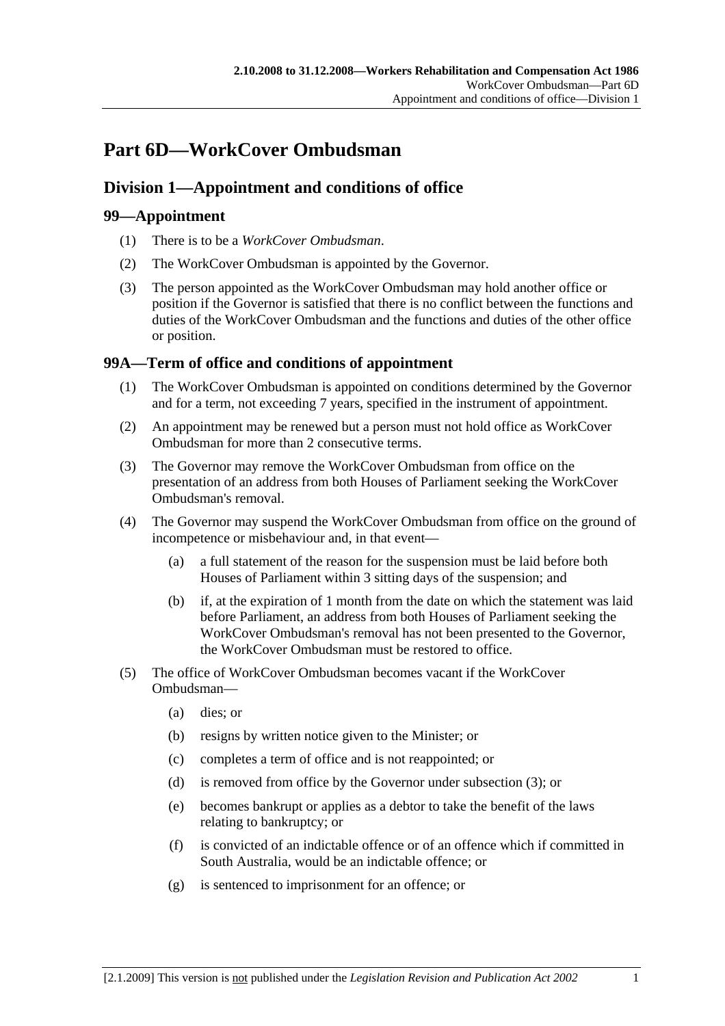# **Part 6D—WorkCover Ombudsman**

# **Division 1—Appointment and conditions of office**

# **99—Appointment**

- (1) There is to be a *WorkCover Ombudsman*.
- (2) The WorkCover Ombudsman is appointed by the Governor.
- (3) The person appointed as the WorkCover Ombudsman may hold another office or position if the Governor is satisfied that there is no conflict between the functions and duties of the WorkCover Ombudsman and the functions and duties of the other office or position.

# **99A—Term of office and conditions of appointment**

- (1) The WorkCover Ombudsman is appointed on conditions determined by the Governor and for a term, not exceeding 7 years, specified in the instrument of appointment.
- (2) An appointment may be renewed but a person must not hold office as WorkCover Ombudsman for more than 2 consecutive terms.
- (3) The Governor may remove the WorkCover Ombudsman from office on the presentation of an address from both Houses of Parliament seeking the WorkCover Ombudsman's removal.
- (4) The Governor may suspend the WorkCover Ombudsman from office on the ground of incompetence or misbehaviour and, in that event—
	- (a) a full statement of the reason for the suspension must be laid before both Houses of Parliament within 3 sitting days of the suspension; and
	- (b) if, at the expiration of 1 month from the date on which the statement was laid before Parliament, an address from both Houses of Parliament seeking the WorkCover Ombudsman's removal has not been presented to the Governor, the WorkCover Ombudsman must be restored to office.
- (5) The office of WorkCover Ombudsman becomes vacant if the WorkCover Ombudsman—
	- (a) dies; or
	- (b) resigns by written notice given to the Minister; or
	- (c) completes a term of office and is not reappointed; or
	- (d) is removed from office by the Governor under subsection (3); or
	- (e) becomes bankrupt or applies as a debtor to take the benefit of the laws relating to bankruptcy; or
	- (f) is convicted of an indictable offence or of an offence which if committed in South Australia, would be an indictable offence; or
	- (g) is sentenced to imprisonment for an offence; or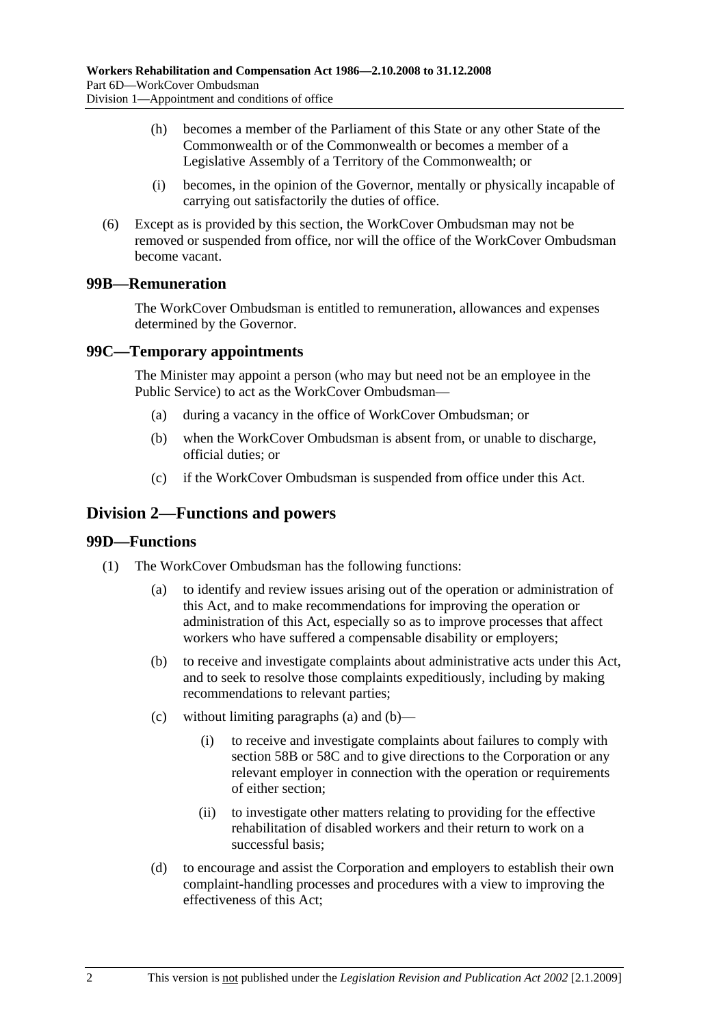- (h) becomes a member of the Parliament of this State or any other State of the Commonwealth or of the Commonwealth or becomes a member of a Legislative Assembly of a Territory of the Commonwealth; or
- (i) becomes, in the opinion of the Governor, mentally or physically incapable of carrying out satisfactorily the duties of office.
- (6) Except as is provided by this section, the WorkCover Ombudsman may not be removed or suspended from office, nor will the office of the WorkCover Ombudsman become vacant.

## **99B—Remuneration**

The WorkCover Ombudsman is entitled to remuneration, allowances and expenses determined by the Governor.

## **99C—Temporary appointments**

The Minister may appoint a person (who may but need not be an employee in the Public Service) to act as the WorkCover Ombudsman—

- (a) during a vacancy in the office of WorkCover Ombudsman; or
- (b) when the WorkCover Ombudsman is absent from, or unable to discharge, official duties; or
- (c) if the WorkCover Ombudsman is suspended from office under this Act.

# **Division 2—Functions and powers**

#### **99D—Functions**

- (1) The WorkCover Ombudsman has the following functions:
	- (a) to identify and review issues arising out of the operation or administration of this Act, and to make recommendations for improving the operation or administration of this Act, especially so as to improve processes that affect workers who have suffered a compensable disability or employers;
	- (b) to receive and investigate complaints about administrative acts under this Act, and to seek to resolve those complaints expeditiously, including by making recommendations to relevant parties;
	- (c) without limiting paragraphs (a) and (b)—
		- (i) to receive and investigate complaints about failures to comply with section 58B or 58C and to give directions to the Corporation or any relevant employer in connection with the operation or requirements of either section;
		- (ii) to investigate other matters relating to providing for the effective rehabilitation of disabled workers and their return to work on a successful basis;
	- (d) to encourage and assist the Corporation and employers to establish their own complaint-handling processes and procedures with a view to improving the effectiveness of this Act;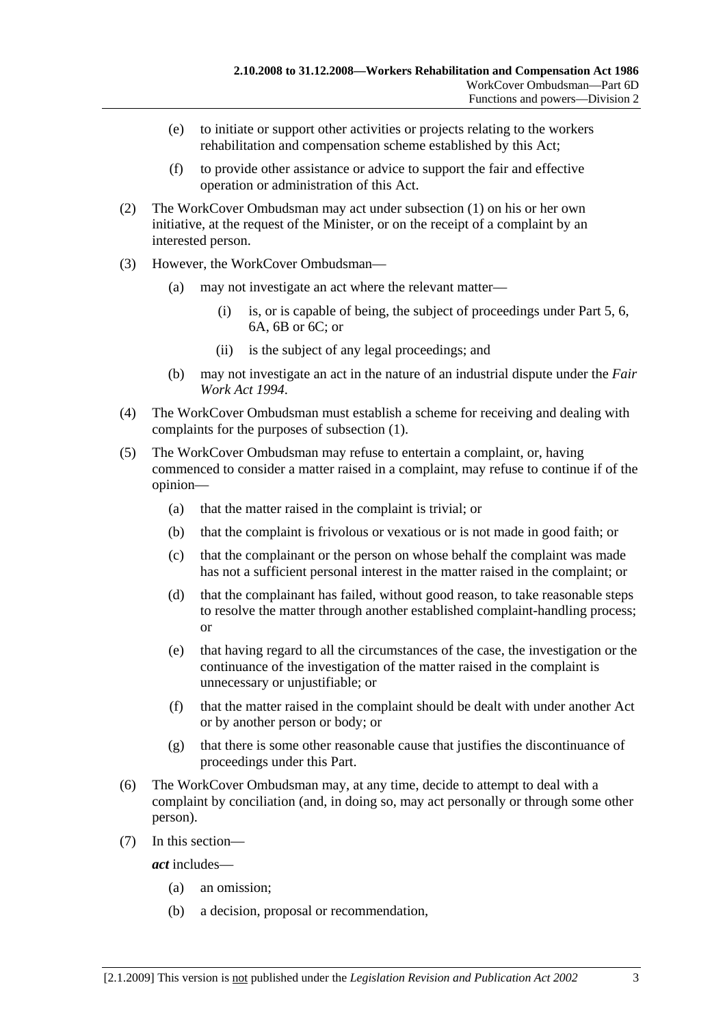- (e) to initiate or support other activities or projects relating to the workers rehabilitation and compensation scheme established by this Act;
- (f) to provide other assistance or advice to support the fair and effective operation or administration of this Act.
- (2) The WorkCover Ombudsman may act under subsection (1) on his or her own initiative, at the request of the Minister, or on the receipt of a complaint by an interested person.
- (3) However, the WorkCover Ombudsman—
	- (a) may not investigate an act where the relevant matter—
		- (i) is, or is capable of being, the subject of proceedings under Part 5, 6, 6A, 6B or 6C; or
		- (ii) is the subject of any legal proceedings; and
	- (b) may not investigate an act in the nature of an industrial dispute under the *Fair Work Act 1994*.
- (4) The WorkCover Ombudsman must establish a scheme for receiving and dealing with complaints for the purposes of subsection (1).
- (5) The WorkCover Ombudsman may refuse to entertain a complaint, or, having commenced to consider a matter raised in a complaint, may refuse to continue if of the opinion—
	- (a) that the matter raised in the complaint is trivial; or
	- (b) that the complaint is frivolous or vexatious or is not made in good faith; or
	- (c) that the complainant or the person on whose behalf the complaint was made has not a sufficient personal interest in the matter raised in the complaint; or
	- (d) that the complainant has failed, without good reason, to take reasonable steps to resolve the matter through another established complaint-handling process; or
	- (e) that having regard to all the circumstances of the case, the investigation or the continuance of the investigation of the matter raised in the complaint is unnecessary or unjustifiable; or
	- (f) that the matter raised in the complaint should be dealt with under another Act or by another person or body; or
	- (g) that there is some other reasonable cause that justifies the discontinuance of proceedings under this Part.
- (6) The WorkCover Ombudsman may, at any time, decide to attempt to deal with a complaint by conciliation (and, in doing so, may act personally or through some other person).
- (7) In this section—

*act* includes—

- (a) an omission;
- (b) a decision, proposal or recommendation,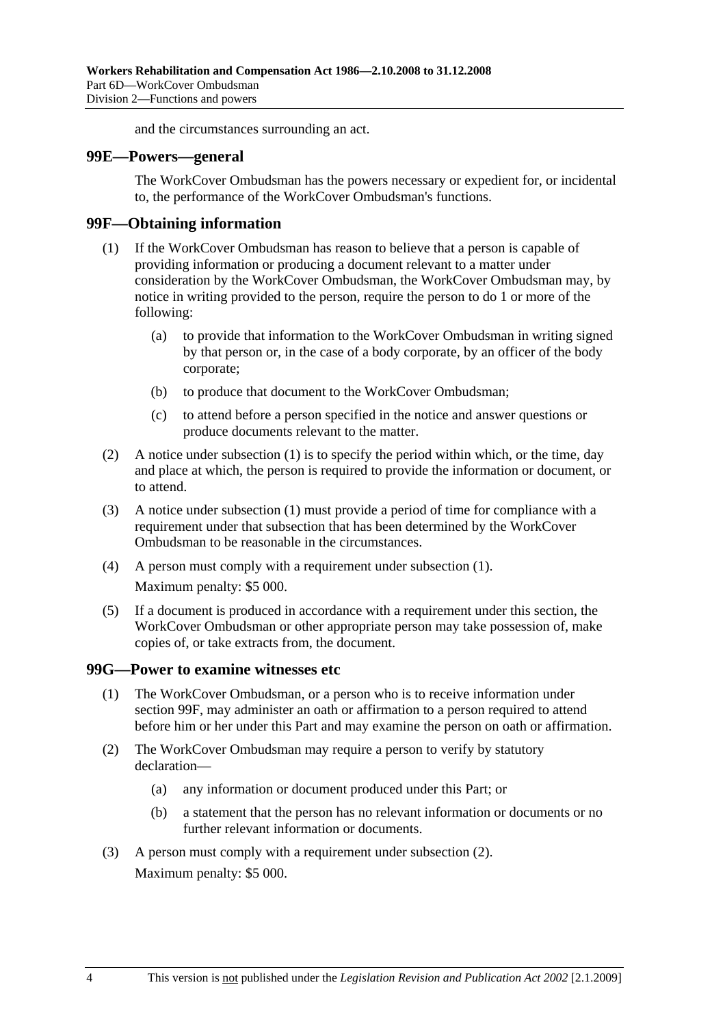and the circumstances surrounding an act.

#### **99E—Powers—general**

The WorkCover Ombudsman has the powers necessary or expedient for, or incidental to, the performance of the WorkCover Ombudsman's functions.

#### **99F—Obtaining information**

- (1) If the WorkCover Ombudsman has reason to believe that a person is capable of providing information or producing a document relevant to a matter under consideration by the WorkCover Ombudsman, the WorkCover Ombudsman may, by notice in writing provided to the person, require the person to do 1 or more of the following:
	- (a) to provide that information to the WorkCover Ombudsman in writing signed by that person or, in the case of a body corporate, by an officer of the body corporate;
	- (b) to produce that document to the WorkCover Ombudsman;
	- (c) to attend before a person specified in the notice and answer questions or produce documents relevant to the matter.
- (2) A notice under subsection (1) is to specify the period within which, or the time, day and place at which, the person is required to provide the information or document, or to attend.
- (3) A notice under subsection (1) must provide a period of time for compliance with a requirement under that subsection that has been determined by the WorkCover Ombudsman to be reasonable in the circumstances.
- (4) A person must comply with a requirement under subsection (1). Maximum penalty: \$5 000.
- (5) If a document is produced in accordance with a requirement under this section, the WorkCover Ombudsman or other appropriate person may take possession of, make copies of, or take extracts from, the document.

#### **99G—Power to examine witnesses etc**

- (1) The WorkCover Ombudsman, or a person who is to receive information under section 99F, may administer an oath or affirmation to a person required to attend before him or her under this Part and may examine the person on oath or affirmation.
- (2) The WorkCover Ombudsman may require a person to verify by statutory declaration—
	- (a) any information or document produced under this Part; or
	- (b) a statement that the person has no relevant information or documents or no further relevant information or documents.
- (3) A person must comply with a requirement under subsection (2). Maximum penalty: \$5 000.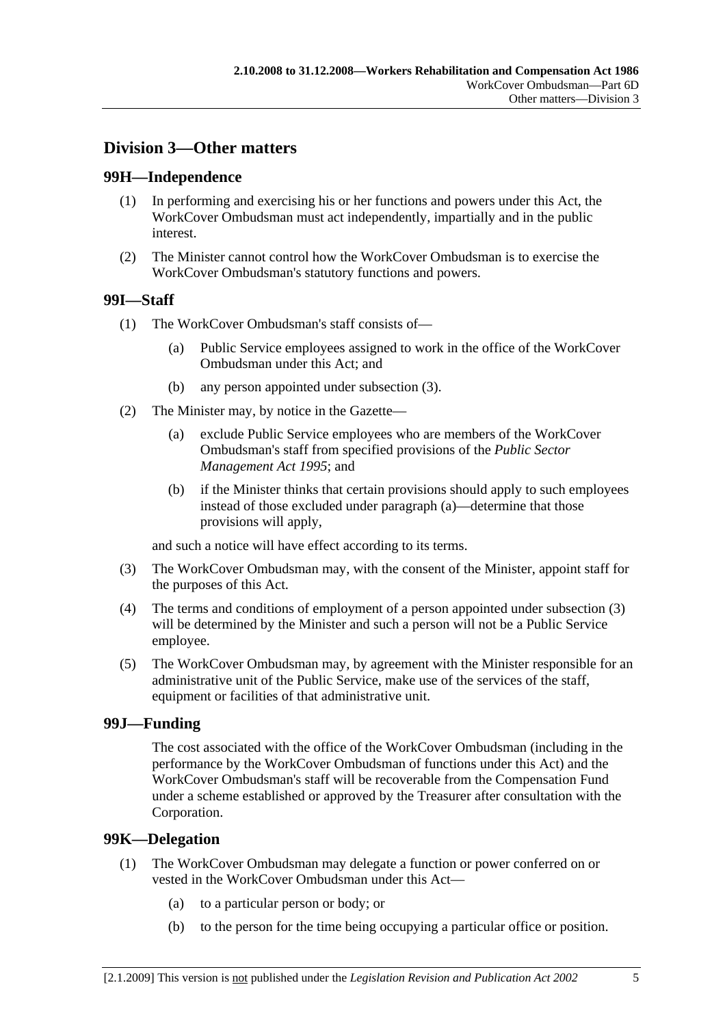# **Division 3—Other matters**

## **99H—Independence**

- (1) In performing and exercising his or her functions and powers under this Act, the WorkCover Ombudsman must act independently, impartially and in the public interest.
- (2) The Minister cannot control how the WorkCover Ombudsman is to exercise the WorkCover Ombudsman's statutory functions and powers.

## **99I—Staff**

- (1) The WorkCover Ombudsman's staff consists of—
	- (a) Public Service employees assigned to work in the office of the WorkCover Ombudsman under this Act; and
	- (b) any person appointed under subsection (3).
- (2) The Minister may, by notice in the Gazette—
	- (a) exclude Public Service employees who are members of the WorkCover Ombudsman's staff from specified provisions of the *Public Sector Management Act 1995*; and
	- (b) if the Minister thinks that certain provisions should apply to such employees instead of those excluded under paragraph (a)—determine that those provisions will apply,

and such a notice will have effect according to its terms.

- (3) The WorkCover Ombudsman may, with the consent of the Minister, appoint staff for the purposes of this Act.
- (4) The terms and conditions of employment of a person appointed under subsection (3) will be determined by the Minister and such a person will not be a Public Service employee.
- (5) The WorkCover Ombudsman may, by agreement with the Minister responsible for an administrative unit of the Public Service, make use of the services of the staff, equipment or facilities of that administrative unit.

## **99J—Funding**

The cost associated with the office of the WorkCover Ombudsman (including in the performance by the WorkCover Ombudsman of functions under this Act) and the WorkCover Ombudsman's staff will be recoverable from the Compensation Fund under a scheme established or approved by the Treasurer after consultation with the Corporation.

## **99K—Delegation**

- (1) The WorkCover Ombudsman may delegate a function or power conferred on or vested in the WorkCover Ombudsman under this Act—
	- (a) to a particular person or body; or
	- (b) to the person for the time being occupying a particular office or position.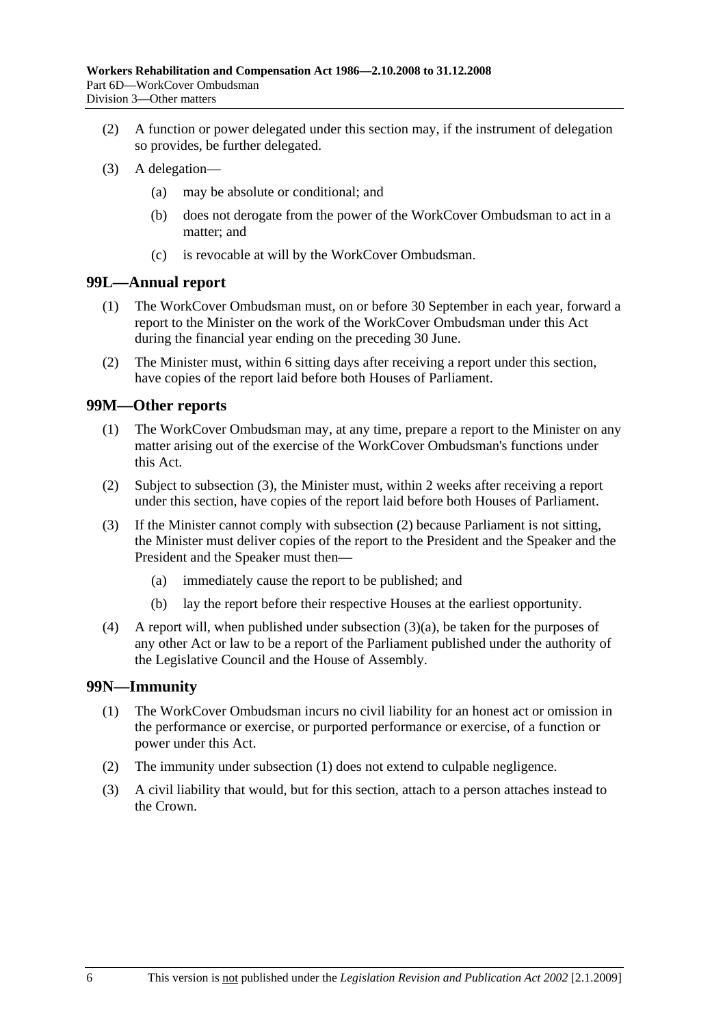- (2) A function or power delegated under this section may, if the instrument of delegation so provides, be further delegated.
- (3) A delegation—
	- (a) may be absolute or conditional; and
	- (b) does not derogate from the power of the WorkCover Ombudsman to act in a matter; and
	- (c) is revocable at will by the WorkCover Ombudsman.

#### **99L—Annual report**

- (1) The WorkCover Ombudsman must, on or before 30 September in each year, forward a report to the Minister on the work of the WorkCover Ombudsman under this Act during the financial year ending on the preceding 30 June.
- (2) The Minister must, within 6 sitting days after receiving a report under this section, have copies of the report laid before both Houses of Parliament.

#### **99M—Other reports**

- (1) The WorkCover Ombudsman may, at any time, prepare a report to the Minister on any matter arising out of the exercise of the WorkCover Ombudsman's functions under this Act.
- (2) Subject to subsection (3), the Minister must, within 2 weeks after receiving a report under this section, have copies of the report laid before both Houses of Parliament.
- (3) If the Minister cannot comply with subsection (2) because Parliament is not sitting, the Minister must deliver copies of the report to the President and the Speaker and the President and the Speaker must then—
	- (a) immediately cause the report to be published; and
	- (b) lay the report before their respective Houses at the earliest opportunity.
- (4) A report will, when published under subsection (3)(a), be taken for the purposes of any other Act or law to be a report of the Parliament published under the authority of the Legislative Council and the House of Assembly.

#### **99N—Immunity**

- (1) The WorkCover Ombudsman incurs no civil liability for an honest act or omission in the performance or exercise, or purported performance or exercise, of a function or power under this Act.
- (2) The immunity under subsection (1) does not extend to culpable negligence.
- (3) A civil liability that would, but for this section, attach to a person attaches instead to the Crown.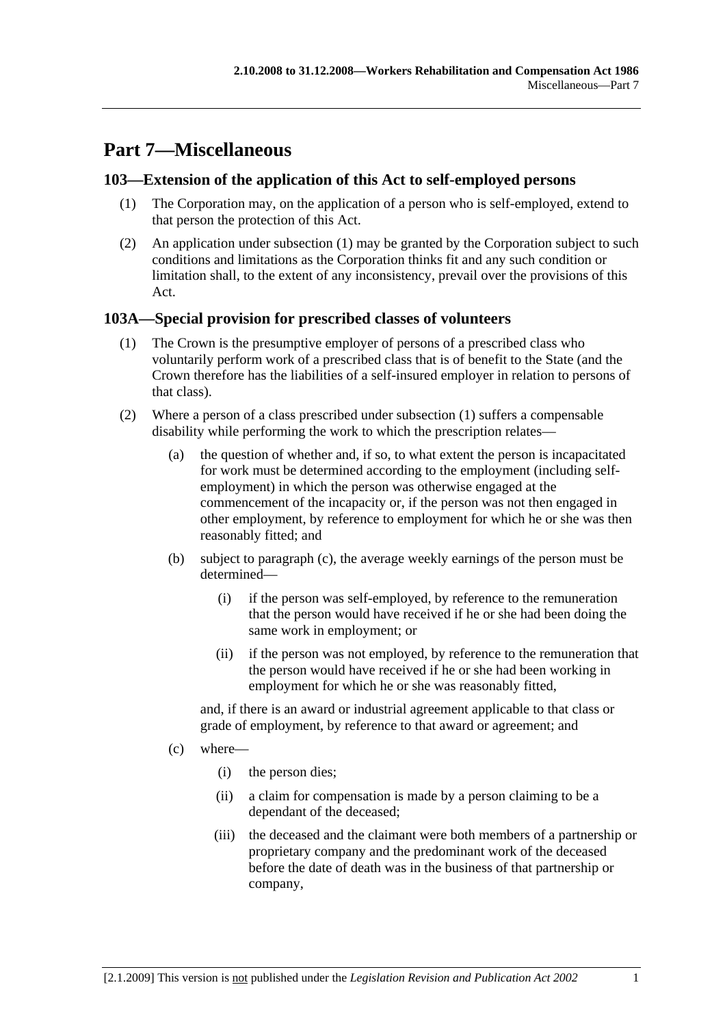# **Part 7—Miscellaneous**

# **103—Extension of the application of this Act to self-employed persons**

- (1) The Corporation may, on the application of a person who is self-employed, extend to that person the protection of this Act.
- (2) An application under subsection (1) may be granted by the Corporation subject to such conditions and limitations as the Corporation thinks fit and any such condition or limitation shall, to the extent of any inconsistency, prevail over the provisions of this Act.

# **103A—Special provision for prescribed classes of volunteers**

- (1) The Crown is the presumptive employer of persons of a prescribed class who voluntarily perform work of a prescribed class that is of benefit to the State (and the Crown therefore has the liabilities of a self-insured employer in relation to persons of that class).
- (2) Where a person of a class prescribed under subsection (1) suffers a compensable disability while performing the work to which the prescription relates—
	- (a) the question of whether and, if so, to what extent the person is incapacitated for work must be determined according to the employment (including selfemployment) in which the person was otherwise engaged at the commencement of the incapacity or, if the person was not then engaged in other employment, by reference to employment for which he or she was then reasonably fitted; and
	- (b) subject to paragraph (c), the average weekly earnings of the person must be determined—
		- (i) if the person was self-employed, by reference to the remuneration that the person would have received if he or she had been doing the same work in employment; or
		- (ii) if the person was not employed, by reference to the remuneration that the person would have received if he or she had been working in employment for which he or she was reasonably fitted,

and, if there is an award or industrial agreement applicable to that class or grade of employment, by reference to that award or agreement; and

- (c) where—
	- (i) the person dies;
	- (ii) a claim for compensation is made by a person claiming to be a dependant of the deceased;
	- (iii) the deceased and the claimant were both members of a partnership or proprietary company and the predominant work of the deceased before the date of death was in the business of that partnership or company,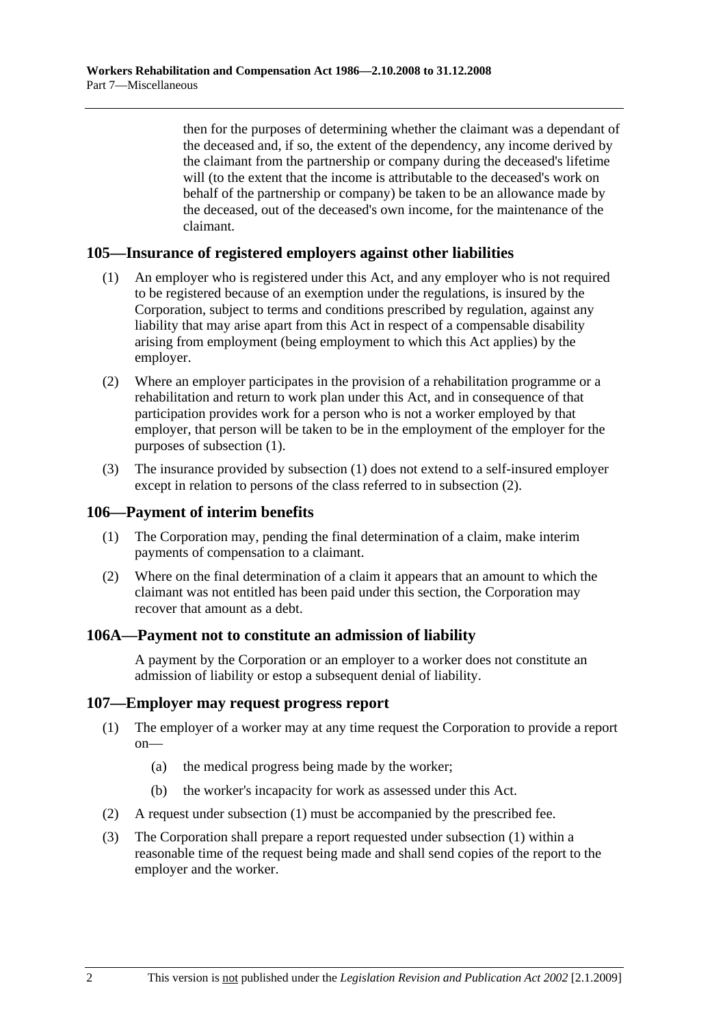then for the purposes of determining whether the claimant was a dependant of the deceased and, if so, the extent of the dependency, any income derived by the claimant from the partnership or company during the deceased's lifetime will (to the extent that the income is attributable to the deceased's work on behalf of the partnership or company) be taken to be an allowance made by the deceased, out of the deceased's own income, for the maintenance of the claimant.

#### **105—Insurance of registered employers against other liabilities**

- (1) An employer who is registered under this Act, and any employer who is not required to be registered because of an exemption under the regulations, is insured by the Corporation, subject to terms and conditions prescribed by regulation, against any liability that may arise apart from this Act in respect of a compensable disability arising from employment (being employment to which this Act applies) by the employer.
- (2) Where an employer participates in the provision of a rehabilitation programme or a rehabilitation and return to work plan under this Act, and in consequence of that participation provides work for a person who is not a worker employed by that employer, that person will be taken to be in the employment of the employer for the purposes of subsection (1).
- (3) The insurance provided by subsection (1) does not extend to a self-insured employer except in relation to persons of the class referred to in subsection (2).

#### **106—Payment of interim benefits**

- (1) The Corporation may, pending the final determination of a claim, make interim payments of compensation to a claimant.
- (2) Where on the final determination of a claim it appears that an amount to which the claimant was not entitled has been paid under this section, the Corporation may recover that amount as a debt.

#### **106A—Payment not to constitute an admission of liability**

A payment by the Corporation or an employer to a worker does not constitute an admission of liability or estop a subsequent denial of liability.

#### **107—Employer may request progress report**

- (1) The employer of a worker may at any time request the Corporation to provide a report  $on$ —
	- (a) the medical progress being made by the worker;
	- (b) the worker's incapacity for work as assessed under this Act.
- (2) A request under subsection (1) must be accompanied by the prescribed fee.
- (3) The Corporation shall prepare a report requested under subsection (1) within a reasonable time of the request being made and shall send copies of the report to the employer and the worker.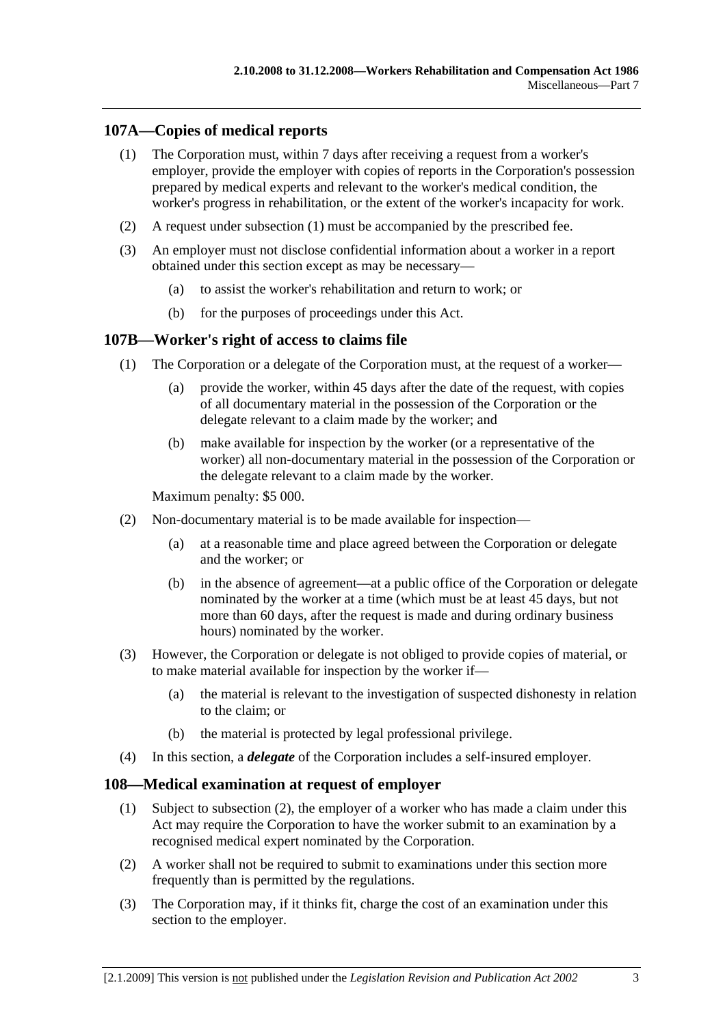# **107A—Copies of medical reports**

- (1) The Corporation must, within 7 days after receiving a request from a worker's employer, provide the employer with copies of reports in the Corporation's possession prepared by medical experts and relevant to the worker's medical condition, the worker's progress in rehabilitation, or the extent of the worker's incapacity for work.
- (2) A request under subsection (1) must be accompanied by the prescribed fee.
- (3) An employer must not disclose confidential information about a worker in a report obtained under this section except as may be necessary—
	- (a) to assist the worker's rehabilitation and return to work; or
	- (b) for the purposes of proceedings under this Act.

#### **107B—Worker's right of access to claims file**

- (1) The Corporation or a delegate of the Corporation must, at the request of a worker—
	- (a) provide the worker, within 45 days after the date of the request, with copies of all documentary material in the possession of the Corporation or the delegate relevant to a claim made by the worker; and
	- (b) make available for inspection by the worker (or a representative of the worker) all non-documentary material in the possession of the Corporation or the delegate relevant to a claim made by the worker.

Maximum penalty: \$5 000.

- (2) Non-documentary material is to be made available for inspection—
	- (a) at a reasonable time and place agreed between the Corporation or delegate and the worker; or
	- (b) in the absence of agreement—at a public office of the Corporation or delegate nominated by the worker at a time (which must be at least 45 days, but not more than 60 days, after the request is made and during ordinary business hours) nominated by the worker.
- (3) However, the Corporation or delegate is not obliged to provide copies of material, or to make material available for inspection by the worker if—
	- (a) the material is relevant to the investigation of suspected dishonesty in relation to the claim; or
	- (b) the material is protected by legal professional privilege.
- (4) In this section, a *delegate* of the Corporation includes a self-insured employer.

#### **108—Medical examination at request of employer**

- (1) Subject to subsection (2), the employer of a worker who has made a claim under this Act may require the Corporation to have the worker submit to an examination by a recognised medical expert nominated by the Corporation.
- (2) A worker shall not be required to submit to examinations under this section more frequently than is permitted by the regulations.
- (3) The Corporation may, if it thinks fit, charge the cost of an examination under this section to the employer.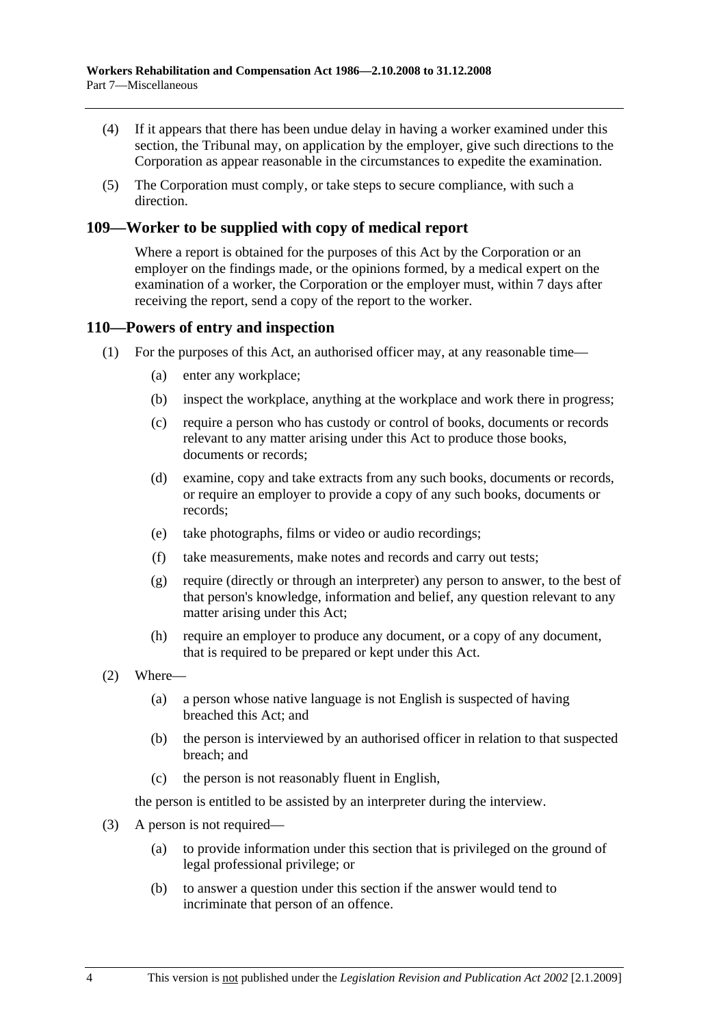- (4) If it appears that there has been undue delay in having a worker examined under this section, the Tribunal may, on application by the employer, give such directions to the Corporation as appear reasonable in the circumstances to expedite the examination.
- (5) The Corporation must comply, or take steps to secure compliance, with such a direction.

## **109—Worker to be supplied with copy of medical report**

Where a report is obtained for the purposes of this Act by the Corporation or an employer on the findings made, or the opinions formed, by a medical expert on the examination of a worker, the Corporation or the employer must, within 7 days after receiving the report, send a copy of the report to the worker.

#### **110—Powers of entry and inspection**

- (1) For the purposes of this Act, an authorised officer may, at any reasonable time—
	- (a) enter any workplace;
	- (b) inspect the workplace, anything at the workplace and work there in progress;
	- (c) require a person who has custody or control of books, documents or records relevant to any matter arising under this Act to produce those books, documents or records;
	- (d) examine, copy and take extracts from any such books, documents or records, or require an employer to provide a copy of any such books, documents or records;
	- (e) take photographs, films or video or audio recordings;
	- (f) take measurements, make notes and records and carry out tests;
	- (g) require (directly or through an interpreter) any person to answer, to the best of that person's knowledge, information and belief, any question relevant to any matter arising under this Act;
	- (h) require an employer to produce any document, or a copy of any document, that is required to be prepared or kept under this Act.
- (2) Where—
	- (a) a person whose native language is not English is suspected of having breached this Act; and
	- (b) the person is interviewed by an authorised officer in relation to that suspected breach; and
	- (c) the person is not reasonably fluent in English,

the person is entitled to be assisted by an interpreter during the interview.

- (3) A person is not required—
	- (a) to provide information under this section that is privileged on the ground of legal professional privilege; or
	- (b) to answer a question under this section if the answer would tend to incriminate that person of an offence.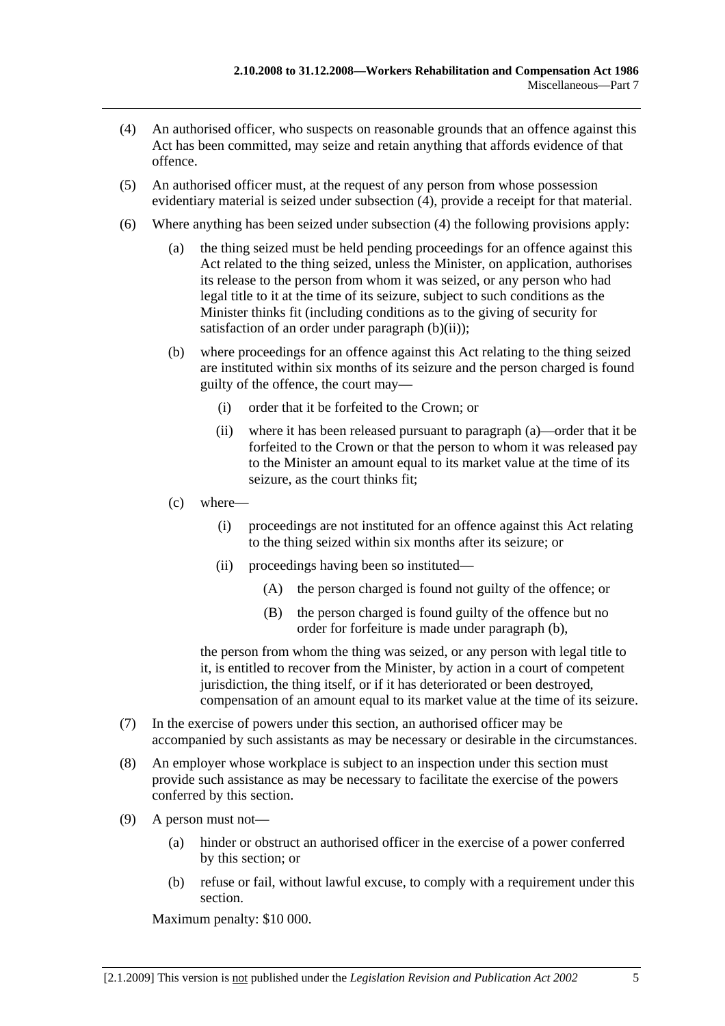- (4) An authorised officer, who suspects on reasonable grounds that an offence against this Act has been committed, may seize and retain anything that affords evidence of that offence.
- (5) An authorised officer must, at the request of any person from whose possession evidentiary material is seized under subsection (4), provide a receipt for that material.
- (6) Where anything has been seized under subsection (4) the following provisions apply:
	- (a) the thing seized must be held pending proceedings for an offence against this Act related to the thing seized, unless the Minister, on application, authorises its release to the person from whom it was seized, or any person who had legal title to it at the time of its seizure, subject to such conditions as the Minister thinks fit (including conditions as to the giving of security for satisfaction of an order under paragraph  $(b)(ii)$ ;
	- (b) where proceedings for an offence against this Act relating to the thing seized are instituted within six months of its seizure and the person charged is found guilty of the offence, the court may—
		- (i) order that it be forfeited to the Crown; or
		- (ii) where it has been released pursuant to paragraph (a)—order that it be forfeited to the Crown or that the person to whom it was released pay to the Minister an amount equal to its market value at the time of its seizure, as the court thinks fit;
	- (c) where—
		- (i) proceedings are not instituted for an offence against this Act relating to the thing seized within six months after its seizure; or
		- (ii) proceedings having been so instituted—
			- (A) the person charged is found not guilty of the offence; or
			- (B) the person charged is found guilty of the offence but no order for forfeiture is made under paragraph (b),

the person from whom the thing was seized, or any person with legal title to it, is entitled to recover from the Minister, by action in a court of competent jurisdiction, the thing itself, or if it has deteriorated or been destroyed, compensation of an amount equal to its market value at the time of its seizure.

- (7) In the exercise of powers under this section, an authorised officer may be accompanied by such assistants as may be necessary or desirable in the circumstances.
- (8) An employer whose workplace is subject to an inspection under this section must provide such assistance as may be necessary to facilitate the exercise of the powers conferred by this section.
- (9) A person must not—
	- (a) hinder or obstruct an authorised officer in the exercise of a power conferred by this section; or
	- (b) refuse or fail, without lawful excuse, to comply with a requirement under this section.

Maximum penalty: \$10 000.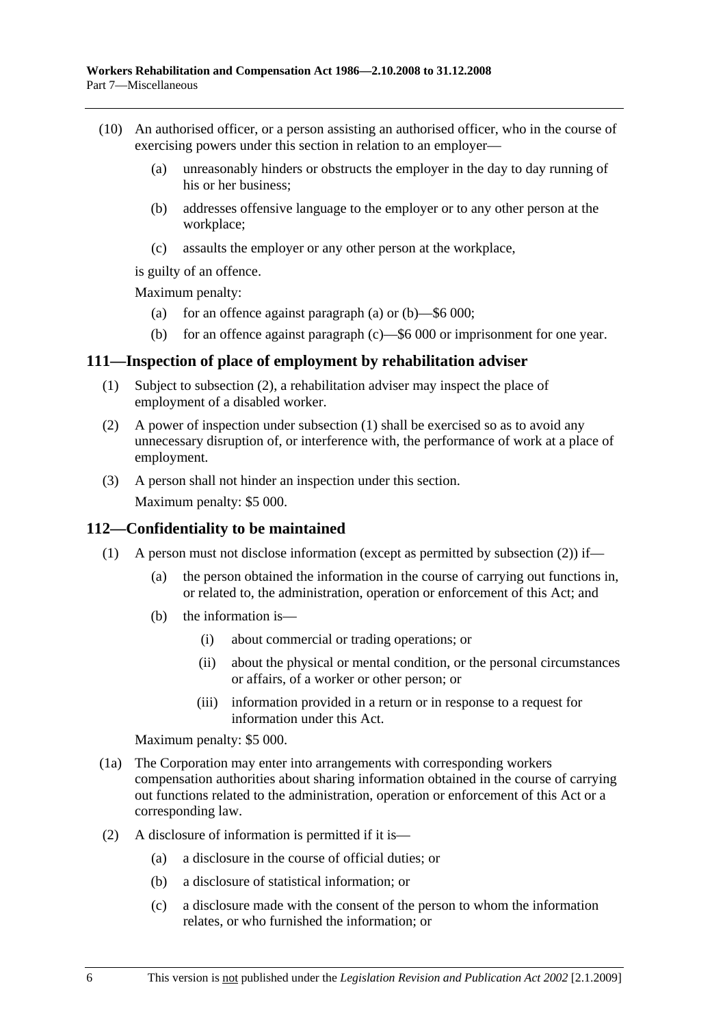- (10) An authorised officer, or a person assisting an authorised officer, who in the course of exercising powers under this section in relation to an employer—
	- (a) unreasonably hinders or obstructs the employer in the day to day running of his or her business;
	- (b) addresses offensive language to the employer or to any other person at the workplace;
	- (c) assaults the employer or any other person at the workplace,

is guilty of an offence.

Maximum penalty:

- (a) for an offence against paragraph (a) or  $(b)$ —\$6 000;
- (b) for an offence against paragraph (c)—\$6 000 or imprisonment for one year.

#### **111—Inspection of place of employment by rehabilitation adviser**

- (1) Subject to subsection (2), a rehabilitation adviser may inspect the place of employment of a disabled worker.
- (2) A power of inspection under subsection (1) shall be exercised so as to avoid any unnecessary disruption of, or interference with, the performance of work at a place of employment.
- (3) A person shall not hinder an inspection under this section.

Maximum penalty: \$5 000.

#### **112—Confidentiality to be maintained**

- (1) A person must not disclose information (except as permitted by subsection (2)) if—
	- (a) the person obtained the information in the course of carrying out functions in, or related to, the administration, operation or enforcement of this Act; and
	- (b) the information is—
		- (i) about commercial or trading operations; or
		- (ii) about the physical or mental condition, or the personal circumstances or affairs, of a worker or other person; or
		- (iii) information provided in a return or in response to a request for information under this Act.

Maximum penalty: \$5 000.

- (1a) The Corporation may enter into arrangements with corresponding workers compensation authorities about sharing information obtained in the course of carrying out functions related to the administration, operation or enforcement of this Act or a corresponding law.
- (2) A disclosure of information is permitted if it is—
	- (a) a disclosure in the course of official duties; or
	- (b) a disclosure of statistical information; or
	- (c) a disclosure made with the consent of the person to whom the information relates, or who furnished the information; or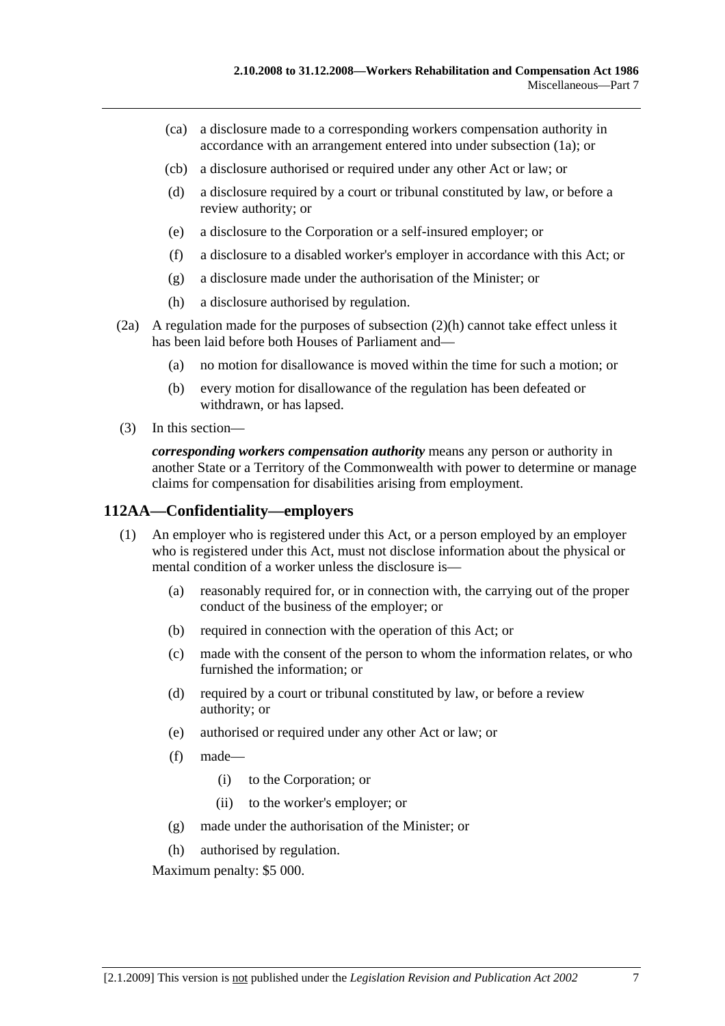- (ca) a disclosure made to a corresponding workers compensation authority in accordance with an arrangement entered into under subsection (1a); or
- (cb) a disclosure authorised or required under any other Act or law; or
- (d) a disclosure required by a court or tribunal constituted by law, or before a review authority; or
- (e) a disclosure to the Corporation or a self-insured employer; or
- (f) a disclosure to a disabled worker's employer in accordance with this Act; or
- (g) a disclosure made under the authorisation of the Minister; or
- (h) a disclosure authorised by regulation.
- (2a) A regulation made for the purposes of subsection (2)(h) cannot take effect unless it has been laid before both Houses of Parliament and—
	- (a) no motion for disallowance is moved within the time for such a motion; or
	- (b) every motion for disallowance of the regulation has been defeated or withdrawn, or has lapsed.
- (3) In this section—

*corresponding workers compensation authority* means any person or authority in another State or a Territory of the Commonwealth with power to determine or manage claims for compensation for disabilities arising from employment.

## **112AA—Confidentiality—employers**

- (1) An employer who is registered under this Act, or a person employed by an employer who is registered under this Act, must not disclose information about the physical or mental condition of a worker unless the disclosure is—
	- (a) reasonably required for, or in connection with, the carrying out of the proper conduct of the business of the employer; or
	- (b) required in connection with the operation of this Act; or
	- (c) made with the consent of the person to whom the information relates, or who furnished the information; or
	- (d) required by a court or tribunal constituted by law, or before a review authority; or
	- (e) authorised or required under any other Act or law; or
	- (f) made—
		- (i) to the Corporation; or
		- (ii) to the worker's employer; or
	- (g) made under the authorisation of the Minister; or
	- (h) authorised by regulation.

Maximum penalty: \$5 000.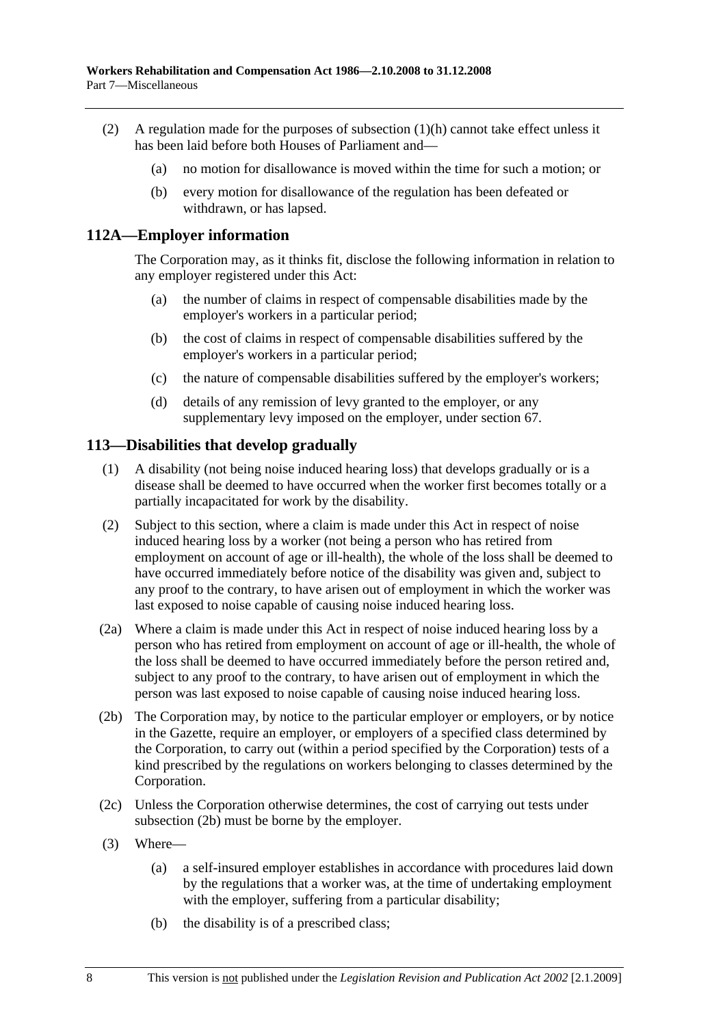- (2) A regulation made for the purposes of subsection (1)(h) cannot take effect unless it has been laid before both Houses of Parliament and—
	- (a) no motion for disallowance is moved within the time for such a motion; or
	- (b) every motion for disallowance of the regulation has been defeated or withdrawn, or has lapsed.

#### **112A—Employer information**

The Corporation may, as it thinks fit, disclose the following information in relation to any employer registered under this Act:

- (a) the number of claims in respect of compensable disabilities made by the employer's workers in a particular period;
- (b) the cost of claims in respect of compensable disabilities suffered by the employer's workers in a particular period;
- (c) the nature of compensable disabilities suffered by the employer's workers;
- (d) details of any remission of levy granted to the employer, or any supplementary levy imposed on the employer, under section 67.

#### **113—Disabilities that develop gradually**

- (1) A disability (not being noise induced hearing loss) that develops gradually or is a disease shall be deemed to have occurred when the worker first becomes totally or a partially incapacitated for work by the disability.
- (2) Subject to this section, where a claim is made under this Act in respect of noise induced hearing loss by a worker (not being a person who has retired from employment on account of age or ill-health), the whole of the loss shall be deemed to have occurred immediately before notice of the disability was given and, subject to any proof to the contrary, to have arisen out of employment in which the worker was last exposed to noise capable of causing noise induced hearing loss.
- (2a) Where a claim is made under this Act in respect of noise induced hearing loss by a person who has retired from employment on account of age or ill-health, the whole of the loss shall be deemed to have occurred immediately before the person retired and, subject to any proof to the contrary, to have arisen out of employment in which the person was last exposed to noise capable of causing noise induced hearing loss.
- (2b) The Corporation may, by notice to the particular employer or employers, or by notice in the Gazette, require an employer, or employers of a specified class determined by the Corporation, to carry out (within a period specified by the Corporation) tests of a kind prescribed by the regulations on workers belonging to classes determined by the Corporation.
- (2c) Unless the Corporation otherwise determines, the cost of carrying out tests under subsection (2b) must be borne by the employer.
- (3) Where—
	- (a) a self-insured employer establishes in accordance with procedures laid down by the regulations that a worker was, at the time of undertaking employment with the employer, suffering from a particular disability;
	- (b) the disability is of a prescribed class;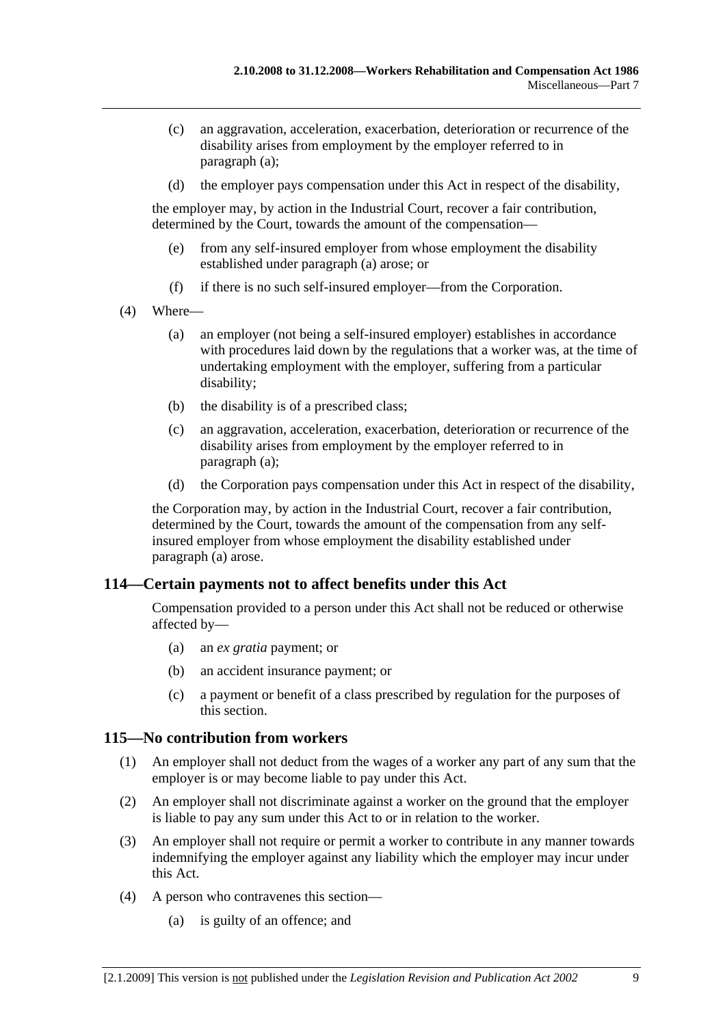- (c) an aggravation, acceleration, exacerbation, deterioration or recurrence of the disability arises from employment by the employer referred to in paragraph (a);
- (d) the employer pays compensation under this Act in respect of the disability,

the employer may, by action in the Industrial Court, recover a fair contribution, determined by the Court, towards the amount of the compensation—

- (e) from any self-insured employer from whose employment the disability established under paragraph (a) arose; or
- (f) if there is no such self-insured employer—from the Corporation.
- (4) Where—
	- (a) an employer (not being a self-insured employer) establishes in accordance with procedures laid down by the regulations that a worker was, at the time of undertaking employment with the employer, suffering from a particular disability;
	- (b) the disability is of a prescribed class;
	- (c) an aggravation, acceleration, exacerbation, deterioration or recurrence of the disability arises from employment by the employer referred to in paragraph (a);
	- (d) the Corporation pays compensation under this Act in respect of the disability,

the Corporation may, by action in the Industrial Court, recover a fair contribution, determined by the Court, towards the amount of the compensation from any selfinsured employer from whose employment the disability established under paragraph (a) arose.

## **114—Certain payments not to affect benefits under this Act**

Compensation provided to a person under this Act shall not be reduced or otherwise affected by—

- (a) an *ex gratia* payment; or
- (b) an accident insurance payment; or
- (c) a payment or benefit of a class prescribed by regulation for the purposes of this section.

#### **115—No contribution from workers**

- (1) An employer shall not deduct from the wages of a worker any part of any sum that the employer is or may become liable to pay under this Act.
- (2) An employer shall not discriminate against a worker on the ground that the employer is liable to pay any sum under this Act to or in relation to the worker.
- (3) An employer shall not require or permit a worker to contribute in any manner towards indemnifying the employer against any liability which the employer may incur under this Act.
- (4) A person who contravenes this section—
	- (a) is guilty of an offence; and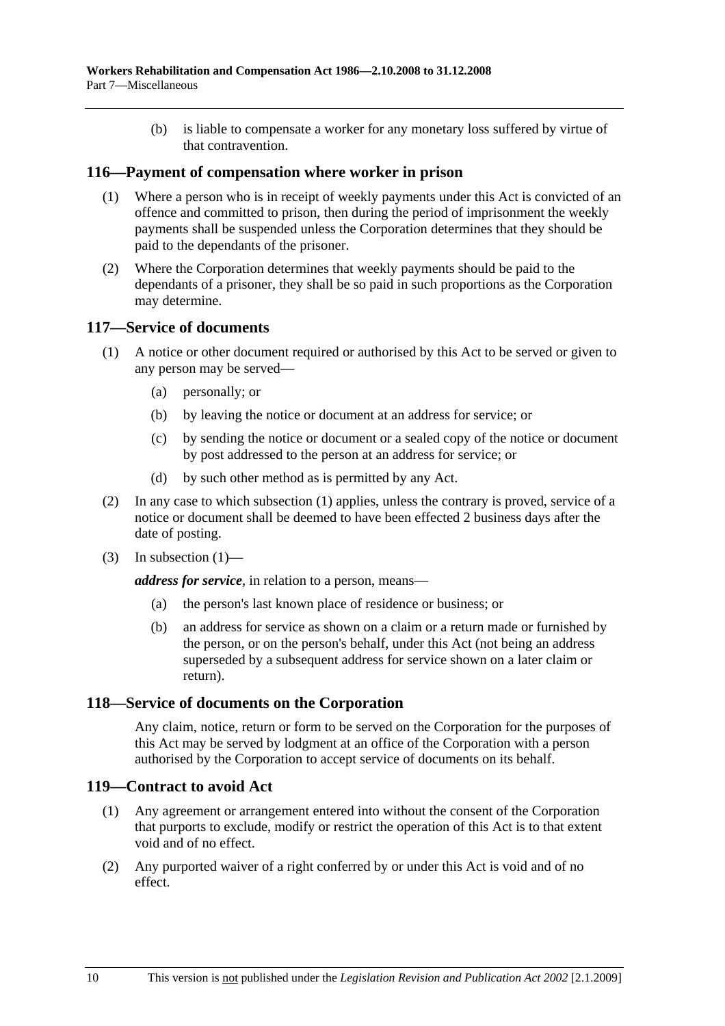(b) is liable to compensate a worker for any monetary loss suffered by virtue of that contravention.

#### **116—Payment of compensation where worker in prison**

- (1) Where a person who is in receipt of weekly payments under this Act is convicted of an offence and committed to prison, then during the period of imprisonment the weekly payments shall be suspended unless the Corporation determines that they should be paid to the dependants of the prisoner.
- (2) Where the Corporation determines that weekly payments should be paid to the dependants of a prisoner, they shall be so paid in such proportions as the Corporation may determine.

#### **117—Service of documents**

- (1) A notice or other document required or authorised by this Act to be served or given to any person may be served—
	- (a) personally; or
	- (b) by leaving the notice or document at an address for service; or
	- (c) by sending the notice or document or a sealed copy of the notice or document by post addressed to the person at an address for service; or
	- (d) by such other method as is permitted by any Act.
- (2) In any case to which subsection (1) applies, unless the contrary is proved, service of a notice or document shall be deemed to have been effected 2 business days after the date of posting.
- $(3)$  In subsection  $(1)$ —

*address for service*, in relation to a person, means—

- (a) the person's last known place of residence or business; or
- (b) an address for service as shown on a claim or a return made or furnished by the person, or on the person's behalf, under this Act (not being an address superseded by a subsequent address for service shown on a later claim or return).

#### **118—Service of documents on the Corporation**

Any claim, notice, return or form to be served on the Corporation for the purposes of this Act may be served by lodgment at an office of the Corporation with a person authorised by the Corporation to accept service of documents on its behalf.

#### **119—Contract to avoid Act**

- (1) Any agreement or arrangement entered into without the consent of the Corporation that purports to exclude, modify or restrict the operation of this Act is to that extent void and of no effect.
- (2) Any purported waiver of a right conferred by or under this Act is void and of no effect.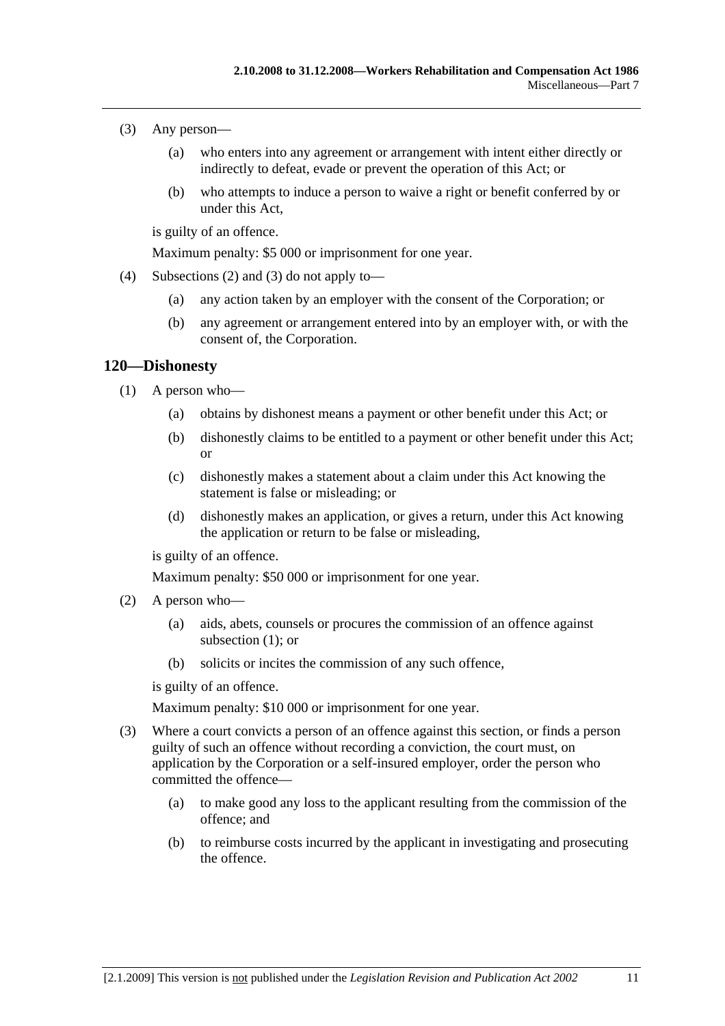- (3) Any person—
	- (a) who enters into any agreement or arrangement with intent either directly or indirectly to defeat, evade or prevent the operation of this Act; or
	- (b) who attempts to induce a person to waive a right or benefit conferred by or under this Act,

is guilty of an offence.

Maximum penalty: \$5 000 or imprisonment for one year.

- (4) Subsections (2) and (3) do not apply to—
	- (a) any action taken by an employer with the consent of the Corporation; or
	- (b) any agreement or arrangement entered into by an employer with, or with the consent of, the Corporation.

#### **120—Dishonesty**

- (1) A person who—
	- (a) obtains by dishonest means a payment or other benefit under this Act; or
	- (b) dishonestly claims to be entitled to a payment or other benefit under this Act; or
	- (c) dishonestly makes a statement about a claim under this Act knowing the statement is false or misleading; or
	- (d) dishonestly makes an application, or gives a return, under this Act knowing the application or return to be false or misleading,

is guilty of an offence.

Maximum penalty: \$50 000 or imprisonment for one year.

- (2) A person who—
	- (a) aids, abets, counsels or procures the commission of an offence against subsection (1); or
	- (b) solicits or incites the commission of any such offence,

is guilty of an offence.

Maximum penalty: \$10 000 or imprisonment for one year.

- (3) Where a court convicts a person of an offence against this section, or finds a person guilty of such an offence without recording a conviction, the court must, on application by the Corporation or a self-insured employer, order the person who committed the offence—
	- (a) to make good any loss to the applicant resulting from the commission of the offence; and
	- (b) to reimburse costs incurred by the applicant in investigating and prosecuting the offence.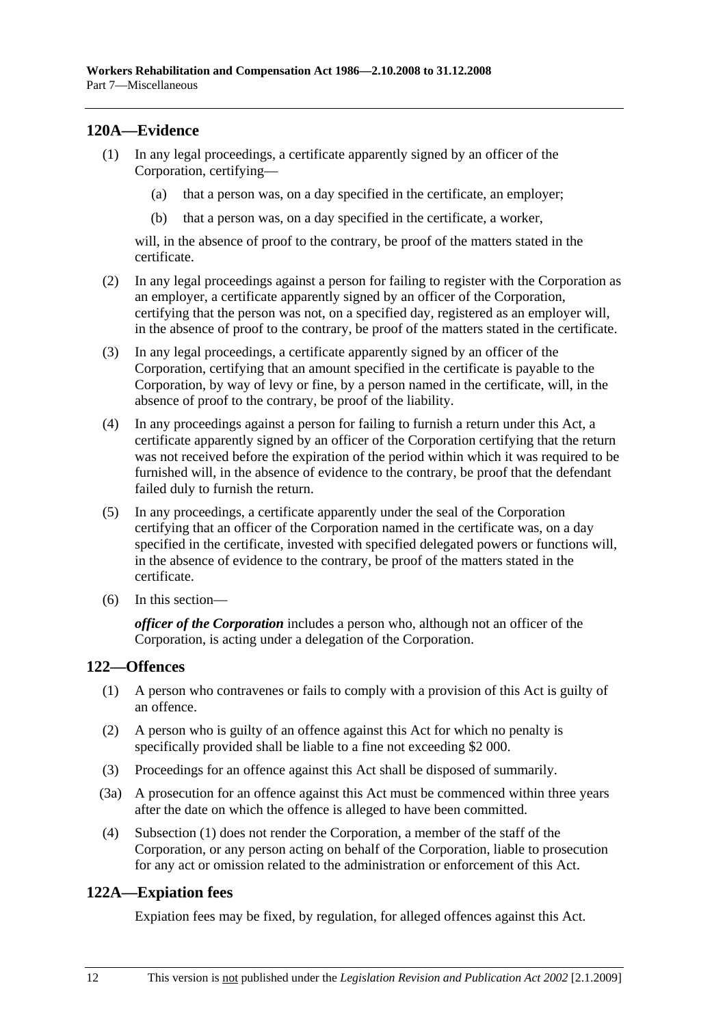## **120A—Evidence**

- (1) In any legal proceedings, a certificate apparently signed by an officer of the Corporation, certifying—
	- (a) that a person was, on a day specified in the certificate, an employer;
	- (b) that a person was, on a day specified in the certificate, a worker,

will, in the absence of proof to the contrary, be proof of the matters stated in the certificate.

- (2) In any legal proceedings against a person for failing to register with the Corporation as an employer, a certificate apparently signed by an officer of the Corporation, certifying that the person was not, on a specified day, registered as an employer will, in the absence of proof to the contrary, be proof of the matters stated in the certificate.
- (3) In any legal proceedings, a certificate apparently signed by an officer of the Corporation, certifying that an amount specified in the certificate is payable to the Corporation, by way of levy or fine, by a person named in the certificate, will, in the absence of proof to the contrary, be proof of the liability.
- (4) In any proceedings against a person for failing to furnish a return under this Act, a certificate apparently signed by an officer of the Corporation certifying that the return was not received before the expiration of the period within which it was required to be furnished will, in the absence of evidence to the contrary, be proof that the defendant failed duly to furnish the return.
- (5) In any proceedings, a certificate apparently under the seal of the Corporation certifying that an officer of the Corporation named in the certificate was, on a day specified in the certificate, invested with specified delegated powers or functions will, in the absence of evidence to the contrary, be proof of the matters stated in the certificate.
- (6) In this section—

*officer of the Corporation* includes a person who, although not an officer of the Corporation, is acting under a delegation of the Corporation.

## **122—Offences**

- (1) A person who contravenes or fails to comply with a provision of this Act is guilty of an offence.
- (2) A person who is guilty of an offence against this Act for which no penalty is specifically provided shall be liable to a fine not exceeding \$2 000.
- (3) Proceedings for an offence against this Act shall be disposed of summarily.
- (3a) A prosecution for an offence against this Act must be commenced within three years after the date on which the offence is alleged to have been committed.
- (4) Subsection (1) does not render the Corporation, a member of the staff of the Corporation, or any person acting on behalf of the Corporation, liable to prosecution for any act or omission related to the administration or enforcement of this Act.

## **122A—Expiation fees**

Expiation fees may be fixed, by regulation, for alleged offences against this Act.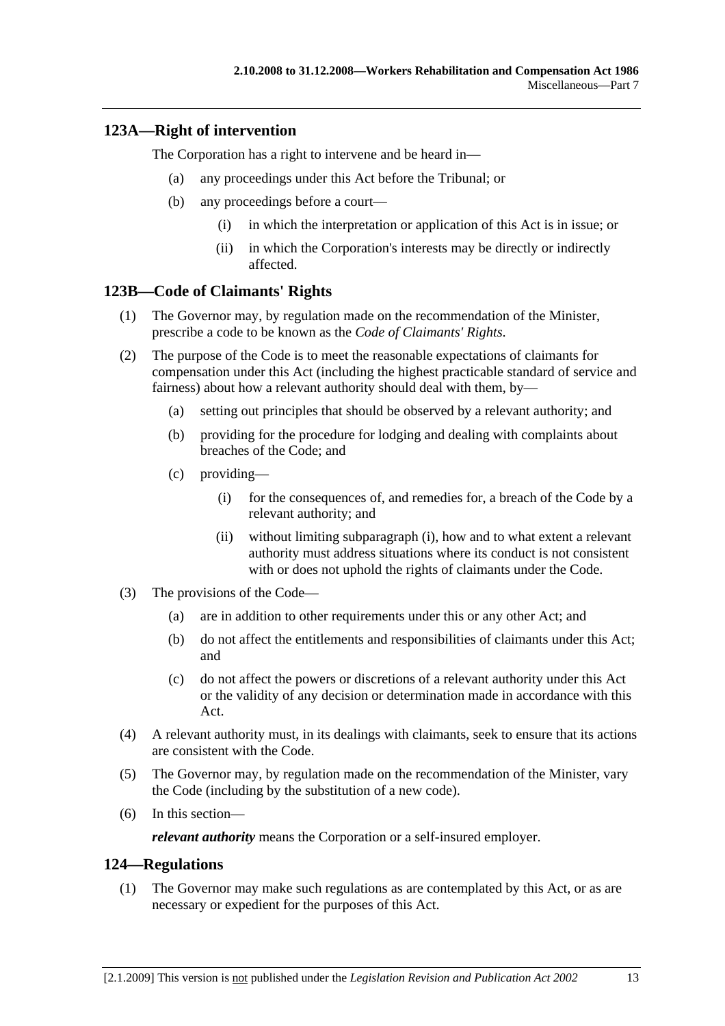## **123A—Right of intervention**

The Corporation has a right to intervene and be heard in—

- (a) any proceedings under this Act before the Tribunal; or
- (b) any proceedings before a court—
	- (i) in which the interpretation or application of this Act is in issue; or
	- (ii) in which the Corporation's interests may be directly or indirectly affected.

#### **123B—Code of Claimants' Rights**

- (1) The Governor may, by regulation made on the recommendation of the Minister, prescribe a code to be known as the *Code of Claimants' Rights*.
- (2) The purpose of the Code is to meet the reasonable expectations of claimants for compensation under this Act (including the highest practicable standard of service and fairness) about how a relevant authority should deal with them, by—
	- (a) setting out principles that should be observed by a relevant authority; and
	- (b) providing for the procedure for lodging and dealing with complaints about breaches of the Code; and
	- (c) providing—
		- (i) for the consequences of, and remedies for, a breach of the Code by a relevant authority; and
		- (ii) without limiting subparagraph (i), how and to what extent a relevant authority must address situations where its conduct is not consistent with or does not uphold the rights of claimants under the Code.
- (3) The provisions of the Code—
	- (a) are in addition to other requirements under this or any other Act; and
	- (b) do not affect the entitlements and responsibilities of claimants under this Act; and
	- (c) do not affect the powers or discretions of a relevant authority under this Act or the validity of any decision or determination made in accordance with this Act.
- (4) A relevant authority must, in its dealings with claimants, seek to ensure that its actions are consistent with the Code.
- (5) The Governor may, by regulation made on the recommendation of the Minister, vary the Code (including by the substitution of a new code).
- (6) In this section—

*relevant authority* means the Corporation or a self-insured employer.

#### **124—Regulations**

 (1) The Governor may make such regulations as are contemplated by this Act, or as are necessary or expedient for the purposes of this Act.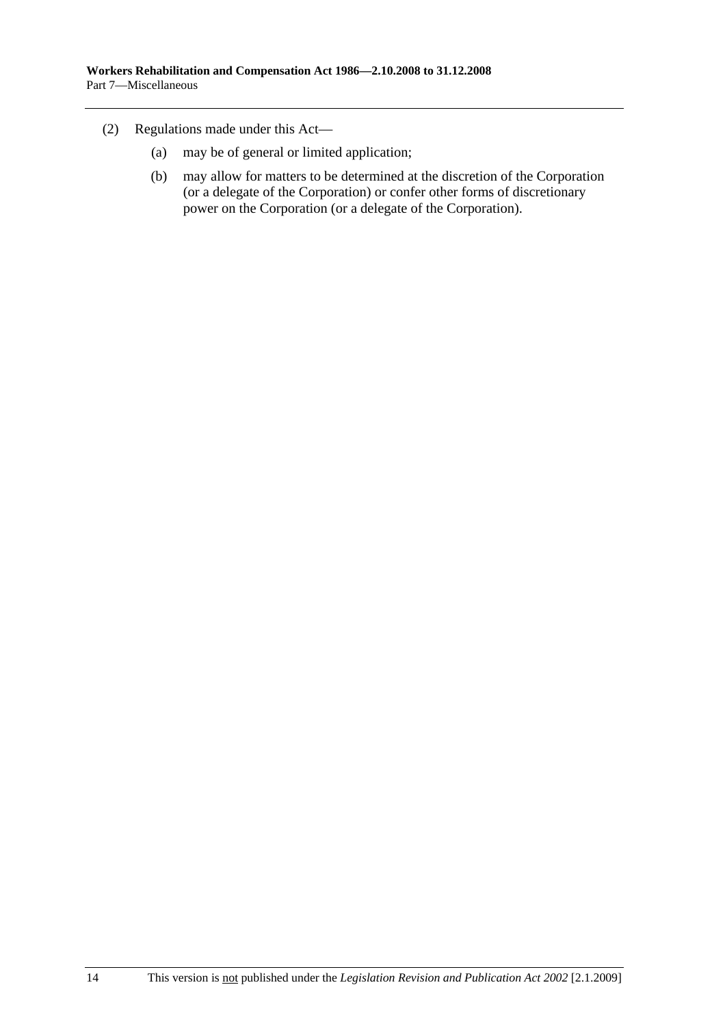- (2) Regulations made under this Act—
	- (a) may be of general or limited application;
	- (b) may allow for matters to be determined at the discretion of the Corporation (or a delegate of the Corporation) or confer other forms of discretionary power on the Corporation (or a delegate of the Corporation).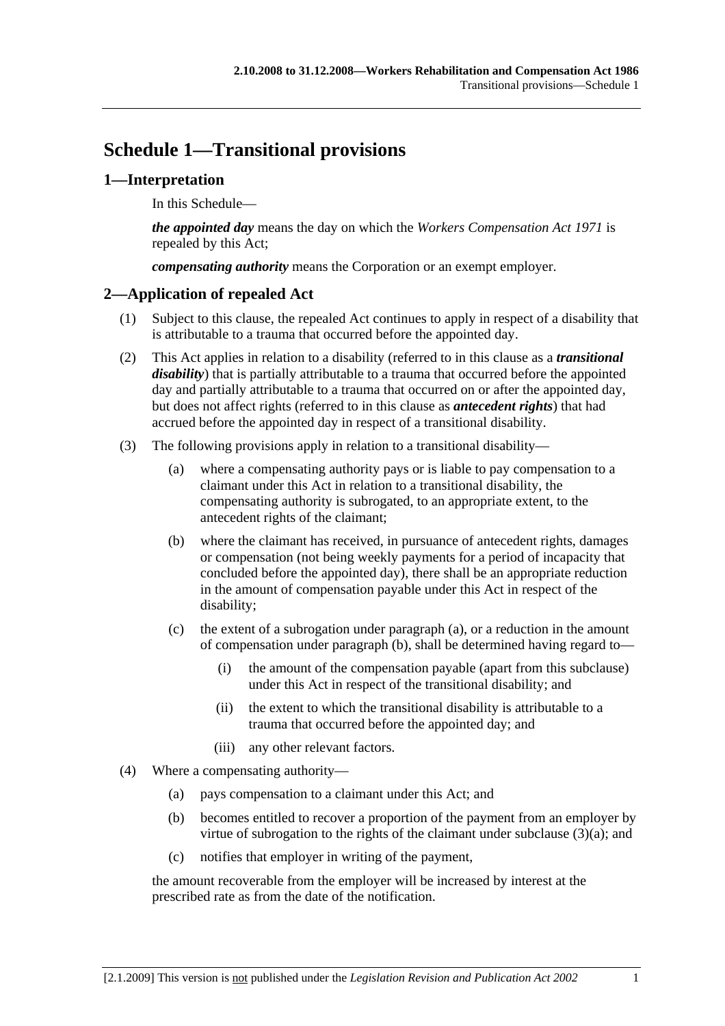# **Schedule 1—Transitional provisions**

# **1—Interpretation**

In this Schedule—

*the appointed day* means the day on which the *Workers Compensation Act 1971* is repealed by this Act;

*compensating authority* means the Corporation or an exempt employer.

## **2—Application of repealed Act**

- (1) Subject to this clause, the repealed Act continues to apply in respect of a disability that is attributable to a trauma that occurred before the appointed day.
- (2) This Act applies in relation to a disability (referred to in this clause as a *transitional disability*) that is partially attributable to a trauma that occurred before the appointed day and partially attributable to a trauma that occurred on or after the appointed day, but does not affect rights (referred to in this clause as *antecedent rights*) that had accrued before the appointed day in respect of a transitional disability.
- (3) The following provisions apply in relation to a transitional disability—
	- (a) where a compensating authority pays or is liable to pay compensation to a claimant under this Act in relation to a transitional disability, the compensating authority is subrogated, to an appropriate extent, to the antecedent rights of the claimant;
	- (b) where the claimant has received, in pursuance of antecedent rights, damages or compensation (not being weekly payments for a period of incapacity that concluded before the appointed day), there shall be an appropriate reduction in the amount of compensation payable under this Act in respect of the disability;
	- (c) the extent of a subrogation under paragraph (a), or a reduction in the amount of compensation under paragraph (b), shall be determined having regard to—
		- (i) the amount of the compensation payable (apart from this subclause) under this Act in respect of the transitional disability; and
		- (ii) the extent to which the transitional disability is attributable to a trauma that occurred before the appointed day; and
		- (iii) any other relevant factors.
- (4) Where a compensating authority—
	- (a) pays compensation to a claimant under this Act; and
	- (b) becomes entitled to recover a proportion of the payment from an employer by virtue of subrogation to the rights of the claimant under subclause (3)(a); and
	- (c) notifies that employer in writing of the payment,

the amount recoverable from the employer will be increased by interest at the prescribed rate as from the date of the notification.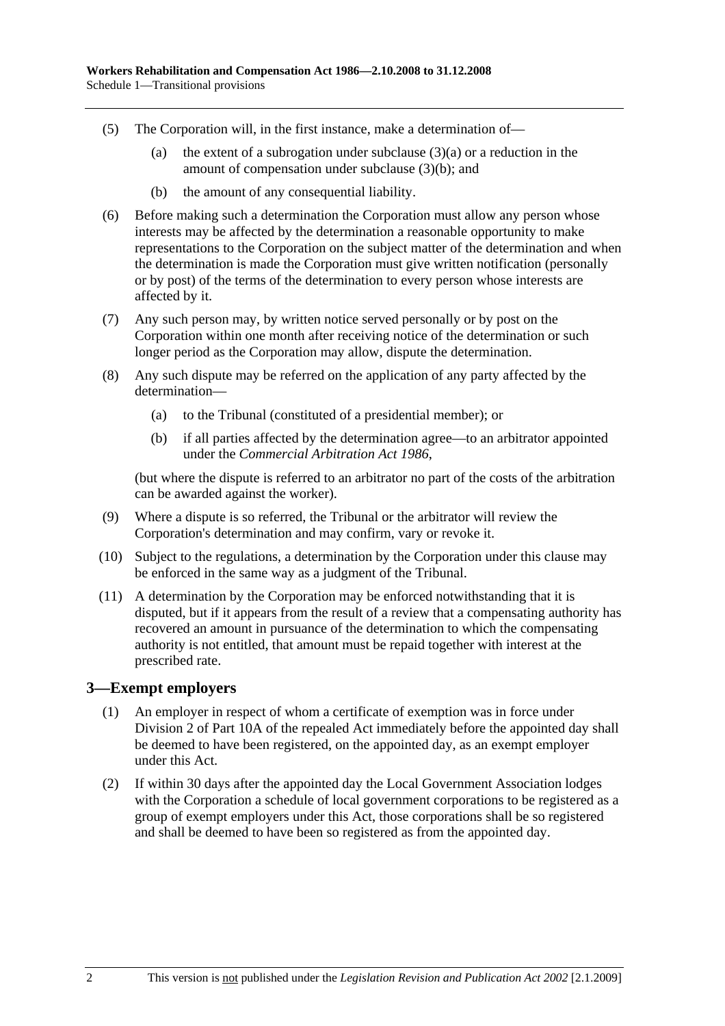- (5) The Corporation will, in the first instance, make a determination of—
	- (a) the extent of a subrogation under subclause  $(3)(a)$  or a reduction in the amount of compensation under subclause (3)(b); and
	- (b) the amount of any consequential liability.
- (6) Before making such a determination the Corporation must allow any person whose interests may be affected by the determination a reasonable opportunity to make representations to the Corporation on the subject matter of the determination and when the determination is made the Corporation must give written notification (personally or by post) of the terms of the determination to every person whose interests are affected by it.
- (7) Any such person may, by written notice served personally or by post on the Corporation within one month after receiving notice of the determination or such longer period as the Corporation may allow, dispute the determination.
- (8) Any such dispute may be referred on the application of any party affected by the determination—
	- (a) to the Tribunal (constituted of a presidential member); or
	- (b) if all parties affected by the determination agree—to an arbitrator appointed under the *Commercial Arbitration Act 1986*,

(but where the dispute is referred to an arbitrator no part of the costs of the arbitration can be awarded against the worker).

- (9) Where a dispute is so referred, the Tribunal or the arbitrator will review the Corporation's determination and may confirm, vary or revoke it.
- (10) Subject to the regulations, a determination by the Corporation under this clause may be enforced in the same way as a judgment of the Tribunal.
- (11) A determination by the Corporation may be enforced notwithstanding that it is disputed, but if it appears from the result of a review that a compensating authority has recovered an amount in pursuance of the determination to which the compensating authority is not entitled, that amount must be repaid together with interest at the prescribed rate.

#### **3—Exempt employers**

- (1) An employer in respect of whom a certificate of exemption was in force under Division 2 of Part 10A of the repealed Act immediately before the appointed day shall be deemed to have been registered, on the appointed day, as an exempt employer under this Act.
- (2) If within 30 days after the appointed day the Local Government Association lodges with the Corporation a schedule of local government corporations to be registered as a group of exempt employers under this Act, those corporations shall be so registered and shall be deemed to have been so registered as from the appointed day.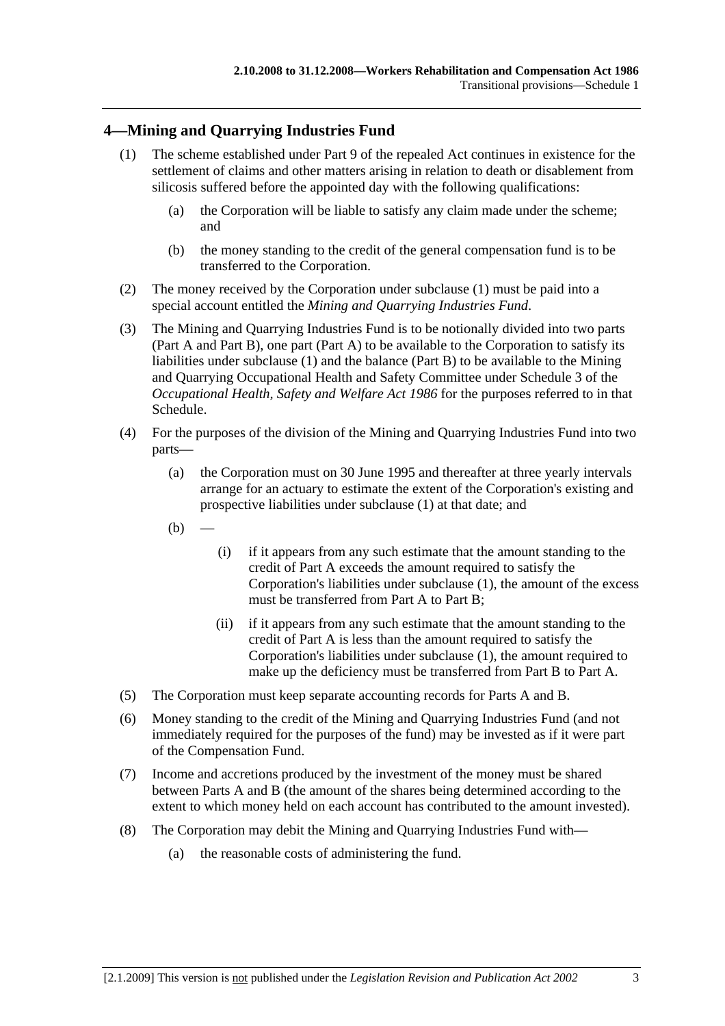## **4—Mining and Quarrying Industries Fund**

- (1) The scheme established under Part 9 of the repealed Act continues in existence for the settlement of claims and other matters arising in relation to death or disablement from silicosis suffered before the appointed day with the following qualifications:
	- (a) the Corporation will be liable to satisfy any claim made under the scheme; and
	- (b) the money standing to the credit of the general compensation fund is to be transferred to the Corporation.
- (2) The money received by the Corporation under subclause (1) must be paid into a special account entitled the *Mining and Quarrying Industries Fund*.
- (3) The Mining and Quarrying Industries Fund is to be notionally divided into two parts (Part A and Part B), one part (Part A) to be available to the Corporation to satisfy its liabilities under subclause (1) and the balance (Part B) to be available to the Mining and Quarrying Occupational Health and Safety Committee under Schedule 3 of the *Occupational Health, Safety and Welfare Act 1986* for the purposes referred to in that Schedule.
- (4) For the purposes of the division of the Mining and Quarrying Industries Fund into two parts—
	- (a) the Corporation must on 30 June 1995 and thereafter at three yearly intervals arrange for an actuary to estimate the extent of the Corporation's existing and prospective liabilities under subclause (1) at that date; and
	- $(b)$
- (i) if it appears from any such estimate that the amount standing to the credit of Part A exceeds the amount required to satisfy the Corporation's liabilities under subclause (1), the amount of the excess must be transferred from Part A to Part B;
- (ii) if it appears from any such estimate that the amount standing to the credit of Part A is less than the amount required to satisfy the Corporation's liabilities under subclause (1), the amount required to make up the deficiency must be transferred from Part B to Part A.
- (5) The Corporation must keep separate accounting records for Parts A and B.
- (6) Money standing to the credit of the Mining and Quarrying Industries Fund (and not immediately required for the purposes of the fund) may be invested as if it were part of the Compensation Fund.
- (7) Income and accretions produced by the investment of the money must be shared between Parts A and B (the amount of the shares being determined according to the extent to which money held on each account has contributed to the amount invested).
- (8) The Corporation may debit the Mining and Quarrying Industries Fund with—
	- (a) the reasonable costs of administering the fund.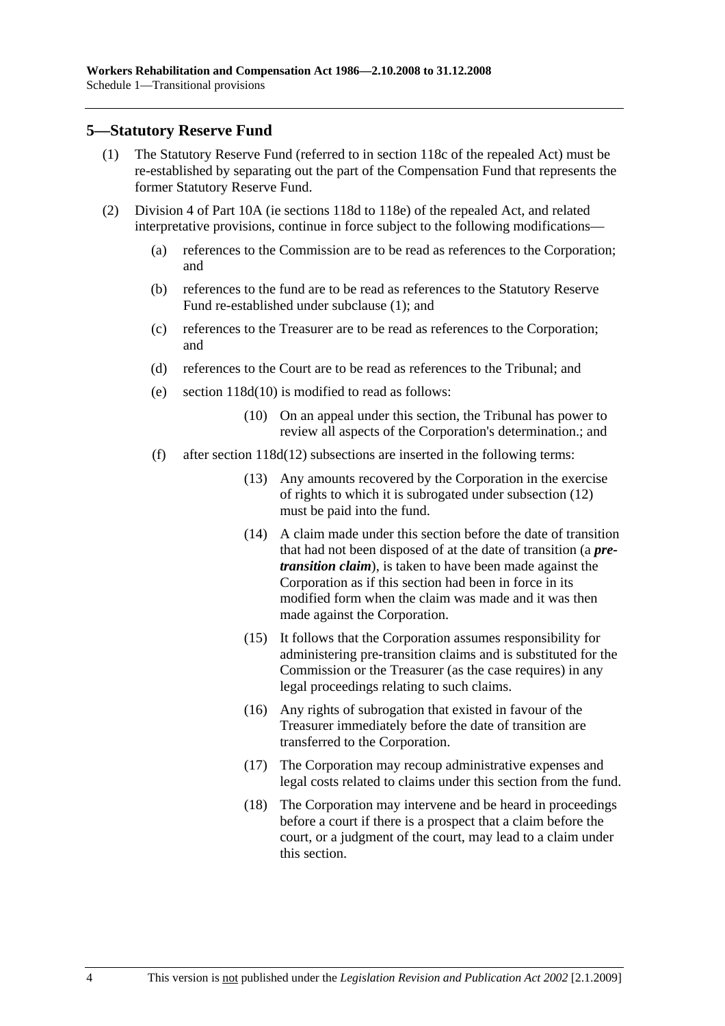#### **5—Statutory Reserve Fund**

- (1) The Statutory Reserve Fund (referred to in section 118c of the repealed Act) must be re-established by separating out the part of the Compensation Fund that represents the former Statutory Reserve Fund.
- (2) Division 4 of Part 10A (ie sections 118d to 118e) of the repealed Act, and related interpretative provisions, continue in force subject to the following modifications—
	- (a) references to the Commission are to be read as references to the Corporation; and
	- (b) references to the fund are to be read as references to the Statutory Reserve Fund re-established under subclause (1); and
	- (c) references to the Treasurer are to be read as references to the Corporation; and
	- (d) references to the Court are to be read as references to the Tribunal; and
	- (e) section 118d(10) is modified to read as follows:
		- (10) On an appeal under this section, the Tribunal has power to review all aspects of the Corporation's determination.; and
	- (f) after section 118d(12) subsections are inserted in the following terms:
		- (13) Any amounts recovered by the Corporation in the exercise of rights to which it is subrogated under subsection (12) must be paid into the fund.
		- (14) A claim made under this section before the date of transition that had not been disposed of at the date of transition (a *pretransition claim*), is taken to have been made against the Corporation as if this section had been in force in its modified form when the claim was made and it was then made against the Corporation.
		- (15) It follows that the Corporation assumes responsibility for administering pre-transition claims and is substituted for the Commission or the Treasurer (as the case requires) in any legal proceedings relating to such claims.
		- (16) Any rights of subrogation that existed in favour of the Treasurer immediately before the date of transition are transferred to the Corporation.
		- (17) The Corporation may recoup administrative expenses and legal costs related to claims under this section from the fund.
		- (18) The Corporation may intervene and be heard in proceedings before a court if there is a prospect that a claim before the court, or a judgment of the court, may lead to a claim under this section.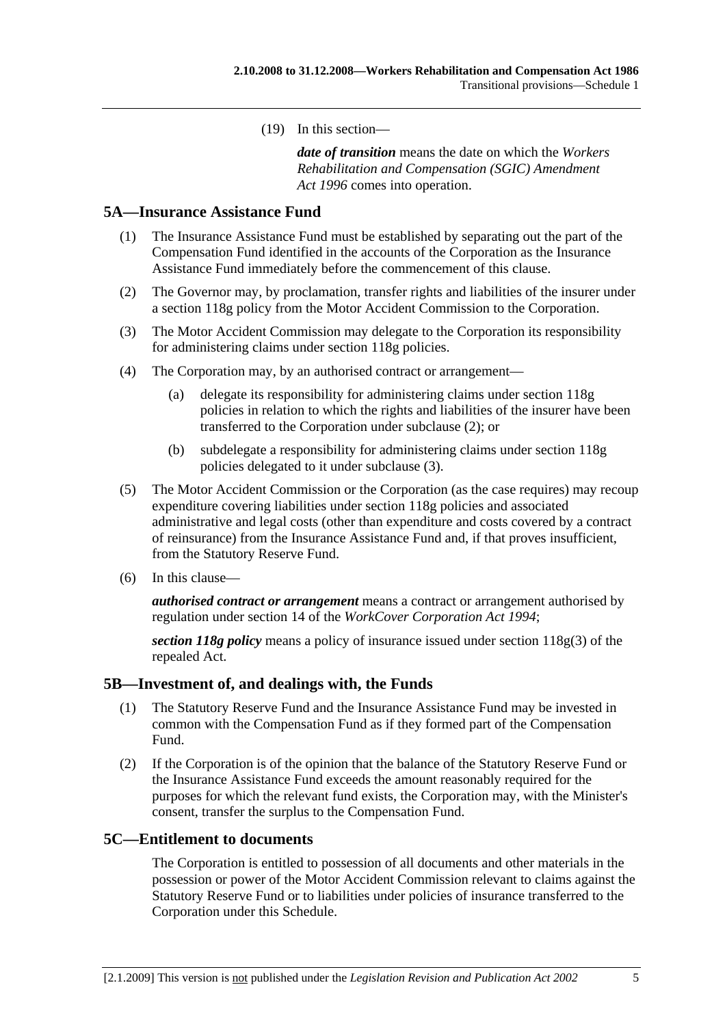(19) In this section—

*date of transition* means the date on which the *Workers Rehabilitation and Compensation (SGIC) Amendment Act 1996* comes into operation.

#### **5A—Insurance Assistance Fund**

- (1) The Insurance Assistance Fund must be established by separating out the part of the Compensation Fund identified in the accounts of the Corporation as the Insurance Assistance Fund immediately before the commencement of this clause.
- (2) The Governor may, by proclamation, transfer rights and liabilities of the insurer under a section 118g policy from the Motor Accident Commission to the Corporation.
- (3) The Motor Accident Commission may delegate to the Corporation its responsibility for administering claims under section 118g policies.
- (4) The Corporation may, by an authorised contract or arrangement—
	- (a) delegate its responsibility for administering claims under section 118g policies in relation to which the rights and liabilities of the insurer have been transferred to the Corporation under subclause (2); or
	- (b) subdelegate a responsibility for administering claims under section 118g policies delegated to it under subclause (3).
- (5) The Motor Accident Commission or the Corporation (as the case requires) may recoup expenditure covering liabilities under section 118g policies and associated administrative and legal costs (other than expenditure and costs covered by a contract of reinsurance) from the Insurance Assistance Fund and, if that proves insufficient, from the Statutory Reserve Fund.
- (6) In this clause—

*authorised contract or arrangement* means a contract or arrangement authorised by regulation under section 14 of the *WorkCover Corporation Act 1994*;

*section 118g policy* means a policy of insurance issued under section 118g(3) of the repealed Act.

#### **5B—Investment of, and dealings with, the Funds**

- (1) The Statutory Reserve Fund and the Insurance Assistance Fund may be invested in common with the Compensation Fund as if they formed part of the Compensation Fund.
- (2) If the Corporation is of the opinion that the balance of the Statutory Reserve Fund or the Insurance Assistance Fund exceeds the amount reasonably required for the purposes for which the relevant fund exists, the Corporation may, with the Minister's consent, transfer the surplus to the Compensation Fund.

#### **5C—Entitlement to documents**

The Corporation is entitled to possession of all documents and other materials in the possession or power of the Motor Accident Commission relevant to claims against the Statutory Reserve Fund or to liabilities under policies of insurance transferred to the Corporation under this Schedule.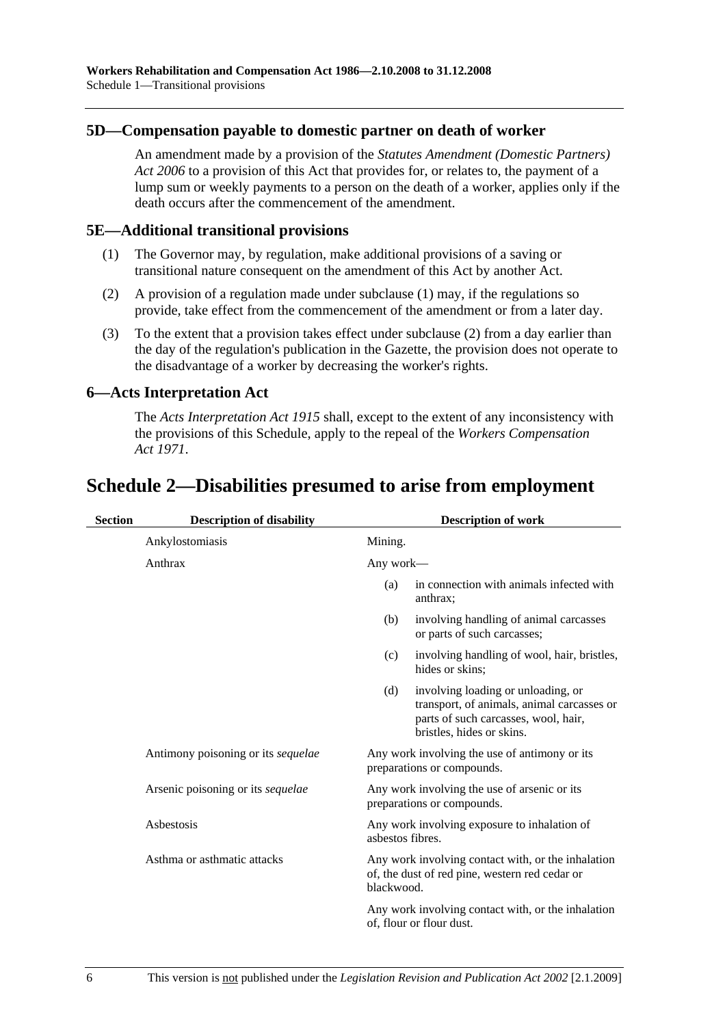#### **5D—Compensation payable to domestic partner on death of worker**

An amendment made by a provision of the *Statutes Amendment (Domestic Partners) Act 2006* to a provision of this Act that provides for, or relates to, the payment of a lump sum or weekly payments to a person on the death of a worker, applies only if the death occurs after the commencement of the amendment.

#### **5E—Additional transitional provisions**

- (1) The Governor may, by regulation, make additional provisions of a saving or transitional nature consequent on the amendment of this Act by another Act.
- (2) A provision of a regulation made under subclause (1) may, if the regulations so provide, take effect from the commencement of the amendment or from a later day.
- (3) To the extent that a provision takes effect under subclause (2) from a day earlier than the day of the regulation's publication in the Gazette, the provision does not operate to the disadvantage of a worker by decreasing the worker's rights.

#### **6—Acts Interpretation Act**

The *Acts Interpretation Act 1915* shall, except to the extent of any inconsistency with the provisions of this Schedule, apply to the repeal of the *Workers Compensation Act 1971*.

## **Schedule 2—Disabilities presumed to arise from employment**

| <b>Section</b> | <b>Description of disability</b>          | <b>Description of work</b> |                                                                                                                                                       |
|----------------|-------------------------------------------|----------------------------|-------------------------------------------------------------------------------------------------------------------------------------------------------|
|                | Ankylostomiasis                           | Mining.                    |                                                                                                                                                       |
|                | Anthrax                                   | Any work—                  |                                                                                                                                                       |
|                |                                           | (a)                        | in connection with animals infected with<br>anthrax;                                                                                                  |
|                |                                           | (b)                        | involving handling of animal carcasses<br>or parts of such carcasses;                                                                                 |
|                |                                           | (c)                        | involving handling of wool, hair, bristles,<br>hides or skins;                                                                                        |
|                |                                           | (d)                        | involving loading or unloading, or<br>transport, of animals, animal carcasses or<br>parts of such carcasses, wool, hair,<br>bristles, hides or skins. |
|                | Antimony poisoning or its <i>sequelae</i> |                            | Any work involving the use of antimony or its<br>preparations or compounds.                                                                           |
|                | Arsenic poisoning or its <i>sequelae</i>  |                            | Any work involving the use of arsenic or its<br>preparations or compounds.                                                                            |
|                | Asbestosis                                | asbestos fibres.           | Any work involving exposure to inhalation of                                                                                                          |
|                | Asthma or asthmatic attacks               | blackwood.                 | Any work involving contact with, or the inhalation<br>of, the dust of red pine, western red cedar or                                                  |
|                |                                           |                            | Any work involving contact with, or the inhalation<br>of, flour or flour dust.                                                                        |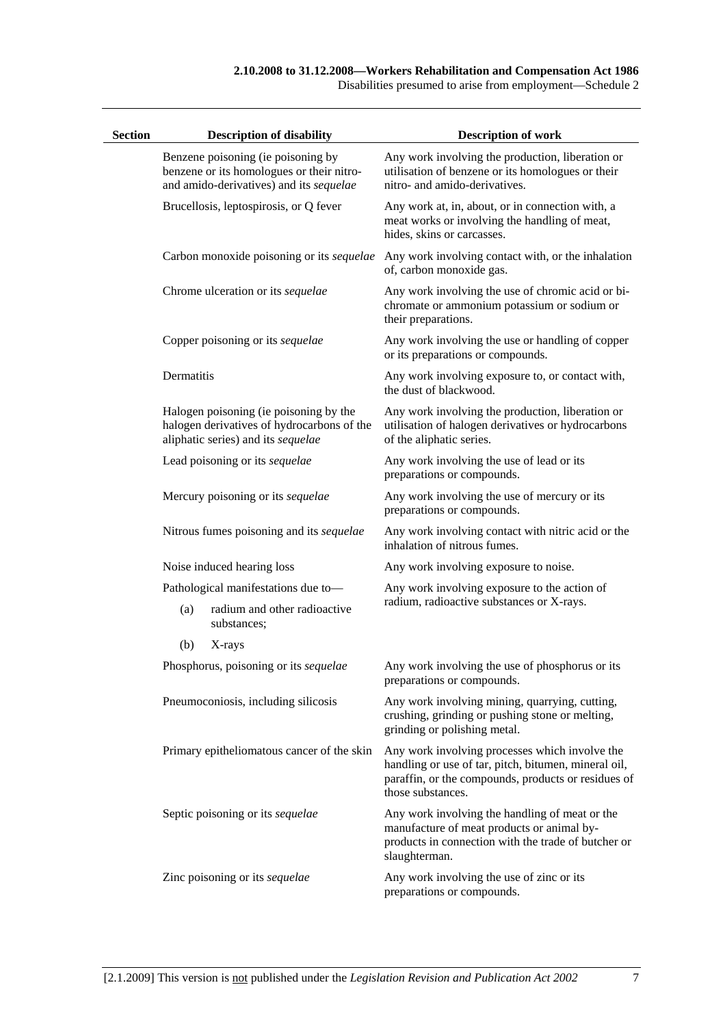Disabilities presumed to arise from employment—Schedule 2

| <b>Section</b> |            | <b>Description of disability</b>                                                                                           | <b>Description of work</b>                                                                                                                                                         |
|----------------|------------|----------------------------------------------------------------------------------------------------------------------------|------------------------------------------------------------------------------------------------------------------------------------------------------------------------------------|
|                |            | Benzene poisoning (ie poisoning by<br>benzene or its homologues or their nitro-<br>and amido-derivatives) and its sequelae | Any work involving the production, liberation or<br>utilisation of benzene or its homologues or their<br>nitro- and amido-derivatives.                                             |
|                |            | Brucellosis, leptospirosis, or Q fever                                                                                     | Any work at, in, about, or in connection with, a<br>meat works or involving the handling of meat,<br>hides, skins or carcasses.                                                    |
|                |            | Carbon monoxide poisoning or its sequelae                                                                                  | Any work involving contact with, or the inhalation<br>of, carbon monoxide gas.                                                                                                     |
|                |            | Chrome ulceration or its sequelae                                                                                          | Any work involving the use of chromic acid or bi-<br>chromate or ammonium potassium or sodium or<br>their preparations.                                                            |
|                |            | Copper poisoning or its sequelae                                                                                           | Any work involving the use or handling of copper<br>or its preparations or compounds.                                                                                              |
|                | Dermatitis |                                                                                                                            | Any work involving exposure to, or contact with,<br>the dust of blackwood.                                                                                                         |
|                |            | Halogen poisoning (ie poisoning by the<br>halogen derivatives of hydrocarbons of the<br>aliphatic series) and its sequelae | Any work involving the production, liberation or<br>utilisation of halogen derivatives or hydrocarbons<br>of the aliphatic series.                                                 |
|                |            | Lead poisoning or its sequelae                                                                                             | Any work involving the use of lead or its<br>preparations or compounds.                                                                                                            |
|                |            | Mercury poisoning or its sequelae                                                                                          | Any work involving the use of mercury or its<br>preparations or compounds.                                                                                                         |
|                |            | Nitrous fumes poisoning and its sequelae                                                                                   | Any work involving contact with nitric acid or the<br>inhalation of nitrous fumes.                                                                                                 |
|                |            | Noise induced hearing loss                                                                                                 | Any work involving exposure to noise.                                                                                                                                              |
|                |            | Pathological manifestations due to-                                                                                        | Any work involving exposure to the action of                                                                                                                                       |
|                | (a)        | radium and other radioactive<br>substances;                                                                                | radium, radioactive substances or X-rays.                                                                                                                                          |
|                | (b)        | X-rays                                                                                                                     |                                                                                                                                                                                    |
|                |            | Phosphorus, poisoning or its sequelae                                                                                      | Any work involving the use of phosphorus or its<br>preparations or compounds.                                                                                                      |
|                |            | Pneumoconiosis, including silicosis                                                                                        | Any work involving mining, quarrying, cutting,<br>crushing, grinding or pushing stone or melting,<br>grinding or polishing metal.                                                  |
|                |            | Primary epitheliomatous cancer of the skin                                                                                 | Any work involving processes which involve the<br>handling or use of tar, pitch, bitumen, mineral oil,<br>paraffin, or the compounds, products or residues of<br>those substances. |
|                |            | Septic poisoning or its sequelae                                                                                           | Any work involving the handling of meat or the<br>manufacture of meat products or animal by-<br>products in connection with the trade of butcher or<br>slaughterman.               |
|                |            | Zinc poisoning or its sequelae                                                                                             | Any work involving the use of zinc or its<br>preparations or compounds.                                                                                                            |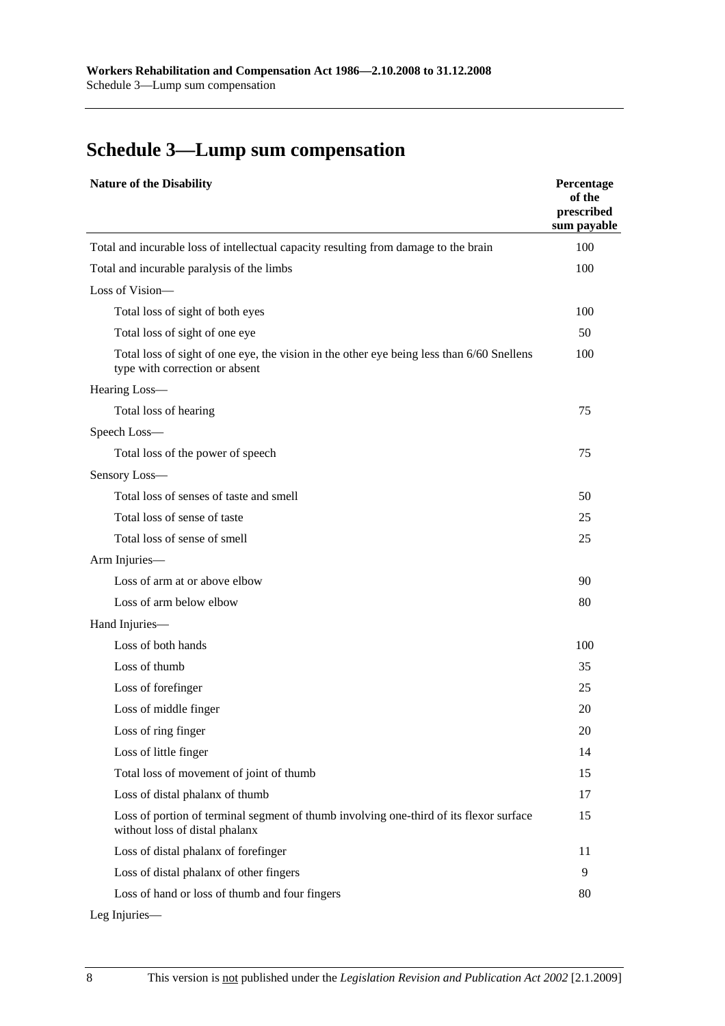# **Schedule 3—Lump sum compensation**

| <b>Nature of the Disability</b>                                                                                             | Percentage<br>of the<br>prescribed<br>sum payable |
|-----------------------------------------------------------------------------------------------------------------------------|---------------------------------------------------|
| Total and incurable loss of intellectual capacity resulting from damage to the brain                                        | 100                                               |
| Total and incurable paralysis of the limbs                                                                                  | 100                                               |
| Loss of Vision-                                                                                                             |                                                   |
| Total loss of sight of both eyes                                                                                            | 100                                               |
| Total loss of sight of one eye                                                                                              | 50                                                |
| Total loss of sight of one eye, the vision in the other eye being less than 6/60 Snellens<br>type with correction or absent | 100                                               |
| Hearing Loss-                                                                                                               |                                                   |
| Total loss of hearing                                                                                                       | 75                                                |
| Speech Loss-                                                                                                                |                                                   |
| Total loss of the power of speech                                                                                           | 75                                                |
| Sensory Loss-                                                                                                               |                                                   |
| Total loss of senses of taste and smell                                                                                     | 50                                                |
| Total loss of sense of taste                                                                                                | 25                                                |
| Total loss of sense of smell                                                                                                | 25                                                |
| Arm Injuries-                                                                                                               |                                                   |
| Loss of arm at or above elbow                                                                                               | 90                                                |
| Loss of arm below elbow                                                                                                     | 80                                                |
| Hand Injuries-                                                                                                              |                                                   |
| Loss of both hands                                                                                                          | 100                                               |
| Loss of thumb                                                                                                               | 35                                                |
| Loss of forefinger                                                                                                          | 25                                                |
| Loss of middle finger                                                                                                       | 20                                                |
| Loss of ring finger                                                                                                         | 20                                                |
| Loss of little finger                                                                                                       | 14                                                |
| Total loss of movement of joint of thumb                                                                                    | 15                                                |
| Loss of distal phalanx of thumb                                                                                             | 17                                                |
| Loss of portion of terminal segment of thumb involving one-third of its flexor surface<br>without loss of distal phalanx    | 15                                                |
| Loss of distal phalanx of forefinger                                                                                        | 11                                                |
| Loss of distal phalanx of other fingers                                                                                     | 9                                                 |
| Loss of hand or loss of thumb and four fingers                                                                              | 80                                                |

Leg Injuries—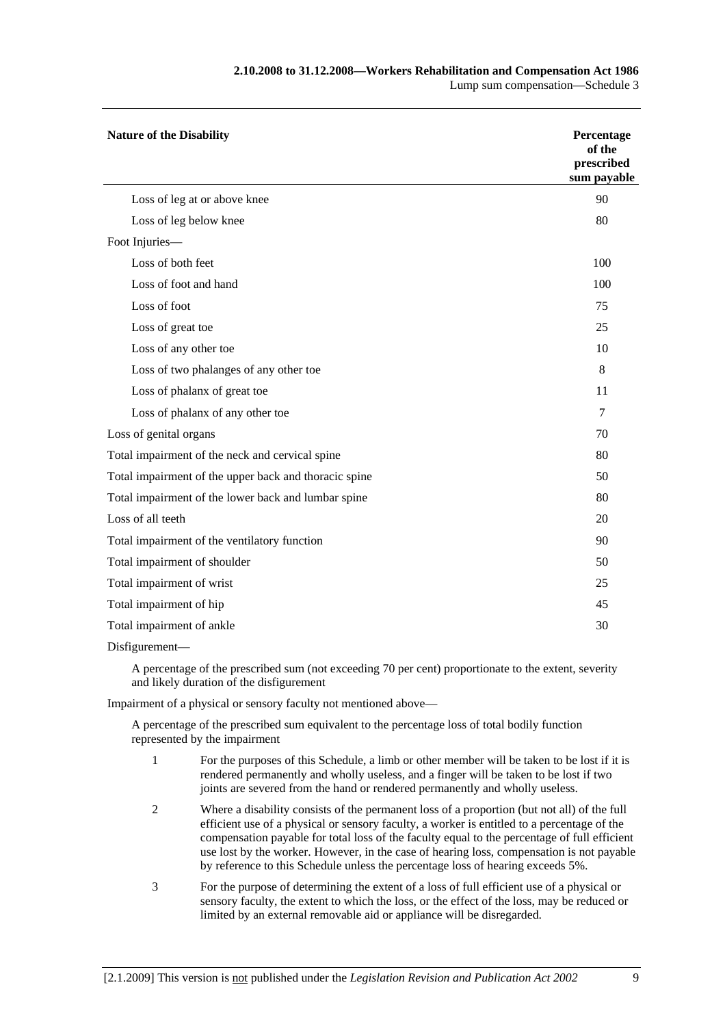| <b>Nature of the Disability</b>                       | Percentage<br>of the<br>prescribed<br>sum payable |  |
|-------------------------------------------------------|---------------------------------------------------|--|
| Loss of leg at or above knee                          | 90                                                |  |
| Loss of leg below knee                                | 80                                                |  |
| Foot Injuries-                                        |                                                   |  |
| Loss of both feet                                     | 100                                               |  |
| Loss of foot and hand                                 | 100                                               |  |
| Loss of foot                                          | 75                                                |  |
| Loss of great toe                                     | 25                                                |  |
| Loss of any other toe                                 | 10                                                |  |
| Loss of two phalanges of any other toe                | 8                                                 |  |
| Loss of phalanx of great toe                          | 11                                                |  |
| Loss of phalanx of any other toe                      | 7                                                 |  |
| Loss of genital organs                                | 70                                                |  |
| Total impairment of the neck and cervical spine       | 80                                                |  |
| Total impairment of the upper back and thoracic spine | 50                                                |  |
| Total impairment of the lower back and lumbar spine   | 80                                                |  |
| Loss of all teeth                                     | 20                                                |  |
| Total impairment of the ventilatory function          | 90                                                |  |
| Total impairment of shoulder                          | 50                                                |  |
| Total impairment of wrist                             | 25                                                |  |
| Total impairment of hip                               |                                                   |  |
| Total impairment of ankle                             |                                                   |  |

Disfigurement—

A percentage of the prescribed sum (not exceeding 70 per cent) proportionate to the extent, severity and likely duration of the disfigurement

Impairment of a physical or sensory faculty not mentioned above—

A percentage of the prescribed sum equivalent to the percentage loss of total bodily function represented by the impairment

- 1 For the purposes of this Schedule, a limb or other member will be taken to be lost if it is rendered permanently and wholly useless, and a finger will be taken to be lost if two joints are severed from the hand or rendered permanently and wholly useless.
- 2 Where a disability consists of the permanent loss of a proportion (but not all) of the full efficient use of a physical or sensory faculty, a worker is entitled to a percentage of the compensation payable for total loss of the faculty equal to the percentage of full efficient use lost by the worker. However, in the case of hearing loss, compensation is not payable by reference to this Schedule unless the percentage loss of hearing exceeds 5%.
- 3 For the purpose of determining the extent of a loss of full efficient use of a physical or sensory faculty, the extent to which the loss, or the effect of the loss, may be reduced or limited by an external removable aid or appliance will be disregarded.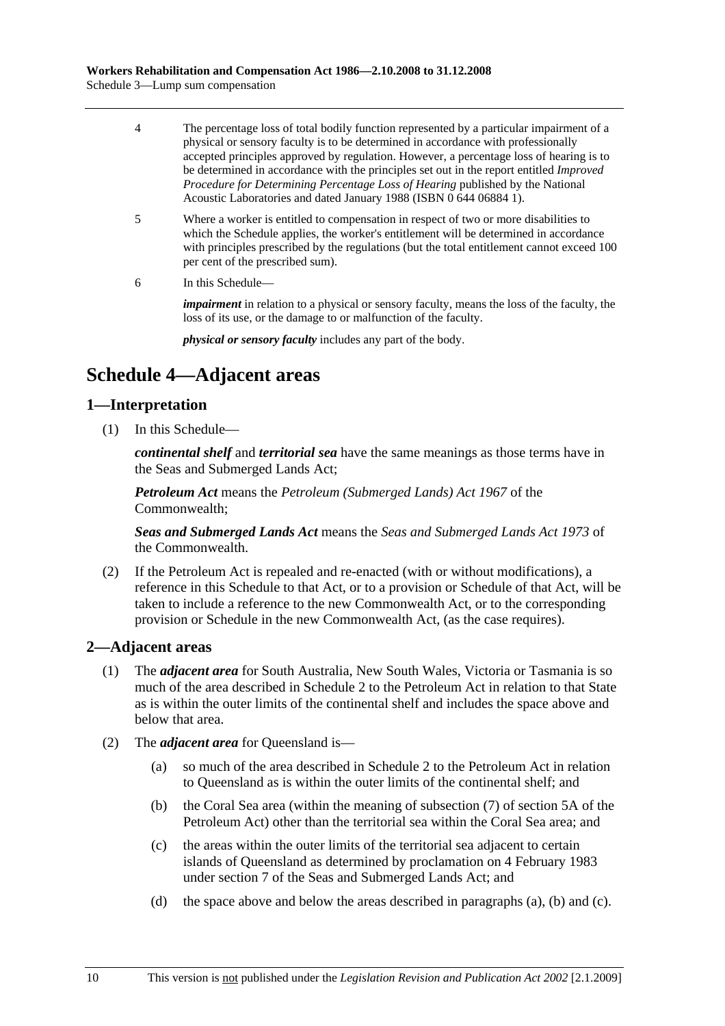- 4 The percentage loss of total bodily function represented by a particular impairment of a physical or sensory faculty is to be determined in accordance with professionally accepted principles approved by regulation. However, a percentage loss of hearing is to be determined in accordance with the principles set out in the report entitled *Improved Procedure for Determining Percentage Loss of Hearing* published by the National Acoustic Laboratories and dated January 1988 (ISBN 0 644 06884 1).
- 5 Where a worker is entitled to compensation in respect of two or more disabilities to which the Schedule applies, the worker's entitlement will be determined in accordance with principles prescribed by the regulations (but the total entitlement cannot exceed 100 per cent of the prescribed sum).
- 6 In this Schedule—

*impairment* in relation to a physical or sensory faculty, means the loss of the faculty, the loss of its use, or the damage to or malfunction of the faculty.

*physical or sensory faculty* includes any part of the body.

## **Schedule 4—Adjacent areas**

#### **1—Interpretation**

(1) In this Schedule—

*continental shelf* and *territorial sea* have the same meanings as those terms have in the Seas and Submerged Lands Act;

*Petroleum Act* means the *Petroleum (Submerged Lands) Act 1967* of the Commonwealth;

*Seas and Submerged Lands Act* means the *Seas and Submerged Lands Act 1973* of the Commonwealth.

 (2) If the Petroleum Act is repealed and re-enacted (with or without modifications), a reference in this Schedule to that Act, or to a provision or Schedule of that Act, will be taken to include a reference to the new Commonwealth Act, or to the corresponding provision or Schedule in the new Commonwealth Act, (as the case requires).

#### **2—Adjacent areas**

- (1) The *adjacent area* for South Australia, New South Wales, Victoria or Tasmania is so much of the area described in Schedule 2 to the Petroleum Act in relation to that State as is within the outer limits of the continental shelf and includes the space above and below that area.
- (2) The *adjacent area* for Queensland is—
	- (a) so much of the area described in Schedule 2 to the Petroleum Act in relation to Queensland as is within the outer limits of the continental shelf; and
	- (b) the Coral Sea area (within the meaning of subsection (7) of section 5A of the Petroleum Act) other than the territorial sea within the Coral Sea area; and
	- (c) the areas within the outer limits of the territorial sea adjacent to certain islands of Queensland as determined by proclamation on 4 February 1983 under section 7 of the Seas and Submerged Lands Act; and
	- (d) the space above and below the areas described in paragraphs (a), (b) and (c).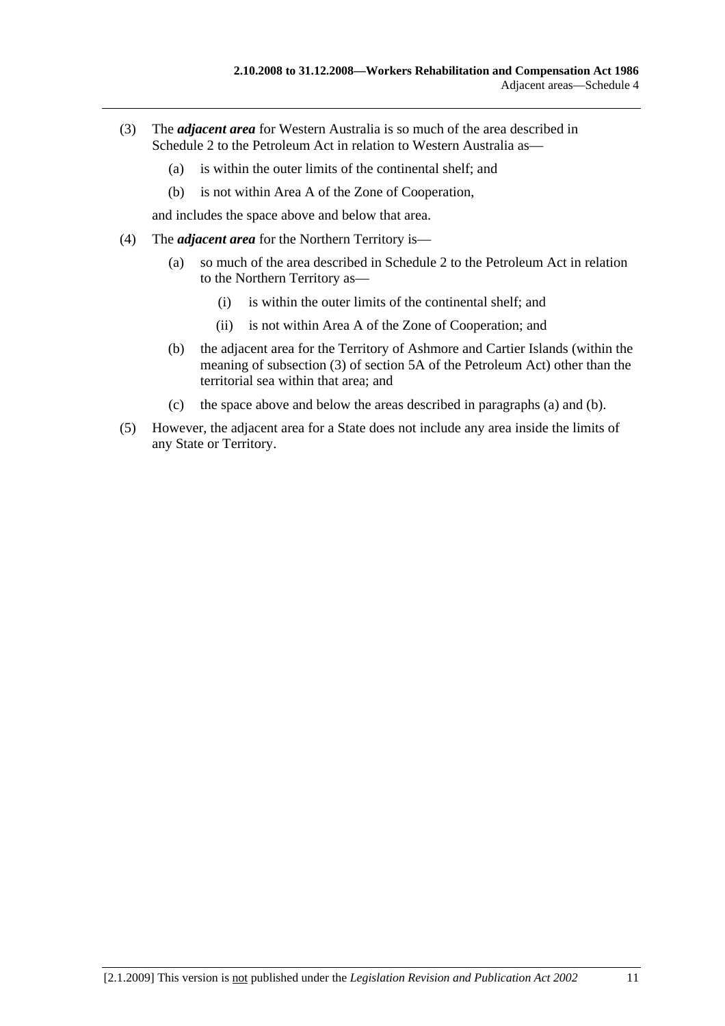- (3) The *adjacent area* for Western Australia is so much of the area described in Schedule 2 to the Petroleum Act in relation to Western Australia as—
	- (a) is within the outer limits of the continental shelf; and
	- (b) is not within Area A of the Zone of Cooperation,

and includes the space above and below that area.

- (4) The *adjacent area* for the Northern Territory is—
	- (a) so much of the area described in Schedule 2 to the Petroleum Act in relation to the Northern Territory as—
		- (i) is within the outer limits of the continental shelf; and
		- (ii) is not within Area A of the Zone of Cooperation; and
	- (b) the adjacent area for the Territory of Ashmore and Cartier Islands (within the meaning of subsection (3) of section 5A of the Petroleum Act) other than the territorial sea within that area; and
	- (c) the space above and below the areas described in paragraphs (a) and (b).
- (5) However, the adjacent area for a State does not include any area inside the limits of any State or Territory.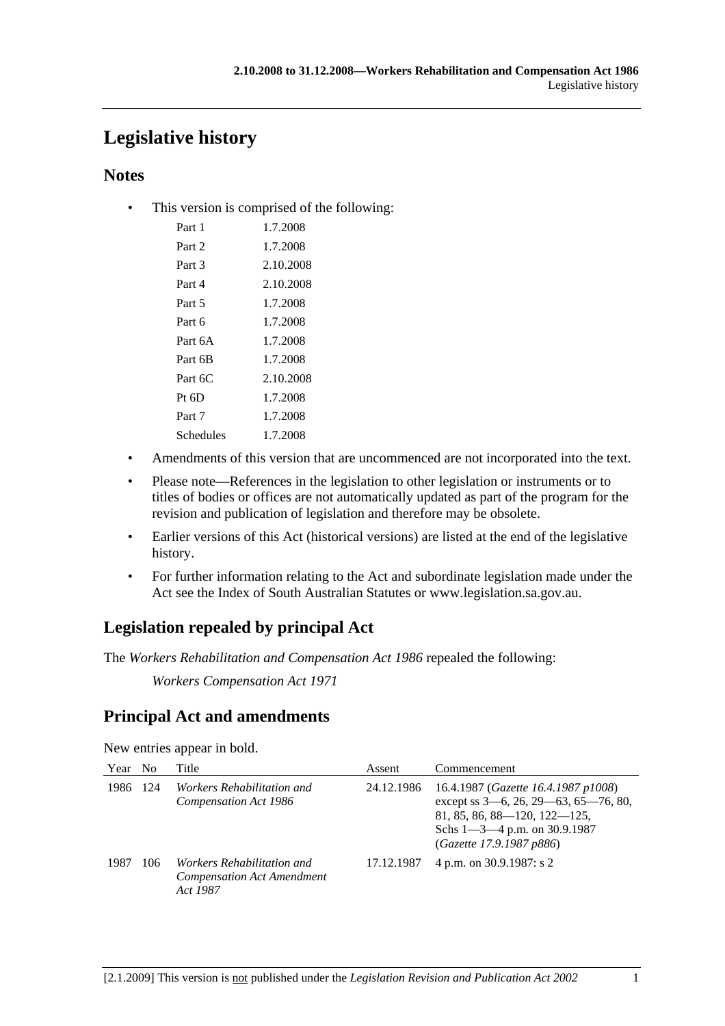# **Legislative history**

### **Notes**

• This version is comprised of the following:

| Part 1    | 1.7.2008  |
|-----------|-----------|
| Part 2    | 1.7.2008  |
| Part 3    | 2.10.2008 |
| Part 4    | 2.10.2008 |
| Part 5    | 1.7.2008  |
| Part 6    | 1.7.2008  |
| Part 6A   | 1.7.2008  |
| Part 6B   | 1.7.2008  |
| Part $6C$ | 2.10.2008 |
| $Pt\;6D$  | 1.7.2008  |
| Part 7    | 1.7.2008  |
| Schedules | 1.7.2008  |

- Amendments of this version that are uncommenced are not incorporated into the text.
- Please note—References in the legislation to other legislation or instruments or to titles of bodies or offices are not automatically updated as part of the program for the revision and publication of legislation and therefore may be obsolete.
- Earlier versions of this Act (historical versions) are listed at the end of the legislative history.
- For further information relating to the Act and subordinate legislation made under the Act see the Index of South Australian Statutes or www.legislation.sa.gov.au.

## **Legislation repealed by principal Act**

The *Workers Rehabilitation and Compensation Act 1986* repealed the following:

*Workers Compensation Act 1971*

## **Principal Act and amendments**

New entries appear in bold.

| Year No |     | Title                                                                              | Assent     | Commencement                                                                                                                                                                        |
|---------|-----|------------------------------------------------------------------------------------|------------|-------------------------------------------------------------------------------------------------------------------------------------------------------------------------------------|
| 1986    | 124 | <i>Workers Rehabilitation and</i><br>Compensation Act 1986                         | 24.12.1986 | 16.4.1987 (Gazette 16.4.1987 p1008)<br>except ss 3–6, 26, 29–63, 65–76, 80,<br>$81, 85, 86, 88 - 120, 122 - 125,$<br>Schs $1 - 3 - 4$ p.m. on 30.9.1987<br>(Gazette 17.9.1987 p886) |
| 1987    | 106 | <i>Workers Rehabilitation and</i><br><b>Compensation Act Amendment</b><br>Act 1987 | 17.12.1987 | 4 p.m. on 30.9.1987: s 2                                                                                                                                                            |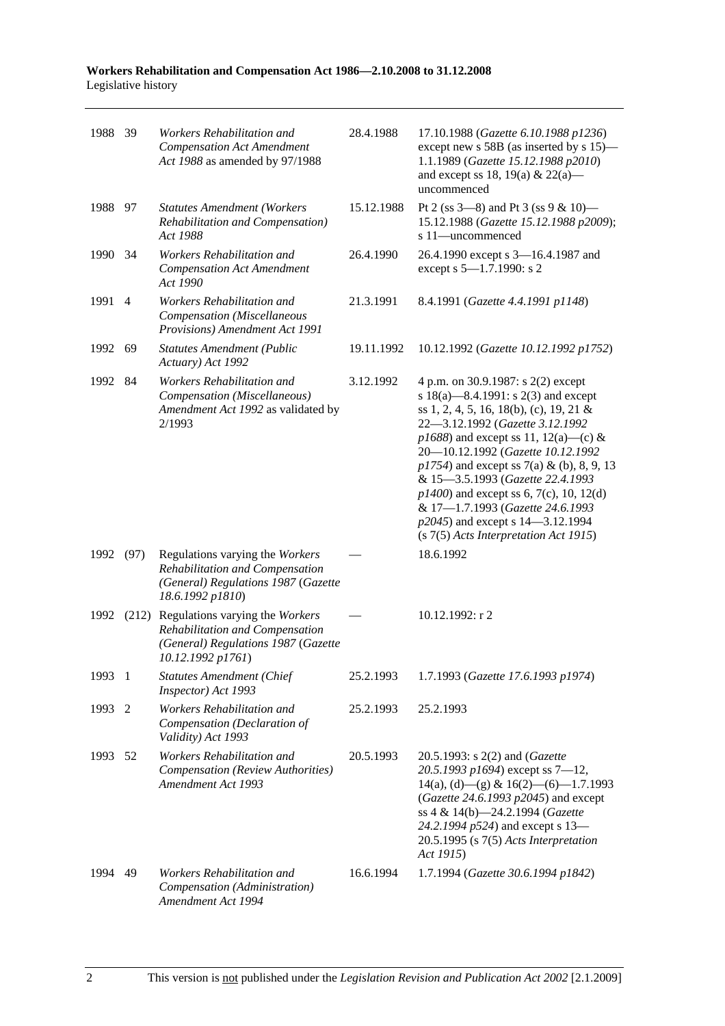| 1988 39 |                | Workers Rehabilitation and<br><b>Compensation Act Amendment</b><br>Act 1988 as amended by 97/1988                                    | 28.4.1988  | 17.10.1988 (Gazette 6.10.1988 p1236)<br>except new s 58B (as inserted by s 15)-<br>1.1.1989 (Gazette 15.12.1988 p2010)<br>and except ss 18, 19(a) & 22(a)—<br>uncommenced                                                                                                                                                                                                                                                                                                                    |
|---------|----------------|--------------------------------------------------------------------------------------------------------------------------------------|------------|----------------------------------------------------------------------------------------------------------------------------------------------------------------------------------------------------------------------------------------------------------------------------------------------------------------------------------------------------------------------------------------------------------------------------------------------------------------------------------------------|
| 1988 97 |                | <b>Statutes Amendment (Workers</b><br>Rehabilitation and Compensation)<br>Act 1988                                                   | 15.12.1988 | Pt 2 (ss $3-8$ ) and Pt 3 (ss $9 & 10$ )<br>15.12.1988 (Gazette 15.12.1988 p2009);<br>s 11-uncommenced                                                                                                                                                                                                                                                                                                                                                                                       |
| 1990    | - 34           | Workers Rehabilitation and<br><b>Compensation Act Amendment</b><br>Act 1990                                                          | 26.4.1990  | 26.4.1990 except s 3-16.4.1987 and<br>except s 5-1.7.1990: s 2                                                                                                                                                                                                                                                                                                                                                                                                                               |
| 1991    | $\overline{4}$ | Workers Rehabilitation and<br>Compensation (Miscellaneous<br>Provisions) Amendment Act 1991                                          | 21.3.1991  | 8.4.1991 (Gazette 4.4.1991 p1148)                                                                                                                                                                                                                                                                                                                                                                                                                                                            |
| 1992    | 69             | <b>Statutes Amendment (Public</b><br>Actuary) Act 1992                                                                               | 19.11.1992 | 10.12.1992 (Gazette 10.12.1992 p1752)                                                                                                                                                                                                                                                                                                                                                                                                                                                        |
| 1992 84 |                | Workers Rehabilitation and<br>Compensation (Miscellaneous)<br>Amendment Act 1992 as validated by<br>2/1993                           | 3.12.1992  | 4 p.m. on 30.9.1987: s 2(2) except<br>s 18(a)—8.4.1991: s 2(3) and except<br>ss 1, 2, 4, 5, 16, 18(b), (c), 19, 21 &<br>22-3.12.1992 (Gazette 3.12.1992<br>$p1688$ ) and except ss 11, 12(a)—(c) &<br>20-10.12.1992 (Gazette 10.12.1992<br>$p1754$ ) and except ss 7(a) & (b), 8, 9, 13<br>& 15-3.5.1993 (Gazette 22.4.1993<br>$p1400$ ) and except ss 6, 7(c), 10, 12(d)<br>& 17-1.7.1993 (Gazette 24.6.1993<br>p2045) and except s 14–3.12.1994<br>$(s 7(5)$ Acts Interpretation Act 1915) |
| 1992    | (97)           | Regulations varying the Workers<br>Rehabilitation and Compensation<br>(General) Regulations 1987 (Gazette<br>18.6.1992 p1810)        |            | 18.6.1992                                                                                                                                                                                                                                                                                                                                                                                                                                                                                    |
| 1992    |                | (212) Regulations varying the Workers<br>Rehabilitation and Compensation<br>(General) Regulations 1987 (Gazette<br>10.12.1992 p1761) |            | 10.12.1992: r 2                                                                                                                                                                                                                                                                                                                                                                                                                                                                              |
| 1993 1  |                | <b>Statutes Amendment (Chief</b><br>Inspector) Act 1993                                                                              | 25.2.1993  | 1.7.1993 (Gazette 17.6.1993 p1974)                                                                                                                                                                                                                                                                                                                                                                                                                                                           |
| 1993    | 2              | Workers Rehabilitation and<br>Compensation (Declaration of<br>Validity) Act 1993                                                     | 25.2.1993  | 25.2.1993                                                                                                                                                                                                                                                                                                                                                                                                                                                                                    |
| 1993    | -52            | Workers Rehabilitation and<br><b>Compensation</b> (Review Authorities)<br>Amendment Act 1993                                         | 20.5.1993  | 20.5.1993: s 2(2) and ( <i>Gazette</i><br>20.5.1993 p1694) except ss $7-12$ ,<br>$14(a)$ , (d) - (g) & $16(2)$ - (6) - 1.7.1993<br>(Gazette 24.6.1993 p2045) and except<br>ss 4 & 14(b)-24.2.1994 (Gazette<br>24.2.1994 p524) and except s 13-<br>$20.5.1995$ (s $7(5)$ Acts Interpretation<br>Act 1915)                                                                                                                                                                                     |
| 1994    | 49             | Workers Rehabilitation and<br>Compensation (Administration)<br>Amendment Act 1994                                                    | 16.6.1994  | 1.7.1994 (Gazette 30.6.1994 p1842)                                                                                                                                                                                                                                                                                                                                                                                                                                                           |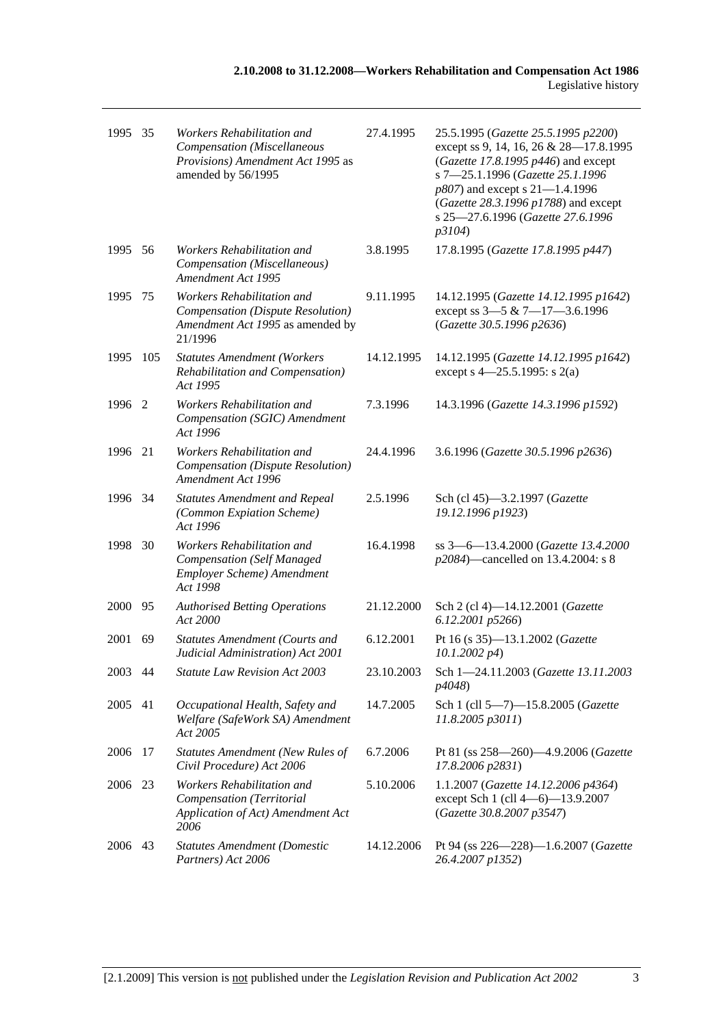| 1995 35 |      | Workers Rehabilitation and<br>Compensation (Miscellaneous<br>Provisions) Amendment Act 1995 as<br>amended by 56/1995 | 27.4.1995  | 25.5.1995 (Gazette 25.5.1995 p2200)<br>except ss 9, 14, 16, 26 & 28-17.8.1995<br>(Gazette 17.8.1995 p446) and except<br>s 7-25.1.1996 (Gazette 25.1.1996<br>p807) and except s 21-1.4.1996<br>(Gazette 28.3.1996 p1788) and except<br>s 25-27.6.1996 (Gazette 27.6.1996<br>p3104) |
|---------|------|----------------------------------------------------------------------------------------------------------------------|------------|-----------------------------------------------------------------------------------------------------------------------------------------------------------------------------------------------------------------------------------------------------------------------------------|
| 1995 56 |      | Workers Rehabilitation and<br>Compensation (Miscellaneous)<br>Amendment Act 1995                                     | 3.8.1995   | 17.8.1995 (Gazette 17.8.1995 p447)                                                                                                                                                                                                                                                |
| 1995    | 75   | Workers Rehabilitation and<br>Compensation (Dispute Resolution)<br>Amendment Act 1995 as amended by<br>21/1996       | 9.11.1995  | 14.12.1995 (Gazette 14.12.1995 p1642)<br>except ss 3-5 & 7-17-3.6.1996<br>(Gazette 30.5.1996 p2636)                                                                                                                                                                               |
| 1995    | 105  | <b>Statutes Amendment (Workers</b><br>Rehabilitation and Compensation)<br>Act 1995                                   | 14.12.1995 | 14.12.1995 (Gazette 14.12.1995 p1642)<br>except s 4–25.5.1995: s 2(a)                                                                                                                                                                                                             |
| 1996    | -2   | Workers Rehabilitation and<br>Compensation (SGIC) Amendment<br>Act 1996                                              | 7.3.1996   | 14.3.1996 (Gazette 14.3.1996 p1592)                                                                                                                                                                                                                                               |
| 1996    | 21   | Workers Rehabilitation and<br>Compensation (Dispute Resolution)<br>Amendment Act 1996                                | 24.4.1996  | 3.6.1996 (Gazette 30.5.1996 p2636)                                                                                                                                                                                                                                                |
| 1996 34 |      | <b>Statutes Amendment and Repeal</b><br>(Common Expiation Scheme)<br>Act 1996                                        | 2.5.1996   | Sch (cl 45)-3.2.1997 (Gazette<br>19.12.1996 p1923)                                                                                                                                                                                                                                |
| 1998    | - 30 | Workers Rehabilitation and<br><b>Compensation</b> (Self Managed<br>Employer Scheme) Amendment<br>Act 1998            | 16.4.1998  | ss 3-6-13.4.2000 (Gazette 13.4.2000<br>p2084)—cancelled on 13.4.2004: s 8                                                                                                                                                                                                         |
| 2000    | 95   | <b>Authorised Betting Operations</b><br>Act 2000                                                                     | 21.12.2000 | Sch 2 (cl 4)-14.12.2001 (Gazette<br>6.12.2001 p5266)                                                                                                                                                                                                                              |
| 2001    | 69   | <b>Statutes Amendment (Courts and</b><br>Judicial Administration) Act 2001                                           | 6.12.2001  | Pt 16 (s 35)-13.1.2002 (Gazette<br>$10.1.2002\ p4$                                                                                                                                                                                                                                |
| 2003 44 |      | <b>Statute Law Revision Act 2003</b>                                                                                 | 23.10.2003 | Sch 1-24.11.2003 (Gazette 13.11.2003<br>p4048)                                                                                                                                                                                                                                    |
| 2005    | 41   | Occupational Health, Safety and<br>Welfare (SafeWork SA) Amendment<br>Act 2005                                       | 14.7.2005  | Sch 1 (cll 5-7)-15.8.2005 (Gazette<br>11.8.2005 p3011)                                                                                                                                                                                                                            |
| 2006    | 17   | <b>Statutes Amendment (New Rules of</b><br>Civil Procedure) Act 2006                                                 | 6.7.2006   | Pt 81 (ss 258-260)-4.9.2006 (Gazette<br>17.8.2006 p2831)                                                                                                                                                                                                                          |
| 2006    | -23  | Workers Rehabilitation and<br>Compensation (Territorial<br>Application of Act) Amendment Act<br>2006                 | 5.10.2006  | 1.1.2007 (Gazette 14.12.2006 p4364)<br>except Sch 1 (cll 4-6)-13.9.2007<br>(Gazette 30.8.2007 p3547)                                                                                                                                                                              |
| 2006    | 43   | <b>Statutes Amendment (Domestic</b><br>Partners) Act 2006                                                            | 14.12.2006 | Pt 94 (ss 226-228)-1.6.2007 (Gazette<br>26.4.2007 p1352)                                                                                                                                                                                                                          |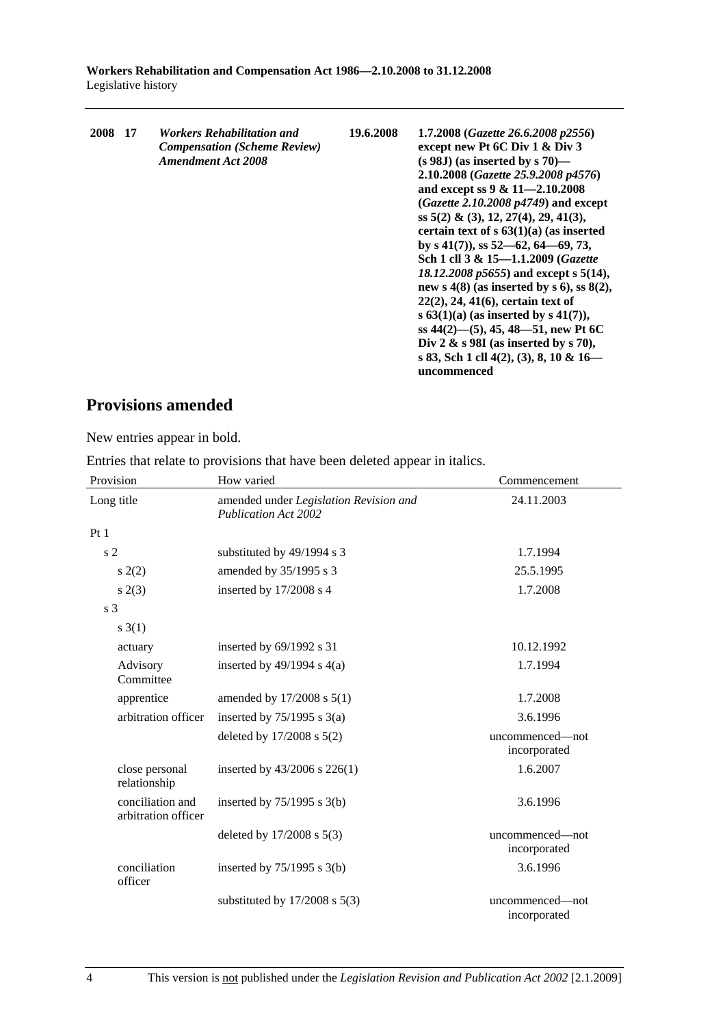| 2008 | 17 | Workers Rehabilitation and<br><b>Compensation (Scheme Review)</b><br><b>Amendment Act 2008</b> | 19.6.2008 | 1.7.2008 (Gazette 26.6.2008 p2556)<br>except new Pt 6C Div 1 & Div 3<br>$(s 98J)$ (as inserted by s 70)—<br>2.10.2008 (Gazette 25.9.2008 p4576)<br>and except ss $9 & 11 - 2.10.2008$<br><i>(Gazette 2.10.2008 p4749)</i> and except<br>ss $5(2)$ & (3), 12, 27(4), 29, 41(3),<br>certain text of $s$ 63(1)(a) (as inserted<br>by s $41(7)$ , ss $52-62$ , $64-69$ , 73,<br>Sch 1 cll 3 & 15-1.1.2009 (Gazette<br>18.12.2008 p5655) and except s 5(14),<br>new s $4(8)$ (as inserted by s 6), ss $8(2)$ ,<br>$22(2), 24, 41(6)$ , certain text of<br>s $63(1)(a)$ (as inserted by s $41(7)$ ),<br>ss $44(2)$ —(5), 45, 48—51, new Pt 6C<br>Div 2 $\&$ s 98I (as inserted by s 70),<br>s 83, Sch 1 cll 4(2), (3), 8, 10 & 16—<br>uncommenced |
|------|----|------------------------------------------------------------------------------------------------|-----------|---------------------------------------------------------------------------------------------------------------------------------------------------------------------------------------------------------------------------------------------------------------------------------------------------------------------------------------------------------------------------------------------------------------------------------------------------------------------------------------------------------------------------------------------------------------------------------------------------------------------------------------------------------------------------------------------------------------------------------------------|
|------|----|------------------------------------------------------------------------------------------------|-----------|---------------------------------------------------------------------------------------------------------------------------------------------------------------------------------------------------------------------------------------------------------------------------------------------------------------------------------------------------------------------------------------------------------------------------------------------------------------------------------------------------------------------------------------------------------------------------------------------------------------------------------------------------------------------------------------------------------------------------------------------|

## **Provisions amended**

New entries appear in bold.

Entries that relate to provisions that have been deleted appear in italics.

| Provision                               | How varied                                                            | Commencement                    |  |
|-----------------------------------------|-----------------------------------------------------------------------|---------------------------------|--|
| Long title                              | amended under Legislation Revision and<br><b>Publication Act 2002</b> | 24.11.2003                      |  |
| Pt1                                     |                                                                       |                                 |  |
| s <sub>2</sub>                          | substituted by 49/1994 s 3                                            | 1.7.1994                        |  |
| s(2)                                    | amended by 35/1995 s 3                                                | 25.5.1995                       |  |
| s(2(3)                                  | inserted by 17/2008 s 4                                               | 1.7.2008                        |  |
| s <sub>3</sub>                          |                                                                       |                                 |  |
| $s \; 3(1)$                             |                                                                       |                                 |  |
| actuary                                 | inserted by $69/1992$ s 31                                            | 10.12.1992                      |  |
| Advisory<br>Committee                   | inserted by $49/1994$ s $4(a)$                                        | 1.7.1994                        |  |
| apprentice                              | amended by 17/2008 s 5(1)                                             | 1.7.2008                        |  |
| arbitration officer                     | inserted by $75/1995$ s 3(a)                                          | 3.6.1996                        |  |
|                                         | deleted by $17/2008$ s $5(2)$                                         | uncommenced—not<br>incorporated |  |
| close personal<br>relationship          | inserted by $43/2006$ s $226(1)$                                      | 1.6.2007                        |  |
| conciliation and<br>arbitration officer | inserted by $75/1995$ s 3(b)                                          | 3.6.1996                        |  |
|                                         | deleted by $17/2008$ s $5(3)$                                         | uncommenced—not<br>incorporated |  |
| conciliation<br>officer                 | inserted by $75/1995$ s 3(b)                                          | 3.6.1996                        |  |
|                                         | substituted by $17/2008$ s $5(3)$                                     | uncommenced—not<br>incorporated |  |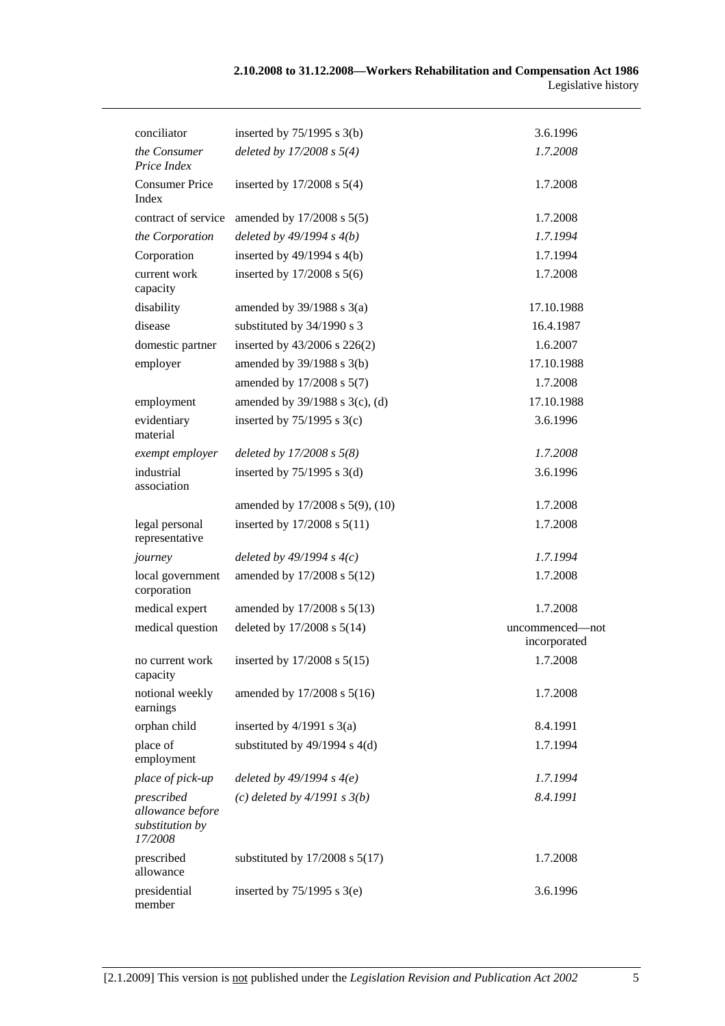| conciliator                                                  | inserted by $75/1995$ s 3(b)       | 3.6.1996                        |
|--------------------------------------------------------------|------------------------------------|---------------------------------|
| the Consumer<br>Price Index                                  | deleted by $17/2008 s 5(4)$        | 1.7.2008                        |
| <b>Consumer Price</b><br>Index                               | inserted by $17/2008$ s $5(4)$     | 1.7.2008                        |
| contract of service                                          | amended by 17/2008 s 5(5)          | 1.7.2008                        |
| the Corporation                                              | deleted by $49/1994 s 4(b)$        | 1.7.1994                        |
| Corporation                                                  | inserted by $49/1994$ s $4(b)$     | 1.7.1994                        |
| current work<br>capacity                                     | inserted by $17/2008$ s $5(6)$     | 1.7.2008                        |
| disability                                                   | amended by $39/1988$ s $3(a)$      | 17.10.1988                      |
| disease                                                      | substituted by 34/1990 s 3         | 16.4.1987                       |
| domestic partner                                             | inserted by 43/2006 s 226(2)       | 1.6.2007                        |
| employer                                                     | amended by $39/1988$ s $3(b)$      | 17.10.1988                      |
|                                                              | amended by 17/2008 s 5(7)          | 1.7.2008                        |
| employment                                                   | amended by 39/1988 s 3(c), (d)     | 17.10.1988                      |
| evidentiary<br>material                                      | inserted by $75/1995$ s 3(c)       | 3.6.1996                        |
| exempt employer                                              | deleted by $17/2008 s 5(8)$        | 1.7.2008                        |
| industrial<br>association                                    | inserted by $75/1995$ s 3(d)       | 3.6.1996                        |
|                                                              | amended by 17/2008 s 5(9), (10)    | 1.7.2008                        |
| legal personal<br>representative                             | inserted by 17/2008 s 5(11)        | 1.7.2008                        |
| journey                                                      | deleted by $49/1994 s 4(c)$        | 1.7.1994                        |
| local government<br>corporation                              | amended by 17/2008 s 5(12)         | 1.7.2008                        |
| medical expert                                               | amended by 17/2008 s 5(13)         | 1.7.2008                        |
| medical question                                             | deleted by 17/2008 s 5(14)         | uncommenced-not<br>incorporated |
| no current work<br>capacity                                  | inserted by $17/2008$ s $5(15)$    | 1.7.2008                        |
| notional weekly<br>earnings                                  | amended by 17/2008 s 5(16)         | 1.7.2008                        |
| orphan child                                                 | inserted by $4/1991$ s $3(a)$      | 8.4.1991                        |
| place of<br>employment                                       | substituted by $49/1994$ s $4(d)$  | 1.7.1994                        |
| place of pick-up                                             | deleted by $49/1994 s 4(e)$        | 1.7.1994                        |
| prescribed<br>allowance before<br>substitution by<br>17/2008 | (c) deleted by $4/1991 s 3(b)$     | 8.4.1991                        |
| prescribed<br>allowance                                      | substituted by $17/2008$ s $5(17)$ | 1.7.2008                        |
| presidential<br>member                                       | inserted by $75/1995$ s 3(e)       | 3.6.1996                        |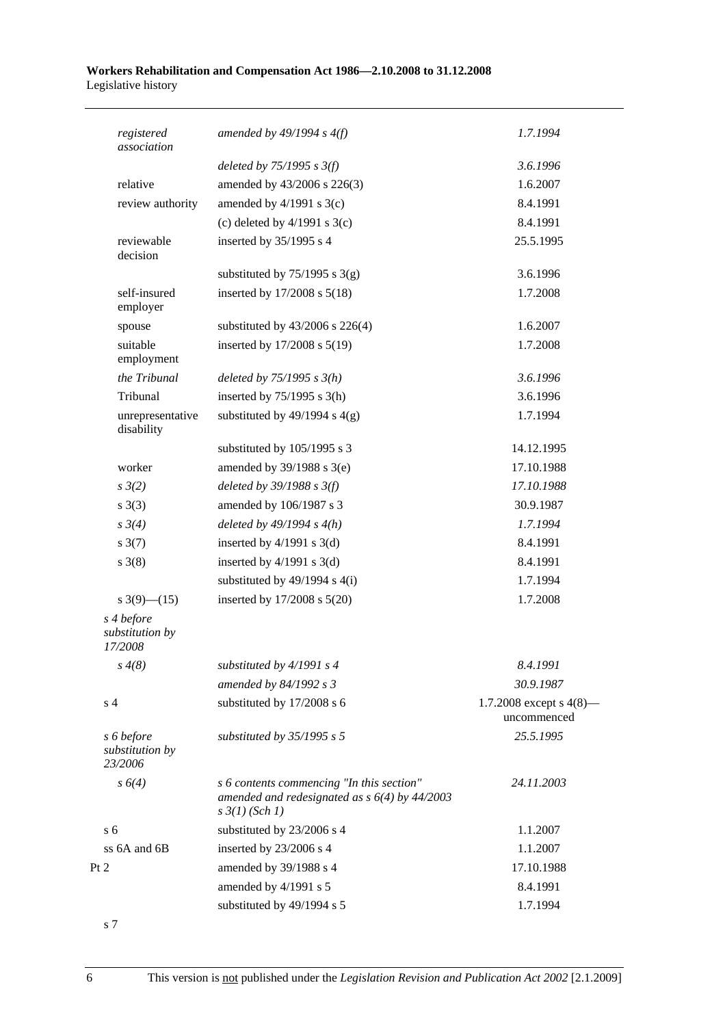| registered<br>association                | amended by $49/1994 s 4(f)$                                                                                             | 1.7.1994                                  |
|------------------------------------------|-------------------------------------------------------------------------------------------------------------------------|-------------------------------------------|
|                                          | deleted by $75/1995$ s $3(f)$                                                                                           | 3.6.1996                                  |
| relative                                 | amended by 43/2006 s 226(3)                                                                                             | 1.6.2007                                  |
| review authority                         | amended by $4/1991$ s $3(c)$                                                                                            | 8.4.1991                                  |
|                                          | (c) deleted by $4/1991$ s $3(c)$                                                                                        | 8.4.1991                                  |
| reviewable<br>decision                   | inserted by 35/1995 s 4                                                                                                 | 25.5.1995                                 |
|                                          | substituted by $75/1995$ s 3(g)                                                                                         | 3.6.1996                                  |
| self-insured<br>employer                 | inserted by 17/2008 s 5(18)                                                                                             | 1.7.2008                                  |
| spouse                                   | substituted by 43/2006 s 226(4)                                                                                         | 1.6.2007                                  |
| suitable<br>employment                   | inserted by 17/2008 s 5(19)                                                                                             | 1.7.2008                                  |
| the Tribunal                             | deleted by $75/1995 s 3(h)$                                                                                             | 3.6.1996                                  |
| Tribunal                                 | inserted by $75/1995$ s 3(h)                                                                                            | 3.6.1996                                  |
| unrepresentative<br>disability           | substituted by $49/1994$ s $4(g)$                                                                                       | 1.7.1994                                  |
|                                          | substituted by 105/1995 s 3                                                                                             | 14.12.1995                                |
| worker                                   | amended by $39/1988$ s $3(e)$                                                                                           | 17.10.1988                                |
| $s \frac{3}{2}$                          | deleted by $39/1988$ s $3(f)$                                                                                           | 17.10.1988                                |
| s(3)                                     | amended by 106/1987 s 3                                                                                                 | 30.9.1987                                 |
| $s \frac{3}{4}$                          | deleted by $49/1994$ s $4(h)$                                                                                           | 1.7.1994                                  |
| $s \frac{3(7)}{2}$                       | inserted by $4/1991$ s 3(d)                                                                                             | 8.4.1991                                  |
| $s \; 3(8)$                              | inserted by $4/1991$ s $3(d)$                                                                                           | 8.4.1991                                  |
|                                          | substituted by $49/1994$ s $4(i)$                                                                                       | 1.7.1994                                  |
| s $3(9)$ — $(15)$                        | inserted by $17/2008$ s $5(20)$                                                                                         | 1.7.2008                                  |
| s 4 before<br>substitution by<br>17/2008 |                                                                                                                         |                                           |
| $s \, 4(8)$                              | substituted by $4/1991 s 4$                                                                                             | 8.4.1991                                  |
|                                          | amended by 84/1992 s 3                                                                                                  | 30.9.1987                                 |
| s <sub>4</sub>                           | substituted by 17/2008 s 6                                                                                              | 1.7.2008 except s $4(8)$ —<br>uncommenced |
| s 6 before<br>substitution by<br>23/2006 | substituted by $35/1995$ s 5                                                                                            | 25.5.1995                                 |
| $s \, 6(4)$                              | s 6 contents commencing "In this section"<br>amended and redesignated as $s$ 6(4) by 44/2003<br>$s \frac{3}{1}$ (Sch 1) | 24.11.2003                                |
| s <sub>6</sub>                           | substituted by 23/2006 s 4                                                                                              | 1.1.2007                                  |
| ss 6A and 6B                             | inserted by 23/2006 s 4                                                                                                 | 1.1.2007                                  |
| Pt 2                                     | amended by 39/1988 s 4                                                                                                  | 17.10.1988                                |
|                                          | amended by 4/1991 s 5                                                                                                   | 8.4.1991                                  |
|                                          | substituted by 49/1994 s 5                                                                                              | 1.7.1994                                  |

s 7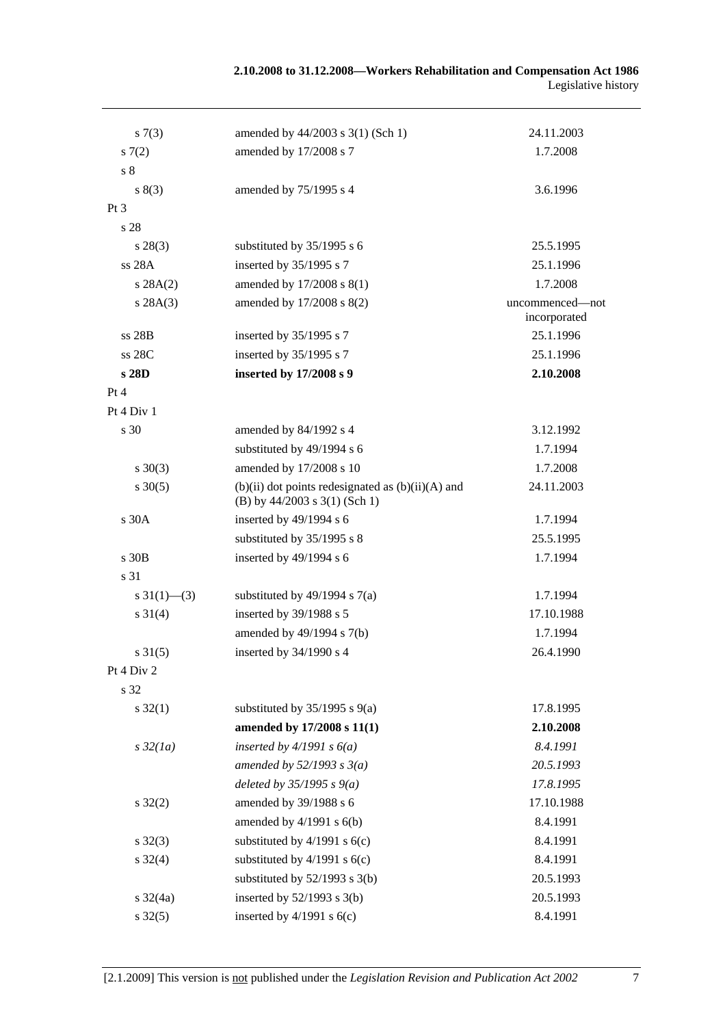#### **2.10.2008 to 31.12.2008—Workers Rehabilitation and Compensation Act 1986**  Legislative history

| s(7(3))                 | amended by 44/2003 s 3(1) (Sch 1)                                                          | 24.11.2003                      |
|-------------------------|--------------------------------------------------------------------------------------------|---------------------------------|
| 57(2)                   | amended by 17/2008 s 7                                                                     | 1.7.2008                        |
| s <sub>8</sub>          |                                                                                            |                                 |
| s(3)                    | amended by 75/1995 s 4                                                                     | 3.6.1996                        |
| $Pt\,3$                 |                                                                                            |                                 |
| s 28                    |                                                                                            |                                 |
| $s\,28(3)$              | substituted by 35/1995 s 6                                                                 | 25.5.1995                       |
| ss 28A                  | inserted by 35/1995 s 7                                                                    | 25.1.1996                       |
| s 28A(2)                | amended by 17/2008 s 8(1)                                                                  | 1.7.2008                        |
| s 28A(3)                | amended by 17/2008 s 8(2)                                                                  | uncommenced—not<br>incorporated |
| ss 28B                  | inserted by 35/1995 s 7                                                                    | 25.1.1996                       |
| ss 28C                  | inserted by 35/1995 s 7                                                                    | 25.1.1996                       |
| s 28D                   | inserted by 17/2008 s 9                                                                    | 2.10.2008                       |
| Pt 4                    |                                                                                            |                                 |
| Pt 4 Div 1              |                                                                                            |                                 |
| s 30                    | amended by 84/1992 s 4                                                                     | 3.12.1992                       |
|                         | substituted by 49/1994 s 6                                                                 | 1.7.1994                        |
| $s \ 30(3)$             | amended by 17/2008 s 10                                                                    | 1.7.2008                        |
| $s \ 30(5)$             | $(b)(ii)$ dot points redesignated as $(b)(ii)(A)$ and<br>(B) by $44/2003$ s $3(1)$ (Sch 1) | 24.11.2003                      |
| s 30A                   | inserted by $49/1994$ s 6                                                                  | 1.7.1994                        |
|                         | substituted by 35/1995 s 8                                                                 | 25.5.1995                       |
| $s$ 30 $B$              | inserted by 49/1994 s 6                                                                    | 1.7.1994                        |
| s 31                    |                                                                                            |                                 |
| $s \frac{31(1)}{6}$ (3) | substituted by $49/1994$ s $7(a)$                                                          | 1.7.1994                        |
| $s \ 31(4)$             | inserted by 39/1988 s 5                                                                    | 17.10.1988                      |
|                         | amended by 49/1994 s 7(b)                                                                  | 1.7.1994                        |
| $s \, 31(5)$            | inserted by 34/1990 s 4                                                                    | 26.4.1990                       |
| Pt 4 Div 2              |                                                                                            |                                 |
| s 32                    |                                                                                            |                                 |
| $s \, 32(1)$            | substituted by $35/1995$ s $9(a)$                                                          | 17.8.1995                       |
|                         | amended by 17/2008 s 11(1)                                                                 | 2.10.2008                       |
| $s\,32(1a)$             | inserted by $4/1991 s 6(a)$                                                                | 8.4.1991                        |
|                         | amended by $52/1993$ s $3(a)$                                                              | 20.5.1993                       |
|                         | deleted by $35/1995 s 9(a)$                                                                | 17.8.1995                       |
| $s \, 32(2)$            | amended by 39/1988 s 6                                                                     | 17.10.1988                      |
|                         | amended by $4/1991$ s $6(b)$                                                               | 8.4.1991                        |
| $s \, 32(3)$            | substituted by $4/1991$ s $6(c)$                                                           | 8.4.1991                        |
| $s \, 32(4)$            | substituted by $4/1991$ s $6(c)$                                                           | 8.4.1991                        |
|                         | substituted by $52/1993$ s 3(b)                                                            | 20.5.1993                       |
| $s \frac{32}{4a}$       | inserted by $52/1993$ s $3(b)$                                                             | 20.5.1993                       |
| $s \, 32(5)$            | inserted by $4/1991$ s $6(c)$                                                              | 8.4.1991                        |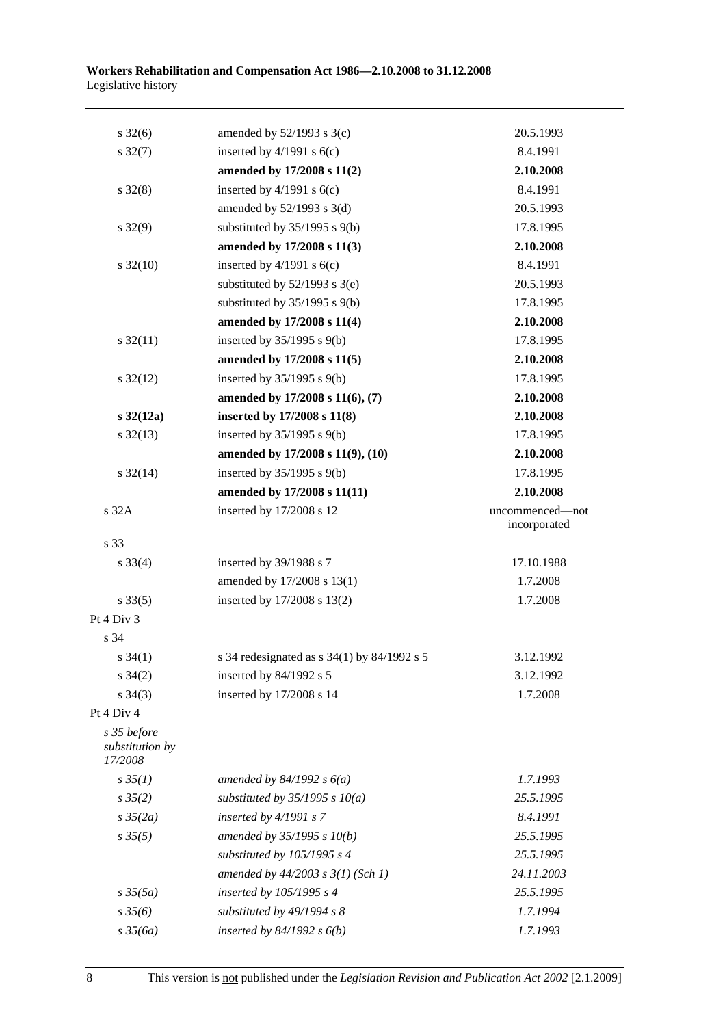| $s \frac{32(6)}{2}$                       | amended by $52/1993$ s $3(c)$                 | 20.5.1993                       |
|-------------------------------------------|-----------------------------------------------|---------------------------------|
| $s \frac{32(7)}{2}$                       | inserted by $4/1991$ s $6(c)$                 | 8.4.1991                        |
|                                           | amended by 17/2008 s 11(2)                    | 2.10.2008                       |
| $s \, 32(8)$                              | inserted by $4/1991$ s $6(c)$                 | 8.4.1991                        |
|                                           | amended by $52/1993$ s $3(d)$                 | 20.5.1993                       |
| $s\,32(9)$                                | substituted by $35/1995$ s $9(b)$             | 17.8.1995                       |
|                                           | amended by 17/2008 s 11(3)                    | 2.10.2008                       |
| $s \frac{32(10)}{2}$                      | inserted by $4/1991$ s $6(c)$                 | 8.4.1991                        |
|                                           | substituted by $52/1993$ s $3(e)$             | 20.5.1993                       |
|                                           | substituted by $35/1995$ s $9(b)$             | 17.8.1995                       |
|                                           | amended by 17/2008 s 11(4)                    | 2.10.2008                       |
| $s \frac{32(11)}{2}$                      | inserted by $35/1995$ s $9(b)$                | 17.8.1995                       |
|                                           | amended by 17/2008 s 11(5)                    | 2.10.2008                       |
| $s \frac{32(12)}{2}$                      | inserted by $35/1995$ s $9(b)$                | 17.8.1995                       |
|                                           | amended by 17/2008 s 11(6), (7)               | 2.10.2008                       |
| $s \, 32(12a)$                            | inserted by 17/2008 s 11(8)                   | 2.10.2008                       |
| $s \frac{32(13)}{2}$                      | inserted by $35/1995$ s $9(b)$                | 17.8.1995                       |
|                                           | amended by 17/2008 s 11(9), (10)              | 2.10.2008                       |
| $s \frac{32(14)}{2}$                      | inserted by $35/1995$ s $9(b)$                | 17.8.1995                       |
|                                           | amended by 17/2008 s 11(11)                   | 2.10.2008                       |
| s 32A                                     | inserted by 17/2008 s 12                      | uncommenced-not<br>incorporated |
| s 33                                      |                                               |                                 |
| $s \, 33(4)$                              | inserted by 39/1988 s 7                       | 17.10.1988                      |
|                                           | amended by 17/2008 s 13(1)                    | 1.7.2008                        |
| $s \, 33(5)$                              | inserted by 17/2008 s 13(2)                   | 1.7.2008                        |
| Pt 4 Div 3                                |                                               |                                 |
| s 34                                      |                                               |                                 |
| $s \; 34(1)$                              | s 34 redesignated as $s$ 34(1) by 84/1992 s 5 | 3.12.1992                       |
| $s \; 34(2)$                              | inserted by 84/1992 s 5                       | 3.12.1992                       |
| $s \; 34(3)$                              | inserted by 17/2008 s 14                      | 1.7.2008                        |
| Pt 4 Div 4                                |                                               |                                 |
| s 35 before<br>substitution by<br>17/2008 |                                               |                                 |
| $s \, 35(1)$                              | amended by $84/1992 s 6(a)$                   | 1.7.1993                        |
| $s \, 35(2)$                              | substituted by $35/1995 s 10(a)$              | 25.5.1995                       |
| $s \frac{35}{2a}$                         | inserted by $4/1991 s$ 7                      | 8.4.1991                        |
| $s \, 35(5)$                              | amended by $35/1995 s 10(b)$                  | 25.5.1995                       |
|                                           | substituted by $105/1995 s 4$                 | 25.5.1995                       |
|                                           | amended by $44/2003$ s $3(1)$ (Sch 1)         | 24.11.2003                      |
| $s \frac{35(5a)}{2}$                      | inserted by 105/1995 s 4                      | 25.5.1995                       |
| $s \frac{35}{6}$                          | substituted by $49/1994 s 8$                  | 1.7.1994                        |
| $s \frac{35}{6a}$                         | inserted by $84/1992 s 6(b)$                  | 1.7.1993                        |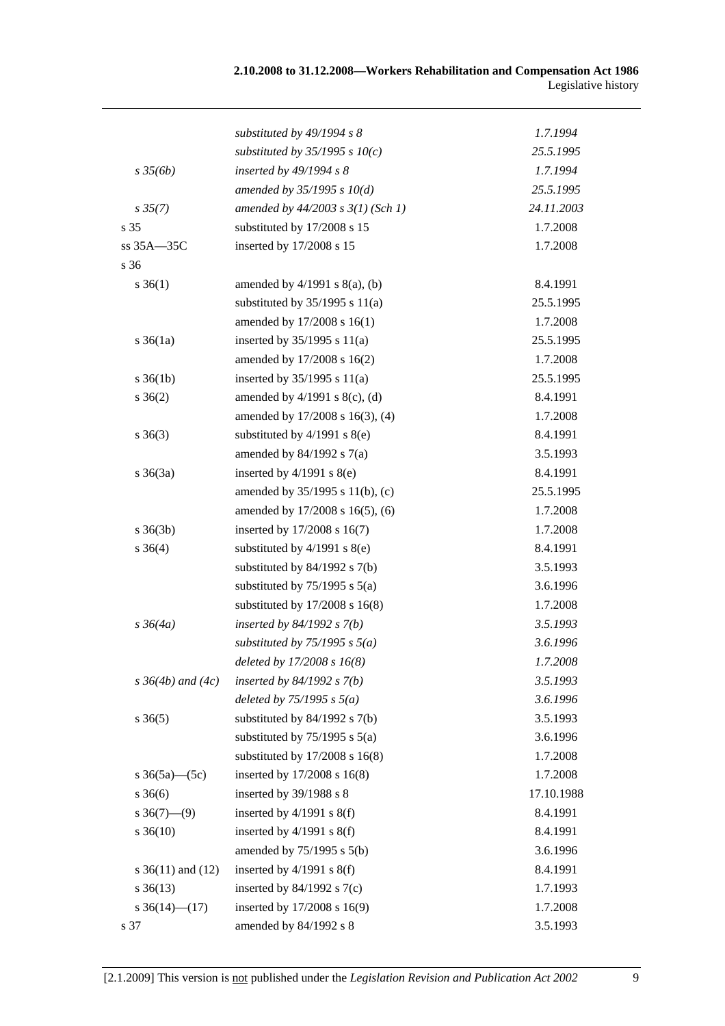|                       | substituted by $49/1994 s 8$          | 1.7.1994   |
|-----------------------|---------------------------------------|------------|
|                       | substituted by $35/1995$ s $10(c)$    | 25.5.1995  |
| $s \frac{35}{6b}$     | inserted by 49/1994 s 8               | 1.7.1994   |
|                       | amended by $35/1995 s 10(d)$          | 25.5.1995  |
| $s \frac{35(7)}{2}$   | amended by $44/2003$ s $3(1)$ (Sch 1) | 24.11.2003 |
| s 35                  | substituted by 17/2008 s 15           | 1.7.2008   |
| ss 35A-35C            | inserted by 17/2008 s 15              | 1.7.2008   |
| s 36                  |                                       |            |
| $s \, 36(1)$          | amended by $4/1991$ s $8(a)$ , (b)    | 8.4.1991   |
|                       | substituted by $35/1995$ s $11(a)$    | 25.5.1995  |
|                       | amended by 17/2008 s 16(1)            | 1.7.2008   |
| $s \, 36(1a)$         | inserted by $35/1995$ s $11(a)$       | 25.5.1995  |
|                       | amended by 17/2008 s 16(2)            | 1.7.2008   |
| $s \; 36(1b)$         | inserted by $35/1995$ s $11(a)$       | 25.5.1995  |
| $s \; 36(2)$          | amended by $4/1991$ s $8(c)$ , (d)    | 8.4.1991   |
|                       | amended by 17/2008 s 16(3), (4)       | 1.7.2008   |
| $s \; 36(3)$          | substituted by $4/1991$ s $8(e)$      | 8.4.1991   |
|                       | amended by $84/1992$ s $7(a)$         | 3.5.1993   |
| $s \; 36(3a)$         | inserted by $4/1991$ s $8(e)$         | 8.4.1991   |
|                       | amended by 35/1995 s 11(b), (c)       | 25.5.1995  |
|                       | amended by 17/2008 s 16(5), (6)       | 1.7.2008   |
| $s \; 36(3b)$         | inserted by 17/2008 s 16(7)           | 1.7.2008   |
| $s \; 36(4)$          | substituted by $4/1991$ s $8(e)$      | 8.4.1991   |
|                       | substituted by $84/1992$ s $7(b)$     | 3.5.1993   |
|                       | substituted by $75/1995$ s $5(a)$     | 3.6.1996   |
|                       | substituted by $17/2008$ s $16(8)$    | 1.7.2008   |
| $s \frac{36}{4a}$     | inserted by $84/1992 s 7(b)$          | 3.5.1993   |
|                       | substituted by $75/1995 s 5(a)$       | 3.6.1996   |
|                       | deleted by $17/2008 s 16(8)$          | 1.7.2008   |
| s $36(4b)$ and $(4c)$ | inserted by $84/1992 s 7(b)$          | 3.5.1993   |
|                       | deleted by $75/1995$ s $5(a)$         | 3.6.1996   |
| $s \; 36(5)$          | substituted by $84/1992$ s $7(b)$     | 3.5.1993   |
|                       | substituted by $75/1995$ s $5(a)$     | 3.6.1996   |
|                       | substituted by $17/2008$ s $16(8)$    | 1.7.2008   |
| s $36(5a)$ (5c)       | inserted by 17/2008 s 16(8)           | 1.7.2008   |
| $s \; 36(6)$          | inserted by 39/1988 s 8               | 17.10.1988 |
| $s \ 36(7)$ —(9)      | inserted by $4/1991$ s $8(f)$         | 8.4.1991   |
| $s \, 36(10)$         | inserted by $4/1991$ s $8(f)$         | 8.4.1991   |
|                       | amended by 75/1995 s 5(b)             | 3.6.1996   |
| s $36(11)$ and $(12)$ | inserted by $4/1991$ s $8(f)$         | 8.4.1991   |
| $s \; 36(13)$         | inserted by $84/1992$ s $7(c)$        | 1.7.1993   |
| s $36(14)$ (17)       | inserted by 17/2008 s 16(9)           | 1.7.2008   |
| s 37                  | amended by 84/1992 s 8                | 3.5.1993   |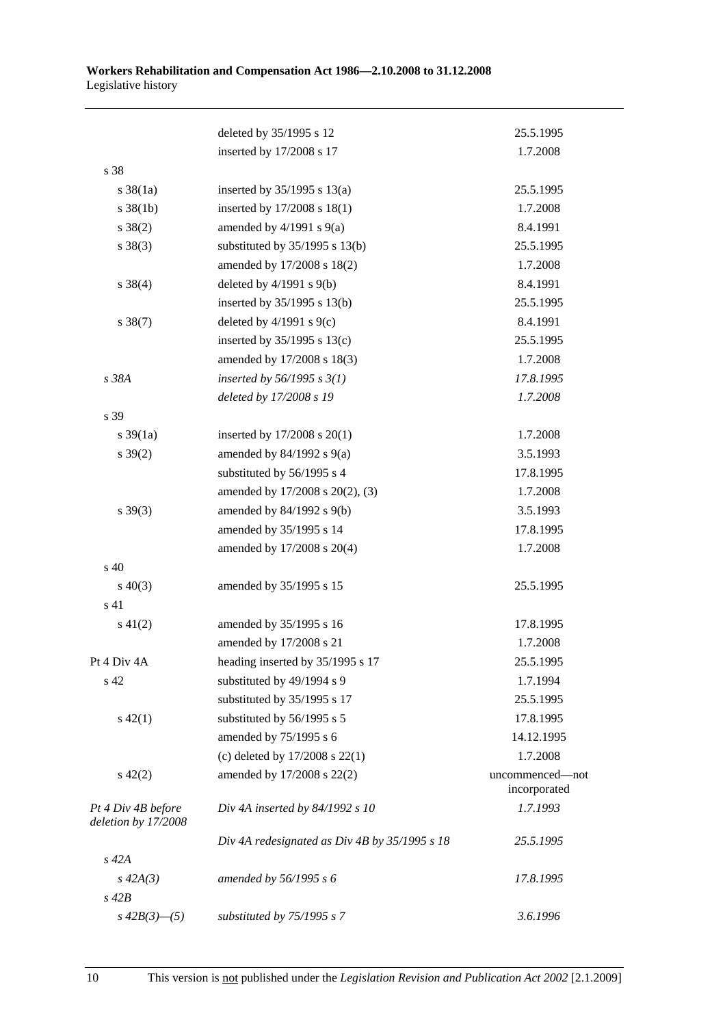|                                           | deleted by 35/1995 s 12                       | 25.5.1995                       |
|-------------------------------------------|-----------------------------------------------|---------------------------------|
|                                           | inserted by 17/2008 s 17                      | 1.7.2008                        |
| s 38                                      |                                               |                                 |
| $s \, 38(1a)$                             | inserted by $35/1995$ s $13(a)$               | 25.5.1995                       |
| $s \frac{38}{1b}$                         | inserted by 17/2008 s 18(1)                   | 1.7.2008                        |
| $s \ 38(2)$                               | amended by $4/1991$ s $9(a)$                  | 8.4.1991                        |
| $s \ 38(3)$                               | substituted by $35/1995$ s 13(b)              | 25.5.1995                       |
|                                           | amended by 17/2008 s 18(2)                    | 1.7.2008                        |
| $s \ 38(4)$                               | deleted by $4/1991$ s $9(b)$                  | 8.4.1991                        |
|                                           | inserted by 35/1995 s 13(b)                   | 25.5.1995                       |
| $s \ 38(7)$                               | deleted by $4/1991$ s $9(c)$                  | 8.4.1991                        |
|                                           | inserted by $35/1995$ s $13(c)$               | 25.5.1995                       |
|                                           | amended by 17/2008 s 18(3)                    | 1.7.2008                        |
| s 38A                                     | inserted by 56/1995 s $3(1)$                  | 17.8.1995                       |
|                                           | deleted by 17/2008 s 19                       | 1.7.2008                        |
| s 39                                      |                                               |                                 |
| s $39(1a)$                                | inserted by 17/2008 s 20(1)                   | 1.7.2008                        |
| $s \frac{39(2)}{2}$                       | amended by $84/1992$ s $9(a)$                 | 3.5.1993                        |
|                                           | substituted by 56/1995 s 4                    | 17.8.1995                       |
|                                           | amended by 17/2008 s 20(2), (3)               | 1.7.2008                        |
| $s\,39(3)$                                | amended by $84/1992$ s $9(b)$                 | 3.5.1993                        |
|                                           | amended by 35/1995 s 14                       | 17.8.1995                       |
|                                           | amended by 17/2008 s 20(4)                    | 1.7.2008                        |
| s 40                                      |                                               |                                 |
| $s\ 40(3)$                                | amended by 35/1995 s 15                       | 25.5.1995                       |
| s 41                                      |                                               |                                 |
| $s\ 41(2)$                                | amended by 35/1995 s 16                       | 17.8.1995                       |
|                                           | amended by 17/2008 s 21                       | 1.7.2008                        |
| Pt 4 Div 4A                               | heading inserted by 35/1995 s 17              | 25.5.1995                       |
| s 42                                      | substituted by 49/1994 s 9                    | 1.7.1994                        |
|                                           | substituted by 35/1995 s 17                   | 25.5.1995                       |
| $s\ 42(1)$                                | substituted by 56/1995 s 5                    | 17.8.1995                       |
|                                           | amended by 75/1995 s 6                        | 14.12.1995                      |
|                                           | (c) deleted by $17/2008$ s $22(1)$            | 1.7.2008                        |
| $s\ 42(2)$                                | amended by 17/2008 s 22(2)                    | uncommenced-not<br>incorporated |
| Pt 4 Div 4B before<br>deletion by 17/2008 | Div 4A inserted by 84/1992 s 10               | 1.7.1993                        |
|                                           | Div 4A redesignated as Div 4B by 35/1995 s 18 | 25.5.1995                       |
| $s\,42A$                                  |                                               |                                 |
| $s\,42A(3)$                               | amended by 56/1995 s 6                        | 17.8.1995                       |
| $s\ 42B$                                  |                                               |                                 |
| $s\,42B(3)$ —(5)                          | substituted by $75/1995 s 7$                  | 3.6.1996                        |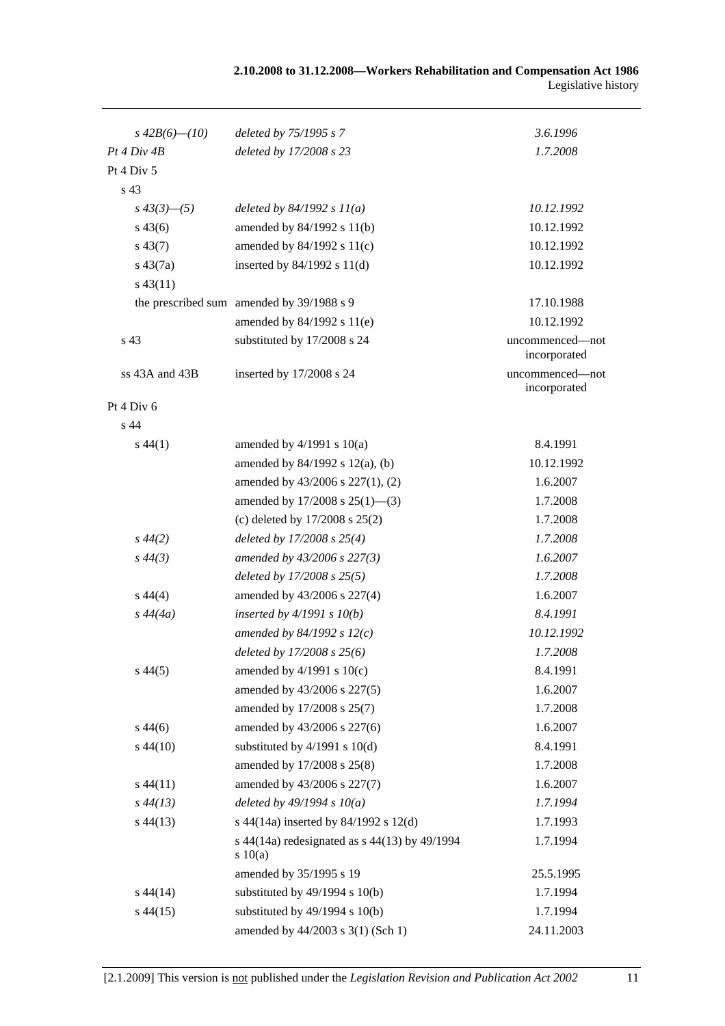| 2.10.2008 to 31.12.2008—Workers Rehabilitation and Compensation Act 1986 |                     |
|--------------------------------------------------------------------------|---------------------|
|                                                                          | Legislative history |

| $s\,42B(6)$ — $(10)$ | deleted by 75/1995 s 7                                 | 3.6.1996                        |
|----------------------|--------------------------------------------------------|---------------------------------|
| Pt 4 Div 4B          | deleted by 17/2008 s 23                                | 1.7.2008                        |
| Pt 4 Div 5           |                                                        |                                 |
| s 43                 |                                                        |                                 |
| $s\,43(3)$ - (5)     | deleted by $84/1992 s 11(a)$                           | 10.12.1992                      |
| $s\,43(6)$           | amended by $84/1992$ s $11(b)$                         | 10.12.1992                      |
| $s\,43(7)$           | amended by 84/1992 s 11(c)                             | 10.12.1992                      |
| $s\,43(7a)$          | inserted by $84/1992$ s $11(d)$                        | 10.12.1992                      |
| $s\,43(11)$          |                                                        |                                 |
|                      | the prescribed sum amended by 39/1988 s 9              | 17.10.1988                      |
|                      | amended by 84/1992 s 11(e)                             | 10.12.1992                      |
| s 43                 | substituted by 17/2008 s 24                            | uncommenced-not<br>incorporated |
| ss 43A and 43B       | inserted by 17/2008 s 24                               | uncommenced-not<br>incorporated |
| Pt 4 Div 6           |                                                        |                                 |
| s 44                 |                                                        |                                 |
| $s\,44(1)$           | amended by $4/1991$ s $10(a)$                          | 8.4.1991                        |
|                      | amended by $84/1992$ s $12(a)$ , (b)                   | 10.12.1992                      |
|                      | amended by 43/2006 s 227(1), (2)                       | 1.6.2007                        |
|                      | amended by $17/2008$ s $25(1)$ —(3)                    | 1.7.2008                        |
|                      | (c) deleted by $17/2008$ s $25(2)$                     | 1.7.2008                        |
| $s\,44(2)$           | deleted by 17/2008 s 25(4)                             | 1.7.2008                        |
| $s\,44(3)$           | amended by 43/2006 s 227(3)                            | 1.6.2007                        |
|                      | deleted by 17/2008 s 25(5)                             | 1.7.2008                        |
| $s\,44(4)$           | amended by 43/2006 s 227(4)                            | 1.6.2007                        |
| $s\,44(4a)$          | inserted by $4/1991 s 10(b)$                           | 8.4.1991                        |
|                      | amended by 84/1992 s $12(c)$                           | 10.12.1992                      |
|                      | deleted by 17/2008 s 25(6)                             | 1.7.2008                        |
| $s\,44(5)$           | amended by $4/1991$ s $10(c)$                          | 8.4.1991                        |
|                      | amended by 43/2006 s 227(5)                            | 1.6.2007                        |
|                      | amended by 17/2008 s 25(7)                             | 1.7.2008                        |
| $s\,44(6)$           | amended by 43/2006 s 227(6)                            | 1.6.2007                        |
| $s\,44(10)$          | substituted by $4/1991$ s $10(d)$                      | 8.4.1991                        |
|                      | amended by 17/2008 s 25(8)                             | 1.7.2008                        |
| $s\,44(11)$          | amended by 43/2006 s 227(7)                            | 1.6.2007                        |
| $s\,44(13)$          | deleted by $49/1994 s 10(a)$                           | 1.7.1994                        |
| $s\,44(13)$          | s 44(14a) inserted by 84/1992 s 12(d)                  | 1.7.1993                        |
|                      | s 44(14a) redesignated as s 44(13) by 49/1994<br>10(a) | 1.7.1994                        |
|                      | amended by 35/1995 s 19                                | 25.5.1995                       |
| $s\,44(14)$          | substituted by $49/1994$ s $10(b)$                     | 1.7.1994                        |
| $s\,44(15)$          | substituted by $49/1994$ s $10(b)$                     | 1.7.1994                        |
|                      | amended by 44/2003 s 3(1) (Sch 1)                      | 24.11.2003                      |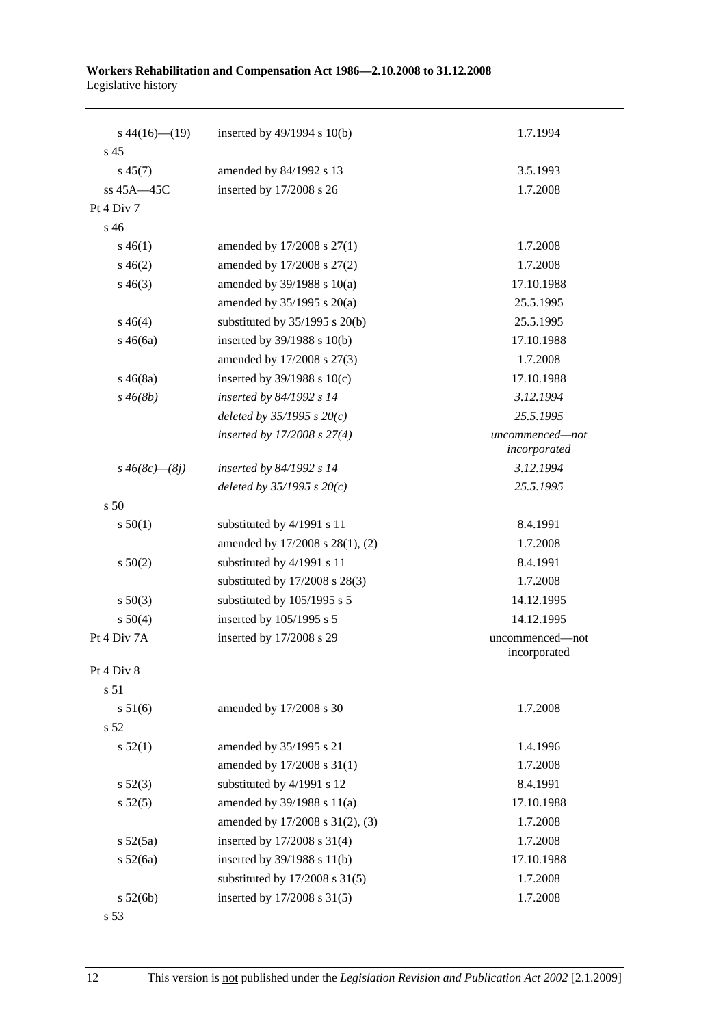| $s\,44(16)$ (19)<br>s <sub>45</sub> | inserted by $49/1994$ s $10(b)$    | 1.7.1994                        |
|-------------------------------------|------------------------------------|---------------------------------|
| $s\,45(7)$                          | amended by 84/1992 s 13            | 3.5.1993                        |
| ss $45A - 45C$                      | inserted by 17/2008 s 26           | 1.7.2008                        |
| Pt 4 Div 7                          |                                    |                                 |
| s 46                                |                                    |                                 |
| $s\,46(1)$                          | amended by 17/2008 s 27(1)         | 1.7.2008                        |
| $s\,46(2)$                          | amended by 17/2008 s 27(2)         | 1.7.2008                        |
| $s\,46(3)$                          | amended by $39/1988$ s $10(a)$     | 17.10.1988                      |
|                                     | amended by 35/1995 s 20(a)         | 25.5.1995                       |
| $s\,46(4)$                          | substituted by $35/1995$ s $20(b)$ | 25.5.1995                       |
| $s\,46(6a)$                         | inserted by 39/1988 s 10(b)        | 17.10.1988                      |
|                                     | amended by 17/2008 s 27(3)         | 1.7.2008                        |
| $s\,46(8a)$                         | inserted by $39/1988$ s $10(c)$    | 17.10.1988                      |
| $s\,46(8b)$                         | inserted by 84/1992 s 14           | 3.12.1994                       |
|                                     | deleted by $35/1995 s 20(c)$       | 25.5.1995                       |
|                                     | inserted by 17/2008 s 27(4)        | uncommenced-not                 |
|                                     |                                    | incorporated                    |
| $s\,46(8c)$ — $(8j)$                | inserted by $84/1992$ s 14         | 3.12.1994                       |
|                                     | deleted by $35/1995 s 20(c)$       | 25.5.1995                       |
| s 50                                |                                    |                                 |
| s 50(1)                             | substituted by 4/1991 s 11         | 8.4.1991                        |
|                                     | amended by 17/2008 s 28(1), (2)    | 1.7.2008                        |
| s 50(2)                             | substituted by 4/1991 s 11         | 8.4.1991                        |
|                                     | substituted by 17/2008 s 28(3)     | 1.7.2008                        |
| $s\ 50(3)$                          | substituted by 105/1995 s 5        | 14.12.1995                      |
| s 50(4)                             | inserted by 105/1995 s 5           | 14.12.1995                      |
| Pt 4 Div 7A                         | inserted by 17/2008 s 29           | uncommenced-not<br>incorporated |
| Pt 4 Div 8                          |                                    |                                 |
| s 51                                |                                    |                                 |
| s 51(6)                             | amended by 17/2008 s 30            | 1.7.2008                        |
| s <sub>52</sub>                     |                                    |                                 |
| s 52(1)                             | amended by 35/1995 s 21            | 1.4.1996                        |
|                                     | amended by 17/2008 s 31(1)         | 1.7.2008                        |
| $s\,52(3)$                          | substituted by 4/1991 s 12         | 8.4.1991                        |
| s 52(5)                             | amended by 39/1988 s 11(a)         | 17.10.1988                      |
|                                     | amended by 17/2008 s 31(2), (3)    | 1.7.2008                        |
| $s\,52(5a)$                         | inserted by 17/2008 s 31(4)        | 1.7.2008                        |
| s 52(6a)                            | inserted by 39/1988 s 11(b)        | 17.10.1988                      |
|                                     | substituted by $17/2008$ s $31(5)$ | 1.7.2008                        |
| s 52(6b)                            | inserted by 17/2008 s 31(5)        | 1.7.2008                        |
|                                     |                                    |                                 |

s 53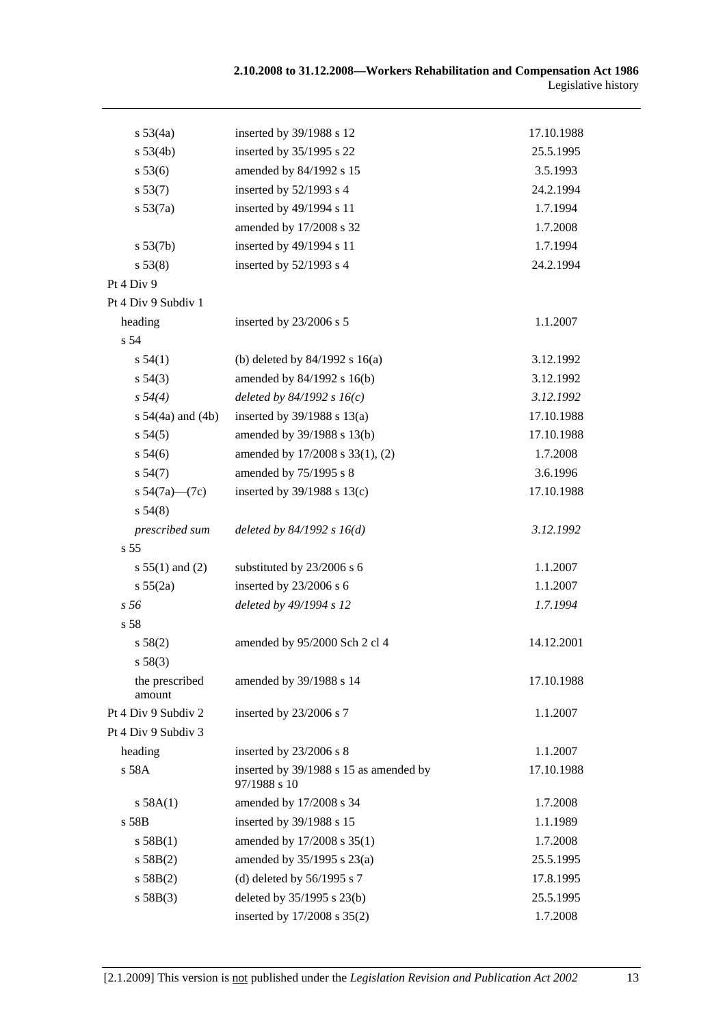| s 53(4a)                 | inserted by 39/1988 s 12                               | 17.10.1988 |
|--------------------------|--------------------------------------------------------|------------|
| s 53(4b)                 | inserted by 35/1995 s 22                               | 25.5.1995  |
| s 53(6)                  | amended by 84/1992 s 15                                | 3.5.1993   |
| s 53(7)                  | inserted by 52/1993 s 4                                | 24.2.1994  |
| s 53(7a)                 | inserted by 49/1994 s 11                               | 1.7.1994   |
|                          | amended by 17/2008 s 32                                | 1.7.2008   |
| s 53(7b)                 | inserted by 49/1994 s 11                               | 1.7.1994   |
| s 53(8)                  | inserted by 52/1993 s 4                                | 24.2.1994  |
| Pt 4 Div 9               |                                                        |            |
| Pt 4 Div 9 Subdiv 1      |                                                        |            |
| heading                  | inserted by 23/2006 s 5                                | 1.1.2007   |
| s 54                     |                                                        |            |
| s 54(1)                  | (b) deleted by $84/1992$ s $16(a)$                     | 3.12.1992  |
| $s\,54(3)$               | amended by 84/1992 s 16(b)                             | 3.12.1992  |
| s 54(4)                  | deleted by $84/1992 s 16(c)$                           | 3.12.1992  |
| s $54(4a)$ and $(4b)$    | inserted by $39/1988$ s $13(a)$                        | 17.10.1988 |
| $s\,54(5)$               | amended by 39/1988 s 13(b)                             | 17.10.1988 |
| $s\,54(6)$               | amended by 17/2008 s 33(1), (2)                        | 1.7.2008   |
| s 54(7)                  | amended by 75/1995 s 8                                 | 3.6.1996   |
| s $54(7a)$ — $(7c)$      | inserted by 39/1988 s 13(c)                            | 17.10.1988 |
| s 54(8)                  |                                                        |            |
| prescribed sum           | deleted by $84/1992 s 16(d)$                           | 3.12.1992  |
| s <sub>55</sub>          |                                                        |            |
| s $55(1)$ and (2)        | substituted by 23/2006 s 6                             | 1.1.2007   |
| s 55(2a)                 | inserted by 23/2006 s 6                                | 1.1.2007   |
| s 56                     | deleted by 49/1994 s 12                                | 1.7.1994   |
| s 58                     |                                                        |            |
| s 58(2)                  | amended by 95/2000 Sch 2 cl 4                          | 14.12.2001 |
| s 58(3)                  |                                                        |            |
| the prescribed<br>amount | amended by 39/1988 s 14                                | 17.10.1988 |
| Pt 4 Div 9 Subdiv 2      | inserted by 23/2006 s 7                                | 1.1.2007   |
| Pt 4 Div 9 Subdiv 3      |                                                        |            |
| heading                  | inserted by 23/2006 s 8                                | 1.1.2007   |
| s 58A                    | inserted by 39/1988 s 15 as amended by<br>97/1988 s 10 | 17.10.1988 |
| s 58A(1)                 | amended by 17/2008 s 34                                | 1.7.2008   |
| s 58B                    | inserted by 39/1988 s 15                               | 1.1.1989   |
| s 58B(1)                 | amended by 17/2008 s 35(1)                             | 1.7.2008   |
| s 58B(2)                 | amended by $35/1995$ s $23(a)$                         | 25.5.1995  |
| s 58B(2)                 | (d) deleted by $56/1995$ s 7                           | 17.8.1995  |
| s 58B(3)                 | deleted by 35/1995 s 23(b)                             | 25.5.1995  |
|                          | inserted by 17/2008 s 35(2)                            | 1.7.2008   |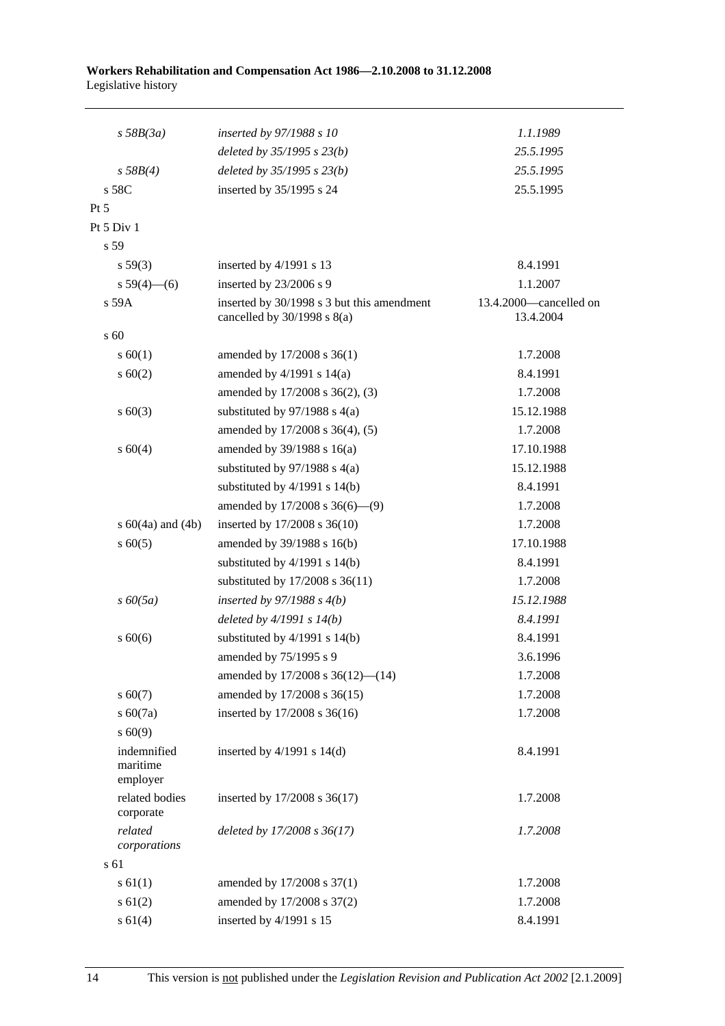| $s$ 58B(3a)                         | inserted by 97/1988 s 10                                                      | 1.1.1989                            |
|-------------------------------------|-------------------------------------------------------------------------------|-------------------------------------|
|                                     | deleted by 35/1995 s 23(b)                                                    | 25.5.1995                           |
| s 58B(4)                            | deleted by 35/1995 s 23(b)                                                    | 25.5.1995                           |
| s 58C                               | inserted by 35/1995 s 24                                                      | 25.5.1995                           |
| $Pt\,5$                             |                                                                               |                                     |
| Pt 5 Div 1                          |                                                                               |                                     |
| s 59                                |                                                                               |                                     |
| $s\,59(3)$                          | inserted by $4/1991$ s 13                                                     | 8.4.1991                            |
| s $59(4)$ - (6)                     | inserted by 23/2006 s 9                                                       | 1.1.2007                            |
| s 59A                               | inserted by 30/1998 s 3 but this amendment<br>cancelled by $30/1998$ s $8(a)$ | 13.4.2000-cancelled on<br>13.4.2004 |
| s 60                                |                                                                               |                                     |
| s 60(1)                             | amended by 17/2008 s 36(1)                                                    | 1.7.2008                            |
| $s \ 60(2)$                         | amended by $4/1991$ s $14(a)$                                                 | 8.4.1991                            |
|                                     | amended by 17/2008 s 36(2), (3)                                               | 1.7.2008                            |
| $s \ 60(3)$                         | substituted by $97/1988$ s 4(a)                                               | 15.12.1988                          |
|                                     | amended by 17/2008 s 36(4), (5)                                               | 1.7.2008                            |
| s 60(4)                             | amended by $39/1988$ s $16(a)$                                                | 17.10.1988                          |
|                                     | substituted by $97/1988$ s 4(a)                                               | 15.12.1988                          |
|                                     | substituted by $4/1991$ s $14(b)$                                             | 8.4.1991                            |
|                                     | amended by $17/2008$ s $36(6)$ — $(9)$                                        | 1.7.2008                            |
| s $60(4a)$ and $(4b)$               | inserted by 17/2008 s 36(10)                                                  | 1.7.2008                            |
| $s \ 60(5)$                         | amended by 39/1988 s 16(b)                                                    | 17.10.1988                          |
|                                     | substituted by $4/1991$ s $14(b)$                                             | 8.4.1991                            |
|                                     | substituted by $17/2008$ s $36(11)$                                           | 1.7.2008                            |
| $s\,60(5a)$                         | inserted by $97/1988$ s $4(b)$                                                | 15.12.1988                          |
|                                     | deleted by $4/1991 s 14(b)$                                                   | 8.4.1991                            |
| $s\ 60(6)$                          | substituted by $4/1991$ s $14(b)$                                             | 8.4.1991                            |
|                                     | amended by 75/1995 s 9                                                        | 3.6.1996                            |
|                                     | amended by 17/2008 s 36(12)-(14)                                              | 1.7.2008                            |
| $s\ 60(7)$                          | amended by 17/2008 s 36(15)                                                   | 1.7.2008                            |
| s 60(7a)                            | inserted by 17/2008 s 36(16)                                                  | 1.7.2008                            |
| $s\ 60(9)$                          |                                                                               |                                     |
| indemnified<br>maritime<br>employer | inserted by $4/1991$ s $14(d)$                                                | 8.4.1991                            |
| related bodies<br>corporate         | inserted by 17/2008 s 36(17)                                                  | 1.7.2008                            |
| related<br>corporations             | deleted by 17/2008 s 36(17)                                                   | 1.7.2008                            |
| s 61                                |                                                                               |                                     |
| $s \, 61(1)$                        | amended by 17/2008 s 37(1)                                                    | 1.7.2008                            |
| $s \ 61(2)$                         | amended by 17/2008 s 37(2)                                                    | 1.7.2008                            |
| s 61(4)                             | inserted by 4/1991 s 15                                                       | 8.4.1991                            |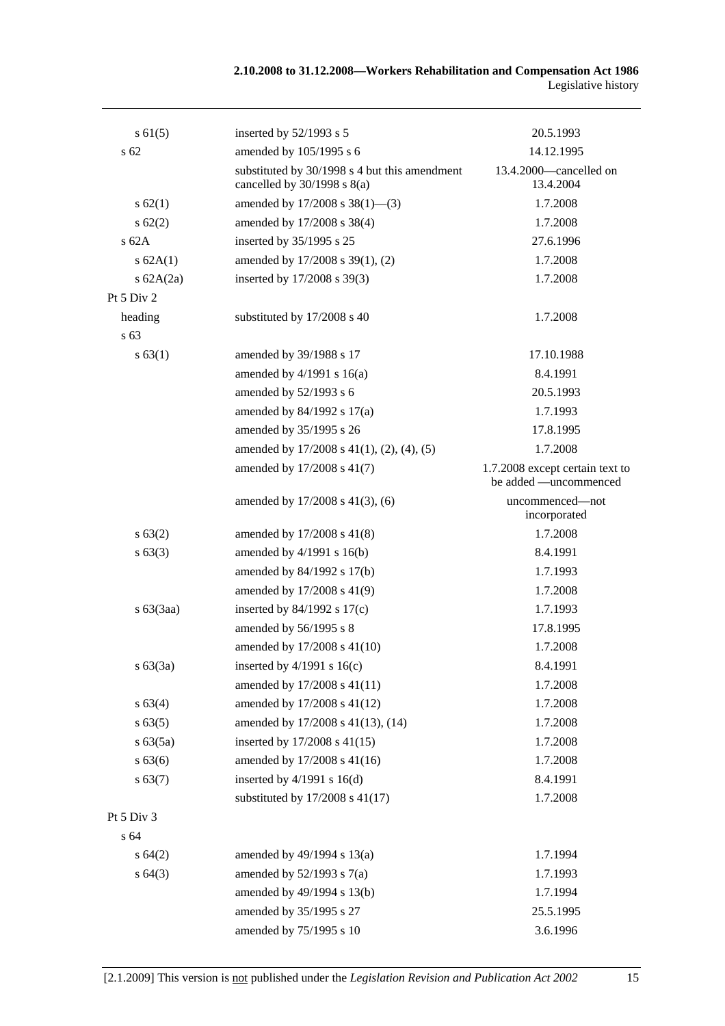| $s \, 61(5)$    | inserted by $52/1993$ s 5                                                        | 20.5.1993                                                |
|-----------------|----------------------------------------------------------------------------------|----------------------------------------------------------|
| s 62            | amended by 105/1995 s 6                                                          | 14.12.1995                                               |
|                 | substituted by 30/1998 s 4 but this amendment<br>cancelled by $30/1998$ s $8(a)$ | 13.4.2000—cancelled on<br>13.4.2004                      |
| s 62(1)         | amended by $17/2008$ s $38(1)$ —(3)                                              | 1.7.2008                                                 |
| $s \, 62(2)$    | amended by 17/2008 s 38(4)                                                       | 1.7.2008                                                 |
| s62A            | inserted by 35/1995 s 25                                                         | 27.6.1996                                                |
| s 62A(1)        | amended by 17/2008 s 39(1), (2)                                                  | 1.7.2008                                                 |
| s $62A(2a)$     | inserted by 17/2008 s 39(3)                                                      | 1.7.2008                                                 |
| Pt 5 Div 2      |                                                                                  |                                                          |
| heading<br>s 63 | substituted by 17/2008 s 40                                                      | 1.7.2008                                                 |
| s 63(1)         | amended by 39/1988 s 17                                                          | 17.10.1988                                               |
|                 | amended by $4/1991$ s $16(a)$                                                    | 8.4.1991                                                 |
|                 | amended by 52/1993 s 6                                                           | 20.5.1993                                                |
|                 | amended by 84/1992 s 17(a)                                                       | 1.7.1993                                                 |
|                 | amended by 35/1995 s 26                                                          | 17.8.1995                                                |
|                 | amended by $17/2008$ s $41(1)$ , $(2)$ , $(4)$ , $(5)$                           | 1.7.2008                                                 |
|                 | amended by 17/2008 s 41(7)                                                       | 1.7.2008 except certain text to<br>be added -uncommenced |
|                 | amended by 17/2008 s 41(3), (6)                                                  | uncommenced-not<br>incorporated                          |
| s 63(2)         | amended by 17/2008 s 41(8)                                                       | 1.7.2008                                                 |
| s 63(3)         | amended by $4/1991$ s $16(b)$                                                    | 8.4.1991                                                 |
|                 | amended by 84/1992 s 17(b)                                                       | 1.7.1993                                                 |
|                 | amended by 17/2008 s 41(9)                                                       | 1.7.2008                                                 |
| $s\ 63(3aa)$    | inserted by $84/1992$ s $17(c)$                                                  | 1.7.1993                                                 |
|                 | amended by 56/1995 s 8                                                           | 17.8.1995                                                |
|                 | amended by 17/2008 s 41(10)                                                      | 1.7.2008                                                 |
| s 63(3a)        | inserted by $4/1991$ s $16(c)$                                                   | 8.4.1991                                                 |
|                 | amended by 17/2008 s 41(11)                                                      | 1.7.2008                                                 |
| s 63(4)         | amended by 17/2008 s 41(12)                                                      | 1.7.2008                                                 |
| s 63(5)         | amended by 17/2008 s 41(13), (14)                                                | 1.7.2008                                                 |
| s 63(5a)        | inserted by 17/2008 s 41(15)                                                     | 1.7.2008                                                 |
| s 63(6)         | amended by 17/2008 s 41(16)                                                      | 1.7.2008                                                 |
| s 63(7)         | inserted by $4/1991$ s $16(d)$                                                   | 8.4.1991                                                 |
|                 | substituted by $17/2008$ s $41(17)$                                              | 1.7.2008                                                 |
| Pt 5 Div 3      |                                                                                  |                                                          |
| s 64            |                                                                                  |                                                          |
| s 64(2)         | amended by 49/1994 s 13(a)                                                       | 1.7.1994                                                 |
| s64(3)          | amended by $52/1993$ s $7(a)$                                                    | 1.7.1993                                                 |
|                 | amended by 49/1994 s 13(b)                                                       | 1.7.1994                                                 |
|                 | amended by 35/1995 s 27                                                          | 25.5.1995                                                |
|                 | amended by 75/1995 s 10                                                          | 3.6.1996                                                 |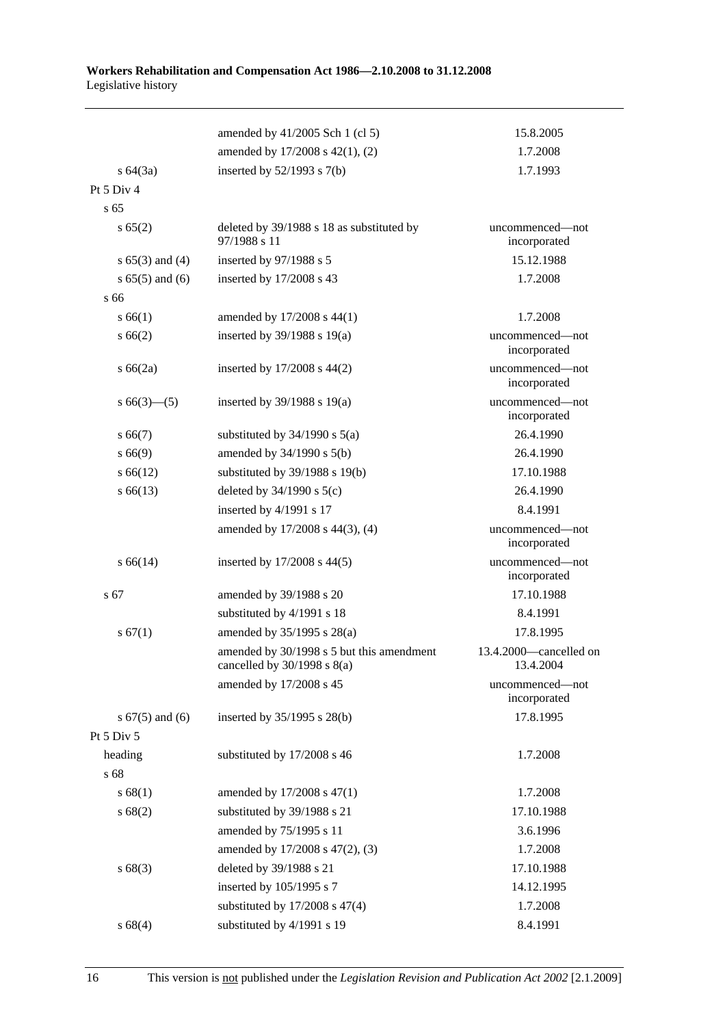|                     | amended by 41/2005 Sch 1 (cl 5)                                              | 15.8.2005                           |
|---------------------|------------------------------------------------------------------------------|-------------------------------------|
|                     | amended by 17/2008 s 42(1), (2)                                              | 1.7.2008                            |
| $s \, 64(3a)$       | inserted by $52/1993$ s $7(b)$                                               | 1.7.1993                            |
| Pt $5$ Div $4$      |                                                                              |                                     |
| s <sub>65</sub>     |                                                                              |                                     |
| s 65(2)             | deleted by 39/1988 s 18 as substituted by<br>97/1988 s 11                    | uncommenced—not<br>incorporated     |
| $s 65(3)$ and (4)   | inserted by 97/1988 s 5                                                      | 15.12.1988                          |
| $s 65(5)$ and (6)   | inserted by 17/2008 s 43                                                     | 1.7.2008                            |
| s 66                |                                                                              |                                     |
| s 66(1)             | amended by 17/2008 s 44(1)                                                   | 1.7.2008                            |
| s 66(2)             | inserted by $39/1988$ s $19(a)$                                              | uncommenced—not<br>incorporated     |
| $s\,66(2a)$         | inserted by $17/2008$ s $44(2)$                                              | uncommenced-not<br>incorporated     |
| $s\,66(3)$ — $(5)$  | inserted by $39/1988$ s $19(a)$                                              | uncommenced-not<br>incorporated     |
| $s\,66(7)$          | substituted by $34/1990$ s $5(a)$                                            | 26.4.1990                           |
| s 66(9)             | amended by $34/1990$ s $5(b)$                                                | 26.4.1990                           |
| $s\,66(12)$         | substituted by 39/1988 s 19(b)                                               | 17.10.1988                          |
| $s\,66(13)$         | deleted by $34/1990$ s $5(c)$                                                | 26.4.1990                           |
|                     | inserted by 4/1991 s 17                                                      | 8.4.1991                            |
|                     | amended by 17/2008 s 44(3), (4)                                              | uncommenced-not<br>incorporated     |
| s 66(14)            | inserted by $17/2008$ s 44(5)                                                | uncommenced-not<br>incorporated     |
| s 67                | amended by 39/1988 s 20                                                      | 17.10.1988                          |
|                     | substituted by 4/1991 s 18                                                   | 8.4.1991                            |
| s 67(1)             | amended by $35/1995$ s $28(a)$                                               | 17.8.1995                           |
|                     | amended by 30/1998 s 5 but this amendment<br>cancelled by $30/1998$ s $8(a)$ | 13.4.2000—cancelled on<br>13.4.2004 |
|                     | amended by 17/2008 s 45                                                      | uncommenced—not<br>incorporated     |
| s $67(5)$ and $(6)$ | inserted by 35/1995 s 28(b)                                                  | 17.8.1995                           |
| Pt 5 Div 5          |                                                                              |                                     |
| heading             | substituted by 17/2008 s 46                                                  | 1.7.2008                            |
| s 68                |                                                                              |                                     |
| s 68(1)             | amended by 17/2008 s 47(1)                                                   | 1.7.2008                            |
| s 68(2)             | substituted by 39/1988 s 21                                                  | 17.10.1988                          |
|                     | amended by 75/1995 s 11                                                      | 3.6.1996                            |
|                     | amended by 17/2008 s 47(2), (3)                                              | 1.7.2008                            |
| s 68(3)             | deleted by 39/1988 s 21                                                      | 17.10.1988                          |
|                     | inserted by 105/1995 s 7                                                     | 14.12.1995                          |
|                     | substituted by $17/2008$ s $47(4)$                                           | 1.7.2008                            |
| s 68(4)             | substituted by 4/1991 s 19                                                   | 8.4.1991                            |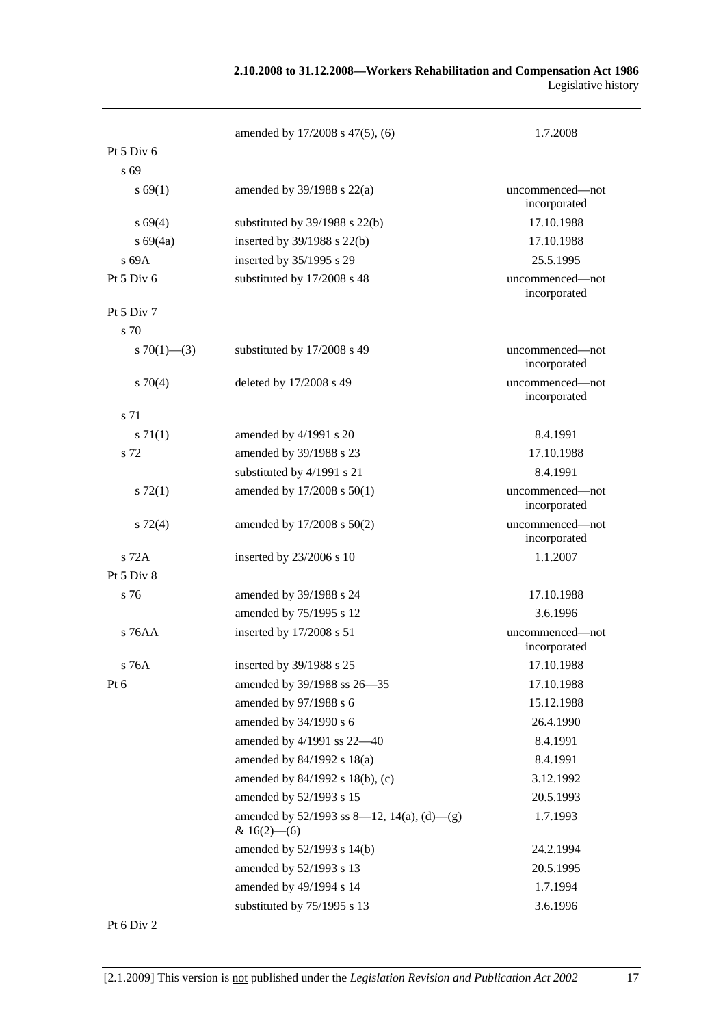|                   | amended by 17/2008 s 47(5), (6)                                 | 1.7.2008                        |
|-------------------|-----------------------------------------------------------------|---------------------------------|
| Pt $5$ Div $6$    |                                                                 |                                 |
| s 69              |                                                                 |                                 |
| s 69(1)           | amended by $39/1988$ s $22(a)$                                  | uncommenced—not<br>incorporated |
| s 69(4)           | substituted by $39/1988$ s $22(b)$                              | 17.10.1988                      |
| $s\,69(4a)$       | inserted by $39/1988$ s $22(b)$                                 | 17.10.1988                      |
| s 69A             | inserted by 35/1995 s 29                                        | 25.5.1995                       |
| Pt 5 Div 6        | substituted by 17/2008 s 48                                     | uncommenced—not<br>incorporated |
| Pt 5 Div 7        |                                                                 |                                 |
| s 70              |                                                                 |                                 |
| s $70(1)$ — $(3)$ | substituted by 17/2008 s 49                                     | uncommenced—not<br>incorporated |
| $s \, 70(4)$      | deleted by 17/2008 s 49                                         | uncommenced—not<br>incorporated |
| s 71              |                                                                 |                                 |
| $s \, 71(1)$      | amended by 4/1991 s 20                                          | 8.4.1991                        |
| s 72              | amended by 39/1988 s 23                                         | 17.10.1988                      |
|                   | substituted by 4/1991 s 21                                      | 8.4.1991                        |
| $s\,72(1)$        | amended by 17/2008 s 50(1)                                      | uncommenced-not<br>incorporated |
| $s\ 72(4)$        | amended by 17/2008 s 50(2)                                      | uncommenced-not<br>incorporated |
| s 72A             | inserted by 23/2006 s 10                                        | 1.1.2007                        |
| Pt 5 Div 8        |                                                                 |                                 |
| s 76              | amended by 39/1988 s 24                                         | 17.10.1988                      |
|                   | amended by 75/1995 s 12                                         | 3.6.1996                        |
| s 76AA            | inserted by 17/2008 s 51                                        | uncommenced-not<br>incorporated |
| s 76A             | inserted by 39/1988 s 25                                        | 17.10.1988                      |
| Pt $6$            | amended by 39/1988 ss 26-35                                     | 17.10.1988                      |
|                   | amended by 97/1988 s 6                                          | 15.12.1988                      |
|                   | amended by 34/1990 s 6                                          | 26.4.1990                       |
|                   | amended by 4/1991 ss 22-40                                      | 8.4.1991                        |
|                   | amended by $84/1992$ s $18(a)$                                  | 8.4.1991                        |
|                   | amended by 84/1992 s 18(b), (c)                                 | 3.12.1992                       |
|                   | amended by 52/1993 s 15                                         | 20.5.1993                       |
|                   | amended by $52/1993$ ss 8—12, 14(a), (d)—(g)<br>& $16(2)$ - (6) | 1.7.1993                        |
|                   | amended by 52/1993 s 14(b)                                      | 24.2.1994                       |
|                   | amended by 52/1993 s 13                                         | 20.5.1995                       |
|                   | amended by 49/1994 s 14                                         | 1.7.1994                        |
|                   | substituted by 75/1995 s 13                                     | 3.6.1996                        |

Pt 6 Div 2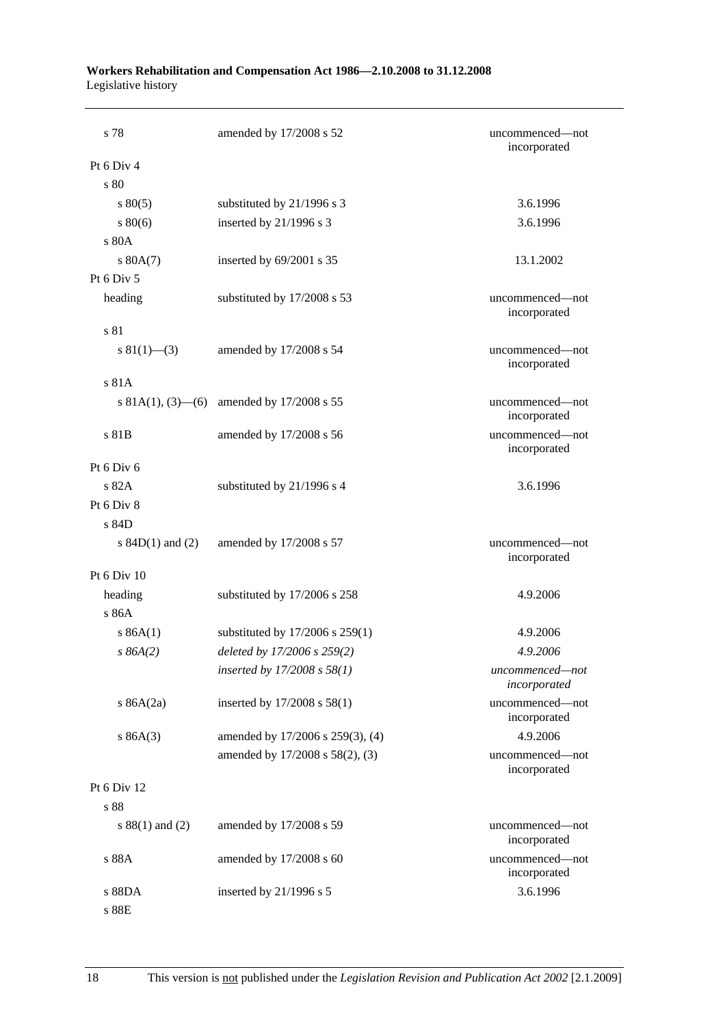| Workers Rehabilitation and Compensation Act 1986–2.10.2008 to 31.12.2008 |  |
|--------------------------------------------------------------------------|--|
| Legislative history                                                      |  |

| s 78                    | amended by 17/2008 s 52             | uncommenced—not<br>incorporated |
|-------------------------|-------------------------------------|---------------------------------|
| Pt 6 Div 4              |                                     |                                 |
| s 80                    |                                     |                                 |
| $s\,80(5)$              | substituted by 21/1996 s 3          | 3.6.1996                        |
| 80(6)                   | inserted by 21/1996 s 3             | 3.6.1996                        |
| s 80A                   |                                     |                                 |
| s 80A(7)                | inserted by $69/2001$ s 35          | 13.1.2002                       |
| Pt 6 Div 5              |                                     |                                 |
| heading                 | substituted by 17/2008 s 53         | uncommenced—not<br>incorporated |
| s 81                    |                                     |                                 |
| s $81(1)$ —(3)          | amended by 17/2008 s 54             | uncommenced—not<br>incorporated |
| s 81A                   |                                     |                                 |
| s 81A(1), $(3)$ — $(6)$ | amended by 17/2008 s 55             | uncommenced—not<br>incorporated |
| s 81B                   | amended by 17/2008 s 56             | uncommenced-not<br>incorporated |
| Pt 6 Div 6              |                                     |                                 |
| s 82A                   | substituted by 21/1996 s 4          | 3.6.1996                        |
| Pt 6 Div 8              |                                     |                                 |
| s 84D                   |                                     |                                 |
| s $84D(1)$ and $(2)$    | amended by 17/2008 s 57             | uncommenced-not<br>incorporated |
| Pt 6 Div 10             |                                     |                                 |
| heading<br>s 86A        | substituted by 17/2006 s 258        | 4.9.2006                        |
| s 86A(1)                | substituted by $17/2006$ s $259(1)$ | 4.9.2006                        |
| $s\,86A(2)$             | deleted by 17/2006 s 259(2)         | 4.9.2006                        |
|                         | inserted by $17/2008 s 58(1)$       | uncommenced-not<br>incorporated |
| s $86A(2a)$             | inserted by 17/2008 s 58(1)         | uncommenced-not<br>incorporated |
| s 86A(3)                | amended by 17/2006 s 259(3), (4)    | 4.9.2006                        |
|                         | amended by 17/2008 s 58(2), (3)     | uncommenced-not<br>incorporated |
| Pt 6 Div 12             |                                     |                                 |
| s 88                    |                                     |                                 |
| s $88(1)$ and $(2)$     | amended by 17/2008 s 59             | uncommenced—not<br>incorporated |
| s 88A                   | amended by 17/2008 s 60             | uncommenced-not<br>incorporated |
| s 88DA                  | inserted by 21/1996 s 5             | 3.6.1996                        |
| s 88E                   |                                     |                                 |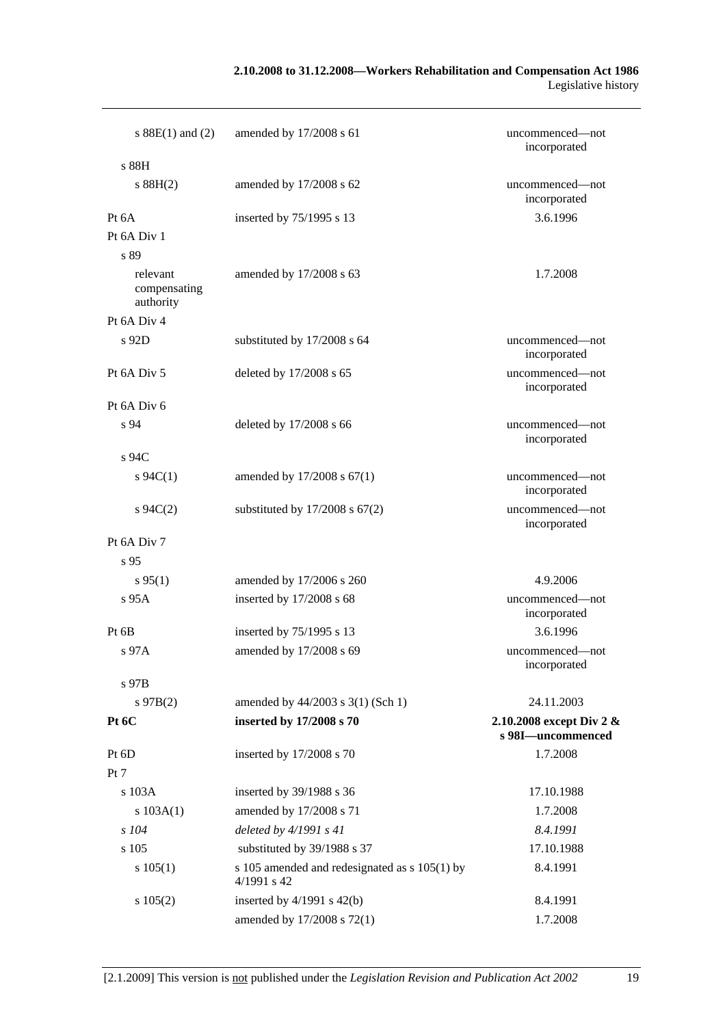#### **2.10.2008 to 31.12.2008—Workers Rehabilitation and Compensation Act 1986**  Legislative history

| s $88E(1)$ and (2)                    | amended by 17/2008 s 61                                          | uncommenced—not<br>incorporated               |
|---------------------------------------|------------------------------------------------------------------|-----------------------------------------------|
| s 88H                                 |                                                                  |                                               |
| s 88H(2)                              | amended by 17/2008 s 62                                          | uncommenced—not<br>incorporated               |
| Pt 6A                                 | inserted by 75/1995 s 13                                         | 3.6.1996                                      |
| Pt 6A Div 1                           |                                                                  |                                               |
| s 89                                  |                                                                  |                                               |
| relevant<br>compensating<br>authority | amended by 17/2008 s 63                                          | 1.7.2008                                      |
| Pt 6A Div 4                           |                                                                  |                                               |
| s 92D                                 | substituted by 17/2008 s 64                                      | uncommenced-not<br>incorporated               |
| Pt 6A Div 5                           | deleted by 17/2008 s 65                                          | uncommenced-not<br>incorporated               |
| Pt 6A Div 6                           |                                                                  |                                               |
| s 94                                  | deleted by 17/2008 s 66                                          | uncommenced—not<br>incorporated               |
| s 94C                                 |                                                                  |                                               |
| $s \, 94C(1)$                         | amended by $17/2008$ s $67(1)$                                   | uncommenced—not<br>incorporated               |
| $s \, 94C(2)$                         | substituted by $17/2008$ s $67(2)$                               | uncommenced-not<br>incorporated               |
| Pt 6A Div 7                           |                                                                  |                                               |
| s <sub>95</sub>                       |                                                                  |                                               |
| $s\,95(1)$                            | amended by 17/2006 s 260                                         | 4.9.2006                                      |
| s 95A                                 | inserted by 17/2008 s 68                                         | uncommenced-not<br>incorporated               |
| Pt 6B                                 | inserted by 75/1995 s 13                                         | 3.6.1996                                      |
| s 97A                                 | amended by 17/2008 s 69                                          | uncommenced—not<br>incorporated               |
| s 97B                                 |                                                                  |                                               |
| $s\,97B(2)$                           | amended by 44/2003 s 3(1) (Sch 1)                                | 24.11.2003                                    |
| Pt 6C                                 | inserted by 17/2008 s 70                                         | 2.10.2008 except Div 2 &<br>s 98I-uncommenced |
| Pt 6D                                 | inserted by 17/2008 s 70                                         | 1.7.2008                                      |
| Pt 7                                  |                                                                  |                                               |
| s 103A                                | inserted by 39/1988 s 36                                         | 17.10.1988                                    |
| s 103A(1)                             | amended by 17/2008 s 71                                          | 1.7.2008                                      |
| $s$ 104                               | deleted by $4/1991 s 41$                                         | 8.4.1991                                      |
| s 105                                 | substituted by 39/1988 s 37                                      | 17.10.1988                                    |
| s 105(1)                              | s 105 amended and redesignated as $s$ 105(1) by<br>$4/1991$ s 42 | 8.4.1991                                      |
| s 105(2)                              | inserted by $4/1991$ s $42(b)$                                   | 8.4.1991                                      |
|                                       | amended by 17/2008 s 72(1)                                       | 1.7.2008                                      |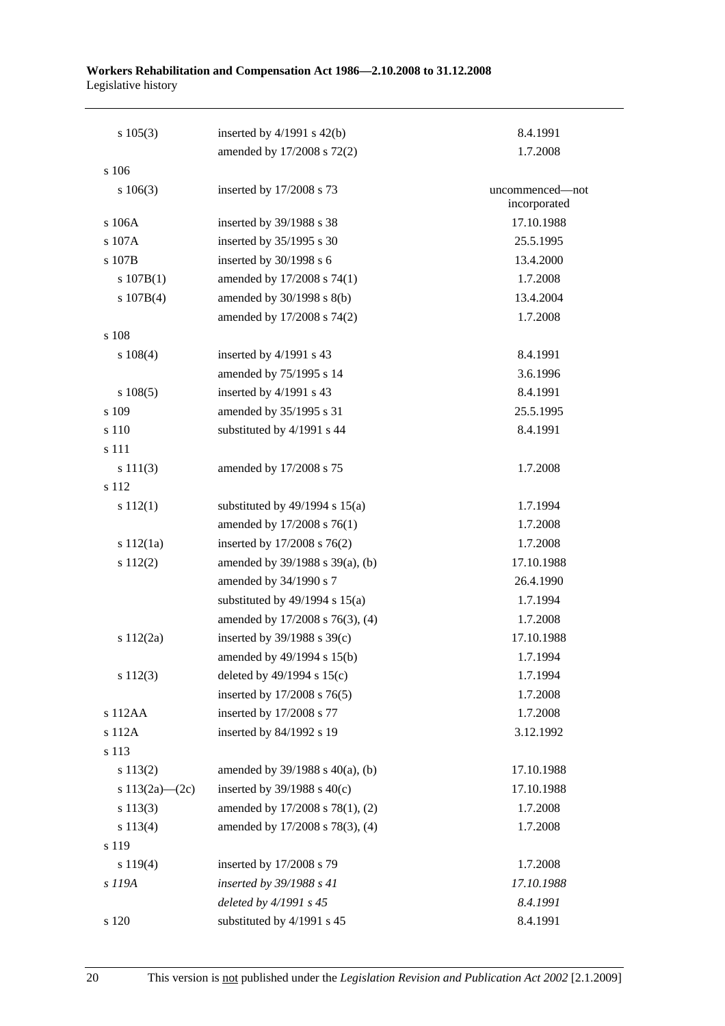| $s\ 105(3)$        | inserted by $4/1991$ s $42(b)$       | 8.4.1991        |
|--------------------|--------------------------------------|-----------------|
| s 106              | amended by 17/2008 s 72(2)           | 1.7.2008        |
|                    |                                      | uncommenced-not |
| $s\ 106(3)$        | inserted by 17/2008 s 73             | incorporated    |
| s 106A             | inserted by 39/1988 s 38             | 17.10.1988      |
| s 107A             | inserted by 35/1995 s 30             | 25.5.1995       |
| s 107B             | inserted by 30/1998 s 6              | 13.4.2000       |
| s 107B(1)          | amended by 17/2008 s 74(1)           | 1.7.2008        |
| s 107B(4)          | amended by 30/1998 s 8(b)            | 13.4.2004       |
|                    | amended by 17/2008 s 74(2)           | 1.7.2008        |
| s 108              |                                      |                 |
| $s\ 108(4)$        | inserted by 4/1991 s 43              | 8.4.1991        |
|                    | amended by 75/1995 s 14              | 3.6.1996        |
| $s\ 108(5)$        | inserted by 4/1991 s 43              | 8.4.1991        |
| s 109              | amended by 35/1995 s 31              | 25.5.1995       |
| s 110              | substituted by 4/1991 s 44           | 8.4.1991        |
| s 111              |                                      |                 |
| s 111(3)           | amended by 17/2008 s 75              | 1.7.2008        |
| s 112              |                                      |                 |
| s 112(1)           | substituted by $49/1994$ s $15(a)$   | 1.7.1994        |
|                    | amended by 17/2008 s 76(1)           | 1.7.2008        |
| s 112(1a)          | inserted by 17/2008 s 76(2)          | 1.7.2008        |
| s 112(2)           | amended by 39/1988 s 39(a), (b)      | 17.10.1988      |
|                    | amended by 34/1990 s 7               | 26.4.1990       |
|                    | substituted by $49/1994$ s $15(a)$   | 1.7.1994        |
|                    | amended by 17/2008 s 76(3), (4)      | 1.7.2008        |
| s 112(2a)          | inserted by $39/1988$ s $39(c)$      | 17.10.1988      |
|                    | amended by 49/1994 s 15(b)           | 1.7.1994        |
| s 112(3)           | deleted by $49/1994$ s $15(c)$       | 1.7.1994        |
|                    | inserted by 17/2008 s 76(5)          | 1.7.2008        |
| s 112AA            | inserted by 17/2008 s 77             | 1.7.2008        |
| s 112A             | inserted by 84/1992 s 19             | 3.12.1992       |
| s 113              |                                      |                 |
| s 113(2)           | amended by $39/1988$ s $40(a)$ , (b) | 17.10.1988      |
| s $113(2a) - (2c)$ | inserted by $39/1988$ s $40(c)$      | 17.10.1988      |
| s 113(3)           | amended by 17/2008 s 78(1), (2)      | 1.7.2008        |
| s 113(4)           | amended by 17/2008 s 78(3), (4)      | 1.7.2008        |
| s 119              |                                      |                 |
| s 119(4)           | inserted by 17/2008 s 79             | 1.7.2008        |
| s 119A             | inserted by 39/1988 s 41             | 17.10.1988      |
|                    | deleted by 4/1991 s 45               | 8.4.1991        |
| s 120              | substituted by 4/1991 s 45           | 8.4.1991        |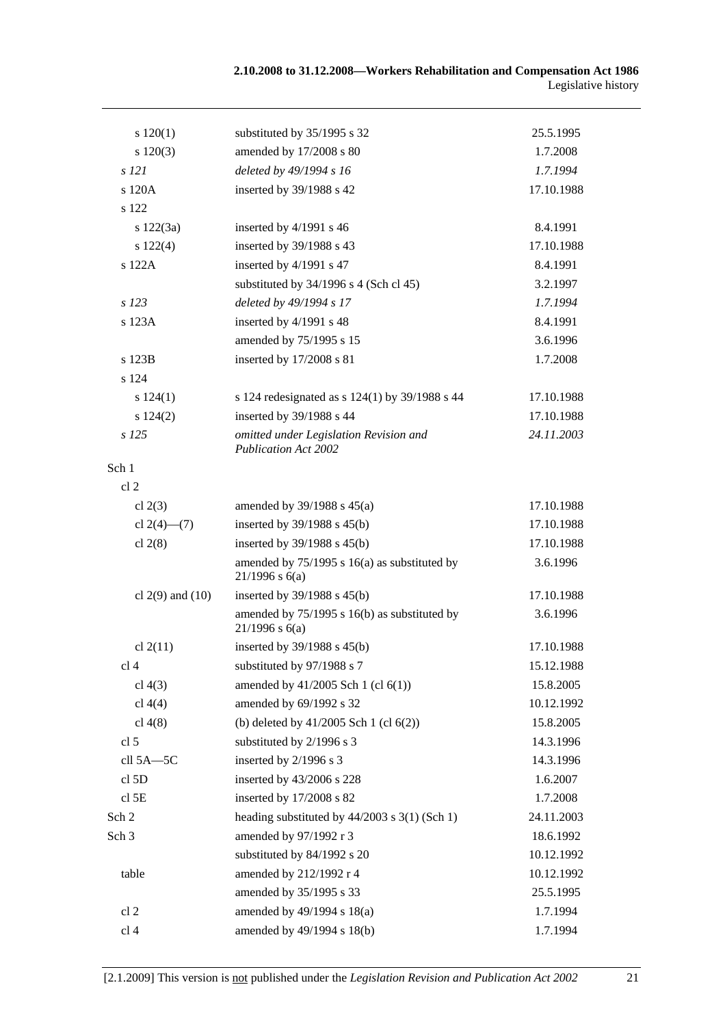| 120(1)               | substituted by 35/1995 s 32                                           | 25.5.1995  |
|----------------------|-----------------------------------------------------------------------|------------|
| s 120(3)             | amended by 17/2008 s 80                                               | 1.7.2008   |
| $s$ 121              | deleted by 49/1994 s 16                                               | 1.7.1994   |
| s 120A               | inserted by 39/1988 s 42                                              | 17.10.1988 |
| s 122                |                                                                       |            |
| s 122(3a)            | inserted by 4/1991 s 46                                               | 8.4.1991   |
| s 122(4)             | inserted by 39/1988 s 43                                              | 17.10.1988 |
| s 122A               | inserted by 4/1991 s 47                                               | 8.4.1991   |
|                      | substituted by $34/1996$ s 4 (Sch cl 45)                              | 3.2.1997   |
| $s$ 123              | deleted by 49/1994 s 17                                               | 1.7.1994   |
| s 123A               | inserted by 4/1991 s 48                                               | 8.4.1991   |
|                      | amended by 75/1995 s 15                                               | 3.6.1996   |
| s 123B               | inserted by 17/2008 s 81                                              | 1.7.2008   |
| s 124                |                                                                       |            |
| s 124(1)             | s 124 redesignated as s $124(1)$ by 39/1988 s 44                      | 17.10.1988 |
| s 124(2)             | inserted by 39/1988 s 44                                              | 17.10.1988 |
| $s$ 125              | omitted under Legislation Revision and<br><b>Publication Act 2002</b> | 24.11.2003 |
| Sch 1                |                                                                       |            |
| cl <sub>2</sub>      |                                                                       |            |
| cl $2(3)$            | amended by $39/1988$ s $45(a)$                                        | 17.10.1988 |
| cl $2(4)$ — $(7)$    | inserted by 39/1988 s 45(b)                                           | 17.10.1988 |
| cl $2(8)$            | inserted by $39/1988$ s $45(b)$                                       | 17.10.1988 |
|                      | amended by $75/1995$ s 16(a) as substituted by<br>$21/1996$ s 6(a)    | 3.6.1996   |
| cl $2(9)$ and $(10)$ | inserted by $39/1988$ s $45(b)$                                       | 17.10.1988 |
|                      | amended by 75/1995 s 16(b) as substituted by<br>$21/1996$ s 6(a)      | 3.6.1996   |
| cl 2(11)             | inserted by 39/1988 s 45(b)                                           | 17.10.1988 |
| cl <sub>4</sub>      | substituted by 97/1988 s 7                                            | 15.12.1988 |
| cl $4(3)$            | amended by $41/2005$ Sch 1 (cl $6(1)$ )                               | 15.8.2005  |
| cl 4(4)              | amended by 69/1992 s 32                                               | 10.12.1992 |
| cl $4(8)$            | (b) deleted by $41/2005$ Sch 1 (cl $6(2)$ )                           | 15.8.2005  |
| cl <sub>5</sub>      | substituted by 2/1996 s 3                                             | 14.3.1996  |
| cll 5A-5C            | inserted by 2/1996 s 3                                                | 14.3.1996  |
| cl 5D                | inserted by 43/2006 s 228                                             | 1.6.2007   |
| cl <sub>5E</sub>     | inserted by 17/2008 s 82                                              | 1.7.2008   |
| Sch 2                | heading substituted by $44/2003$ s $3(1)$ (Sch 1)                     | 24.11.2003 |
| Sch <sub>3</sub>     | amended by 97/1992 r 3                                                | 18.6.1992  |
|                      | substituted by 84/1992 s 20                                           | 10.12.1992 |
| table                | amended by 212/1992 r 4                                               | 10.12.1992 |
|                      | amended by 35/1995 s 33                                               | 25.5.1995  |
| cl <sub>2</sub>      | amended by 49/1994 s 18(a)                                            | 1.7.1994   |
| cl 4                 | amended by 49/1994 s 18(b)                                            | 1.7.1994   |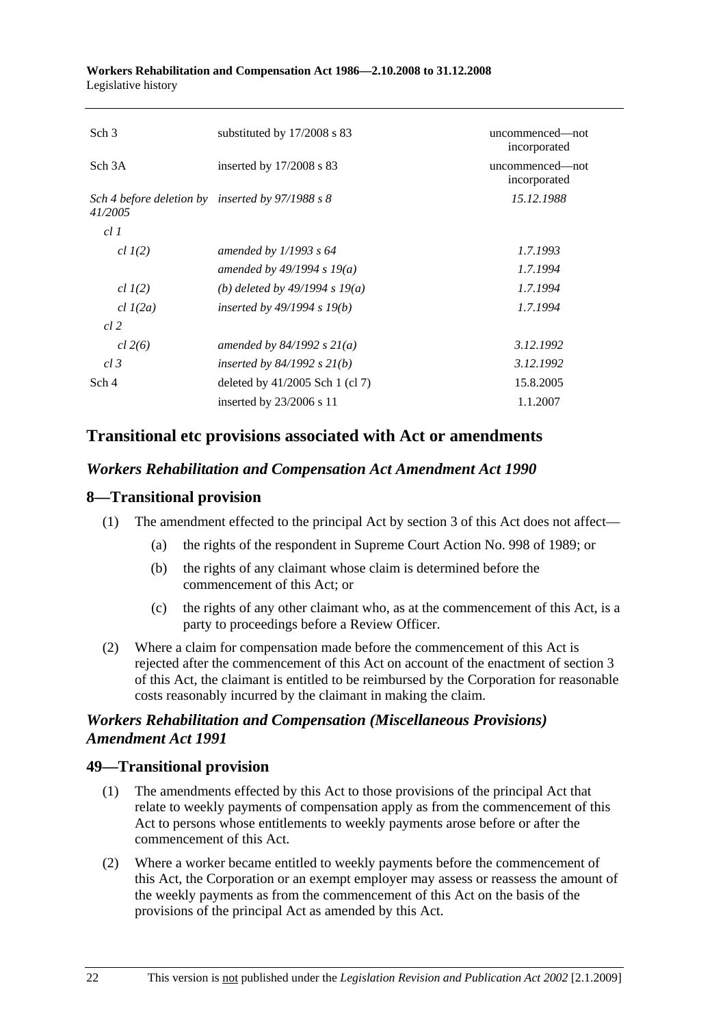| Sch <sub>3</sub>                                            | substituted by $17/2008$ s 83     | uncommenced—not<br>incorporated |
|-------------------------------------------------------------|-----------------------------------|---------------------------------|
| Sch <sub>3</sub> A                                          | inserted by $17/2008$ s 83        | uncommenced-not<br>incorporated |
| Sch 4 before deletion by inserted by 97/1988 s 8<br>41/2005 |                                   | 15.12.1988                      |
| cl1                                                         |                                   |                                 |
| $cl$ $I(2)$                                                 | amended by $1/1993$ s 64          | 1.7.1993                        |
|                                                             | amended by 49/1994 s 19(a)        | 1.7.1994                        |
| $cl$ $I(2)$                                                 | (b) deleted by $49/1994 s 19(a)$  | 1.7.1994                        |
| $cl$ $I(2a)$                                                | inserted by $49/1994$ s $19(b)$   | 1.7.1994                        |
| cl.2                                                        |                                   |                                 |
| cl 2(6)                                                     | amended by $84/1992 s 21(a)$      | 3.12.1992                       |
| $cl$ 3                                                      | inserted by $84/1992$ s $21(b)$   | 3.12.1992                       |
| Sch 4                                                       | deleted by $41/2005$ Sch 1 (cl 7) | 15.8.2005                       |
|                                                             | inserted by $23/2006$ s 11        | 1.1.2007                        |

### **Transitional etc provisions associated with Act or amendments**

#### *Workers Rehabilitation and Compensation Act Amendment Act 1990*

#### **8—Transitional provision**

- (1) The amendment effected to the principal Act by section 3 of this Act does not affect—
	- (a) the rights of the respondent in Supreme Court Action No. 998 of 1989; or
	- (b) the rights of any claimant whose claim is determined before the commencement of this Act; or
	- (c) the rights of any other claimant who, as at the commencement of this Act, is a party to proceedings before a Review Officer.
- (2) Where a claim for compensation made before the commencement of this Act is rejected after the commencement of this Act on account of the enactment of section 3 of this Act, the claimant is entitled to be reimbursed by the Corporation for reasonable costs reasonably incurred by the claimant in making the claim.

### *Workers Rehabilitation and Compensation (Miscellaneous Provisions) Amendment Act 1991*

### **49—Transitional provision**

- (1) The amendments effected by this Act to those provisions of the principal Act that relate to weekly payments of compensation apply as from the commencement of this Act to persons whose entitlements to weekly payments arose before or after the commencement of this Act.
- (2) Where a worker became entitled to weekly payments before the commencement of this Act, the Corporation or an exempt employer may assess or reassess the amount of the weekly payments as from the commencement of this Act on the basis of the provisions of the principal Act as amended by this Act.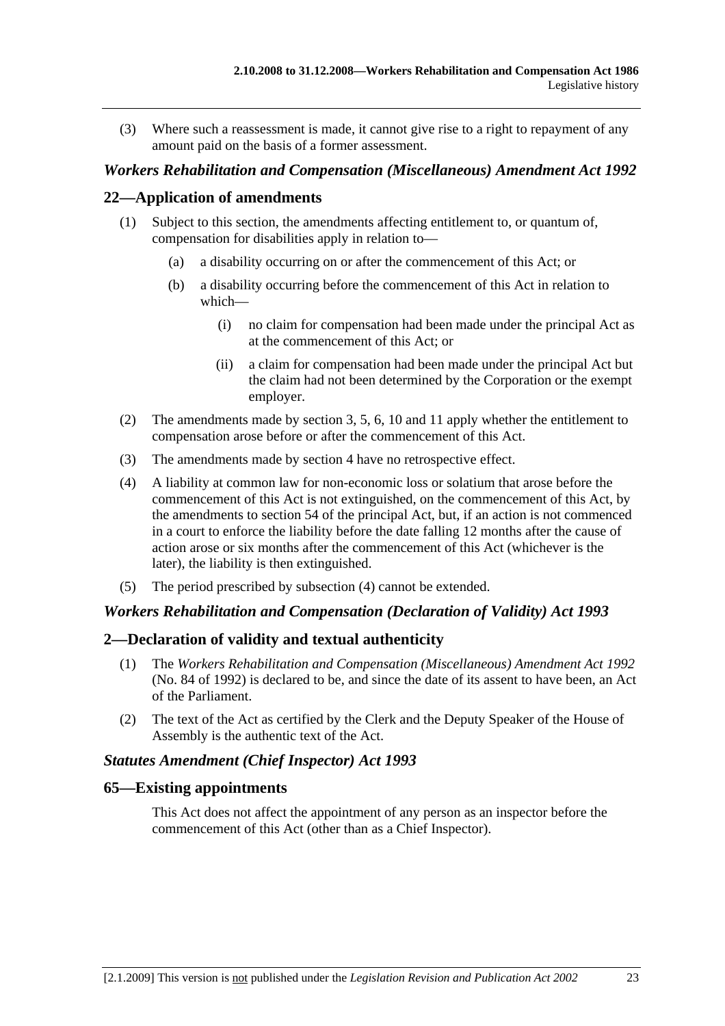(3) Where such a reassessment is made, it cannot give rise to a right to repayment of any amount paid on the basis of a former assessment.

#### *Workers Rehabilitation and Compensation (Miscellaneous) Amendment Act 1992*

#### **22—Application of amendments**

- (1) Subject to this section, the amendments affecting entitlement to, or quantum of, compensation for disabilities apply in relation to—
	- (a) a disability occurring on or after the commencement of this Act; or
	- (b) a disability occurring before the commencement of this Act in relation to which—
		- (i) no claim for compensation had been made under the principal Act as at the commencement of this Act; or
		- (ii) a claim for compensation had been made under the principal Act but the claim had not been determined by the Corporation or the exempt employer.
- (2) The amendments made by section 3, 5, 6, 10 and 11 apply whether the entitlement to compensation arose before or after the commencement of this Act.
- (3) The amendments made by section 4 have no retrospective effect.
- (4) A liability at common law for non-economic loss or solatium that arose before the commencement of this Act is not extinguished, on the commencement of this Act, by the amendments to section 54 of the principal Act, but, if an action is not commenced in a court to enforce the liability before the date falling 12 months after the cause of action arose or six months after the commencement of this Act (whichever is the later), the liability is then extinguished.
- (5) The period prescribed by subsection (4) cannot be extended.

#### *Workers Rehabilitation and Compensation (Declaration of Validity) Act 1993*

#### **2—Declaration of validity and textual authenticity**

- (1) The *Workers Rehabilitation and Compensation (Miscellaneous) Amendment Act 1992* (No. 84 of 1992) is declared to be, and since the date of its assent to have been, an Act of the Parliament.
- (2) The text of the Act as certified by the Clerk and the Deputy Speaker of the House of Assembly is the authentic text of the Act.

#### *Statutes Amendment (Chief Inspector) Act 1993*

#### **65—Existing appointments**

This Act does not affect the appointment of any person as an inspector before the commencement of this Act (other than as a Chief Inspector).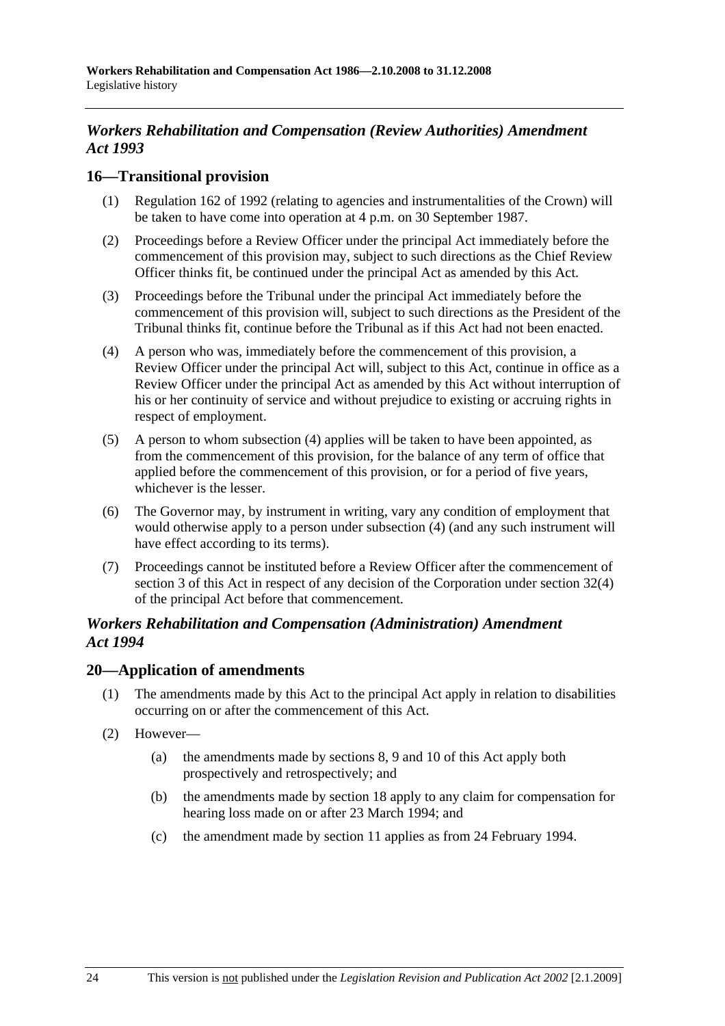### *Workers Rehabilitation and Compensation (Review Authorities) Amendment Act 1993*

#### **16—Transitional provision**

- (1) Regulation 162 of 1992 (relating to agencies and instrumentalities of the Crown) will be taken to have come into operation at 4 p.m. on 30 September 1987.
- (2) Proceedings before a Review Officer under the principal Act immediately before the commencement of this provision may, subject to such directions as the Chief Review Officer thinks fit, be continued under the principal Act as amended by this Act.
- (3) Proceedings before the Tribunal under the principal Act immediately before the commencement of this provision will, subject to such directions as the President of the Tribunal thinks fit, continue before the Tribunal as if this Act had not been enacted.
- (4) A person who was, immediately before the commencement of this provision, a Review Officer under the principal Act will, subject to this Act, continue in office as a Review Officer under the principal Act as amended by this Act without interruption of his or her continuity of service and without prejudice to existing or accruing rights in respect of employment.
- (5) A person to whom subsection (4) applies will be taken to have been appointed, as from the commencement of this provision, for the balance of any term of office that applied before the commencement of this provision, or for a period of five years, whichever is the lesser.
- (6) The Governor may, by instrument in writing, vary any condition of employment that would otherwise apply to a person under subsection (4) (and any such instrument will have effect according to its terms).
- (7) Proceedings cannot be instituted before a Review Officer after the commencement of section 3 of this Act in respect of any decision of the Corporation under section 32(4) of the principal Act before that commencement.

#### *Workers Rehabilitation and Compensation (Administration) Amendment Act 1994*

#### **20—Application of amendments**

- (1) The amendments made by this Act to the principal Act apply in relation to disabilities occurring on or after the commencement of this Act.
- (2) However—
	- (a) the amendments made by sections 8, 9 and 10 of this Act apply both prospectively and retrospectively; and
	- (b) the amendments made by section 18 apply to any claim for compensation for hearing loss made on or after 23 March 1994; and
	- (c) the amendment made by section 11 applies as from 24 February 1994.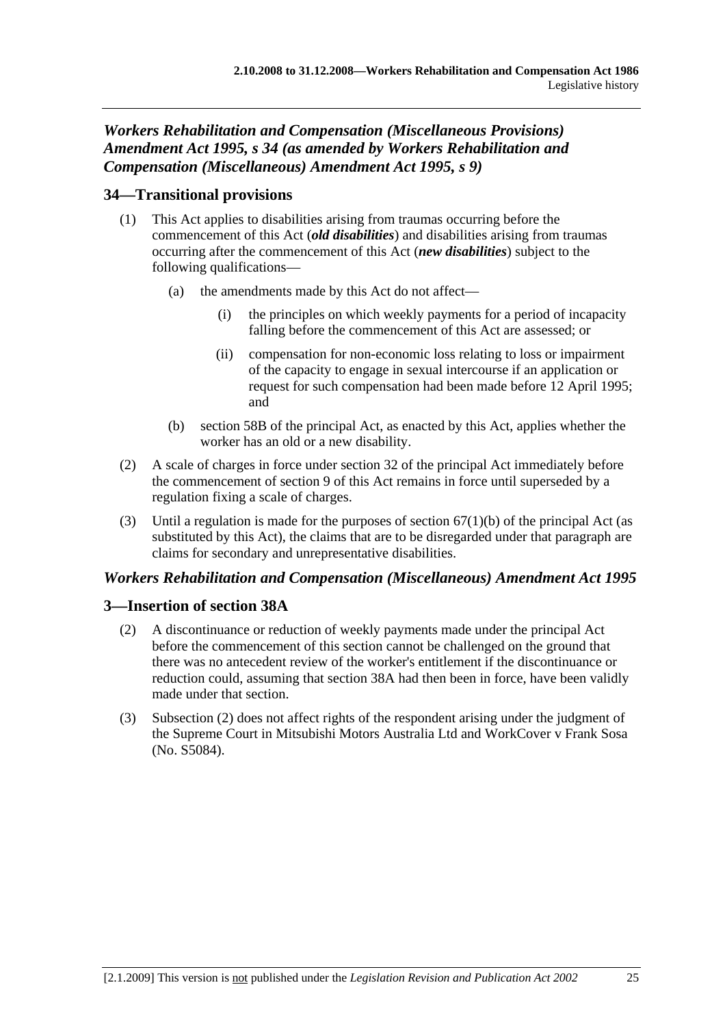### *Workers Rehabilitation and Compensation (Miscellaneous Provisions) Amendment Act 1995, s 34 (as amended by Workers Rehabilitation and Compensation (Miscellaneous) Amendment Act 1995, s 9)*

### **34—Transitional provisions**

- (1) This Act applies to disabilities arising from traumas occurring before the commencement of this Act (*old disabilities*) and disabilities arising from traumas occurring after the commencement of this Act (*new disabilities*) subject to the following qualifications—
	- (a) the amendments made by this Act do not affect
		- the principles on which weekly payments for a period of incapacity falling before the commencement of this Act are assessed; or
		- (ii) compensation for non-economic loss relating to loss or impairment of the capacity to engage in sexual intercourse if an application or request for such compensation had been made before 12 April 1995; and
	- (b) section 58B of the principal Act, as enacted by this Act, applies whether the worker has an old or a new disability.
- (2) A scale of charges in force under section 32 of the principal Act immediately before the commencement of section 9 of this Act remains in force until superseded by a regulation fixing a scale of charges.
- (3) Until a regulation is made for the purposes of section  $67(1)(b)$  of the principal Act (as substituted by this Act), the claims that are to be disregarded under that paragraph are claims for secondary and unrepresentative disabilities.

### *Workers Rehabilitation and Compensation (Miscellaneous) Amendment Act 1995*

### **3—Insertion of section 38A**

- (2) A discontinuance or reduction of weekly payments made under the principal Act before the commencement of this section cannot be challenged on the ground that there was no antecedent review of the worker's entitlement if the discontinuance or reduction could, assuming that section 38A had then been in force, have been validly made under that section.
- (3) Subsection (2) does not affect rights of the respondent arising under the judgment of the Supreme Court in Mitsubishi Motors Australia Ltd and WorkCover v Frank Sosa (No. S5084).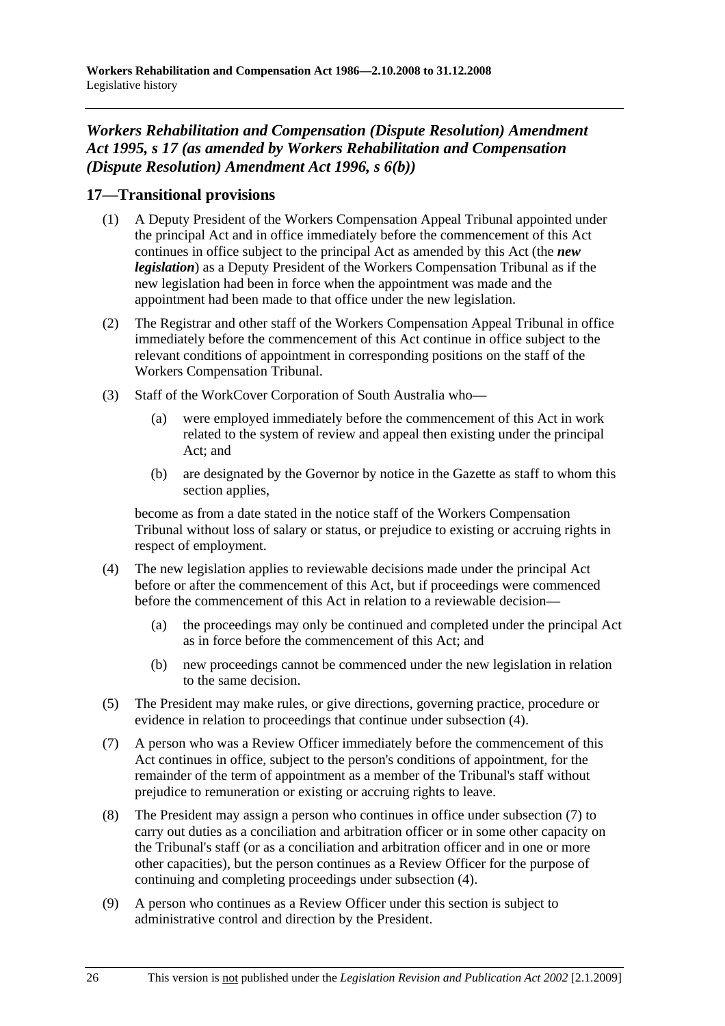### *Workers Rehabilitation and Compensation (Dispute Resolution) Amendment Act 1995, s 17 (as amended by Workers Rehabilitation and Compensation (Dispute Resolution) Amendment Act 1996, s 6(b))*

### **17—Transitional provisions**

- (1) A Deputy President of the Workers Compensation Appeal Tribunal appointed under the principal Act and in office immediately before the commencement of this Act continues in office subject to the principal Act as amended by this Act (the *new legislation*) as a Deputy President of the Workers Compensation Tribunal as if the new legislation had been in force when the appointment was made and the appointment had been made to that office under the new legislation.
- (2) The Registrar and other staff of the Workers Compensation Appeal Tribunal in office immediately before the commencement of this Act continue in office subject to the relevant conditions of appointment in corresponding positions on the staff of the Workers Compensation Tribunal.
- (3) Staff of the WorkCover Corporation of South Australia who—
	- (a) were employed immediately before the commencement of this Act in work related to the system of review and appeal then existing under the principal Act; and
	- (b) are designated by the Governor by notice in the Gazette as staff to whom this section applies,

become as from a date stated in the notice staff of the Workers Compensation Tribunal without loss of salary or status, or prejudice to existing or accruing rights in respect of employment.

- (4) The new legislation applies to reviewable decisions made under the principal Act before or after the commencement of this Act, but if proceedings were commenced before the commencement of this Act in relation to a reviewable decision—
	- (a) the proceedings may only be continued and completed under the principal Act as in force before the commencement of this Act; and
	- (b) new proceedings cannot be commenced under the new legislation in relation to the same decision.
- (5) The President may make rules, or give directions, governing practice, procedure or evidence in relation to proceedings that continue under subsection (4).
- (7) A person who was a Review Officer immediately before the commencement of this Act continues in office, subject to the person's conditions of appointment, for the remainder of the term of appointment as a member of the Tribunal's staff without prejudice to remuneration or existing or accruing rights to leave.
- (8) The President may assign a person who continues in office under subsection (7) to carry out duties as a conciliation and arbitration officer or in some other capacity on the Tribunal's staff (or as a conciliation and arbitration officer and in one or more other capacities), but the person continues as a Review Officer for the purpose of continuing and completing proceedings under subsection (4).
- (9) A person who continues as a Review Officer under this section is subject to administrative control and direction by the President.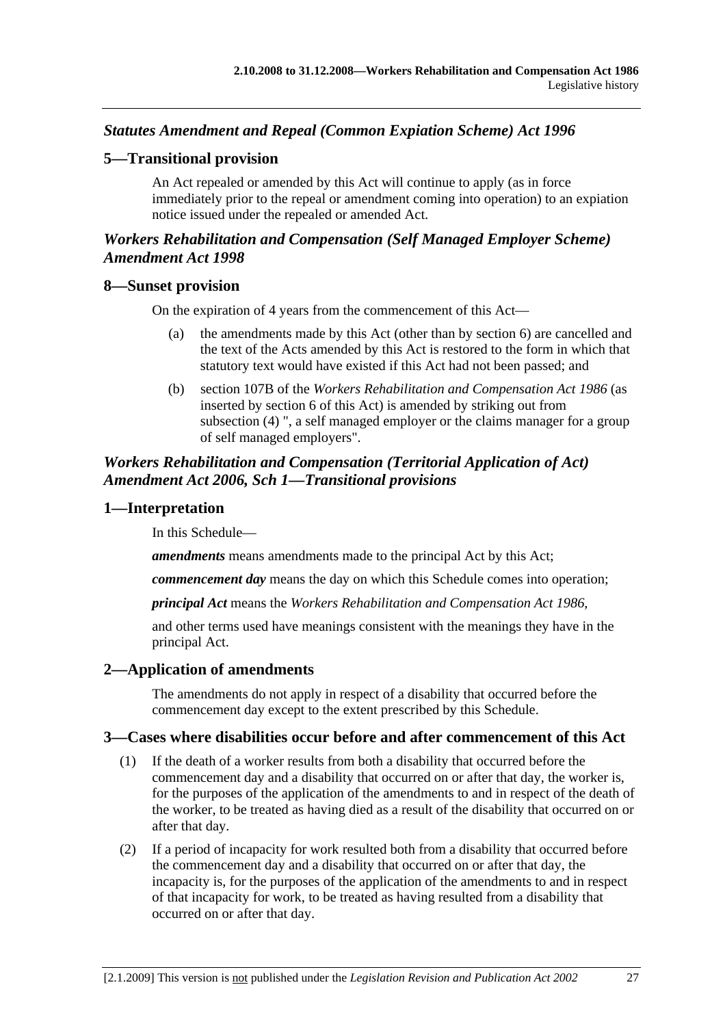### *Statutes Amendment and Repeal (Common Expiation Scheme) Act 1996*

#### **5—Transitional provision**

An Act repealed or amended by this Act will continue to apply (as in force immediately prior to the repeal or amendment coming into operation) to an expiation notice issued under the repealed or amended Act.

#### *Workers Rehabilitation and Compensation (Self Managed Employer Scheme) Amendment Act 1998*

#### **8—Sunset provision**

On the expiration of 4 years from the commencement of this Act—

- (a) the amendments made by this Act (other than by section 6) are cancelled and the text of the Acts amended by this Act is restored to the form in which that statutory text would have existed if this Act had not been passed; and
- (b) section 107B of the *Workers Rehabilitation and Compensation Act 1986* (as inserted by section 6 of this Act) is amended by striking out from subsection (4) ", a self managed employer or the claims manager for a group of self managed employers".

#### *Workers Rehabilitation and Compensation (Territorial Application of Act) Amendment Act 2006, Sch 1—Transitional provisions*

#### **1—Interpretation**

In this Schedule—

*amendments* means amendments made to the principal Act by this Act;

*commencement day* means the day on which this Schedule comes into operation;

*principal Act* means the *Workers Rehabilitation and Compensation Act 1986*,

and other terms used have meanings consistent with the meanings they have in the principal Act.

#### **2—Application of amendments**

The amendments do not apply in respect of a disability that occurred before the commencement day except to the extent prescribed by this Schedule.

#### **3—Cases where disabilities occur before and after commencement of this Act**

- (1) If the death of a worker results from both a disability that occurred before the commencement day and a disability that occurred on or after that day, the worker is, for the purposes of the application of the amendments to and in respect of the death of the worker, to be treated as having died as a result of the disability that occurred on or after that day.
- (2) If a period of incapacity for work resulted both from a disability that occurred before the commencement day and a disability that occurred on or after that day, the incapacity is, for the purposes of the application of the amendments to and in respect of that incapacity for work, to be treated as having resulted from a disability that occurred on or after that day.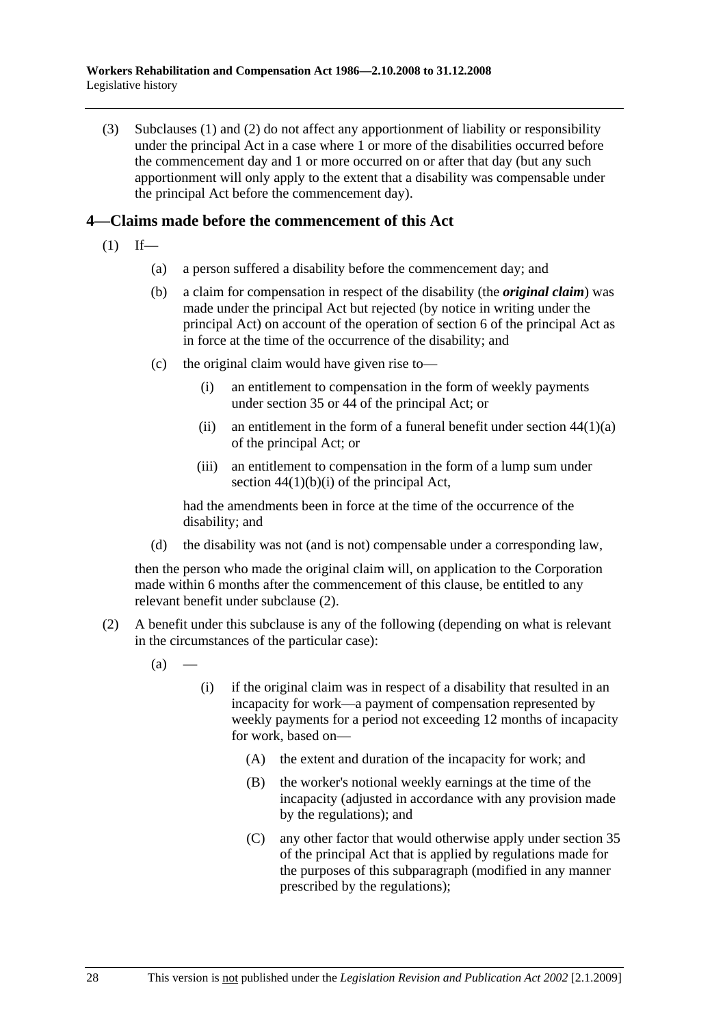(3) Subclauses (1) and (2) do not affect any apportionment of liability or responsibility under the principal Act in a case where 1 or more of the disabilities occurred before the commencement day and 1 or more occurred on or after that day (but any such apportionment will only apply to the extent that a disability was compensable under the principal Act before the commencement day).

#### **4—Claims made before the commencement of this Act**

- $(1)$  If—
	- (a) a person suffered a disability before the commencement day; and
	- (b) a claim for compensation in respect of the disability (the *original claim*) was made under the principal Act but rejected (by notice in writing under the principal Act) on account of the operation of section 6 of the principal Act as in force at the time of the occurrence of the disability; and
	- (c) the original claim would have given rise to—
		- (i) an entitlement to compensation in the form of weekly payments under section 35 or 44 of the principal Act; or
		- (ii) an entitlement in the form of a funeral benefit under section  $44(1)(a)$ of the principal Act; or
		- (iii) an entitlement to compensation in the form of a lump sum under section  $44(1)(b)(i)$  of the principal Act,

had the amendments been in force at the time of the occurrence of the disability; and

(d) the disability was not (and is not) compensable under a corresponding law,

then the person who made the original claim will, on application to the Corporation made within 6 months after the commencement of this clause, be entitled to any relevant benefit under subclause (2).

- (2) A benefit under this subclause is any of the following (depending on what is relevant in the circumstances of the particular case):
	- $(a)$
- (i) if the original claim was in respect of a disability that resulted in an incapacity for work—a payment of compensation represented by weekly payments for a period not exceeding 12 months of incapacity for work, based on—
	- (A) the extent and duration of the incapacity for work; and
	- (B) the worker's notional weekly earnings at the time of the incapacity (adjusted in accordance with any provision made by the regulations); and
	- (C) any other factor that would otherwise apply under section 35 of the principal Act that is applied by regulations made for the purposes of this subparagraph (modified in any manner prescribed by the regulations);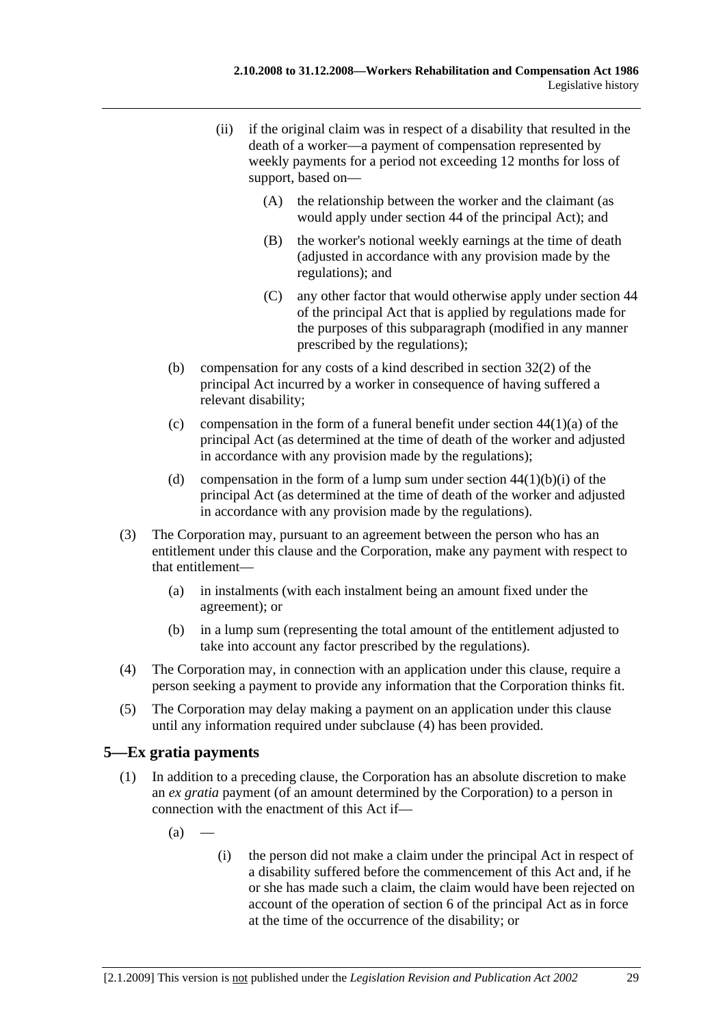- (ii) if the original claim was in respect of a disability that resulted in the death of a worker—a payment of compensation represented by weekly payments for a period not exceeding 12 months for loss of support, based on—
	- (A) the relationship between the worker and the claimant (as would apply under section 44 of the principal Act); and
	- (B) the worker's notional weekly earnings at the time of death (adjusted in accordance with any provision made by the regulations); and
	- (C) any other factor that would otherwise apply under section 44 of the principal Act that is applied by regulations made for the purposes of this subparagraph (modified in any manner prescribed by the regulations);
- (b) compensation for any costs of a kind described in section 32(2) of the principal Act incurred by a worker in consequence of having suffered a relevant disability;
- (c) compensation in the form of a funeral benefit under section  $44(1)(a)$  of the principal Act (as determined at the time of death of the worker and adjusted in accordance with any provision made by the regulations);
- (d) compensation in the form of a lump sum under section  $44(1)(b)(i)$  of the principal Act (as determined at the time of death of the worker and adjusted in accordance with any provision made by the regulations).
- (3) The Corporation may, pursuant to an agreement between the person who has an entitlement under this clause and the Corporation, make any payment with respect to that entitlement—
	- (a) in instalments (with each instalment being an amount fixed under the agreement); or
	- (b) in a lump sum (representing the total amount of the entitlement adjusted to take into account any factor prescribed by the regulations).
- (4) The Corporation may, in connection with an application under this clause, require a person seeking a payment to provide any information that the Corporation thinks fit.
- (5) The Corporation may delay making a payment on an application under this clause until any information required under subclause (4) has been provided.

# **5—Ex gratia payments**

- (1) In addition to a preceding clause, the Corporation has an absolute discretion to make an *ex gratia* payment (of an amount determined by the Corporation) to a person in connection with the enactment of this Act if—
	- $(a)$
- (i) the person did not make a claim under the principal Act in respect of a disability suffered before the commencement of this Act and, if he or she has made such a claim, the claim would have been rejected on account of the operation of section 6 of the principal Act as in force at the time of the occurrence of the disability; or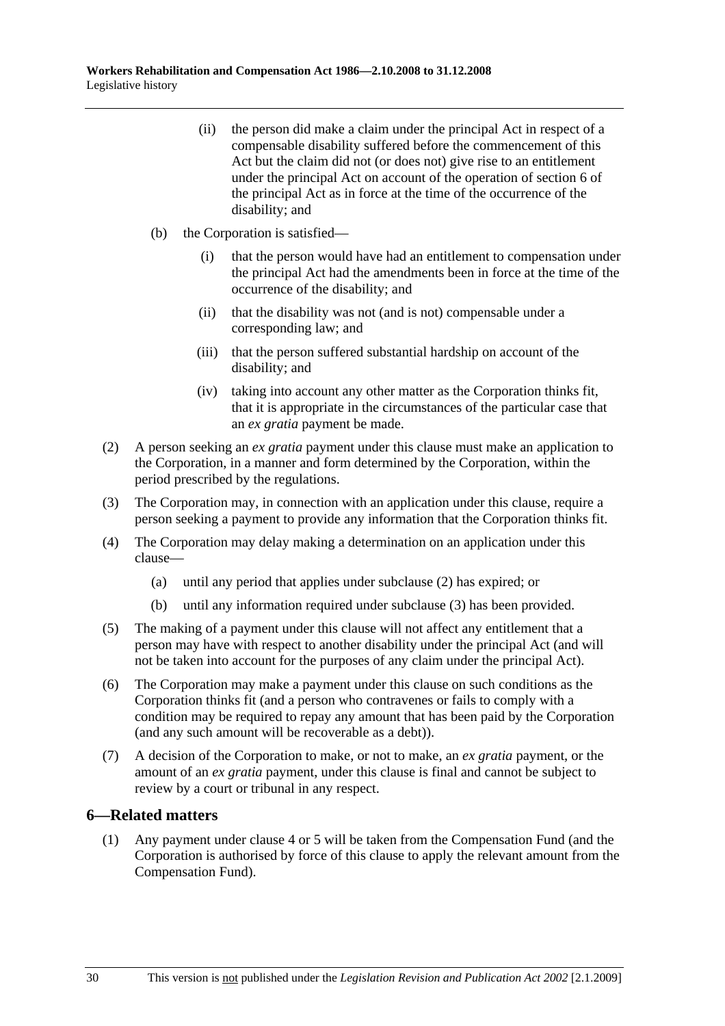- (ii) the person did make a claim under the principal Act in respect of a compensable disability suffered before the commencement of this Act but the claim did not (or does not) give rise to an entitlement under the principal Act on account of the operation of section 6 of the principal Act as in force at the time of the occurrence of the disability; and
- (b) the Corporation is satisfied—
	- (i) that the person would have had an entitlement to compensation under the principal Act had the amendments been in force at the time of the occurrence of the disability; and
	- (ii) that the disability was not (and is not) compensable under a corresponding law; and
	- (iii) that the person suffered substantial hardship on account of the disability; and
	- (iv) taking into account any other matter as the Corporation thinks fit, that it is appropriate in the circumstances of the particular case that an *ex gratia* payment be made.
- (2) A person seeking an *ex gratia* payment under this clause must make an application to the Corporation, in a manner and form determined by the Corporation, within the period prescribed by the regulations.
- (3) The Corporation may, in connection with an application under this clause, require a person seeking a payment to provide any information that the Corporation thinks fit.
- (4) The Corporation may delay making a determination on an application under this clause—
	- (a) until any period that applies under subclause (2) has expired; or
	- (b) until any information required under subclause (3) has been provided.
- (5) The making of a payment under this clause will not affect any entitlement that a person may have with respect to another disability under the principal Act (and will not be taken into account for the purposes of any claim under the principal Act).
- (6) The Corporation may make a payment under this clause on such conditions as the Corporation thinks fit (and a person who contravenes or fails to comply with a condition may be required to repay any amount that has been paid by the Corporation (and any such amount will be recoverable as a debt)).
- (7) A decision of the Corporation to make, or not to make, an *ex gratia* payment, or the amount of an *ex gratia* payment, under this clause is final and cannot be subject to review by a court or tribunal in any respect.

#### **6—Related matters**

 (1) Any payment under clause 4 or 5 will be taken from the Compensation Fund (and the Corporation is authorised by force of this clause to apply the relevant amount from the Compensation Fund).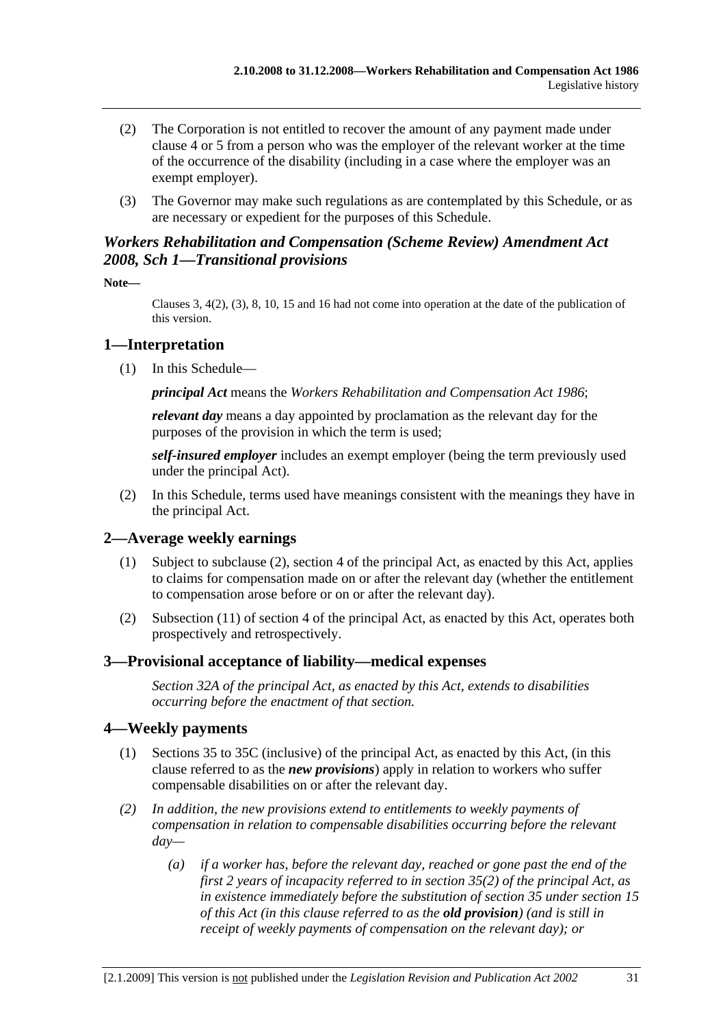- (2) The Corporation is not entitled to recover the amount of any payment made under clause 4 or 5 from a person who was the employer of the relevant worker at the time of the occurrence of the disability (including in a case where the employer was an exempt employer).
- (3) The Governor may make such regulations as are contemplated by this Schedule, or as are necessary or expedient for the purposes of this Schedule.

## *Workers Rehabilitation and Compensation (Scheme Review) Amendment Act 2008, Sch 1—Transitional provisions*

**Note—** 

Clauses 3, 4(2), (3), 8, 10, 15 and 16 had not come into operation at the date of the publication of this version.

## **1—Interpretation**

(1) In this Schedule—

*principal Act* means the *Workers Rehabilitation and Compensation Act 1986*;

*relevant day* means a day appointed by proclamation as the relevant day for the purposes of the provision in which the term is used;

*self-insured employer* includes an exempt employer (being the term previously used under the principal Act).

 (2) In this Schedule, terms used have meanings consistent with the meanings they have in the principal Act.

# **2—Average weekly earnings**

- (1) Subject to subclause (2), section 4 of the principal Act, as enacted by this Act, applies to claims for compensation made on or after the relevant day (whether the entitlement to compensation arose before or on or after the relevant day).
- (2) Subsection (11) of section 4 of the principal Act, as enacted by this Act, operates both prospectively and retrospectively.

## **3—Provisional acceptance of liability—medical expenses**

*Section 32A of the principal Act, as enacted by this Act, extends to disabilities occurring before the enactment of that section.* 

# **4—Weekly payments**

- (1) Sections 35 to 35C (inclusive) of the principal Act, as enacted by this Act, (in this clause referred to as the *new provisions*) apply in relation to workers who suffer compensable disabilities on or after the relevant day.
- *(2) In addition, the new provisions extend to entitlements to weekly payments of compensation in relation to compensable disabilities occurring before the relevant day—* 
	- *(a) if a worker has, before the relevant day, reached or gone past the end of the first 2 years of incapacity referred to in section 35(2) of the principal Act, as in existence immediately before the substitution of section 35 under section 15 of this Act (in this clause referred to as the old provision) (and is still in receipt of weekly payments of compensation on the relevant day); or*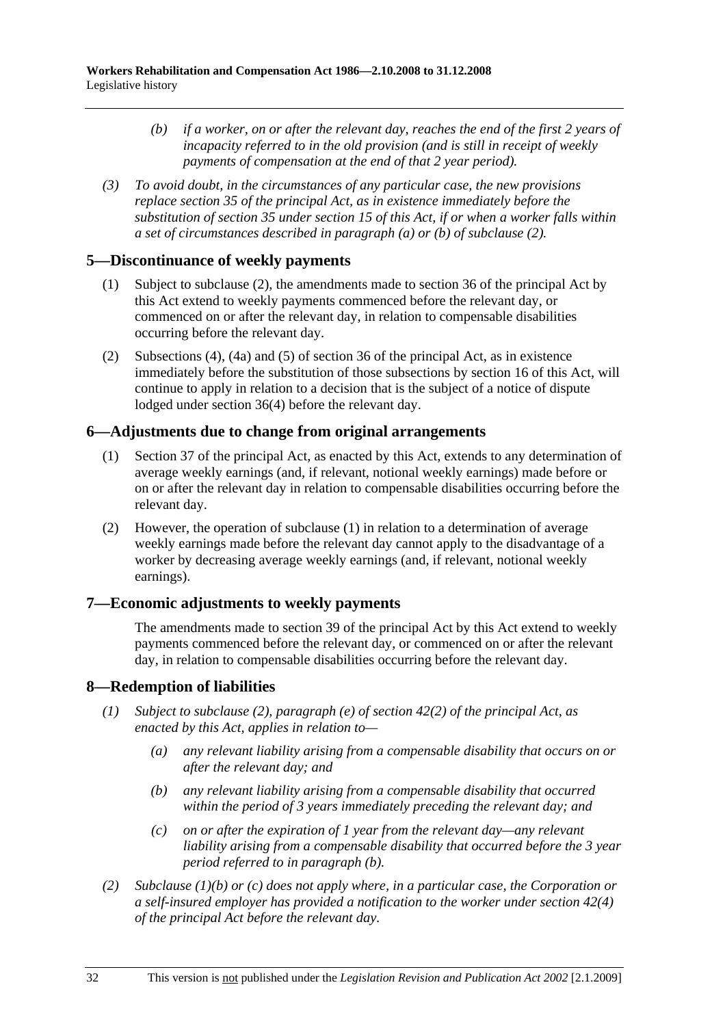- *(b) if a worker, on or after the relevant day, reaches the end of the first 2 years of incapacity referred to in the old provision (and is still in receipt of weekly payments of compensation at the end of that 2 year period).*
- *(3) To avoid doubt, in the circumstances of any particular case, the new provisions replace section 35 of the principal Act, as in existence immediately before the substitution of section 35 under section 15 of this Act, if or when a worker falls within a set of circumstances described in paragraph (a) or (b) of subclause (2).*

## **5—Discontinuance of weekly payments**

- (1) Subject to subclause (2), the amendments made to section 36 of the principal Act by this Act extend to weekly payments commenced before the relevant day, or commenced on or after the relevant day, in relation to compensable disabilities occurring before the relevant day.
- (2) Subsections (4), (4a) and (5) of section 36 of the principal Act, as in existence immediately before the substitution of those subsections by section 16 of this Act, will continue to apply in relation to a decision that is the subject of a notice of dispute lodged under section 36(4) before the relevant day.

### **6—Adjustments due to change from original arrangements**

- (1) Section 37 of the principal Act, as enacted by this Act, extends to any determination of average weekly earnings (and, if relevant, notional weekly earnings) made before or on or after the relevant day in relation to compensable disabilities occurring before the relevant day.
- (2) However, the operation of subclause (1) in relation to a determination of average weekly earnings made before the relevant day cannot apply to the disadvantage of a worker by decreasing average weekly earnings (and, if relevant, notional weekly earnings).

## **7—Economic adjustments to weekly payments**

The amendments made to section 39 of the principal Act by this Act extend to weekly payments commenced before the relevant day, or commenced on or after the relevant day, in relation to compensable disabilities occurring before the relevant day.

#### **8—Redemption of liabilities**

- *(1) Subject to subclause (2), paragraph (e) of section 42(2) of the principal Act, as enacted by this Act, applies in relation to—* 
	- *(a) any relevant liability arising from a compensable disability that occurs on or after the relevant day; and*
	- *(b) any relevant liability arising from a compensable disability that occurred within the period of 3 years immediately preceding the relevant day; and*
	- *(c) on or after the expiration of 1 year from the relevant day—any relevant liability arising from a compensable disability that occurred before the 3 year period referred to in paragraph (b).*
- *(2) Subclause (1)(b) or (c) does not apply where, in a particular case, the Corporation or a self-insured employer has provided a notification to the worker under section 42(4) of the principal Act before the relevant day.*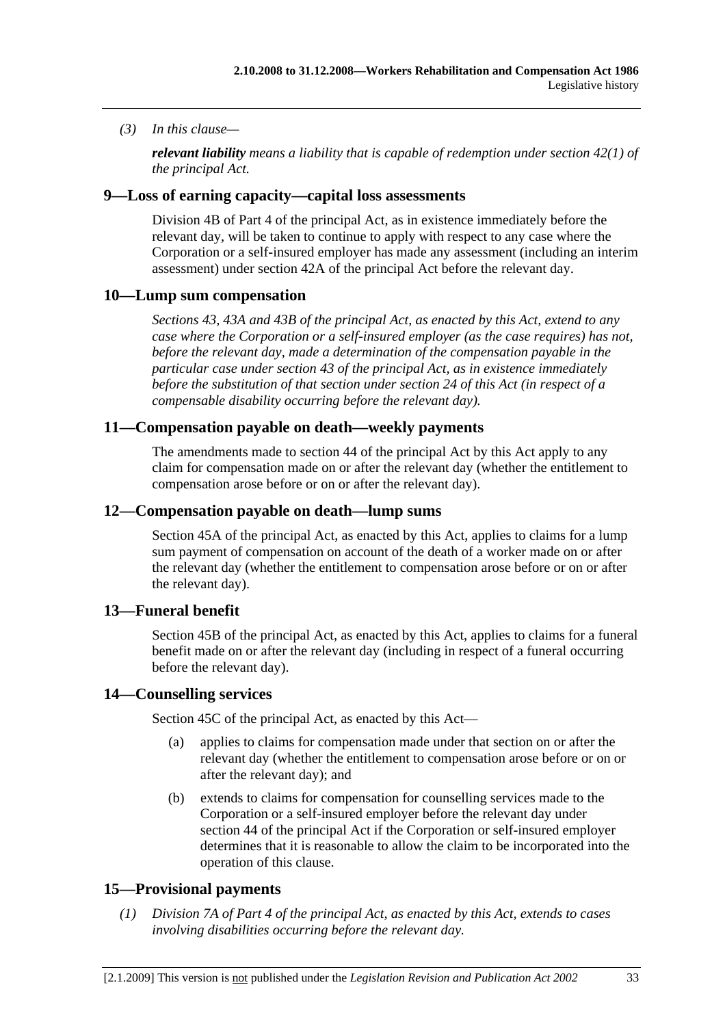### *(3) In this clause—*

*relevant liability means a liability that is capable of redemption under section 42(1) of the principal Act.* 

### **9—Loss of earning capacity—capital loss assessments**

Division 4B of Part 4 of the principal Act, as in existence immediately before the relevant day, will be taken to continue to apply with respect to any case where the Corporation or a self-insured employer has made any assessment (including an interim assessment) under section 42A of the principal Act before the relevant day.

### **10—Lump sum compensation**

*Sections 43, 43A and 43B of the principal Act, as enacted by this Act, extend to any case where the Corporation or a self-insured employer (as the case requires) has not, before the relevant day, made a determination of the compensation payable in the particular case under section 43 of the principal Act, as in existence immediately before the substitution of that section under section 24 of this Act (in respect of a compensable disability occurring before the relevant day).* 

### **11—Compensation payable on death—weekly payments**

The amendments made to section 44 of the principal Act by this Act apply to any claim for compensation made on or after the relevant day (whether the entitlement to compensation arose before or on or after the relevant day).

### **12—Compensation payable on death—lump sums**

Section 45A of the principal Act, as enacted by this Act, applies to claims for a lump sum payment of compensation on account of the death of a worker made on or after the relevant day (whether the entitlement to compensation arose before or on or after the relevant day).

## **13—Funeral benefit**

Section 45B of the principal Act, as enacted by this Act, applies to claims for a funeral benefit made on or after the relevant day (including in respect of a funeral occurring before the relevant day).

#### **14—Counselling services**

Section 45C of the principal Act, as enacted by this Act—

- (a) applies to claims for compensation made under that section on or after the relevant day (whether the entitlement to compensation arose before or on or after the relevant day); and
- (b) extends to claims for compensation for counselling services made to the Corporation or a self-insured employer before the relevant day under section 44 of the principal Act if the Corporation or self-insured employer determines that it is reasonable to allow the claim to be incorporated into the operation of this clause.

## **15—Provisional payments**

 *(1) Division 7A of Part 4 of the principal Act, as enacted by this Act, extends to cases involving disabilities occurring before the relevant day.*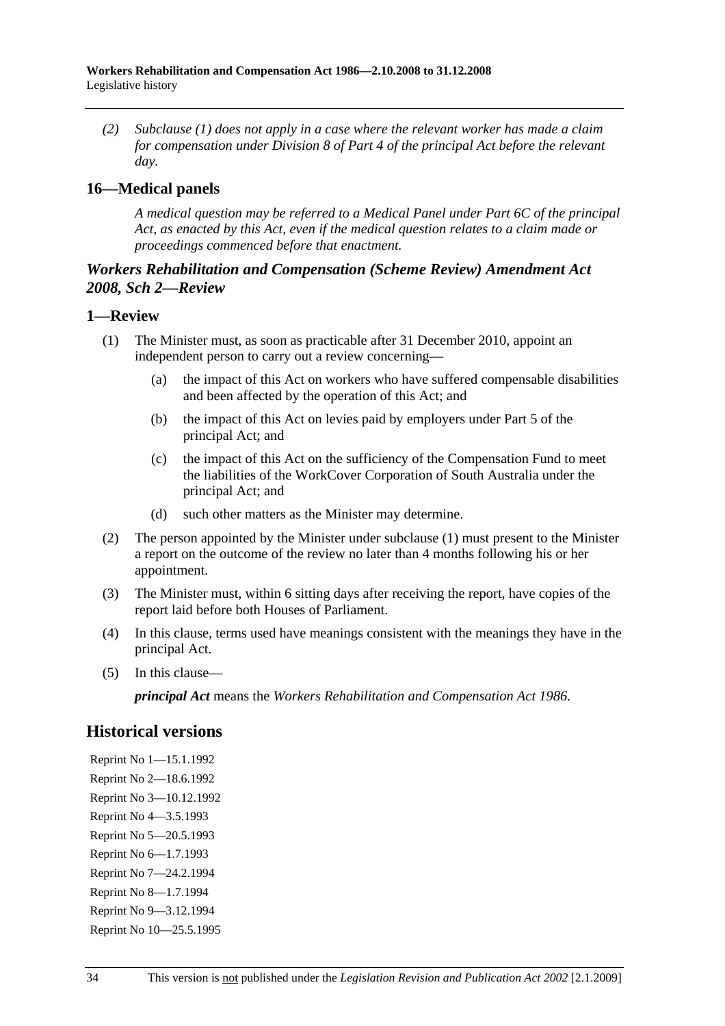*(2) Subclause (1) does not apply in a case where the relevant worker has made a claim for compensation under Division 8 of Part 4 of the principal Act before the relevant day.* 

## **16—Medical panels**

*A medical question may be referred to a Medical Panel under Part 6C of the principal Act, as enacted by this Act, even if the medical question relates to a claim made or proceedings commenced before that enactment.* 

## *Workers Rehabilitation and Compensation (Scheme Review) Amendment Act 2008, Sch 2—Review*

#### **1—Review**

- (1) The Minister must, as soon as practicable after 31 December 2010, appoint an independent person to carry out a review concerning—
	- (a) the impact of this Act on workers who have suffered compensable disabilities and been affected by the operation of this Act; and
	- (b) the impact of this Act on levies paid by employers under Part 5 of the principal Act; and
	- (c) the impact of this Act on the sufficiency of the Compensation Fund to meet the liabilities of the WorkCover Corporation of South Australia under the principal Act; and
	- (d) such other matters as the Minister may determine.
- (2) The person appointed by the Minister under subclause (1) must present to the Minister a report on the outcome of the review no later than 4 months following his or her appointment.
- (3) The Minister must, within 6 sitting days after receiving the report, have copies of the report laid before both Houses of Parliament.
- (4) In this clause, terms used have meanings consistent with the meanings they have in the principal Act.
- (5) In this clause—

*principal Act* means the *Workers Rehabilitation and Compensation Act 1986*.

# **Historical versions**

Reprint No 1—15.1.1992 Reprint No 2—18.6.1992 Reprint No 3—10.12.1992 Reprint No 4—3.5.1993 Reprint No 5—20.5.1993 Reprint No 6—1.7.1993 Reprint No 7—24.2.1994 Reprint No 8—1.7.1994 Reprint No 9—3.12.1994 Reprint No 10—25.5.1995